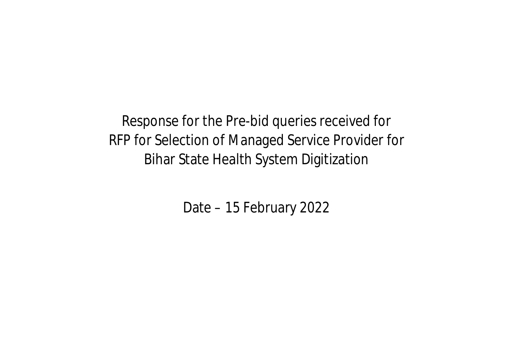Response for the Pre-bid queries received for RFP for Selection of Managed Service Provider for Bihar State Health System Digitization

Date – 15 February 2022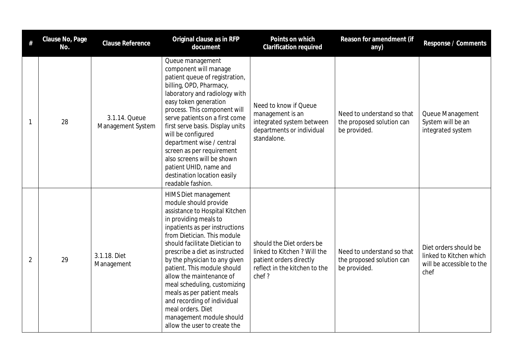| #              | Clause No, Page<br>No. | <b>Clause Reference</b>            | Original clause as in RFP<br>document                                                                                                                                                                                                                                                                                                                                                                                                                                                                                          | Points on which<br><b>Clarification required</b>                                                                               | Reason for amendment (if<br>any)                                        | Response / Comments                                                                   |
|----------------|------------------------|------------------------------------|--------------------------------------------------------------------------------------------------------------------------------------------------------------------------------------------------------------------------------------------------------------------------------------------------------------------------------------------------------------------------------------------------------------------------------------------------------------------------------------------------------------------------------|--------------------------------------------------------------------------------------------------------------------------------|-------------------------------------------------------------------------|---------------------------------------------------------------------------------------|
| -1             | 28                     | 3.1.14. Queue<br>Management System | Queue management<br>component will manage<br>patient queue of registration,<br>billing, OPD, Pharmacy,<br>laboratory and radiology with<br>easy token generation<br>process. This component will<br>serve patients on a first come<br>first serve basis. Display units<br>will be configured<br>department wise / central<br>screen as per requirement<br>also screens will be shown<br>patient UHID, name and<br>destination location easily<br>readable fashion.                                                             | Need to know if Queue<br>management is an<br>integrated system between<br>departments or individual<br>standalone.             | Need to understand so that<br>the proposed solution can<br>be provided. | Queue Management<br>System will be an<br>integrated system                            |
| $\overline{2}$ | 29                     | 3.1.18. Diet<br>Management         | <b>HIMS Diet management</b><br>module should provide<br>assistance to Hospital Kitchen<br>in providing meals to<br>inpatients as per instructions<br>from Dietician. This module<br>should facilitate Dietician to<br>prescribe a diet as instructed<br>by the physician to any given<br>patient. This module should<br>allow the maintenance of<br>meal scheduling, customizing<br>meals as per patient meals<br>and recording of individual<br>meal orders. Diet<br>management module should<br>allow the user to create the | should the Diet orders be<br>linked to Kitchen ? Will the<br>patient orders directly<br>reflect in the kitchen to the<br>chef? | Need to understand so that<br>the proposed solution can<br>be provided. | Diet orders should be<br>linked to Kitchen which<br>will be accessible to the<br>chef |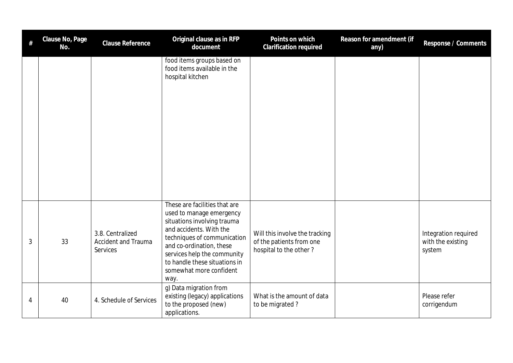| $\#$ | Clause No, Page<br>No. | Clause Reference                                           | Original clause as in RFP<br>document                                                                                                                                                                                                                                             | Points on which<br>Clarification required                                            | Reason for amendment (if<br>any) | Response / Comments                                 |
|------|------------------------|------------------------------------------------------------|-----------------------------------------------------------------------------------------------------------------------------------------------------------------------------------------------------------------------------------------------------------------------------------|--------------------------------------------------------------------------------------|----------------------------------|-----------------------------------------------------|
|      |                        |                                                            | food items groups based on<br>food items available in the<br>hospital kitchen                                                                                                                                                                                                     |                                                                                      |                                  |                                                     |
| 3    | 33                     | 3.8. Centralized<br><b>Accident and Trauma</b><br>Services | These are facilities that are<br>used to manage emergency<br>situations involving trauma<br>and accidents. With the<br>techniques of communication<br>and co-ordination, these<br>services help the community<br>to handle these situations in<br>somewhat more confident<br>way. | Will this involve the tracking<br>of the patients from one<br>hospital to the other? |                                  | Integration required<br>with the existing<br>system |
| 4    | 40                     | 4. Schedule of Services                                    | g) Data migration from<br>existing (legacy) applications<br>to the proposed (new)<br>applications.                                                                                                                                                                                | What is the amount of data<br>to be migrated?                                        |                                  | Please refer<br>corrigendum                         |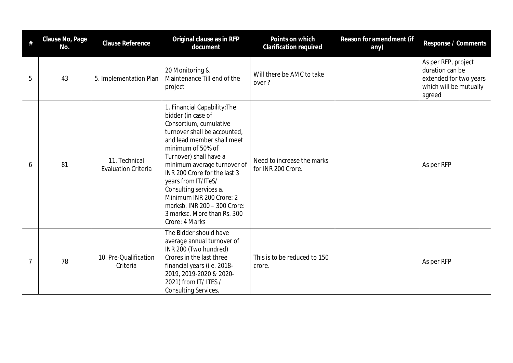|   | Clause No, Page<br>No. | Clause Reference                            | Original clause as in RFP<br>document                                                                                                                                                                                                                                                                                                                                                                                  | Points on which<br>Clarification required        | Reason for amendment (if<br>any) | Response / Comments                                                                                  |
|---|------------------------|---------------------------------------------|------------------------------------------------------------------------------------------------------------------------------------------------------------------------------------------------------------------------------------------------------------------------------------------------------------------------------------------------------------------------------------------------------------------------|--------------------------------------------------|----------------------------------|------------------------------------------------------------------------------------------------------|
| 5 | 43                     | 5. Implementation Plan                      | 20 Monitoring &<br>Maintenance Till end of the<br>project                                                                                                                                                                                                                                                                                                                                                              | Will there be AMC to take<br>over?               |                                  | As per RFP, project<br>duration can be<br>extended for two years<br>which will be mutually<br>agreed |
| 6 | 81                     | 11. Technical<br><b>Evaluation Criteria</b> | 1. Financial Capability: The<br>bidder (in case of<br>Consortium, cumulative<br>turnover shall be accounted.<br>and lead member shall meet<br>minimum of 50% of<br>Turnover) shall have a<br>minimum average turnover of<br>INR 200 Crore for the last 3<br>years from IT/ITeS/<br>Consulting services a.<br>Minimum INR 200 Crore: 2<br>marksb. INR 200 - 300 Crore:<br>3 marksc. More than Rs. 300<br>Crore: 4 Marks | Need to increase the marks<br>for INR 200 Crore. |                                  | As per RFP                                                                                           |
| 7 | 78                     | 10. Pre-Qualification<br>Criteria           | The Bidder should have<br>average annual turnover of<br>INR 200 (Two hundred)<br>Crores in the last three<br>financial years (i.e. 2018-<br>2019, 2019-2020 & 2020-<br>2021) from IT/ ITES /<br><b>Consulting Services.</b>                                                                                                                                                                                            | This is to be reduced to 150<br>crore.           |                                  | As per RFP                                                                                           |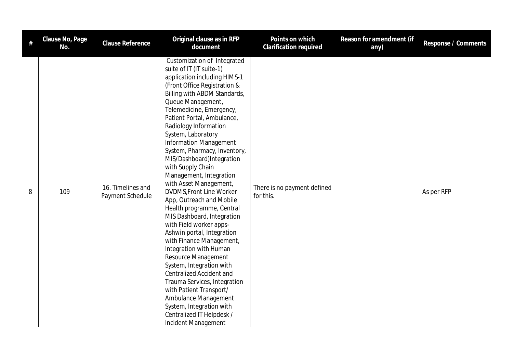| $\#$ | Clause No, Page<br>No. | Clause Reference                      | Original clause as in RFP<br>document                                                                                                                                                                                                                                                                                                                                                                                                                                                                                                                                                                                                                                                                                                                                                                                                                                                                                                                           | Points on which<br>Clarification required | Reason for amendment (if<br>any) | Response / Comments |
|------|------------------------|---------------------------------------|-----------------------------------------------------------------------------------------------------------------------------------------------------------------------------------------------------------------------------------------------------------------------------------------------------------------------------------------------------------------------------------------------------------------------------------------------------------------------------------------------------------------------------------------------------------------------------------------------------------------------------------------------------------------------------------------------------------------------------------------------------------------------------------------------------------------------------------------------------------------------------------------------------------------------------------------------------------------|-------------------------------------------|----------------------------------|---------------------|
| 8    | 109                    | 16. Timelines and<br>Payment Schedule | Customization of Integrated<br>suite of IT (IT suite-1)<br>application including HIMS-1<br>(Front Office Registration &<br>Billing with ABDM Standards,<br>Queue Management,<br>Telemedicine, Emergency,<br>Patient Portal, Ambulance,<br>Radiology Information<br>System, Laboratory<br><b>Information Management</b><br>System, Pharmacy, Inventory,<br>MIS/Dashboard)Integration<br>with Supply Chain<br>Management, Integration<br>with Asset Management,<br><b>DVDMS, Front Line Worker</b><br>App, Outreach and Mobile<br>Health programme, Central<br>MIS Dashboard, Integration<br>with Field worker apps-<br>Ashwin portal, Integration<br>with Finance Management,<br>Integration with Human<br>Resource Management<br>System, Integration with<br><b>Centralized Accident and</b><br>Trauma Services, Integration<br>with Patient Transport/<br>Ambulance Management<br>System, Integration with<br>Centralized IT Helpdesk /<br>Incident Management | There is no payment defined<br>for this.  |                                  | As per RFP          |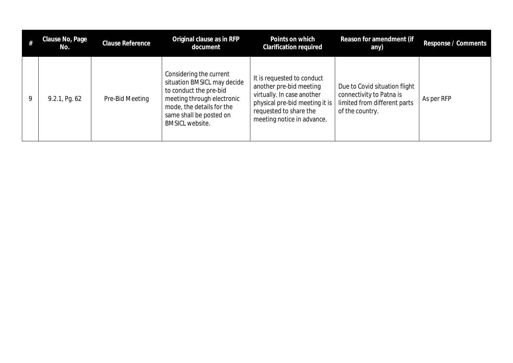|   | Clause No, Page<br>No. | <b>Clause Reference</b> | Original clause as in RFP<br>document                                                                                                                                                            | Points on which<br>Clarification required                                                                                                                                     | Reason for amendment (if<br>any)                                                                             | Response / Comments |
|---|------------------------|-------------------------|--------------------------------------------------------------------------------------------------------------------------------------------------------------------------------------------------|-------------------------------------------------------------------------------------------------------------------------------------------------------------------------------|--------------------------------------------------------------------------------------------------------------|---------------------|
| 9 | 9.2.1, Pg. 62          | Pre-Bid Meeting         | Considering the current<br>situation BMSICL may decide<br>to conduct the pre-bid<br>meeting through electronic<br>mode, the details for the<br>same shall be posted on<br><b>BMSICL website.</b> | It is requested to conduct<br>another pre-bid meeting<br>virtually. In case another<br>physical pre-bid meeting it is<br>requested to share the<br>meeting notice in advance. | Due to Covid situation flight<br>connectivity to Patna is<br>limited from different parts<br>of the country. | As per RFP          |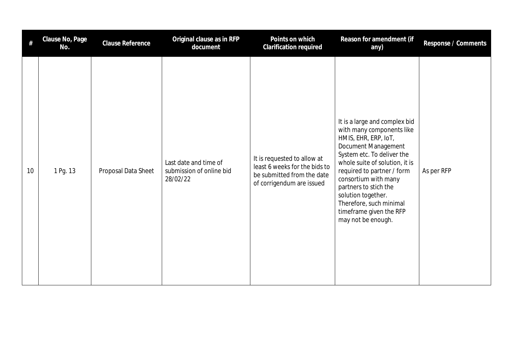| #  | Clause No, Page<br>No. | <b>Clause Reference</b> | Original clause as in RFP<br>document                         | Points on which<br>Clarification required                                                                               | Reason for amendment (if<br>any)                                                                                                                                                                                                                                                                                                                           | Response / Comments |
|----|------------------------|-------------------------|---------------------------------------------------------------|-------------------------------------------------------------------------------------------------------------------------|------------------------------------------------------------------------------------------------------------------------------------------------------------------------------------------------------------------------------------------------------------------------------------------------------------------------------------------------------------|---------------------|
| 10 | 1 Pg. 13               | Proposal Data Sheet     | Last date and time of<br>submission of online bid<br>28/02/22 | It is requested to allow at<br>least 6 weeks for the bids to<br>be submitted from the date<br>of corrigendum are issued | It is a large and complex bid<br>with many components like<br>HMIS, EHR, ERP, IoT,<br>Document Management<br>System etc. To deliver the<br>whole suite of solution, it is<br>required to partner / form<br>consortium with many<br>partners to stich the<br>solution together.<br>Therefore, such minimal<br>timeframe given the RFP<br>may not be enough. | As per RFP          |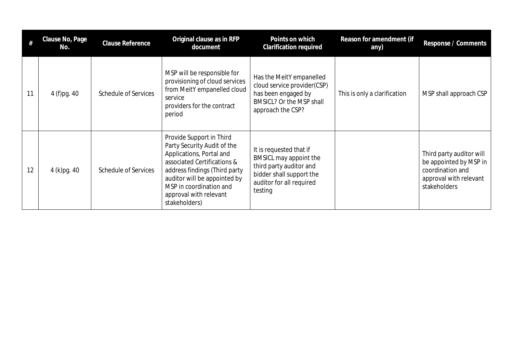|    | Clause No, Page<br>No. | Clause Reference            | Original clause as in RFP<br>document                                                                                                                                                                                                                     | Points on which<br><b>Clarification required</b>                                                                                                | Reason for amendment (if<br>any) | Response / Comments                                                                                              |
|----|------------------------|-----------------------------|-----------------------------------------------------------------------------------------------------------------------------------------------------------------------------------------------------------------------------------------------------------|-------------------------------------------------------------------------------------------------------------------------------------------------|----------------------------------|------------------------------------------------------------------------------------------------------------------|
| 11 | 4 (f)pg. 40            | <b>Schedule of Services</b> | MSP will be responsible for<br>provisioning of cloud services<br>from MeitY empanelled cloud<br>service<br>providers for the contract<br>period                                                                                                           | Has the MeitY empanelled<br>cloud service provider(CSP)<br>has been engaged by<br>BMSICL? Or the MSP shall<br>approach the CSP?                 | This is only a clarification     | MSP shall approach CSP                                                                                           |
| 12 | 4 (k)pg. 40            | <b>Schedule of Services</b> | Provide Support in Third<br>Party Security Audit of the<br>Applications, Portal and<br>associated Certifications &<br>address findings (Third party<br>auditor will be appointed by<br>MSP in coordination and<br>approval with relevant<br>stakeholders) | It is requested that if<br>BMSICL may appoint the<br>third party auditor and<br>bidder shall support the<br>auditor for all required<br>testing |                                  | Third party auditor will<br>be appointed by MSP in<br>coordination and<br>approval with relevant<br>stakeholders |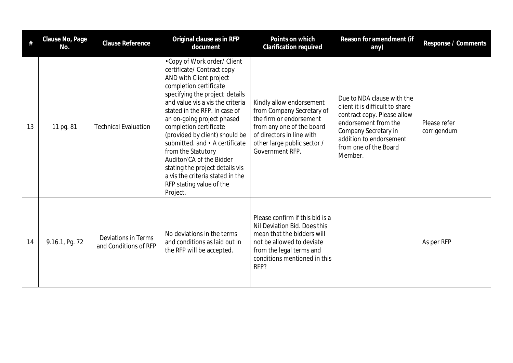| #  | Clause No, Page<br>No. | Clause Reference                             | Original clause as in RFP<br>document                                                                                                                                                                                                                                                                                                                                                                                                                                                                              | Points on which<br>Clarification required                                                                                                                                                      | Reason for amendment (if<br>any)                                                                                                                                                                            | Response / Comments         |
|----|------------------------|----------------------------------------------|--------------------------------------------------------------------------------------------------------------------------------------------------------------------------------------------------------------------------------------------------------------------------------------------------------------------------------------------------------------------------------------------------------------------------------------------------------------------------------------------------------------------|------------------------------------------------------------------------------------------------------------------------------------------------------------------------------------------------|-------------------------------------------------------------------------------------------------------------------------------------------------------------------------------------------------------------|-----------------------------|
| 13 | 11 pg. 81              | <b>Technical Evaluation</b>                  | •Copy of Work order/ Client<br>certificate/ Contract copy<br>AND with Client project<br>completion certificate<br>specifying the project details<br>and value vis a vis the criteria<br>stated in the RFP. In case of<br>an on-going project phased<br>completion certificate<br>(provided by client) should be<br>submitted. and • A certificate<br>from the Statutory<br>Auditor/CA of the Bidder<br>stating the project details vis<br>a vis the criteria stated in the<br>RFP stating value of the<br>Project. | Kindly allow endorsement<br>from Company Secretary of<br>the firm or endorsement<br>from any one of the board<br>of directors in line with<br>other large public sector /<br>Government RFP.   | Due to NDA clause with the<br>client it is difficult to share<br>contract copy. Please allow<br>endorsement from the<br>Company Secretary in<br>addition to endorsement<br>from one of the Board<br>Member. | Please refer<br>corrigendum |
| 14 | 9.16.1, Pg. 72         | Deviations in Terms<br>and Conditions of RFP | No deviations in the terms<br>and conditions as laid out in<br>the RFP will be accepted.                                                                                                                                                                                                                                                                                                                                                                                                                           | Please confirm if this bid is a<br>Nil Deviation Bid. Does this<br>mean that the bidders will<br>not be allowed to deviate<br>from the legal terms and<br>conditions mentioned in this<br>RFP? |                                                                                                                                                                                                             | As per RFP                  |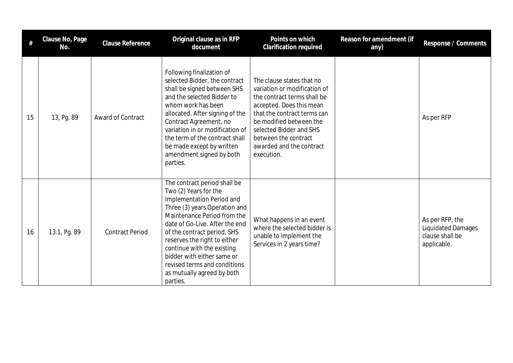| #  | Clause No, Page<br>No. | Clause Reference       | Original clause as in RFP<br>document                                                                                                                                                                                                                                                                                                                                                     | Points on which<br>Clarification required                                                                                                                                                                                                                                   | Reason for amendment (if<br>any) | Response / Comments                                                            |
|----|------------------------|------------------------|-------------------------------------------------------------------------------------------------------------------------------------------------------------------------------------------------------------------------------------------------------------------------------------------------------------------------------------------------------------------------------------------|-----------------------------------------------------------------------------------------------------------------------------------------------------------------------------------------------------------------------------------------------------------------------------|----------------------------------|--------------------------------------------------------------------------------|
| 15 | 13, Pg. 89             | Award of Contract      | Following finalization of<br>selected Bidder, the contract<br>shall be signed between SHS<br>and the selected Bidder to<br>whom work has been<br>allocated. After signing of the<br>Contract Agreement, no<br>variation in or modification of<br>the term of the contract shall<br>be made except by written<br>amendment signed by both<br>parties.                                      | The clause states that no<br>variation or modification of<br>the contract terms shall be<br>accepted. Does this mean<br>that the contract terms can<br>be modified between the<br>selected Bidder and SHS<br>between the contract<br>awarded and the contract<br>execution. |                                  | As per RFP                                                                     |
| 16 | 13.1, Pg. 89           | <b>Contract Period</b> | The contract period shall be<br>Two (2) Years for the<br>Implementation Period and<br>Three (3) years Operation and<br>Maintenance Period from the<br>date of Go-Live. After the end<br>of the contract period, SHS<br>reserves the right to either<br>continue with the existing<br>bidder with either same or<br>revised terms and conditions<br>as mutually agreed by both<br>parties. | What happens in an event<br>where the selected bidder is<br>unable to implement the<br>Services in 2 years time?                                                                                                                                                            |                                  | As per RFP, the<br><b>Liquidated Damages</b><br>clause shall be<br>applicable. |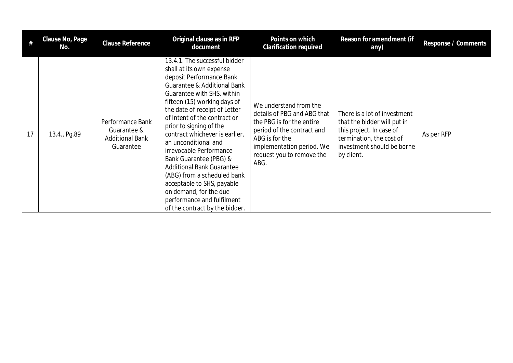|    | Clause No, Page<br>No. | Clause Reference                                                       | Original clause as in RFP<br>document                                                                                                                                                                                                                                                                                                                                                                                                                                                                                                                                                    | Points on which<br><b>Clarification required</b>                                                                                                                                                     | Reason for amendment (if<br>any)                                                                                                                                | Response / Comments |
|----|------------------------|------------------------------------------------------------------------|------------------------------------------------------------------------------------------------------------------------------------------------------------------------------------------------------------------------------------------------------------------------------------------------------------------------------------------------------------------------------------------------------------------------------------------------------------------------------------------------------------------------------------------------------------------------------------------|------------------------------------------------------------------------------------------------------------------------------------------------------------------------------------------------------|-----------------------------------------------------------------------------------------------------------------------------------------------------------------|---------------------|
| 17 | 13.4., Pg.89           | Performance Bank<br>Guarantee &<br><b>Additional Bank</b><br>Guarantee | 13.4.1. The successful bidder<br>shall at its own expense<br>deposit Performance Bank<br>Guarantee & Additional Bank<br>Guarantee with SHS, within<br>fifteen (15) working days of<br>the date of receipt of Letter<br>of Intent of the contract or<br>prior to signing of the<br>contract whichever is earlier,<br>an unconditional and<br>irrevocable Performance<br>Bank Guarantee (PBG) &<br><b>Additional Bank Guarantee</b><br>(ABG) from a scheduled bank<br>acceptable to SHS, payable<br>on demand, for the due<br>performance and fulfilment<br>of the contract by the bidder. | We understand from the<br>details of PBG and ABG that<br>the PBG is for the entire<br>period of the contract and<br>ABG is for the<br>implementation period. We<br>request you to remove the<br>ABG. | There is a lot of investment<br>that the bidder will put in<br>this project. In case of<br>termination, the cost of<br>investment should be borne<br>by client. | As per RFP          |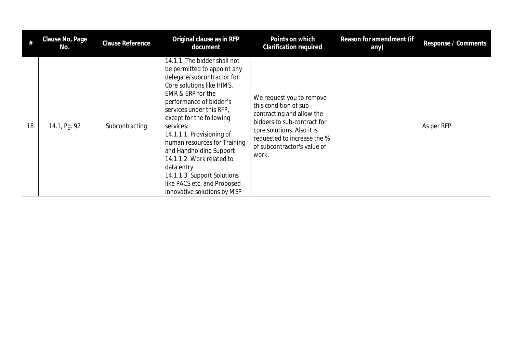|    | Clause No, Page<br>No. | Clause Reference | Original clause as in RFP<br>document                                                                                                                                                                                                                                                                                                                                                                                                                                       | Points on which<br>Clarification required                                                                                                                                                                           | Reason for amendment (if<br>any) | Response / Comments |
|----|------------------------|------------------|-----------------------------------------------------------------------------------------------------------------------------------------------------------------------------------------------------------------------------------------------------------------------------------------------------------------------------------------------------------------------------------------------------------------------------------------------------------------------------|---------------------------------------------------------------------------------------------------------------------------------------------------------------------------------------------------------------------|----------------------------------|---------------------|
| 18 | 14.1, Pg. 92           | Subcontracting   | 14.1.1. The bidder shall not<br>be permitted to appoint any<br>delegate/subcontractor for<br>Core solutions like HIMS,<br>EMR & ERP for the<br>performance of bidder's<br>services under this RFP,<br>except for the following<br>services:<br>14.1.1.1. Provisioning of<br>human resources for Training<br>and Handholding Support<br>14.1.1.2. Work related to<br>data entry<br>14.1.1.3. Support Solutions<br>like PACS etc. and Proposed<br>innovative solutions by MSP | We request you to remove<br>this condition of sub-<br>contracting and allow the<br>bidders to sub-contract for<br>core solutions. Also it is<br>requested to increase the %<br>of subcontractor's value of<br>work. |                                  | As per RFP          |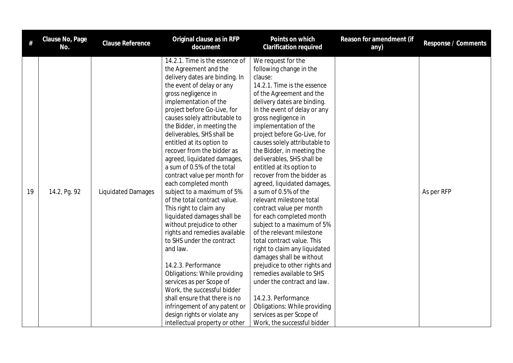| $\#$ | Clause No, Page<br>No. | Clause Reference          | Original clause as in RFP<br>document                                                                                                                                                                                                                                                                                                                                                                                                                                                                                                                                                                                                                                                                                                                                                                                                                                                                                                                                           | Points on which<br><b>Clarification required</b>                                                                                                                                                                                                                                                                                                                                                                                                                                                                                                                                                                                                                                                                                                                                                                                                                                                                                          | Reason for amendment (if<br>any) | Response / Comments |
|------|------------------------|---------------------------|---------------------------------------------------------------------------------------------------------------------------------------------------------------------------------------------------------------------------------------------------------------------------------------------------------------------------------------------------------------------------------------------------------------------------------------------------------------------------------------------------------------------------------------------------------------------------------------------------------------------------------------------------------------------------------------------------------------------------------------------------------------------------------------------------------------------------------------------------------------------------------------------------------------------------------------------------------------------------------|-------------------------------------------------------------------------------------------------------------------------------------------------------------------------------------------------------------------------------------------------------------------------------------------------------------------------------------------------------------------------------------------------------------------------------------------------------------------------------------------------------------------------------------------------------------------------------------------------------------------------------------------------------------------------------------------------------------------------------------------------------------------------------------------------------------------------------------------------------------------------------------------------------------------------------------------|----------------------------------|---------------------|
| 19   | 14.2, Pg. 92           | <b>Liquidated Damages</b> | 14.2.1. Time is the essence of<br>the Agreement and the<br>delivery dates are binding. In<br>the event of delay or any<br>gross negligence in<br>implementation of the<br>project before Go-Live, for<br>causes solely attributable to<br>the Bidder, in meeting the<br>deliverables, SHS shall be<br>entitled at its option to<br>recover from the bidder as<br>agreed, liquidated damages,<br>a sum of 0.5% of the total<br>contract value per month for<br>each completed month<br>subject to a maximum of 5%<br>of the total contract value.<br>This right to claim any<br>liquidated damages shall be<br>without prejudice to other<br>rights and remedies available<br>to SHS under the contract<br>and law.<br>14.2.3. Performance<br><b>Obligations: While providing</b><br>services as per Scope of<br>Work, the successful bidder<br>shall ensure that there is no<br>infringement of any patent or<br>design rights or violate any<br>intellectual property or other | We request for the<br>following change in the<br>clause:<br>14.2.1. Time is the essence<br>of the Agreement and the<br>delivery dates are binding.<br>In the event of delay or any<br>gross negligence in<br>implementation of the<br>project before Go-Live, for<br>causes solely attributable to<br>the Bidder, in meeting the<br>deliverables, SHS shall be<br>entitled at its option to<br>recover from the bidder as<br>agreed, liquidated damages,<br>a sum of 0.5% of the<br>relevant milestone total<br>contract value per month<br>for each completed month<br>subject to a maximum of 5%<br>of the relevant milestone<br>total contract value. This<br>right to claim any liquidated<br>damages shall be without<br>prejudice to other rights and<br>remedies available to SHS<br>under the contract and law.<br>14.2.3. Performance<br>Obligations: While providing<br>services as per Scope of<br>Work, the successful bidder |                                  | As per RFP          |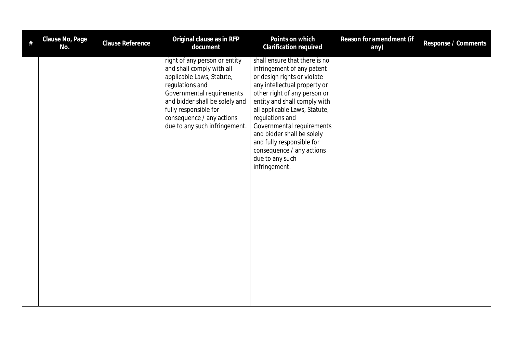| # | Clause No, Page<br>No. | Clause Reference | Original clause as in RFP<br>document                                                                                                                                                                                                                            | Points on which<br>Clarification required                                                                                                                                                                                                                                                                                                                                                               | Reason for amendment (if<br>any) | Response / Comments |
|---|------------------------|------------------|------------------------------------------------------------------------------------------------------------------------------------------------------------------------------------------------------------------------------------------------------------------|---------------------------------------------------------------------------------------------------------------------------------------------------------------------------------------------------------------------------------------------------------------------------------------------------------------------------------------------------------------------------------------------------------|----------------------------------|---------------------|
|   |                        |                  | right of any person or entity<br>and shall comply with all<br>applicable Laws, Statute,<br>regulations and<br>Governmental requirements<br>and bidder shall be solely and<br>fully responsible for<br>consequence / any actions<br>due to any such infringement. | shall ensure that there is no<br>infringement of any patent<br>or design rights or violate<br>any intellectual property or<br>other right of any person or<br>entity and shall comply with<br>all applicable Laws, Statute,<br>regulations and<br>Governmental requirements<br>and bidder shall be solely<br>and fully responsible for<br>consequence / any actions<br>due to any such<br>infringement. |                                  |                     |
|   |                        |                  |                                                                                                                                                                                                                                                                  |                                                                                                                                                                                                                                                                                                                                                                                                         |                                  |                     |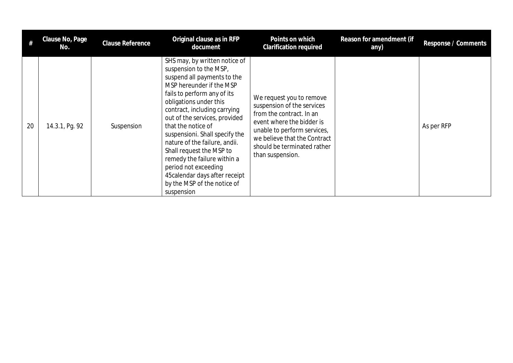|    | Clause No, Page<br>No. | Clause Reference | Original clause as in RFP<br>document                                                                                                                                                                                                                                                                                                                                                                                                                                                                   | Points on which<br><b>Clarification required</b>                                                                                                                                                                                  | Reason for amendment (if<br>any) | Response / Comments |
|----|------------------------|------------------|---------------------------------------------------------------------------------------------------------------------------------------------------------------------------------------------------------------------------------------------------------------------------------------------------------------------------------------------------------------------------------------------------------------------------------------------------------------------------------------------------------|-----------------------------------------------------------------------------------------------------------------------------------------------------------------------------------------------------------------------------------|----------------------------------|---------------------|
| 20 | 14.3.1, Pg. 92         | Suspension       | SHS may, by written notice of<br>suspension to the MSP,<br>suspend all payments to the<br>MSP hereunder if the MSP<br>fails to perform any of its<br>obligations under this<br>contract, including carrying<br>out of the services, provided<br>that the notice of<br>suspensioni. Shall specify the<br>nature of the failure, andii.<br>Shall request the MSP to<br>remedy the failure within a<br>period not exceeding<br>45 calendar days after receipt<br>by the MSP of the notice of<br>suspension | We request you to remove<br>suspension of the services<br>from the contract. In an<br>event where the bidder is<br>unable to perform services,<br>we believe that the Contract<br>should be terminated rather<br>than suspension. |                                  | As per RFP          |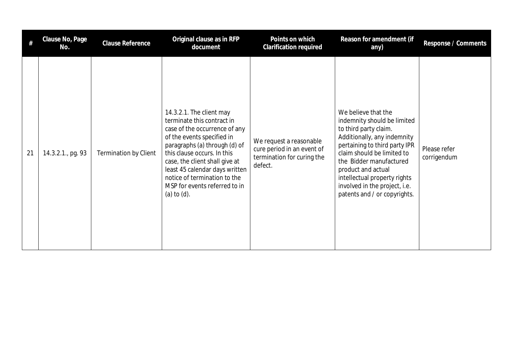| #  | Clause No, Page<br>No. | <b>Clause Reference</b>      | Original clause as in RFP<br>document                                                                                                                                                                                                                                                                                                        | Points on which<br><b>Clarification required</b>                                               | Reason for amendment (if<br>any)                                                                                                                                                                                                                                                                                            | Response / Comments         |
|----|------------------------|------------------------------|----------------------------------------------------------------------------------------------------------------------------------------------------------------------------------------------------------------------------------------------------------------------------------------------------------------------------------------------|------------------------------------------------------------------------------------------------|-----------------------------------------------------------------------------------------------------------------------------------------------------------------------------------------------------------------------------------------------------------------------------------------------------------------------------|-----------------------------|
| 21 | 14.3.2.1., pg. 93      | <b>Termination by Client</b> | 14.3.2.1. The client may<br>terminate this contract in<br>case of the occurrence of any<br>of the events specified in<br>paragraphs (a) through (d) of<br>this clause occurs. In this<br>case, the client shall give at<br>least 45 calendar days written<br>notice of termination to the<br>MSP for events referred to in<br>(a) to $(d)$ . | We request a reasonable<br>cure period in an event of<br>termination for curing the<br>defect. | We believe that the<br>indemnity should be limited<br>to third party claim.<br>Additionally, any indemnity<br>pertaining to third party IPR<br>claim should be limited to<br>the Bidder manufactured<br>product and actual<br>intellectual property rights<br>involved in the project, i.e.<br>patents and / or copyrights. | Please refer<br>corrigendum |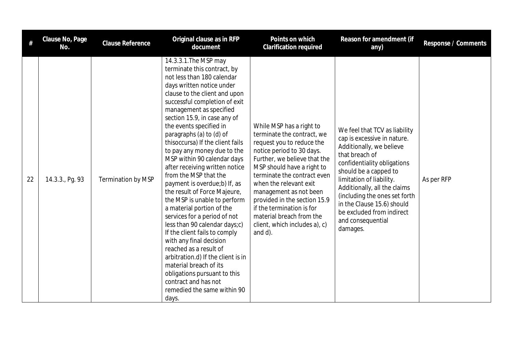| #  | Clause No, Page<br>No. | <b>Clause Reference</b>   | Original clause as in RFP<br>document                                                                                                                                                                                                                                                                                                                                                                                                                                                                                                                                                                                                                                                                                                                                                                                                                                                                                | Points on which<br>Clarification required                                                                                                                                                                                                                                                                                                                                                              | Reason for amendment (if<br>any)                                                                                                                                                                                                                                                                                                                            | Response / Comments |
|----|------------------------|---------------------------|----------------------------------------------------------------------------------------------------------------------------------------------------------------------------------------------------------------------------------------------------------------------------------------------------------------------------------------------------------------------------------------------------------------------------------------------------------------------------------------------------------------------------------------------------------------------------------------------------------------------------------------------------------------------------------------------------------------------------------------------------------------------------------------------------------------------------------------------------------------------------------------------------------------------|--------------------------------------------------------------------------------------------------------------------------------------------------------------------------------------------------------------------------------------------------------------------------------------------------------------------------------------------------------------------------------------------------------|-------------------------------------------------------------------------------------------------------------------------------------------------------------------------------------------------------------------------------------------------------------------------------------------------------------------------------------------------------------|---------------------|
| 22 | 14.3.3., Pg. 93        | <b>Termination by MSP</b> | 14.3.3.1. The MSP may<br>terminate this contract, by<br>not less than 180 calendar<br>days written notice under<br>clause to the client and upon<br>successful completion of exit<br>management as specified<br>section 15.9, in case any of<br>the events specified in<br>paragraphs (a) to (d) of<br>thisoccursa) If the client fails<br>to pay any money due to the<br>MSP within 90 calendar days<br>after receiving written notice<br>from the MSP that the<br>payment is overdue;b) If, as<br>the result of Force Majeure,<br>the MSP is unable to perform<br>a material portion of the<br>services for a period of not<br>less than 90 calendar days;c)<br>If the client fails to comply<br>with any final decision<br>reached as a result of<br>arbitration.d) If the client is in<br>material breach of its<br>obligations pursuant to this<br>contract and has not<br>remedied the same within 90<br>days. | While MSP has a right to<br>terminate the contract, we<br>request you to reduce the<br>notice period to 30 days.<br>Further, we believe that the<br>MSP should have a right to<br>terminate the contract even<br>when the relevant exit<br>management as not been<br>provided in the section 15.9<br>if the termination is for<br>material breach from the<br>client, which includes a), c)<br>and d). | We feel that TCV as liability<br>cap is excessive in nature.<br>Additionally, we believe<br>that breach of<br>confidentiality obligations<br>should be a capped to<br>limitation of liability.<br>Additionally, all the claims<br>(including the ones set forth<br>in the Clause 15.6) should<br>be excluded from indirect<br>and consequential<br>damages. | As per RFP          |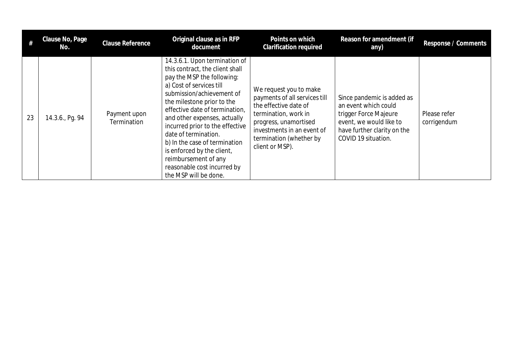|    | Clause No, Page<br>No. | <b>Clause Reference</b>     | Original clause as in RFP<br>document                                                                                                                                                                                                                                                                                                                                                                                                                             | Points on which<br><b>Clarification required</b>                                                                                                                                                              | Reason for amendment (if<br>any)                                                                                                                             | Response / Comments         |
|----|------------------------|-----------------------------|-------------------------------------------------------------------------------------------------------------------------------------------------------------------------------------------------------------------------------------------------------------------------------------------------------------------------------------------------------------------------------------------------------------------------------------------------------------------|---------------------------------------------------------------------------------------------------------------------------------------------------------------------------------------------------------------|--------------------------------------------------------------------------------------------------------------------------------------------------------------|-----------------------------|
| 23 | 14.3.6., Pg. 94        | Payment upon<br>Termination | 14.3.6.1. Upon termination of<br>this contract, the client shall<br>pay the MSP the following:<br>a) Cost of services till<br>submission/achievement of<br>the milestone prior to the<br>effective date of termination,<br>and other expenses, actually<br>incurred prior to the effective<br>date of termination.<br>b) In the case of termination<br>is enforced by the client,<br>reimbursement of any<br>reasonable cost incurred by<br>the MSP will be done. | We request you to make<br>payments of all services till<br>the effective date of<br>termination, work in<br>progress, unamortised<br>investments in an event of<br>termination (whether by<br>client or MSP). | Since pandemic is added as<br>an event which could<br>trigger Force Majeure<br>event, we would like to<br>have further clarity on the<br>COVID 19 situation. | Please refer<br>corrigendum |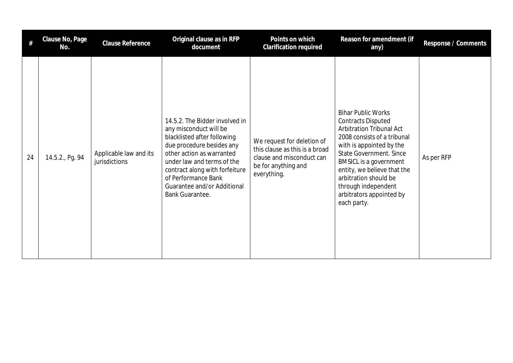| #  | Clause No, Page<br>No. | <b>Clause Reference</b>                 | Original clause as in RFP<br>document                                                                                                                                                                                                                                                      | Points on which<br><b>Clarification required</b>                                                                                | Reason for amendment (if<br>any)                                                                                                                                                                                                                                                                                                                  | Response / Comments |
|----|------------------------|-----------------------------------------|--------------------------------------------------------------------------------------------------------------------------------------------------------------------------------------------------------------------------------------------------------------------------------------------|---------------------------------------------------------------------------------------------------------------------------------|---------------------------------------------------------------------------------------------------------------------------------------------------------------------------------------------------------------------------------------------------------------------------------------------------------------------------------------------------|---------------------|
| 24 | 14.5.2., Pg. 94        | Applicable law and its<br>jurisdictions | 14.5.2. The Bidder involved in<br>any misconduct will be<br>blacklisted after following<br>due procedure besides any<br>other action as warranted<br>under law and terms of the<br>contract along with forfeiture<br>of Performance Bank<br>Guarantee and/or Additional<br>Bank Guarantee. | We request for deletion of<br>this clause as this is a broad<br>clause and misconduct can<br>be for anything and<br>everything. | <b>Bihar Public Works</b><br><b>Contracts Disputed</b><br><b>Arbitration Tribunal Act</b><br>2008 consists of a tribunal<br>with is appointed by the<br><b>State Government. Since</b><br><b>BMSICL is a government</b><br>entity, we believe that the<br>arbitration should be<br>through independent<br>arbitrators appointed by<br>each party. | As per RFP          |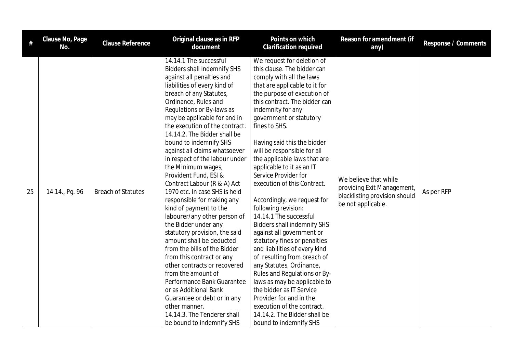| $\#$ | Clause No, Page<br>No. | Clause Reference          | Original clause as in RFP<br>document                                                                                                                                                                                                                                                                                                                                                                                                                                                                                                                                                                                                                                                                                                                                                                                                                                                                                                                                                      | Points on which<br><b>Clarification required</b>                                                                                                                                                                                                                                                                                                                                                                                                                                                                                                                                                                                                                                                                                                                                                                                                                                                                                        | Reason for amendment (if<br>any)                                                                           | Response / Comments |
|------|------------------------|---------------------------|--------------------------------------------------------------------------------------------------------------------------------------------------------------------------------------------------------------------------------------------------------------------------------------------------------------------------------------------------------------------------------------------------------------------------------------------------------------------------------------------------------------------------------------------------------------------------------------------------------------------------------------------------------------------------------------------------------------------------------------------------------------------------------------------------------------------------------------------------------------------------------------------------------------------------------------------------------------------------------------------|-----------------------------------------------------------------------------------------------------------------------------------------------------------------------------------------------------------------------------------------------------------------------------------------------------------------------------------------------------------------------------------------------------------------------------------------------------------------------------------------------------------------------------------------------------------------------------------------------------------------------------------------------------------------------------------------------------------------------------------------------------------------------------------------------------------------------------------------------------------------------------------------------------------------------------------------|------------------------------------------------------------------------------------------------------------|---------------------|
| 25   | 14.14., Pg. 96         | <b>Breach of Statutes</b> | 14.14.1 The successful<br><b>Bidders shall indemnify SHS</b><br>against all penalties and<br>liabilities of every kind of<br>breach of any Statutes,<br>Ordinance, Rules and<br>Regulations or By-laws as<br>may be applicable for and in<br>the execution of the contract.<br>14.14.2. The Bidder shall be<br>bound to indemnify SHS<br>against all claims whatsoever<br>in respect of the labour under<br>the Minimum wages,<br>Provident Fund, ESI &<br>Contract Labour (R & A) Act<br>1970 etc. In case SHS is held<br>responsible for making any<br>kind of payment to the<br>labourer/any other person of<br>the Bidder under any<br>statutory provision, the said<br>amount shall be deducted<br>from the bills of the Bidder<br>from this contract or any<br>other contracts or recovered<br>from the amount of<br>Performance Bank Guarantee<br>or as Additional Bank<br>Guarantee or debt or in any<br>other manner.<br>14.14.3. The Tenderer shall<br>be bound to indemnify SHS | We request for deletion of<br>this clause. The bidder can<br>comply with all the laws<br>that are applicable to it for<br>the purpose of execution of<br>this contract. The bidder can<br>indemnity for any<br>government or statutory<br>fines to SHS.<br>Having said this the bidder<br>will be responsible for all<br>the applicable laws that are<br>applicable to it as an IT<br>Service Provider for<br>execution of this Contract.<br>Accordingly, we request for<br>following revision:<br>14.14.1 The successful<br><b>Bidders shall indemnify SHS</b><br>against all government or<br>statutory fines or penalties<br>and liabilities of every kind<br>of resulting from breach of<br>any Statutes, Ordinance,<br>Rules and Regulations or By-<br>laws as may be applicable to<br>the bidder as IT Service<br>Provider for and in the<br>execution of the contract.<br>14.14.2. The Bidder shall be<br>bound to indemnify SHS | We believe that while<br>providing Exit Management,<br>blacklisting provision should<br>be not applicable. | As per RFP          |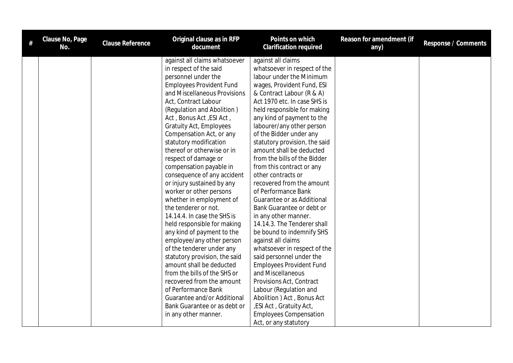| Clause No, Page<br>No. | <b>Clause Reference</b> | Original clause as in RFP<br>document | Points on which<br><b>Clarification required</b> | Reason for amendment (if<br>any) | Response / Comments |
|------------------------|-------------------------|---------------------------------------|--------------------------------------------------|----------------------------------|---------------------|
|                        |                         | against all claims whatsoever         | against all claims                               |                                  |                     |
|                        |                         | in respect of the said                | whatsoever in respect of the                     |                                  |                     |
|                        |                         | personnel under the                   | labour under the Minimum                         |                                  |                     |
|                        |                         | <b>Employees Provident Fund</b>       | wages, Provident Fund, ESI                       |                                  |                     |
|                        |                         | and Miscellaneous Provisions          | & Contract Labour (R & A)                        |                                  |                     |
|                        |                         | Act, Contract Labour                  | Act 1970 etc. In case SHS is                     |                                  |                     |
|                        |                         | (Regulation and Abolition)            | held responsible for making                      |                                  |                     |
|                        |                         | Act, Bonus Act, ESI Act,              | any kind of payment to the                       |                                  |                     |
|                        |                         | <b>Gratuity Act, Employees</b>        | labourer/any other person                        |                                  |                     |
|                        |                         | Compensation Act, or any              | of the Bidder under any                          |                                  |                     |
|                        |                         | statutory modification                | statutory provision, the said                    |                                  |                     |
|                        |                         | thereof or otherwise or in            | amount shall be deducted                         |                                  |                     |
|                        |                         | respect of damage or                  | from the bills of the Bidder                     |                                  |                     |
|                        |                         | compensation payable in               | from this contract or any                        |                                  |                     |
|                        |                         | consequence of any accident           | other contracts or                               |                                  |                     |
|                        |                         | or injury sustained by any            | recovered from the amount                        |                                  |                     |
|                        |                         | worker or other persons               | of Performance Bank                              |                                  |                     |
|                        |                         | whether in employment of              | Guarantee or as Additional                       |                                  |                     |
|                        |                         | the tenderer or not.                  | Bank Guarantee or debt or                        |                                  |                     |
|                        |                         | 14.14.4. In case the SHS is           | in any other manner.                             |                                  |                     |
|                        |                         | held responsible for making           | 14.14.3. The Tenderer shall                      |                                  |                     |
|                        |                         | any kind of payment to the            | be bound to indemnify SHS                        |                                  |                     |
|                        |                         | employee/any other person             | against all claims                               |                                  |                     |
|                        |                         | of the tenderer under any             | whatsoever in respect of the                     |                                  |                     |
|                        |                         | statutory provision, the said         | said personnel under the                         |                                  |                     |
|                        |                         | amount shall be deducted              | <b>Employees Provident Fund</b>                  |                                  |                     |
|                        |                         | from the bills of the SHS or          | and Miscellaneous                                |                                  |                     |
|                        |                         | recovered from the amount             | Provisions Act, Contract                         |                                  |                     |
|                        |                         | of Performance Bank                   | Labour (Regulation and                           |                                  |                     |
|                        |                         | Guarantee and/or Additional           | Abolition ) Act, Bonus Act                       |                                  |                     |
|                        |                         | Bank Guarantee or as debt or          | , ESI Act, Gratuity Act,                         |                                  |                     |
|                        |                         | in any other manner.                  | <b>Employees Compensation</b>                    |                                  |                     |
|                        |                         |                                       | Act, or any statutory                            |                                  |                     |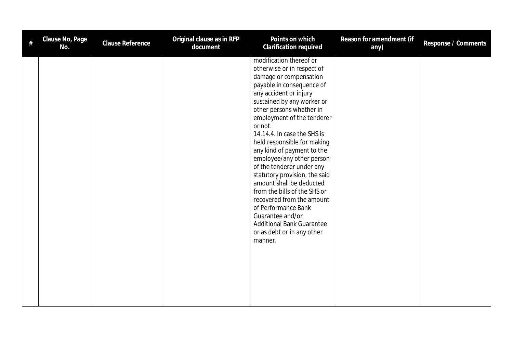| # | Clause No, Page<br>No. | Clause Reference | Original clause as in RFP<br>document | Points on which<br>Clarification required                                                                                                                                                                                                                                                                                                                                                                                                                                                                                                                                                                                                         | Reason for amendment (if<br>any) | Response / Comments |
|---|------------------------|------------------|---------------------------------------|---------------------------------------------------------------------------------------------------------------------------------------------------------------------------------------------------------------------------------------------------------------------------------------------------------------------------------------------------------------------------------------------------------------------------------------------------------------------------------------------------------------------------------------------------------------------------------------------------------------------------------------------------|----------------------------------|---------------------|
|   |                        |                  |                                       | modification thereof or<br>otherwise or in respect of<br>damage or compensation<br>payable in consequence of<br>any accident or injury<br>sustained by any worker or<br>other persons whether in<br>employment of the tenderer<br>or not.<br>14.14.4. In case the SHS is<br>held responsible for making<br>any kind of payment to the<br>employee/any other person<br>of the tenderer under any<br>statutory provision, the said<br>amount shall be deducted<br>from the bills of the SHS or<br>recovered from the amount<br>of Performance Bank<br>Guarantee and/or<br><b>Additional Bank Guarantee</b><br>or as debt or in any other<br>manner. |                                  |                     |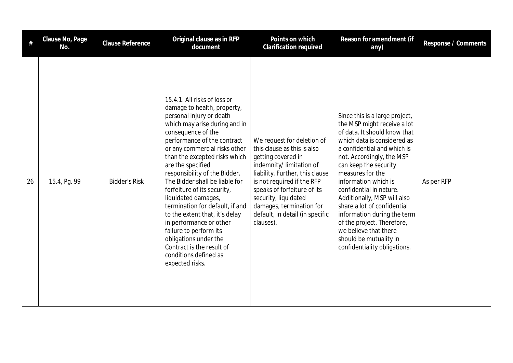|    | Clause No, Page<br>No. | Clause Reference     | Original clause as in RFP<br>document                                                                                                                                                                                                                                                                                                                                                                                                                                                                                                                                                                                     | Points on which<br><b>Clarification required</b>                                                                                                                                                                                                                                                               | Reason for amendment (if<br>any)                                                                                                                                                                                                                                                                                                                                                                                                                                                                       | Response / Comments |
|----|------------------------|----------------------|---------------------------------------------------------------------------------------------------------------------------------------------------------------------------------------------------------------------------------------------------------------------------------------------------------------------------------------------------------------------------------------------------------------------------------------------------------------------------------------------------------------------------------------------------------------------------------------------------------------------------|----------------------------------------------------------------------------------------------------------------------------------------------------------------------------------------------------------------------------------------------------------------------------------------------------------------|--------------------------------------------------------------------------------------------------------------------------------------------------------------------------------------------------------------------------------------------------------------------------------------------------------------------------------------------------------------------------------------------------------------------------------------------------------------------------------------------------------|---------------------|
| 26 | 15.4, Pg. 99           | <b>Bidder's Risk</b> | 15.4.1. All risks of loss or<br>damage to health, property,<br>personal injury or death<br>which may arise during and in<br>consequence of the<br>performance of the contract<br>or any commercial risks other<br>than the excepted risks which<br>are the specified<br>responsibility of the Bidder.<br>The Bidder shall be liable for<br>forfeiture of its security,<br>liquidated damages,<br>termination for default, if and<br>to the extent that, it's delay<br>in performance or other<br>failure to perform its<br>obligations under the<br>Contract is the result of<br>conditions defined as<br>expected risks. | We request for deletion of<br>this clause as this is also<br>getting covered in<br>indemnity/limitation of<br>liability. Further, this clause<br>is not required if the RFP<br>speaks of forfeiture of its<br>security, liquidated<br>damages, termination for<br>default, in detail (in specific<br>clauses). | Since this is a large project,<br>the MSP might receive a lot<br>of data. It should know that<br>which data is considered as<br>a confidential and which is<br>not. Accordingly, the MSP<br>can keep the security<br>measures for the<br>information which is<br>confidential in nature.<br>Additionally, MSP will also<br>share a lot of confidential<br>information during the term<br>of the project. Therefore,<br>we believe that there<br>should be mutuality in<br>confidentiality obligations. | As per RFP          |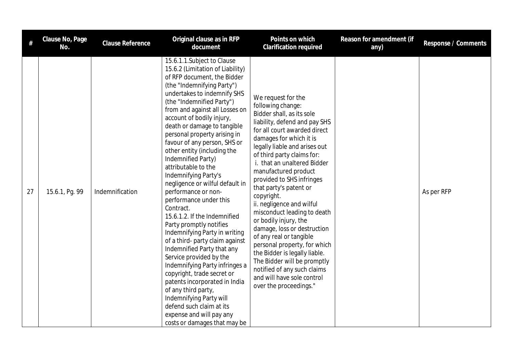| $\#$ | Clause No, Page<br>No. | Clause Reference | Original clause as in RFP<br>document                                                                                                                                                                                                                                                                                                                                                                                                                                                                                                                                                                                                                                                                                                                                                                                                                                                                                                                                                          | Points on which<br><b>Clarification required</b>                                                                                                                                                                                                                                                                                                                                                                                                                                                                                                                                                                                                                                                  | Reason for amendment (if<br>any) | Response / Comments |
|------|------------------------|------------------|------------------------------------------------------------------------------------------------------------------------------------------------------------------------------------------------------------------------------------------------------------------------------------------------------------------------------------------------------------------------------------------------------------------------------------------------------------------------------------------------------------------------------------------------------------------------------------------------------------------------------------------------------------------------------------------------------------------------------------------------------------------------------------------------------------------------------------------------------------------------------------------------------------------------------------------------------------------------------------------------|---------------------------------------------------------------------------------------------------------------------------------------------------------------------------------------------------------------------------------------------------------------------------------------------------------------------------------------------------------------------------------------------------------------------------------------------------------------------------------------------------------------------------------------------------------------------------------------------------------------------------------------------------------------------------------------------------|----------------------------------|---------------------|
| 27   | 15.6.1, Pg. 99         | Indemnification  | 15.6.1.1. Subject to Clause<br>15.6.2 (Limitation of Liability)<br>of RFP document, the Bidder<br>(the "Indemnifying Party")<br>undertakes to indemnify SHS<br>(the "Indemnified Party")<br>from and against all Losses on<br>account of bodily injury,<br>death or damage to tangible<br>personal property arising in<br>favour of any person, SHS or<br>other entity (including the<br>Indemnified Party)<br>attributable to the<br>Indemnifying Party's<br>negligence or wilful default in<br>performance or non-<br>performance under this<br>Contract.<br>15.6.1.2. If the Indemnified<br>Party promptly notifies<br>Indemnifying Party in writing<br>of a third- party claim against<br>Indemnified Party that any<br>Service provided by the<br>Indemnifying Party infringes a<br>copyright, trade secret or<br>patents incorporated in India<br>of any third party,<br>Indemnifying Party will<br>defend such claim at its<br>expense and will pay any<br>costs or damages that may be | We request for the<br>following change:<br>Bidder shall, as its sole<br>liability, defend and pay SHS<br>for all court awarded direct<br>damages for which it is<br>legally liable and arises out<br>of third party claims for:<br>i. that an unaltered Bidder<br>manufactured product<br>provided to SHS infringes<br>that party's patent or<br>copyright.<br>ii. negligence and wilful<br>misconduct leading to death<br>or bodily injury, the<br>damage, loss or destruction<br>of any real or tangible<br>personal property, for which<br>the Bidder is legally liable.<br>The Bidder will be promptly<br>notified of any such claims<br>and will have sole control<br>over the proceedings." |                                  | As per RFP          |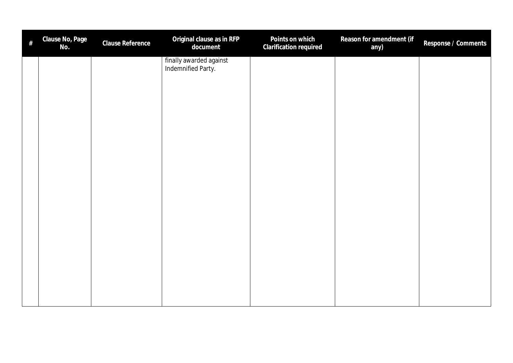| $\#$ | Clause No, Page<br>No. | Clause Reference | Original clause as in RFP<br>document         | Points on which<br>Clarification required | Reason for amendment (if<br>any) | Response / Comments |
|------|------------------------|------------------|-----------------------------------------------|-------------------------------------------|----------------------------------|---------------------|
|      |                        |                  | finally awarded against<br>Indemnified Party. |                                           |                                  |                     |
|      |                        |                  |                                               |                                           |                                  |                     |
|      |                        |                  |                                               |                                           |                                  |                     |
|      |                        |                  |                                               |                                           |                                  |                     |
|      |                        |                  |                                               |                                           |                                  |                     |
|      |                        |                  |                                               |                                           |                                  |                     |
|      |                        |                  |                                               |                                           |                                  |                     |
|      |                        |                  |                                               |                                           |                                  |                     |
|      |                        |                  |                                               |                                           |                                  |                     |
|      |                        |                  |                                               |                                           |                                  |                     |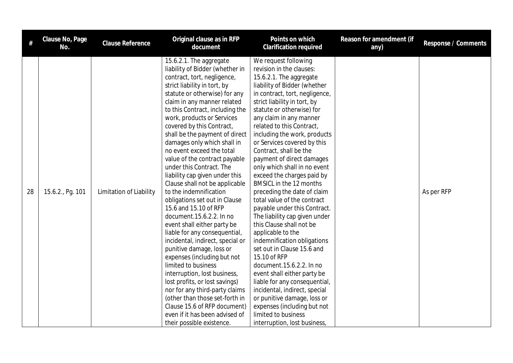| #  | Clause No, Page<br>No. | Clause Reference        | Original clause as in RFP<br>document                                                                                                                                                                                                                                                                                                                                                                                                                                                                                                                                                                                                                                                                                                                                                                                                                                                                                                                                                                                                                             | Points on which<br><b>Clarification required</b>                                                                                                                                                                                                                                                                                                                                                                                                                                                                                                                                                                                                                                                                                                                                                                                                                                                                                                                                                 | Reason for amendment (if<br>any) | Response / Comments |
|----|------------------------|-------------------------|-------------------------------------------------------------------------------------------------------------------------------------------------------------------------------------------------------------------------------------------------------------------------------------------------------------------------------------------------------------------------------------------------------------------------------------------------------------------------------------------------------------------------------------------------------------------------------------------------------------------------------------------------------------------------------------------------------------------------------------------------------------------------------------------------------------------------------------------------------------------------------------------------------------------------------------------------------------------------------------------------------------------------------------------------------------------|--------------------------------------------------------------------------------------------------------------------------------------------------------------------------------------------------------------------------------------------------------------------------------------------------------------------------------------------------------------------------------------------------------------------------------------------------------------------------------------------------------------------------------------------------------------------------------------------------------------------------------------------------------------------------------------------------------------------------------------------------------------------------------------------------------------------------------------------------------------------------------------------------------------------------------------------------------------------------------------------------|----------------------------------|---------------------|
| 28 | 15.6.2., Pg. 101       | Limitation of Liability | 15.6.2.1. The aggregate<br>liability of Bidder (whether in<br>contract, tort, negligence,<br>strict liability in tort, by<br>statute or otherwise) for any<br>claim in any manner related<br>to this Contract, including the<br>work, products or Services<br>covered by this Contract,<br>shall be the payment of direct<br>damages only which shall in<br>no event exceed the total<br>value of the contract payable<br>under this Contract. The<br>liability cap given under this<br>Clause shall not be applicable<br>to the indemnification<br>obligations set out in Clause<br>15.6 and 15.10 of RFP<br>document.15.6.2.2. In no<br>event shall either party be<br>liable for any consequential,<br>incidental, indirect, special or<br>punitive damage, loss or<br>expenses (including but not<br>limited to business<br>interruption, lost business,<br>lost profits, or lost savings)<br>nor for any third-party claims<br>(other than those set-forth in<br>Clause 15.6 of RFP document)<br>even if it has been advised of<br>their possible existence. | We request following<br>revision in the clauses:<br>15.6.2.1. The aggregate<br>liability of Bidder (whether<br>in contract, tort, negligence,<br>strict liability in tort, by<br>statute or otherwise) for<br>any claim in any manner<br>related to this Contract,<br>including the work, products<br>or Services covered by this<br>Contract, shall be the<br>payment of direct damages<br>only which shall in no event<br>exceed the charges paid by<br>BMSICL in the 12 months<br>preceding the date of claim<br>total value of the contract<br>payable under this Contract.<br>The liability cap given under<br>this Clause shall not be<br>applicable to the<br>indemnification obligations<br>set out in Clause 15.6 and<br>15.10 of RFP<br>document.15.6.2.2. In no<br>event shall either party be<br>liable for any consequential,<br>incidental, indirect, special<br>or punitive damage, loss or<br>expenses (including but not<br>limited to business<br>interruption, lost business, |                                  | As per RFP          |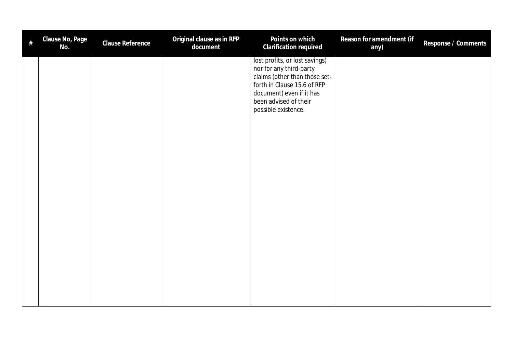| # | Clause No, Page<br>No. | Clause Reference | Original clause as in RFP<br>document | Points on which<br>Clarification required                                                                                                                                                             | Reason for amendment (if<br>any) | Response / Comments |
|---|------------------------|------------------|---------------------------------------|-------------------------------------------------------------------------------------------------------------------------------------------------------------------------------------------------------|----------------------------------|---------------------|
|   |                        |                  |                                       | lost profits, or lost savings)<br>nor for any third-party<br>claims (other than those set-<br>forth in Clause 15.6 of RFP<br>document) even if it has<br>been advised of their<br>possible existence. |                                  |                     |
|   |                        |                  |                                       |                                                                                                                                                                                                       |                                  |                     |
|   |                        |                  |                                       |                                                                                                                                                                                                       |                                  |                     |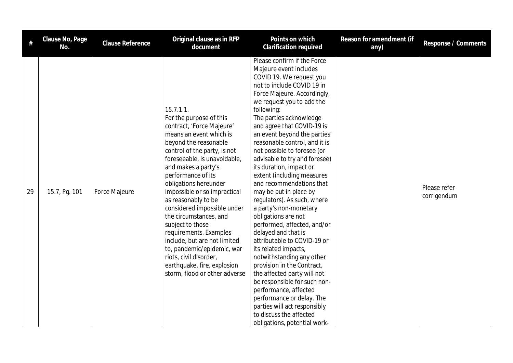| #  | Clause No, Page<br>No. | Clause Reference     | Original clause as in RFP<br>document                                                                                                                                                                                                                                                                                                                                                                                                                                                                                                                                             | Points on which<br><b>Clarification required</b>                                                                                                                                                                                                                                                                                                                                                                                                                                                                                                                                                                                                                                                                                                                                                                                                                                                                                                                           | Reason for amendment (if<br>any) | Response / Comments         |
|----|------------------------|----------------------|-----------------------------------------------------------------------------------------------------------------------------------------------------------------------------------------------------------------------------------------------------------------------------------------------------------------------------------------------------------------------------------------------------------------------------------------------------------------------------------------------------------------------------------------------------------------------------------|----------------------------------------------------------------------------------------------------------------------------------------------------------------------------------------------------------------------------------------------------------------------------------------------------------------------------------------------------------------------------------------------------------------------------------------------------------------------------------------------------------------------------------------------------------------------------------------------------------------------------------------------------------------------------------------------------------------------------------------------------------------------------------------------------------------------------------------------------------------------------------------------------------------------------------------------------------------------------|----------------------------------|-----------------------------|
| 29 | 15.7, Pg. 101          | <b>Force Majeure</b> | 15.7.1.1.<br>For the purpose of this<br>contract, 'Force Majeure'<br>means an event which is<br>beyond the reasonable<br>control of the party, is not<br>foreseeable, is unavoidable,<br>and makes a party's<br>performance of its<br>obligations hereunder<br>impossible or so impractical<br>as reasonably to be<br>considered impossible under<br>the circumstances, and<br>subject to those<br>requirements. Examples<br>include, but are not limited<br>to, pandemic/epidemic, war<br>riots, civil disorder,<br>earthquake, fire, explosion<br>storm, flood or other adverse | Please confirm if the Force<br>Majeure event includes<br>COVID 19. We request you<br>not to include COVID 19 in<br>Force Majeure. Accordingly,<br>we request you to add the<br>following:<br>The parties acknowledge<br>and agree that COVID-19 is<br>an event beyond the parties'<br>reasonable control, and it is<br>not possible to foresee (or<br>advisable to try and foresee)<br>its duration, impact or<br>extent (including measures<br>and recommendations that<br>may be put in place by<br>regulators). As such, where<br>a party's non-monetary<br>obligations are not<br>performed, affected, and/or<br>delayed and that is<br>attributable to COVID-19 or<br>its related impacts,<br>notwithstanding any other<br>provision in the Contract,<br>the affected party will not<br>be responsible for such non-<br>performance, affected<br>performance or delay. The<br>parties will act responsibly<br>to discuss the affected<br>obligations, potential work- |                                  | Please refer<br>corrigendum |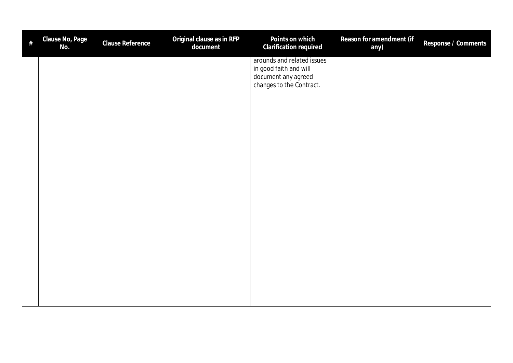| $\#$ | Clause No, Page<br>No. | Clause Reference | Original clause as in RFP<br>document | Points on which<br>Clarification required                                                               | Reason for amendment (if<br>any) | Response / Comments |
|------|------------------------|------------------|---------------------------------------|---------------------------------------------------------------------------------------------------------|----------------------------------|---------------------|
|      |                        |                  |                                       | arounds and related issues<br>in good faith and will<br>document any agreed<br>changes to the Contract. |                                  |                     |
|      |                        |                  |                                       |                                                                                                         |                                  |                     |
|      |                        |                  |                                       |                                                                                                         |                                  |                     |
|      |                        |                  |                                       |                                                                                                         |                                  |                     |
|      |                        |                  |                                       |                                                                                                         |                                  |                     |
|      |                        |                  |                                       |                                                                                                         |                                  |                     |
|      |                        |                  |                                       |                                                                                                         |                                  |                     |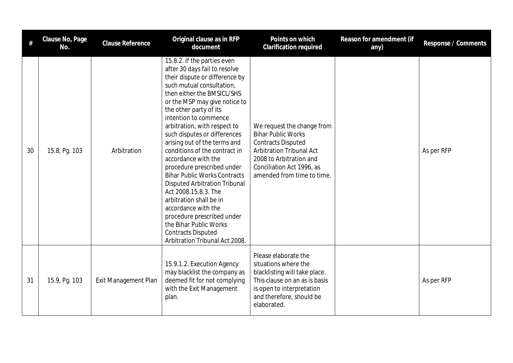|    | Clause No, Page<br>No. | <b>Clause Reference</b>     | Original clause as in RFP<br>document                                                                                                                                                                                                                                                                                                                                                                                                                                                                                                                                                                                                                                                                               | Points on which<br><b>Clarification required</b>                                                                                                                                                              | Reason for amendment (if<br>any) | Response / Comments |
|----|------------------------|-----------------------------|---------------------------------------------------------------------------------------------------------------------------------------------------------------------------------------------------------------------------------------------------------------------------------------------------------------------------------------------------------------------------------------------------------------------------------------------------------------------------------------------------------------------------------------------------------------------------------------------------------------------------------------------------------------------------------------------------------------------|---------------------------------------------------------------------------------------------------------------------------------------------------------------------------------------------------------------|----------------------------------|---------------------|
| 30 | 15.8, Pg. 103          | Arbitration                 | 15.8.2. If the parties even<br>after 30 days fail to resolve<br>their dispute or difference by<br>such mutual consultation,<br>then either the BMSICL/SHS<br>or the MSP may give notice to<br>the other party of its<br>intention to commence<br>arbitration, with respect to<br>such disputes or differences<br>arising out of the terms and<br>conditions of the contract in<br>accordance with the<br>procedure prescribed under<br><b>Bihar Public Works Contracts</b><br><b>Disputed Arbitration Tribunal</b><br>Act 2008.15.8.3. The<br>arbitration shall be in<br>accordance with the<br>procedure prescribed under<br>the Bihar Public Works<br><b>Contracts Disputed</b><br>Arbitration Tribunal Act 2008. | We request the change from<br><b>Bihar Public Works</b><br><b>Contracts Disputed</b><br><b>Arbitration Tribunal Act</b><br>2008 to Arbitration and<br>Conciliation Act 1996, as<br>amended from time to time. |                                  | As per RFP          |
| 31 | 15.9, Pg. 103          | <b>Exit Management Plan</b> | 15.9.1.2. Execution Agency<br>may blacklist the company as<br>deemed fit for not complying<br>with the Exit Management<br>plan.                                                                                                                                                                                                                                                                                                                                                                                                                                                                                                                                                                                     | Please elaborate the<br>situations where the<br>blacklisting will take place.<br>This clause on an as is basis<br>is open to interpretation<br>and therefore, should be<br>elaborated.                        |                                  | As per RFP          |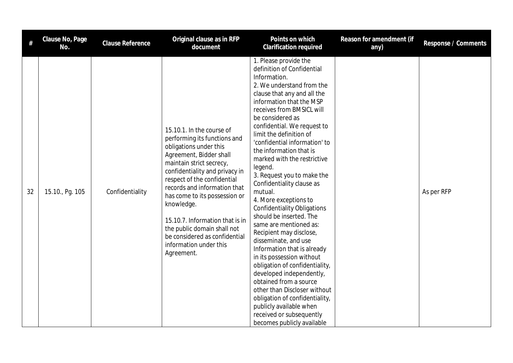| $\#$ | Clause No, Page<br>No. | Clause Reference | Original clause as in RFP<br>document                                                                                                                                                                                                                                                                                                                                                                                                 | Points on which<br><b>Clarification required</b>                                                                                                                                                                                                                                                                                                                                                                                                                                                                                                                                                                                                                                                                                                                                                                                                                                                                                     | Reason for amendment (if<br>any) | Response / Comments |
|------|------------------------|------------------|---------------------------------------------------------------------------------------------------------------------------------------------------------------------------------------------------------------------------------------------------------------------------------------------------------------------------------------------------------------------------------------------------------------------------------------|--------------------------------------------------------------------------------------------------------------------------------------------------------------------------------------------------------------------------------------------------------------------------------------------------------------------------------------------------------------------------------------------------------------------------------------------------------------------------------------------------------------------------------------------------------------------------------------------------------------------------------------------------------------------------------------------------------------------------------------------------------------------------------------------------------------------------------------------------------------------------------------------------------------------------------------|----------------------------------|---------------------|
| 32   | 15.10., Pg. 105        | Confidentiality  | 15.10.1. In the course of<br>performing its functions and<br>obligations under this<br>Agreement, Bidder shall<br>maintain strict secrecy,<br>confidentiality and privacy in<br>respect of the confidential<br>records and information that<br>has come to its possession or<br>knowledge.<br>15.10.7. Information that is in<br>the public domain shall not<br>be considered as confidential<br>information under this<br>Agreement. | 1. Please provide the<br>definition of Confidential<br>Information.<br>2. We understand from the<br>clause that any and all the<br>information that the MSP<br>receives from BMSICL will<br>be considered as<br>confidential. We request to<br>limit the definition of<br>'confidential information' to<br>the information that is<br>marked with the restrictive<br>legend.<br>3. Request you to make the<br>Confidentiality clause as<br>mutual.<br>4. More exceptions to<br><b>Confidentiality Obligations</b><br>should be inserted. The<br>same are mentioned as:<br>Recipient may disclose,<br>disseminate, and use<br>Information that is already<br>in its possession without<br>obligation of confidentiality,<br>developed independently,<br>obtained from a source<br>other than Discloser without<br>obligation of confidentiality,<br>publicly available when<br>received or subsequently<br>becomes publicly available |                                  | As per RFP          |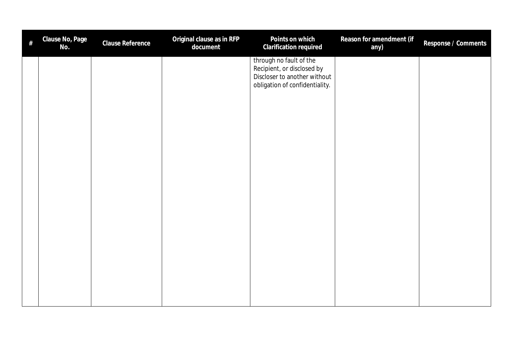| document<br>Clarification required<br>No.<br>any)                                                                       |  |
|-------------------------------------------------------------------------------------------------------------------------|--|
| through no fault of the<br>Recipient, or disclosed by<br>Discloser to another without<br>obligation of confidentiality. |  |
|                                                                                                                         |  |
|                                                                                                                         |  |
|                                                                                                                         |  |
|                                                                                                                         |  |
|                                                                                                                         |  |
|                                                                                                                         |  |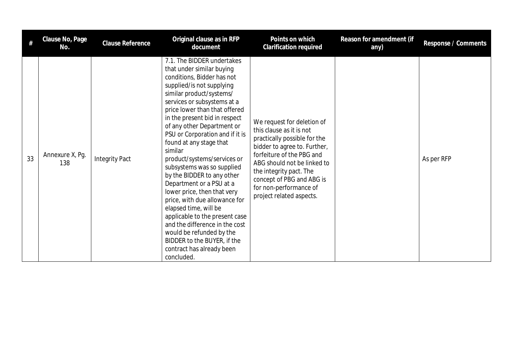| #  | Clause No, Page<br>No. | Clause Reference      | Original clause as in RFP<br>document                                                                                                                                                                                                                                                                                                                                                                                                                                                                                                                                                                                                                                                                                                            | Points on which<br>Clarification required                                                                                                                                                                                                                                                        | Reason for amendment (if<br>any) | Response / Comments |
|----|------------------------|-----------------------|--------------------------------------------------------------------------------------------------------------------------------------------------------------------------------------------------------------------------------------------------------------------------------------------------------------------------------------------------------------------------------------------------------------------------------------------------------------------------------------------------------------------------------------------------------------------------------------------------------------------------------------------------------------------------------------------------------------------------------------------------|--------------------------------------------------------------------------------------------------------------------------------------------------------------------------------------------------------------------------------------------------------------------------------------------------|----------------------------------|---------------------|
| 33 | Annexure X, Pg.<br>138 | <b>Integrity Pact</b> | 7.1. The BIDDER undertakes<br>that under similar buying<br>conditions, Bidder has not<br>supplied/is not supplying<br>similar product/systems/<br>services or subsystems at a<br>price lower than that offered<br>in the present bid in respect<br>of any other Department or<br>PSU or Corporation and if it is<br>found at any stage that<br>similar<br>product/systems/services or<br>subsystems was so supplied<br>by the BIDDER to any other<br>Department or a PSU at a<br>lower price, then that very<br>price, with due allowance for<br>elapsed time, will be<br>applicable to the present case<br>and the difference in the cost<br>would be refunded by the<br>BIDDER to the BUYER, if the<br>contract has already been<br>concluded. | We request for deletion of<br>this clause as it is not<br>practically possible for the<br>bidder to agree to. Further,<br>forfeiture of the PBG and<br>ABG should not be linked to<br>the integrity pact. The<br>concept of PBG and ABG is<br>for non-performance of<br>project related aspects. |                                  | As per RFP          |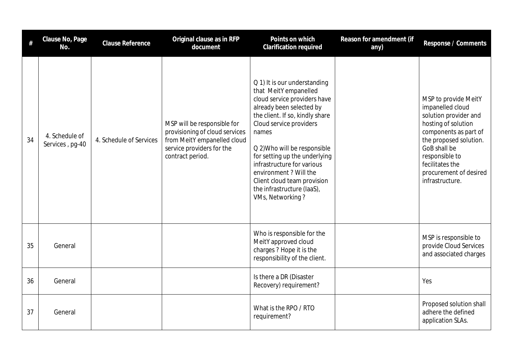|    | Clause No, Page<br>No.            | <b>Clause Reference</b> | Original clause as in RFP<br>document                                                                                                         | Points on which<br><b>Clarification required</b>                                                                                                                                                                                                                                                                                                                                                   | Reason for amendment (if<br>any) | Response / Comments                                                                                                                                                                                                                           |
|----|-----------------------------------|-------------------------|-----------------------------------------------------------------------------------------------------------------------------------------------|----------------------------------------------------------------------------------------------------------------------------------------------------------------------------------------------------------------------------------------------------------------------------------------------------------------------------------------------------------------------------------------------------|----------------------------------|-----------------------------------------------------------------------------------------------------------------------------------------------------------------------------------------------------------------------------------------------|
| 34 | 4. Schedule of<br>Services, pg-40 | 4. Schedule of Services | MSP will be responsible for<br>provisioning of cloud services<br>from MeitY empanelled cloud<br>service providers for the<br>contract period. | Q 1) It is our understanding<br>that MeitY empanelled<br>cloud service providers have<br>already been selected by<br>the client. If so, kindly share<br>Cloud service providers<br>names<br>Q 2) Who will be responsible<br>for setting up the underlying<br>infrastructure for various<br>environment ? Will the<br>Client cloud team provision<br>the infrastructure (laaS),<br>VMs, Networking? |                                  | MSP to provide MeitY<br>impanelled cloud<br>solution provider and<br>hosting of solution<br>components as part of<br>the proposed solution.<br>GoB shall be<br>responsible to<br>fecilitates the<br>procurement of desired<br>infrastructure. |
| 35 | General                           |                         |                                                                                                                                               | Who is responsible for the<br>MeitY approved cloud<br>charges ? Hope it is the<br>responsibility of the client.                                                                                                                                                                                                                                                                                    |                                  | MSP is responsible to<br>provide Cloud Services<br>and associated charges                                                                                                                                                                     |
| 36 | General                           |                         |                                                                                                                                               | Is there a DR (Disaster<br>Recovery) requirement?                                                                                                                                                                                                                                                                                                                                                  |                                  | Yes                                                                                                                                                                                                                                           |
| 37 | General                           |                         |                                                                                                                                               | What is the RPO / RTO<br>requirement?                                                                                                                                                                                                                                                                                                                                                              |                                  | Proposed solution shall<br>adhere the defined<br>application SLAs.                                                                                                                                                                            |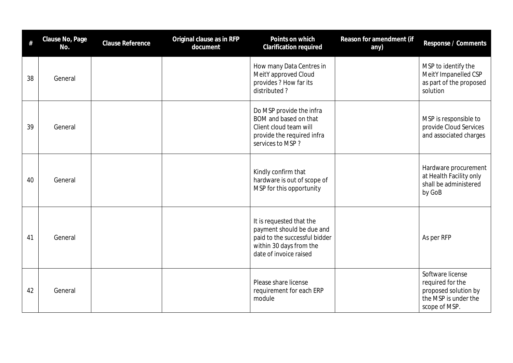| #  | Clause No, Page<br>No. | Clause Reference | Original clause as in RFP<br>document | Points on which<br>Clarification required                                                                                                   | Reason for amendment (if<br>any) | Response / Comments                                                                                   |
|----|------------------------|------------------|---------------------------------------|---------------------------------------------------------------------------------------------------------------------------------------------|----------------------------------|-------------------------------------------------------------------------------------------------------|
| 38 | General                |                  |                                       | How many Data Centres in<br>MeitY approved Cloud<br>provides ? How far its<br>distributed?                                                  |                                  | MSP to identify the<br>MeitY Impanelled CSP<br>as part of the proposed<br>solution                    |
| 39 | General                |                  |                                       | Do MSP provide the infra<br>BOM and based on that<br>Client cloud team will<br>provide the required infra<br>services to MSP?               |                                  | MSP is responsible to<br>provide Cloud Services<br>and associated charges                             |
| 40 | General                |                  |                                       | Kindly confirm that<br>hardware is out of scope of<br>MSP for this opportunity                                                              |                                  | Hardware procurement<br>at Health Facility only<br>shall be administered<br>by GoB                    |
| 41 | General                |                  |                                       | It is requested that the<br>payment should be due and<br>paid to the successful bidder<br>within 30 days from the<br>date of invoice raised |                                  | As per RFP                                                                                            |
| 42 | General                |                  |                                       | Please share license<br>requirement for each ERP<br>module                                                                                  |                                  | Software license<br>required for the<br>proposed solution by<br>the MSP is under the<br>scope of MSP. |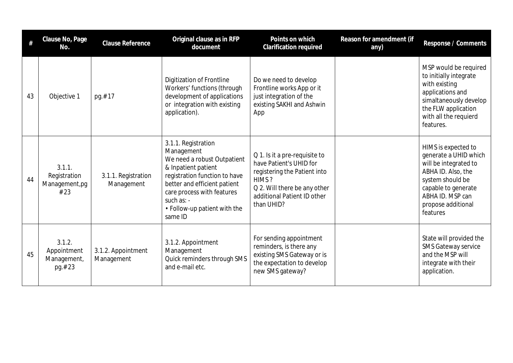| #  | Clause No, Page<br>No.                          | Clause Reference                  | Original clause as in RFP<br>document                                                                                                                                                                                                             | Points on which<br>Clarification required                                                                                                                                      | Reason for amendment (if<br>any) | Response / Comments                                                                                                                                                                          |
|----|-------------------------------------------------|-----------------------------------|---------------------------------------------------------------------------------------------------------------------------------------------------------------------------------------------------------------------------------------------------|--------------------------------------------------------------------------------------------------------------------------------------------------------------------------------|----------------------------------|----------------------------------------------------------------------------------------------------------------------------------------------------------------------------------------------|
| 43 | Objective 1                                     | pg.#17                            | Digitization of Frontline<br>Workers' functions (through<br>development of applications<br>or integration with existing<br>application).                                                                                                          | Do we need to develop<br>Frontline works App or it<br>just integration of the<br>existing SAKHI and Ashwin<br>App                                                              |                                  | MSP would be required<br>to initially integrate<br>with existing<br>applications and<br>simaltaneously develop<br>the FLW application<br>with all the requierd<br>features.                  |
| 44 | 3.1.1.<br>Registration<br>Management, pg<br>#23 | 3.1.1. Registration<br>Management | 3.1.1. Registration<br>Management<br>We need a robust Outpatient<br>& Inpatient patient<br>registration function to have<br>better and efficient patient<br>care process with features<br>such as: $-$<br>• Follow-up patient with the<br>same ID | Q 1. Is it a pre-requisite to<br>have Patient's UHID for<br>registering the Patient into<br>HIMS?<br>Q 2. Will there be any other<br>additional Patient ID other<br>than UHID? |                                  | HIMS is expected to<br>generate a UHID which<br>will be integrated to<br>ABHA ID. Also, the<br>system should be<br>capable to generate<br>ABHA ID. MSP can<br>propose additional<br>features |
| 45 | 3.1.2.<br>Appointment<br>Management,<br>pg.#23  | 3.1.2. Appointment<br>Management  | 3.1.2. Appointment<br>Management<br>Quick reminders through SMS<br>and e-mail etc.                                                                                                                                                                | For sending appointment<br>reminders, is there any<br>existing SMS Gateway or is<br>the expectation to develop<br>new SMS gateway?                                             |                                  | State will provided the<br><b>SMS Gateway service</b><br>and the MSP will<br>integrate with their<br>application.                                                                            |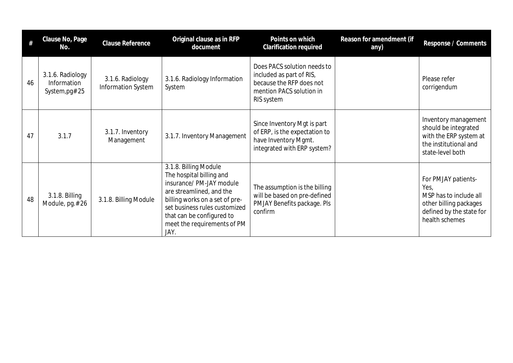| #  | Clause No, Page<br>No.                            | Clause Reference                              | Original clause as in RFP<br>document                                                                                                                                                                                                            | Points on which<br>Clarification required                                                                                     | Reason for amendment (if<br>any) | Response / Comments                                                                                                           |
|----|---------------------------------------------------|-----------------------------------------------|--------------------------------------------------------------------------------------------------------------------------------------------------------------------------------------------------------------------------------------------------|-------------------------------------------------------------------------------------------------------------------------------|----------------------------------|-------------------------------------------------------------------------------------------------------------------------------|
| 46 | 3.1.6. Radiology<br>Information<br>System, pg# 25 | 3.1.6. Radiology<br><b>Information System</b> | 3.1.6. Radiology Information<br>System                                                                                                                                                                                                           | Does PACS solution needs to<br>included as part of RIS,<br>because the RFP does not<br>mention PACS solution in<br>RIS system |                                  | Please refer<br>corrigendum                                                                                                   |
| 47 | 3.1.7                                             | 3.1.7. Inventory<br>Management                | 3.1.7. Inventory Management                                                                                                                                                                                                                      | Since Inventory Mgt is part<br>of ERP, is the expectation to<br>have Inventory Mgmt.<br>integrated with ERP system?           |                                  | Inventory management<br>should be integrated<br>with the ERP system at<br>the institutional and<br>state-level both           |
| 48 | 3.1.8. Billing<br>Module, pg.#26                  | 3.1.8. Billing Module                         | 3.1.8. Billing Module<br>The hospital billing and<br>insurance/ PM-JAY module<br>are streamlined, and the<br>billing works on a set of pre-<br>set business rules customized<br>that can be configured to<br>meet the requirements of PM<br>JAY. | The assumption is the billing<br>will be based on pre-defined<br>PMJAY Benefits package. Pls<br>confirm                       |                                  | For PMJAY patients-<br>Yes,<br>MSP has to include all<br>other billing packages<br>defined by the state for<br>health schemes |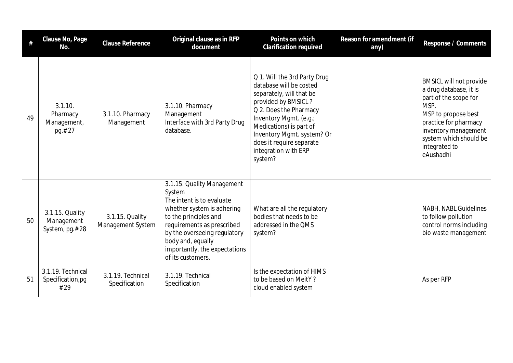| #  | Clause No, Page<br>No.                          | <b>Clause Reference</b>              | Original clause as in RFP<br>document                                                                                                                                                                                                                             | Points on which<br><b>Clarification required</b>                                                                                                                                                                                                                                       | Reason for amendment (if<br>any) | Response / Comments                                                                                                                                                                                                       |
|----|-------------------------------------------------|--------------------------------------|-------------------------------------------------------------------------------------------------------------------------------------------------------------------------------------------------------------------------------------------------------------------|----------------------------------------------------------------------------------------------------------------------------------------------------------------------------------------------------------------------------------------------------------------------------------------|----------------------------------|---------------------------------------------------------------------------------------------------------------------------------------------------------------------------------------------------------------------------|
| 49 | 3.1.10.<br>Pharmacy<br>Management,<br>pg.#27    | 3.1.10. Pharmacy<br>Management       | 3.1.10. Pharmacy<br>Management<br>Interface with 3rd Party Drug<br>database.                                                                                                                                                                                      | Q 1. Will the 3rd Party Drug<br>database will be costed<br>separately, will that be<br>provided by BMSICL?<br>Q 2. Does the Pharmacy<br>Inventory Mgmt. (e.g.;<br>Medications) is part of<br>Inventory Mgmt. system? Or<br>does it require separate<br>integration with ERP<br>system? |                                  | <b>BMSICL will not provide</b><br>a drug database, it is<br>part of the scope for<br>MSP.<br>MSP to propose best<br>practice for pharmacy<br>inventory management<br>system which should be<br>integrated to<br>eAushadhi |
| 50 | 3.1.15. Quality<br>Management<br>System, pg.#28 | 3.1.15. Quality<br>Management System | 3.1.15. Quality Management<br>System<br>The intent is to evaluate<br>whether system is adhering<br>to the principles and<br>requirements as prescribed<br>by the overseeing regulatory<br>body and, equally<br>importantly, the expectations<br>of its customers. | What are all the regulatory<br>bodies that needs to be<br>addressed in the QMS<br>system?                                                                                                                                                                                              |                                  | NABH, NABL Guidelines<br>to follow pollution<br>control norms including<br>bio waste management                                                                                                                           |
| 51 | 3.1.19. Technical<br>Specification,pg<br>#29    | 3.1.19. Technical<br>Specification   | 3.1.19. Technical<br>Specification                                                                                                                                                                                                                                | Is the expectation of HIMS<br>to be based on MeitY?<br>cloud enabled system                                                                                                                                                                                                            |                                  | As per RFP                                                                                                                                                                                                                |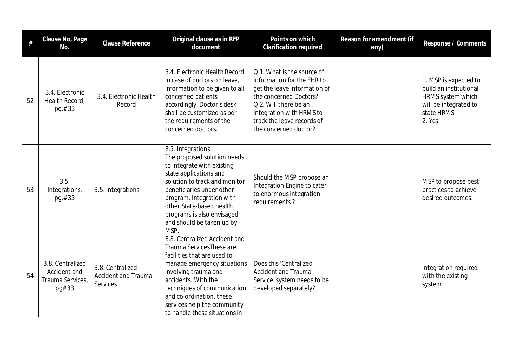| #  | Clause No, Page<br>No.                                         | <b>Clause Reference</b>                                    | Original clause as in RFP<br>document                                                                                                                                                                                                                                                              | Points on which<br>Clarification required                                                                                                                                                                                      | Reason for amendment (if<br>any) | Response / Comments                                                                                                   |
|----|----------------------------------------------------------------|------------------------------------------------------------|----------------------------------------------------------------------------------------------------------------------------------------------------------------------------------------------------------------------------------------------------------------------------------------------------|--------------------------------------------------------------------------------------------------------------------------------------------------------------------------------------------------------------------------------|----------------------------------|-----------------------------------------------------------------------------------------------------------------------|
| 52 | 3.4. Electronic<br>Health Record.<br>pg.#33                    | 3.4. Electronic Health<br>Record                           | 3.4. Electronic Health Record<br>In case of doctors on leave,<br>information to be given to all<br>concerned patients<br>accordingly. Doctor's desk<br>shall be customized as per<br>the requirements of the<br>concerned doctors.                                                                 | Q 1. What is the source of<br>information for the EHR to<br>get the leave information of<br>the concerned Doctors?<br>Q 2. Will there be an<br>integration with HRMS to<br>track the leave records of<br>the concerned doctor? |                                  | 1. MSP is expected to<br>build an institutional<br>HRMS system which<br>will be integrated to<br>state HRMS<br>2. Yes |
| 53 | 3.5.<br>Integrations,<br>pg.#33                                | 3.5. Integrations                                          | 3.5. Integrations<br>The proposed solution needs<br>to integrate with existing<br>state applications and<br>solution to track and monitor<br>beneficiaries under other<br>program. Integration with<br>other State-based health<br>programs is also envisaged<br>and should be taken up by<br>MSP. | Should the MSP propose an<br>Integration Engine to cater<br>to enormous integration<br>requirements?                                                                                                                           |                                  | MSP to propose best<br>practices to achieve<br>desired outcomes.                                                      |
| 54 | 3.8. Centralized<br>Accident and<br>Trauma Services,<br>pg# 33 | 3.8. Centralized<br><b>Accident and Trauma</b><br>Services | 3.8. Centralized Accident and<br>Trauma ServicesThese are<br>facilities that are used to<br>manage emergency situations<br>involving trauma and<br>accidents. With the<br>techniques of communication<br>and co-ordination, these<br>services help the community<br>to handle these situations in  | Does this 'Centralized<br><b>Accident and Trauma</b><br>Service' system needs to be<br>developed separately?                                                                                                                   |                                  | Integration required<br>with the existing<br>system                                                                   |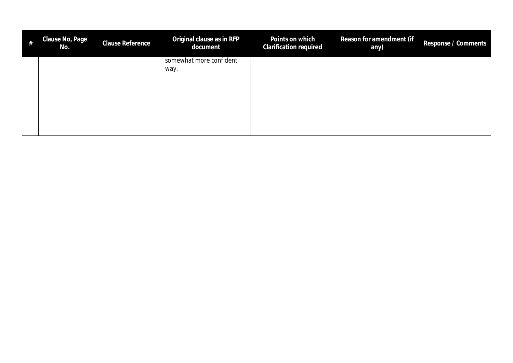| # | Clause No, Page<br>No. | Clause Reference | Original clause as in RFP<br>document | Points on which<br><b>Clarification required</b> | Reason for amendment (if<br>any) | Response / Comments |
|---|------------------------|------------------|---------------------------------------|--------------------------------------------------|----------------------------------|---------------------|
|   |                        |                  | somewhat more confident               |                                                  |                                  |                     |
|   |                        |                  | way.                                  |                                                  |                                  |                     |
|   |                        |                  |                                       |                                                  |                                  |                     |
|   |                        |                  |                                       |                                                  |                                  |                     |
|   |                        |                  |                                       |                                                  |                                  |                     |
|   |                        |                  |                                       |                                                  |                                  |                     |
|   |                        |                  |                                       |                                                  |                                  |                     |
|   |                        |                  |                                       |                                                  |                                  |                     |
|   |                        |                  |                                       |                                                  |                                  |                     |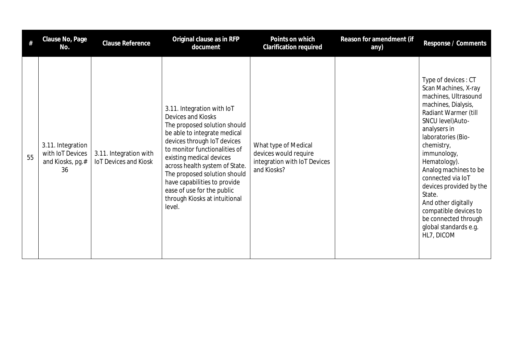|    | Clause No, Page<br>No.                                          | <b>Clause Reference</b>                                | Original clause as in RFP<br>document                                                                                                                                                                                                                                                                                                                                                   | Points on which<br><b>Clarification required</b>                                             | Reason for amendment (if<br>any) | Response / Comments                                                                                                                                                                                                                                                                                                                                                                                                          |
|----|-----------------------------------------------------------------|--------------------------------------------------------|-----------------------------------------------------------------------------------------------------------------------------------------------------------------------------------------------------------------------------------------------------------------------------------------------------------------------------------------------------------------------------------------|----------------------------------------------------------------------------------------------|----------------------------------|------------------------------------------------------------------------------------------------------------------------------------------------------------------------------------------------------------------------------------------------------------------------------------------------------------------------------------------------------------------------------------------------------------------------------|
| 55 | 3.11. Integration<br>with IoT Devices<br>and Kiosks, pg.#<br>36 | 3.11. Integration with<br><b>IoT Devices and Kiosk</b> | 3.11. Integration with IoT<br>Devices and Kiosks<br>The proposed solution should<br>be able to integrate medical<br>devices through IoT devices<br>to monitor functionalities of<br>existing medical devices<br>across health system of State.<br>The proposed solution should<br>have capabilities to provide<br>ease of use for the public<br>through Kiosks at intuitional<br>level. | What type of Medical<br>devices would require<br>integration with IoT Devices<br>and Kiosks? |                                  | Type of devices: CT<br>Scan Machines, X-ray<br>machines, Ultrasound<br>machines, Dialysis,<br>Radiant Warmer (till<br>SNCU level) Auto-<br>analysers in<br>laboratories (Bio-<br>chemistry,<br>immunology,<br>Hematology).<br>Analog machines to be<br>connected via IoT<br>devices provided by the<br>State.<br>And other digitally<br>compatible devices to<br>be connected through<br>global standards e.g.<br>HL7, DICOM |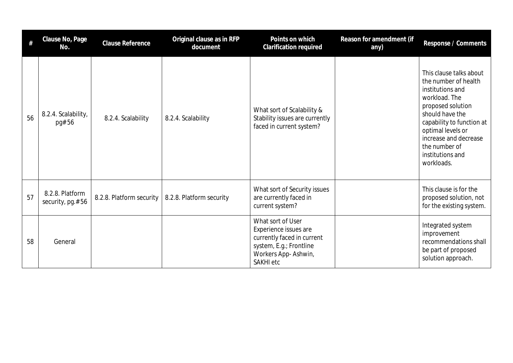| #  | Clause No, Page<br>No.              | <b>Clause Reference</b>  | Original clause as in RFP<br>document | Points on which<br>Clarification required                                                                                               | Reason for amendment (if<br>any) | Response / Comments                                                                                                                                                                                                                                        |
|----|-------------------------------------|--------------------------|---------------------------------------|-----------------------------------------------------------------------------------------------------------------------------------------|----------------------------------|------------------------------------------------------------------------------------------------------------------------------------------------------------------------------------------------------------------------------------------------------------|
| 56 | 8.2.4. Scalability,<br>pg# 56       | 8.2.4. Scalability       | 8.2.4. Scalability                    | What sort of Scalability &<br>Stability issues are currently<br>faced in current system?                                                |                                  | This clause talks about<br>the number of health<br>institutions and<br>workload. The<br>proposed solution<br>should have the<br>capability to function at<br>optimal levels or<br>increase and decrease<br>the number of<br>institutions and<br>workloads. |
| 57 | 8.2.8. Platform<br>security, pg.#56 | 8.2.8. Platform security | 8.2.8. Platform security              | What sort of Security issues<br>are currently faced in<br>current system?                                                               |                                  | This clause is for the<br>proposed solution, not<br>for the existing system.                                                                                                                                                                               |
| 58 | General                             |                          |                                       | What sort of User<br>Experience issues are<br>currently faced in current<br>system, E.g.; Frontline<br>Workers App-Ashwin,<br>SAKHI etc |                                  | Integrated system<br>improvement<br>recommendations shall<br>be part of proposed<br>solution approach.                                                                                                                                                     |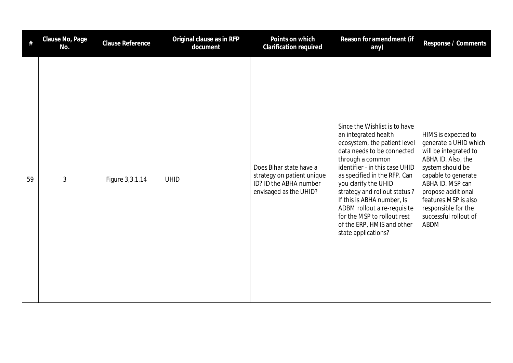| #  | Clause No, Page<br>No. | Clause Reference | Original clause as in RFP<br>document | Points on which<br>Clarification required                                                                 | Reason for amendment (if<br>any)                                                                                                                                                                                                                                                                                                                                                                                   | Response / Comments                                                                                                                                                                                                                                              |
|----|------------------------|------------------|---------------------------------------|-----------------------------------------------------------------------------------------------------------|--------------------------------------------------------------------------------------------------------------------------------------------------------------------------------------------------------------------------------------------------------------------------------------------------------------------------------------------------------------------------------------------------------------------|------------------------------------------------------------------------------------------------------------------------------------------------------------------------------------------------------------------------------------------------------------------|
| 59 | 3                      | Figure 3,3.1.14  | <b>UHID</b>                           | Does Bihar state have a<br>strategy on patient unique<br>ID? ID the ABHA number<br>envisaged as the UHID? | Since the Wishlist is to have<br>an integrated health<br>ecosystem, the patient level<br>data needs to be connected<br>through a common<br>identifier - in this case UHID<br>as specified in the RFP. Can<br>you clarify the UHID<br>strategy and rollout status?<br>If this is ABHA number, Is<br>ADBM rollout a re-requisite<br>for the MSP to rollout rest<br>of the ERP, HMIS and other<br>state applications? | HIMS is expected to<br>generate a UHID which<br>will be integrated to<br>ABHA ID. Also, the<br>system should be<br>capable to generate<br>ABHA ID. MSP can<br>propose additional<br>features.MSP is also<br>responsible for the<br>successful rollout of<br>ABDM |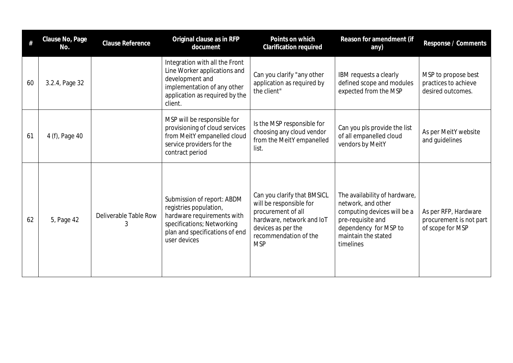| #  | Clause No, Page<br>No. | Clause Reference           | Original clause as in RFP<br>document                                                                                                                              | Points on which<br>Clarification required                                                                                                                              | Reason for amendment (if<br>any)                                                                                                                                     | Response / Comments                                                 |
|----|------------------------|----------------------------|--------------------------------------------------------------------------------------------------------------------------------------------------------------------|------------------------------------------------------------------------------------------------------------------------------------------------------------------------|----------------------------------------------------------------------------------------------------------------------------------------------------------------------|---------------------------------------------------------------------|
| 60 | 3.2.4, Page 32         |                            | Integration with all the Front<br>Line Worker applications and<br>development and<br>implementation of any other<br>application as required by the<br>client.      | Can you clarify "any other<br>application as required by<br>the client"                                                                                                | IBM requests a clearly<br>defined scope and modules<br>expected from the MSP                                                                                         | MSP to propose best<br>practices to achieve<br>desired outcomes.    |
| 61 | 4 (f), Page 40         |                            | MSP will be responsible for<br>provisioning of cloud services<br>from MeitY empanelled cloud<br>service providers for the<br>contract period                       | Is the MSP responsible for<br>choosing any cloud vendor<br>from the MeitY empanelled<br>list.                                                                          | Can you pls provide the list<br>of all empanelled cloud<br>vendors by MeitY                                                                                          | As per MeitY website<br>and guidelines                              |
| 62 | 5, Page 42             | Deliverable Table Row<br>3 | Submission of report: ABDM<br>registries population,<br>hardware requirements with<br>specifications; Networking<br>plan and specifications of end<br>user devices | Can you clarify that BMSICL<br>will be responsible for<br>procurement of all<br>hardware, network and IoT<br>devices as per the<br>recommendation of the<br><b>MSP</b> | The availability of hardware,<br>network, and other<br>computing devices will be a<br>pre-requisite and<br>dependency for MSP to<br>maintain the stated<br>timelines | As per RFP, Hardware<br>procurement is not part<br>of scope for MSP |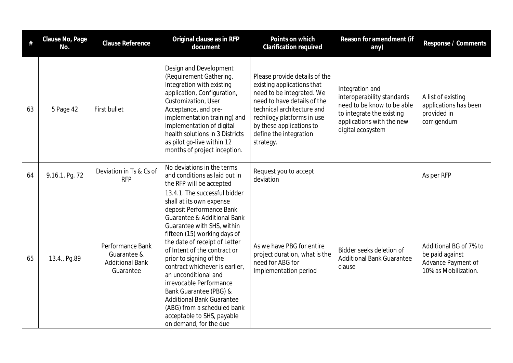| $\#$ | Clause No, Page<br>No. | <b>Clause Reference</b>                                                | Original clause as in RFP<br>document                                                                                                                                                                                                                                                                                                                                                                                                                                                                                               | Points on which<br>Clarification required                                                                                                                                                                                                              | Reason for amendment (if<br>any)                                                                                                                           | Response / Comments                                                                     |
|------|------------------------|------------------------------------------------------------------------|-------------------------------------------------------------------------------------------------------------------------------------------------------------------------------------------------------------------------------------------------------------------------------------------------------------------------------------------------------------------------------------------------------------------------------------------------------------------------------------------------------------------------------------|--------------------------------------------------------------------------------------------------------------------------------------------------------------------------------------------------------------------------------------------------------|------------------------------------------------------------------------------------------------------------------------------------------------------------|-----------------------------------------------------------------------------------------|
| 63   | 5 Page 42              | First bullet                                                           | Design and Development<br>(Requirement Gathering,<br>Integration with existing<br>application, Configuration,<br>Customization, User<br>Acceptance, and pre-<br>implementation training) and<br>Implementation of digital<br>health solutions in 3 Districts<br>as pilot go-live within 12<br>months of project inception.                                                                                                                                                                                                          | Please provide details of the<br>existing applications that<br>need to be integrated. We<br>need to have details of the<br>technical architecture and<br>rechilogy platforms in use<br>by these applications to<br>define the integration<br>strategy. | Integration and<br>interoperability standards<br>need to be know to be able<br>to integrate the existing<br>applications with the new<br>digital ecosystem | A list of existing<br>applications has been<br>provided in<br>corrigendum               |
| 64   | 9.16.1, Pg. 72         | Deviation in Ts & Cs of<br><b>RFP</b>                                  | No deviations in the terms<br>and conditions as laid out in<br>the RFP will be accepted                                                                                                                                                                                                                                                                                                                                                                                                                                             | Request you to accept<br>deviation                                                                                                                                                                                                                     |                                                                                                                                                            | As per RFP                                                                              |
| 65   | 13.4., Pg.89           | Performance Bank<br>Guarantee &<br><b>Additional Bank</b><br>Guarantee | 13.4.1. The successful bidder<br>shall at its own expense<br>deposit Performance Bank<br><b>Guarantee &amp; Additional Bank</b><br>Guarantee with SHS, within<br>fifteen (15) working days of<br>the date of receipt of Letter<br>of Intent of the contract or<br>prior to signing of the<br>contract whichever is earlier,<br>an unconditional and<br>irrevocable Performance<br>Bank Guarantee (PBG) &<br><b>Additional Bank Guarantee</b><br>(ABG) from a scheduled bank<br>acceptable to SHS, payable<br>on demand, for the due | As we have PBG for entire<br>project duration, what is the<br>need for ABG for<br>Implementation period                                                                                                                                                | Bidder seeks deletion of<br><b>Additional Bank Guarantee</b><br>clause                                                                                     | Additional BG of 7% to<br>be paid against<br>Advance Payment of<br>10% as Mobilization. |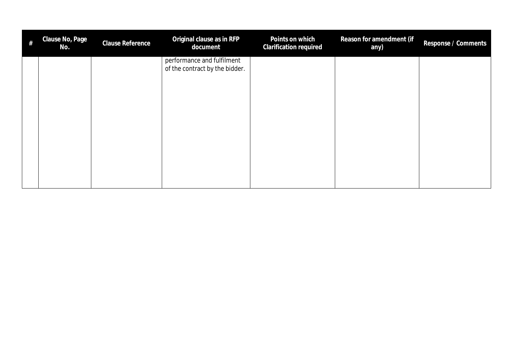| $\#$ | Clause No, Page<br>No. | <b>Clause Reference</b> | Original clause as in RFP<br>document                        | Points on which<br>Clarification required | Reason for amendment (if<br>any) | Response / Comments |
|------|------------------------|-------------------------|--------------------------------------------------------------|-------------------------------------------|----------------------------------|---------------------|
|      |                        |                         | performance and fulfilment<br>of the contract by the bidder. |                                           |                                  |                     |
|      |                        |                         |                                                              |                                           |                                  |                     |
|      |                        |                         |                                                              |                                           |                                  |                     |
|      |                        |                         |                                                              |                                           |                                  |                     |
|      |                        |                         |                                                              |                                           |                                  |                     |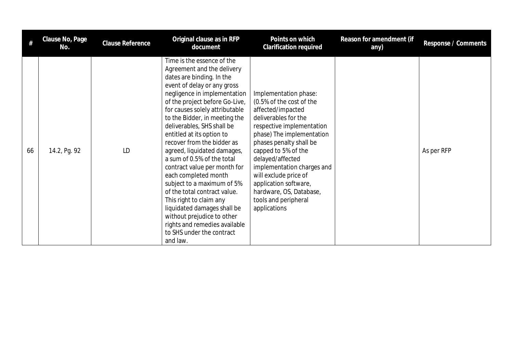| #  | Clause No, Page<br>No. | <b>Clause Reference</b> | Original clause as in RFP<br>document                                                                                                                                                                                                                                                                                                                                                                                                                                                                                                                                                                                                                                                                   | Points on which<br>Clarification required                                                                                                                                                                                                                                                                                                                                         | Reason for amendment (if<br>any) | Response / Comments |
|----|------------------------|-------------------------|---------------------------------------------------------------------------------------------------------------------------------------------------------------------------------------------------------------------------------------------------------------------------------------------------------------------------------------------------------------------------------------------------------------------------------------------------------------------------------------------------------------------------------------------------------------------------------------------------------------------------------------------------------------------------------------------------------|-----------------------------------------------------------------------------------------------------------------------------------------------------------------------------------------------------------------------------------------------------------------------------------------------------------------------------------------------------------------------------------|----------------------------------|---------------------|
| 66 | 14.2, Pg. 92           | LD                      | Time is the essence of the<br>Agreement and the delivery<br>dates are binding. In the<br>event of delay or any gross<br>negligence in implementation<br>of the project before Go-Live,<br>for causes solely attributable<br>to the Bidder, in meeting the<br>deliverables, SHS shall be<br>entitled at its option to<br>recover from the bidder as<br>agreed, liquidated damages,<br>a sum of 0.5% of the total<br>contract value per month for<br>each completed month<br>subject to a maximum of 5%<br>of the total contract value.<br>This right to claim any<br>liquidated damages shall be<br>without prejudice to other<br>rights and remedies available<br>to SHS under the contract<br>and law. | Implementation phase:<br>(0.5% of the cost of the<br>affected/impacted<br>deliverables for the<br>respective implementation<br>phase) The implementation<br>phases penalty shall be<br>capped to 5% of the<br>delayed/affected<br>implementation charges and<br>will exclude price of<br>application software,<br>hardware, OS, Database,<br>tools and peripheral<br>applications |                                  | As per RFP          |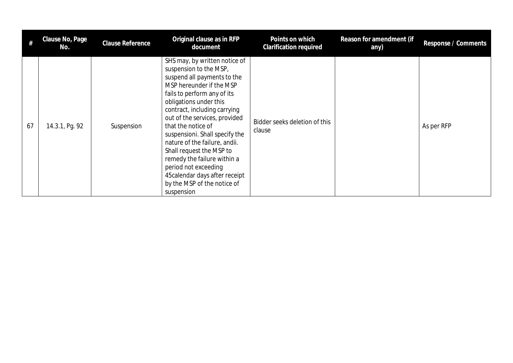|    | Clause No, Page<br>No. | <b>Clause Reference</b> | Original clause as in RFP<br>document                                                                                                                                                                                                                                                                                                                                                                                                                                                                   | Points on which<br><b>Clarification required</b> | Reason for amendment (if<br>any) | Response / Comments |
|----|------------------------|-------------------------|---------------------------------------------------------------------------------------------------------------------------------------------------------------------------------------------------------------------------------------------------------------------------------------------------------------------------------------------------------------------------------------------------------------------------------------------------------------------------------------------------------|--------------------------------------------------|----------------------------------|---------------------|
| 67 | 14.3.1, Pg. 92         | Suspension              | SHS may, by written notice of<br>suspension to the MSP,<br>suspend all payments to the<br>MSP hereunder if the MSP<br>fails to perform any of its<br>obligations under this<br>contract, including carrying<br>out of the services, provided<br>that the notice of<br>suspensioni. Shall specify the<br>nature of the failure, andii.<br>Shall request the MSP to<br>remedy the failure within a<br>period not exceeding<br>45 calendar days after receipt<br>by the MSP of the notice of<br>suspension | Bidder seeks deletion of this<br>clause          |                                  | As per RFP          |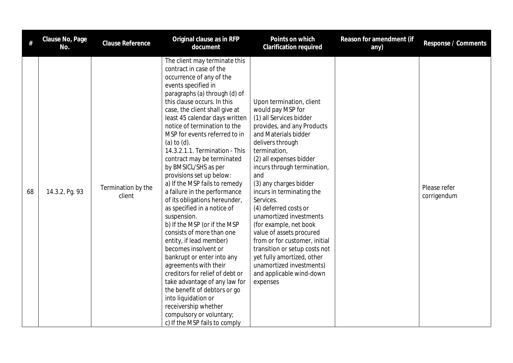| $\#$ | Clause No, Page<br>No. | <b>Clause Reference</b>      | Original clause as in RFP<br>document                                                                                                                                                                                                                                                                                                                                                                                                                                                                                                                                                                                                                                                                                                                                                                                                                                                                                                                                                         | Points on which<br><b>Clarification required</b>                                                                                                                                                                                                                                                                                                                                                                                                                                                                                                                                      | Reason for amendment (if<br>any) | Response / Comments         |
|------|------------------------|------------------------------|-----------------------------------------------------------------------------------------------------------------------------------------------------------------------------------------------------------------------------------------------------------------------------------------------------------------------------------------------------------------------------------------------------------------------------------------------------------------------------------------------------------------------------------------------------------------------------------------------------------------------------------------------------------------------------------------------------------------------------------------------------------------------------------------------------------------------------------------------------------------------------------------------------------------------------------------------------------------------------------------------|---------------------------------------------------------------------------------------------------------------------------------------------------------------------------------------------------------------------------------------------------------------------------------------------------------------------------------------------------------------------------------------------------------------------------------------------------------------------------------------------------------------------------------------------------------------------------------------|----------------------------------|-----------------------------|
| 68   | 14.3.2, Pg. 93         | Termination by the<br>client | The client may terminate this<br>contract in case of the<br>occurrence of any of the<br>events specified in<br>paragraphs (a) through (d) of<br>this clause occurs. In this<br>case, the client shall give at<br>least 45 calendar days written<br>notice of termination to the<br>MSP for events referred to in<br>(a) to $(d)$ .<br>14.3.2.1.1. Termination - This<br>contract may be terminated<br>by BMSICL/SHS as per<br>provisions set up below:<br>a) If the MSP fails to remedy<br>a failure in the performance<br>of its obligations hereunder,<br>as specified in a notice of<br>suspension.<br>b) If the MSP (or if the MSP<br>consists of more than one<br>entity, if lead member)<br>becomes insolvent or<br>bankrupt or enter into any<br>agreements with their<br>creditors for relief of debt or<br>take advantage of any law for<br>the benefit of debtors or go<br>into liquidation or<br>receivership whether<br>compulsory or voluntary;<br>c) If the MSP fails to comply | Upon termination, client<br>would pay MSP for<br>(1) all Services bidder<br>provides, and any Products<br>and Materials bidder<br>delivers through<br>termination,<br>(2) all expenses bidder<br>incurs through termination,<br>and<br>(3) any charges bidder<br>incurs in terminating the<br>Services.<br>(4) deferred costs or<br>unamortized investments<br>(for example, net book<br>value of assets procured<br>from or for customer, initial<br>transition or setup costs not<br>yet fully amortized, other<br>unamortized investments)<br>and applicable wind-down<br>expenses |                                  | Please refer<br>corrigendum |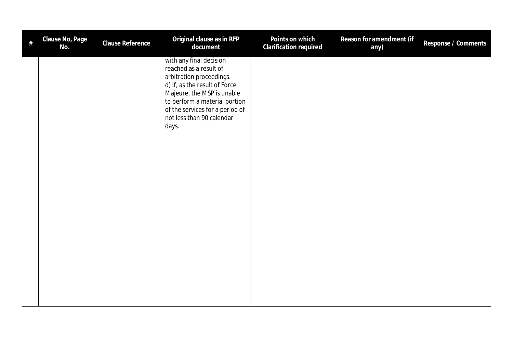| # | Clause No, Page<br>No. | Clause Reference | Original clause as in RFP<br>document                                                                                                                                                                                                                  | Points on which<br>Clarification required | Reason for amendment (if<br>any) | Response / Comments |
|---|------------------------|------------------|--------------------------------------------------------------------------------------------------------------------------------------------------------------------------------------------------------------------------------------------------------|-------------------------------------------|----------------------------------|---------------------|
|   |                        |                  | with any final decision<br>reached as a result of<br>arbitration proceedings.<br>d) If, as the result of Force<br>Majeure, the MSP is unable<br>to perform a material portion<br>of the services for a period of<br>not less than 90 calendar<br>days. |                                           |                                  |                     |
|   |                        |                  |                                                                                                                                                                                                                                                        |                                           |                                  |                     |
|   |                        |                  |                                                                                                                                                                                                                                                        |                                           |                                  |                     |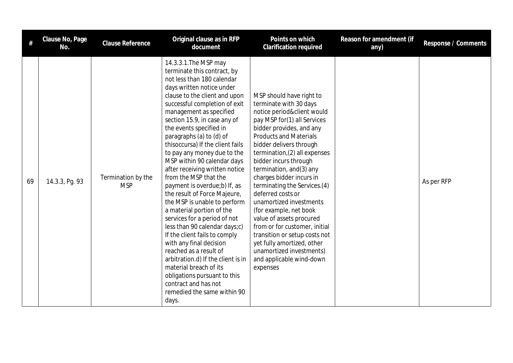|    | Clause No, Page<br>No. | Clause Reference                 | Original clause as in RFP<br>document                                                                                                                                                                                                                                                                                                                                                                                                                                                                                                                                                                                                                                                                                                                                                                                                                                                                                | Points on which<br>Clarification required                                                                                                                                                                                                                                                                                                                                                                                                                                                                                                                                                                                          | Reason for amendment (if<br>any) | Response / Comments |
|----|------------------------|----------------------------------|----------------------------------------------------------------------------------------------------------------------------------------------------------------------------------------------------------------------------------------------------------------------------------------------------------------------------------------------------------------------------------------------------------------------------------------------------------------------------------------------------------------------------------------------------------------------------------------------------------------------------------------------------------------------------------------------------------------------------------------------------------------------------------------------------------------------------------------------------------------------------------------------------------------------|------------------------------------------------------------------------------------------------------------------------------------------------------------------------------------------------------------------------------------------------------------------------------------------------------------------------------------------------------------------------------------------------------------------------------------------------------------------------------------------------------------------------------------------------------------------------------------------------------------------------------------|----------------------------------|---------------------|
| 69 | 14.3.3, Pg. 93         | Termination by the<br><b>MSP</b> | 14.3.3.1. The MSP may<br>terminate this contract, by<br>not less than 180 calendar<br>days written notice under<br>clause to the client and upon<br>successful completion of exit<br>management as specified<br>section 15.9, in case any of<br>the events specified in<br>paragraphs (a) to (d) of<br>thisoccursa) If the client fails<br>to pay any money due to the<br>MSP within 90 calendar days<br>after receiving written notice<br>from the MSP that the<br>payment is overdue;b) If, as<br>the result of Force Majeure,<br>the MSP is unable to perform<br>a material portion of the<br>services for a period of not<br>less than 90 calendar days;c)<br>If the client fails to comply<br>with any final decision<br>reached as a result of<br>arbitration.d) If the client is in<br>material breach of its<br>obligations pursuant to this<br>contract and has not<br>remedied the same within 90<br>days. | MSP should have right to<br>terminate with 30 days<br>notice period&client would<br>pay MSP for(1) all Services<br>bidder provides, and any<br><b>Products and Materials</b><br>bidder delivers through<br>termination, (2) all expenses<br>bidder incurs through<br>termination, and(3) any<br>charges bidder incurs in<br>terminating the Services.(4)<br>deferred costs or<br>unamortized investments<br>(for example, net book<br>value of assets procured<br>from or for customer, initial<br>transition or setup costs not<br>yet fully amortized, other<br>unamortized investments)<br>and applicable wind-down<br>expenses |                                  | As per RFP          |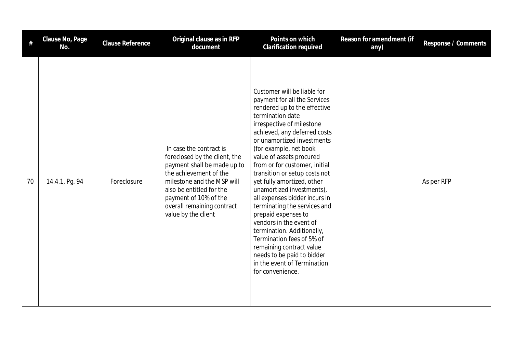| #  | Clause No, Page<br>No. | Clause Reference | Original clause as in RFP<br>document                                                                                                                                                                                                                     | Points on which<br><b>Clarification required</b>                                                                                                                                                                                                                                                                                                                                                                                                                                                                                                                                                                                                                                         | Reason for amendment (if<br>any) | Response / Comments |
|----|------------------------|------------------|-----------------------------------------------------------------------------------------------------------------------------------------------------------------------------------------------------------------------------------------------------------|------------------------------------------------------------------------------------------------------------------------------------------------------------------------------------------------------------------------------------------------------------------------------------------------------------------------------------------------------------------------------------------------------------------------------------------------------------------------------------------------------------------------------------------------------------------------------------------------------------------------------------------------------------------------------------------|----------------------------------|---------------------|
| 70 | 14.4.1, Pg. 94         | Foreclosure      | In case the contract is<br>foreclosed by the client, the<br>payment shall be made up to<br>the achievement of the<br>milestone and the MSP will<br>also be entitled for the<br>payment of 10% of the<br>overall remaining contract<br>value by the client | Customer will be liable for<br>payment for all the Services<br>rendered up to the effective<br>termination date<br>irrespective of milestone<br>achieved, any deferred costs<br>or unamortized investments<br>(for example, net book<br>value of assets procured<br>from or for customer, initial<br>transition or setup costs not<br>yet fully amortized, other<br>unamortized investments),<br>all expenses bidder incurs in<br>terminating the services and<br>prepaid expenses to<br>vendors in the event of<br>termination. Additionally,<br>Termination fees of 5% of<br>remaining contract value<br>needs to be paid to bidder<br>in the event of Termination<br>for convenience. |                                  | As per RFP          |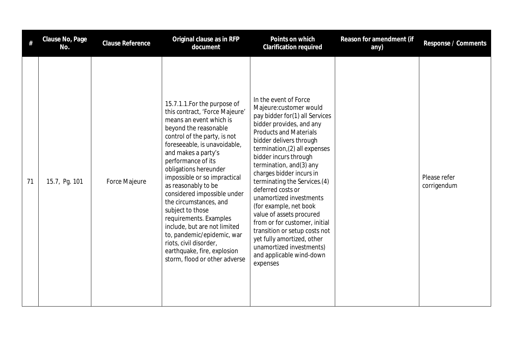| #  | Clause No, Page<br>No. | <b>Clause Reference</b> | Original clause as in RFP<br>document                                                                                                                                                                                                                                                                                                                                                                                                                                                                                                                                          | Points on which<br>Clarification required                                                                                                                                                                                                                                                                                                                                                                                                                                                                                                                                                            | Reason for amendment (if<br>any) | Response / Comments         |
|----|------------------------|-------------------------|--------------------------------------------------------------------------------------------------------------------------------------------------------------------------------------------------------------------------------------------------------------------------------------------------------------------------------------------------------------------------------------------------------------------------------------------------------------------------------------------------------------------------------------------------------------------------------|------------------------------------------------------------------------------------------------------------------------------------------------------------------------------------------------------------------------------------------------------------------------------------------------------------------------------------------------------------------------------------------------------------------------------------------------------------------------------------------------------------------------------------------------------------------------------------------------------|----------------------------------|-----------------------------|
| 71 | 15.7, Pg. 101          | Force Majeure           | 15.7.1.1. For the purpose of<br>this contract, 'Force Majeure'<br>means an event which is<br>beyond the reasonable<br>control of the party, is not<br>foreseeable, is unavoidable,<br>and makes a party's<br>performance of its<br>obligations hereunder<br>impossible or so impractical<br>as reasonably to be<br>considered impossible under<br>the circumstances, and<br>subject to those<br>requirements. Examples<br>include, but are not limited<br>to, pandemic/epidemic, war<br>riots, civil disorder,<br>earthquake, fire, explosion<br>storm, flood or other adverse | In the event of Force<br>Majeure:customer would<br>pay bidder for(1) all Services<br>bidder provides, and any<br><b>Products and Materials</b><br>bidder delivers through<br>termination, (2) all expenses<br>bidder incurs through<br>termination, and(3) any<br>charges bidder incurs in<br>terminating the Services.(4)<br>deferred costs or<br>unamortized investments<br>(for example, net book<br>value of assets procured<br>from or for customer, initial<br>transition or setup costs not<br>yet fully amortized, other<br>unamortized investments)<br>and applicable wind-down<br>expenses |                                  | Please refer<br>corrigendum |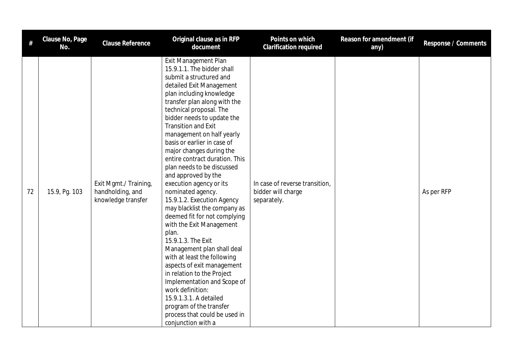|    | Clause No, Page<br>No. | Clause Reference                                                | Original clause as in RFP<br>document                                                                                                                                                                                                                                                                                                                                                                                                                                                                                                                                                                                                                                                                                                                                                                                                                                                                                                        | Points on which<br><b>Clarification required</b>                    | Reason for amendment (if<br>any) | Response / Comments |
|----|------------------------|-----------------------------------------------------------------|----------------------------------------------------------------------------------------------------------------------------------------------------------------------------------------------------------------------------------------------------------------------------------------------------------------------------------------------------------------------------------------------------------------------------------------------------------------------------------------------------------------------------------------------------------------------------------------------------------------------------------------------------------------------------------------------------------------------------------------------------------------------------------------------------------------------------------------------------------------------------------------------------------------------------------------------|---------------------------------------------------------------------|----------------------------------|---------------------|
| 72 | 15.9, Pg. 103          | Exit Mgmt./ Training,<br>handholding, and<br>knowledge transfer | Exit Management Plan<br>15.9.1.1. The bidder shall<br>submit a structured and<br>detailed Exit Management<br>plan including knowledge<br>transfer plan along with the<br>technical proposal. The<br>bidder needs to update the<br><b>Transition and Exit</b><br>management on half yearly<br>basis or earlier in case of<br>major changes during the<br>entire contract duration. This<br>plan needs to be discussed<br>and approved by the<br>execution agency or its<br>nominated agency.<br>15.9.1.2. Execution Agency<br>may blacklist the company as<br>deemed fit for not complying<br>with the Exit Management<br>plan.<br>15.9.1.3. The Exit<br>Management plan shall deal<br>with at least the following<br>aspects of exit management<br>in relation to the Project<br>Implementation and Scope of<br>work definition:<br>15.9.1.3.1. A detailed<br>program of the transfer<br>process that could be used in<br>conjunction with a | In case of reverse transition,<br>bidder will charge<br>separately. |                                  | As per RFP          |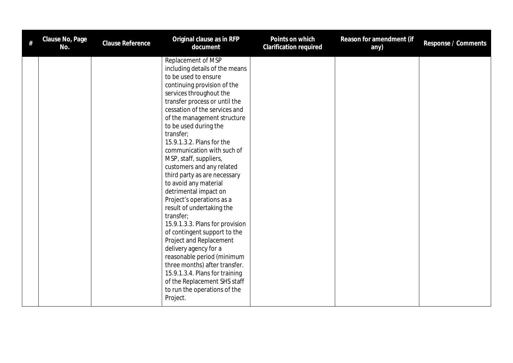| Clause No, Page<br>No. | Clause Reference | Original clause as in RFP<br>document                                                                                                                                                                                                                                                                                                                                                                                                                                                                                                                                                                                                                                                                                                                                                                                                                        | Points on which<br>Clarification required | Reason for amendment (if<br>any) | Response / Comments |
|------------------------|------------------|--------------------------------------------------------------------------------------------------------------------------------------------------------------------------------------------------------------------------------------------------------------------------------------------------------------------------------------------------------------------------------------------------------------------------------------------------------------------------------------------------------------------------------------------------------------------------------------------------------------------------------------------------------------------------------------------------------------------------------------------------------------------------------------------------------------------------------------------------------------|-------------------------------------------|----------------------------------|---------------------|
|                        |                  | Replacement of MSP<br>including details of the means<br>to be used to ensure<br>continuing provision of the<br>services throughout the<br>transfer process or until the<br>cessation of the services and<br>of the management structure<br>to be used during the<br>transfer;<br>15.9.1.3.2. Plans for the<br>communication with such of<br>MSP, staff, suppliers,<br>customers and any related<br>third party as are necessary<br>to avoid any material<br>detrimental impact on<br>Project's operations as a<br>result of undertaking the<br>transfer;<br>15.9.1.3.3. Plans for provision<br>of contingent support to the<br>Project and Replacement<br>delivery agency for a<br>reasonable period (minimum<br>three months) after transfer.<br>15.9.1.3.4. Plans for training<br>of the Replacement SHS staff<br>to run the operations of the<br>Project. |                                           |                                  |                     |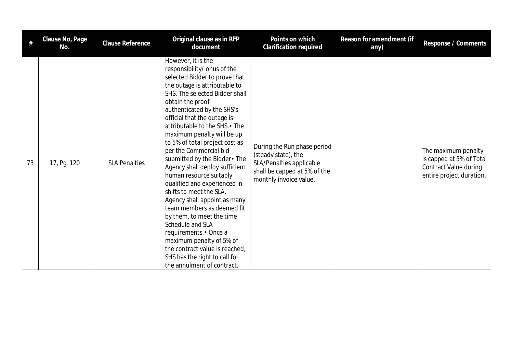| #  | Clause No, Page<br>No. | <b>Clause Reference</b> | Original clause as in RFP<br>document                                                                                                                                                                                                                                                                                                                                                                                                                                                                                                                                                                                                                                                                                                                                                             | Points on which<br><b>Clarification required</b>                                                                                         | Reason for amendment (if<br>any) | Response / Comments                                                                                         |
|----|------------------------|-------------------------|---------------------------------------------------------------------------------------------------------------------------------------------------------------------------------------------------------------------------------------------------------------------------------------------------------------------------------------------------------------------------------------------------------------------------------------------------------------------------------------------------------------------------------------------------------------------------------------------------------------------------------------------------------------------------------------------------------------------------------------------------------------------------------------------------|------------------------------------------------------------------------------------------------------------------------------------------|----------------------------------|-------------------------------------------------------------------------------------------------------------|
| 73 | 17, Pg. 120            | <b>SLA Penalties</b>    | However, it is the<br>responsibility/ onus of the<br>selected Bidder to prove that<br>the outage is attributable to<br>SHS. The selected Bidder shall<br>obtain the proof<br>authenticated by the SHS's<br>official that the outage is<br>attributable to the SHS. • The<br>maximum penalty will be up<br>to 5% of total project cost as<br>per the Commercial bid<br>submitted by the Bidder . The<br>Agency shall deploy sufficient<br>human resource suitably<br>qualified and experienced in<br>shifts to meet the SLA.<br>Agency shall appoint as many<br>team members as deemed fit<br>by them, to meet the time<br>Schedule and SLA<br>requirements. • Once a<br>maximum penalty of 5% of<br>the contract value is reached,<br>SHS has the right to call for<br>the annulment of contract. | During the Run phase period<br>(steady state), the<br>SLA/Penalties applicable<br>shall be capped at 5% of the<br>monthly invoice value. |                                  | The maximum penalty<br>is capped at 5% of Total<br><b>Contract Value during</b><br>entire project duration. |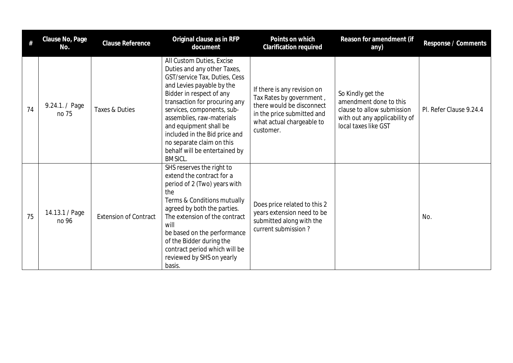|    | Clause No, Page<br>No.  | Clause Reference             | Original clause as in RFP<br>document                                                                                                                                                                                                                                                                                                                                                     | Points on which<br>Clarification required                                                                                                                    | Reason for amendment (if<br>any)                                                                                                   | Response / Comments     |
|----|-------------------------|------------------------------|-------------------------------------------------------------------------------------------------------------------------------------------------------------------------------------------------------------------------------------------------------------------------------------------------------------------------------------------------------------------------------------------|--------------------------------------------------------------------------------------------------------------------------------------------------------------|------------------------------------------------------------------------------------------------------------------------------------|-------------------------|
| 74 | 9.24.1. / Page<br>no 75 | Taxes & Duties               | All Custom Duties, Excise<br>Duties and any other Taxes,<br>GST/service Tax, Duties, Cess<br>and Levies payable by the<br>Bidder in respect of any<br>transaction for procuring any<br>services, components, sub-<br>assemblies, raw-materials<br>and equipment shall be<br>included in the Bid price and<br>no separate claim on this<br>behalf will be entertained by<br><b>BMSICL.</b> | If there is any revision on<br>Tax Rates by government,<br>there would be disconnect<br>in the price submitted and<br>what actual chargeable to<br>customer. | So Kindly get the<br>amendment done to this<br>clause to allow submission<br>with out any applicability of<br>local taxes like GST | Pl. Refer Clause 9.24.4 |
| 75 | 14.13.1 / Page<br>no 96 | <b>Extension of Contract</b> | SHS reserves the right to<br>extend the contract for a<br>period of 2 (Two) years with<br>the<br>Terms & Conditions mutually<br>agreed by both the parties.<br>The extension of the contract<br>will<br>be based on the performance<br>of the Bidder during the<br>contract period which will be<br>reviewed by SHS on yearly<br>basis.                                                   | Does price related to this 2<br>years extension need to be<br>submitted along with the<br>current submission?                                                |                                                                                                                                    | No.                     |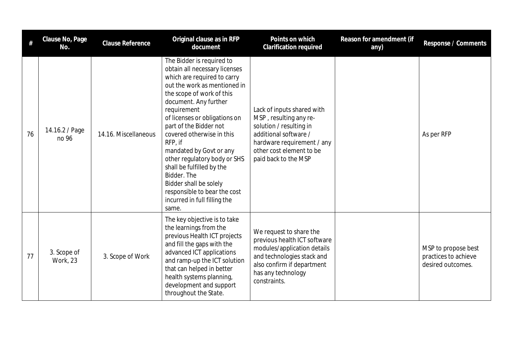| #  | Clause No, Page<br>No.         | <b>Clause Reference</b> | Original clause as in RFP<br>document                                                                                                                                                                                                                                                                                                                                                                                                                                                                       | Points on which<br><b>Clarification required</b>                                                                                                                                           | Reason for amendment (if<br>any) | Response / Comments                                              |
|----|--------------------------------|-------------------------|-------------------------------------------------------------------------------------------------------------------------------------------------------------------------------------------------------------------------------------------------------------------------------------------------------------------------------------------------------------------------------------------------------------------------------------------------------------------------------------------------------------|--------------------------------------------------------------------------------------------------------------------------------------------------------------------------------------------|----------------------------------|------------------------------------------------------------------|
| 76 | 14.16.2 / Page<br>no 96        | 14.16. Miscellaneous    | The Bidder is required to<br>obtain all necessary licenses<br>which are required to carry<br>out the work as mentioned in<br>the scope of work of this<br>document. Any further<br>requirement<br>of licenses or obligations on<br>part of the Bidder not<br>covered otherwise in this<br>RFP, if<br>mandated by Govt or any<br>other regulatory body or SHS<br>shall be fulfilled by the<br>Bidder. The<br>Bidder shall be solely<br>responsible to bear the cost<br>incurred in full filling the<br>same. | Lack of inputs shared with<br>MSP, resulting any re-<br>solution / resulting in<br>additional software /<br>hardware requirement / any<br>other cost element to be<br>paid back to the MSP |                                  | As per RFP                                                       |
| 77 | 3. Scope of<br><b>Work, 23</b> | 3. Scope of Work        | The key objective is to take<br>the learnings from the<br>previous Health ICT projects<br>and fill the gaps with the<br>advanced ICT applications<br>and ramp-up the ICT solution<br>that can helped in better<br>health systems planning,<br>development and support<br>throughout the State.                                                                                                                                                                                                              | We request to share the<br>previous health ICT software<br>modules/application details<br>and technologies stack and<br>also confirm if department<br>has any technology<br>constraints.   |                                  | MSP to propose best<br>practices to achieve<br>desired outcomes. |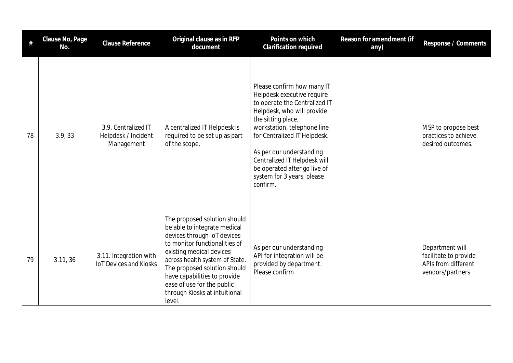| #  | Clause No, Page<br>No. | <b>Clause Reference</b>                                  | Original clause as in RFP<br>document                                                                                                                                                                                                                                                                                               | Points on which<br><b>Clarification required</b>                                                                                                                                                                                                                                                                                                   | Reason for amendment (if<br>any) | Response / Comments                                                                 |
|----|------------------------|----------------------------------------------------------|-------------------------------------------------------------------------------------------------------------------------------------------------------------------------------------------------------------------------------------------------------------------------------------------------------------------------------------|----------------------------------------------------------------------------------------------------------------------------------------------------------------------------------------------------------------------------------------------------------------------------------------------------------------------------------------------------|----------------------------------|-------------------------------------------------------------------------------------|
| 78 | 3.9, 33                | 3.9. Centralized IT<br>Helpdesk / Incident<br>Management | A centralized IT Helpdesk is<br>required to be set up as part<br>of the scope.                                                                                                                                                                                                                                                      | Please confirm how many IT<br>Helpdesk executive require<br>to operate the Centralized IT<br>Helpdesk, who will provide<br>the sitting place,<br>workstation, telephone line<br>for Centralized IT Helpdesk.<br>As per our understanding<br>Centralized IT Helpdesk will<br>be operated after go live of<br>system for 3 years. please<br>confirm. |                                  | MSP to propose best<br>practices to achieve<br>desired outcomes.                    |
| 79 | 3.11, 36               | 3.11. Integration with<br><b>IoT Devices and Kiosks</b>  | The proposed solution should<br>be able to integrate medical<br>devices through IoT devices<br>to monitor functionalities of<br>existing medical devices<br>across health system of State.<br>The proposed solution should<br>have capabilities to provide<br>ease of use for the public<br>through Kiosks at intuitional<br>level. | As per our understanding<br>API for integration will be<br>provided by department.<br>Please confirm                                                                                                                                                                                                                                               |                                  | Department will<br>facilitate to provide<br>APIs from different<br>vendors/partners |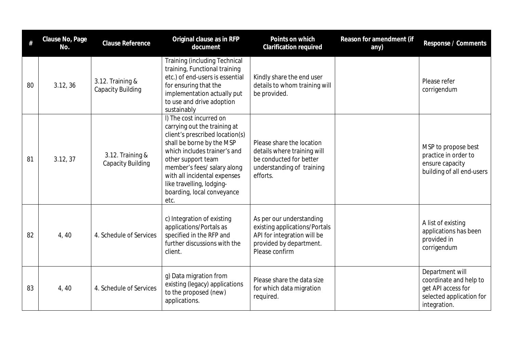| #  | Clause No, Page<br>No. | <b>Clause Reference</b>                      | Original clause as in RFP<br>document                                                                                                                                                                                                                                                                           | Points on which<br><b>Clarification required</b>                                                                                      | Reason for amendment (if<br>any) | Response / Comments                                                                                         |
|----|------------------------|----------------------------------------------|-----------------------------------------------------------------------------------------------------------------------------------------------------------------------------------------------------------------------------------------------------------------------------------------------------------------|---------------------------------------------------------------------------------------------------------------------------------------|----------------------------------|-------------------------------------------------------------------------------------------------------------|
| 80 | 3.12, 36               | 3.12. Training &<br><b>Capacity Building</b> | Training (including Technical<br>training, Functional training<br>etc.) of end-users is essential<br>for ensuring that the<br>implementation actually put<br>to use and drive adoption<br>sustainably                                                                                                           | Kindly share the end user<br>details to whom training will<br>be provided.                                                            |                                  | Please refer<br>corrigendum                                                                                 |
| 81 | 3.12, 37               | 3.12. Training &<br><b>Capacity Building</b> | I) The cost incurred on<br>carrying out the training at<br>client's prescribed location(s)<br>shall be borne by the MSP<br>which includes trainer's and<br>other support team<br>member's fees/ salary along<br>with all incidental expenses<br>like travelling, lodging-<br>boarding, local conveyance<br>etc. | Please share the location<br>details where training will<br>be conducted for better<br>understanding of training<br>efforts.          |                                  | MSP to propose best<br>practice in order to<br>ensure capacity<br>building of all end-users                 |
| 82 | 4, 40                  | 4. Schedule of Services                      | c) Integration of existing<br>applications/Portals as<br>specified in the RFP and<br>further discussions with the<br>client.                                                                                                                                                                                    | As per our understanding<br>existing applications/Portals<br>API for integration will be<br>provided by department.<br>Please confirm |                                  | A list of existing<br>applications has been<br>provided in<br>corrigendum                                   |
| 83 | 4, 40                  | 4. Schedule of Services                      | g) Data migration from<br>existing (legacy) applications<br>to the proposed (new)<br>applications.                                                                                                                                                                                                              | Please share the data size<br>for which data migration<br>required.                                                                   |                                  | Department will<br>coordinate and help to<br>get API access for<br>selected application for<br>integration. |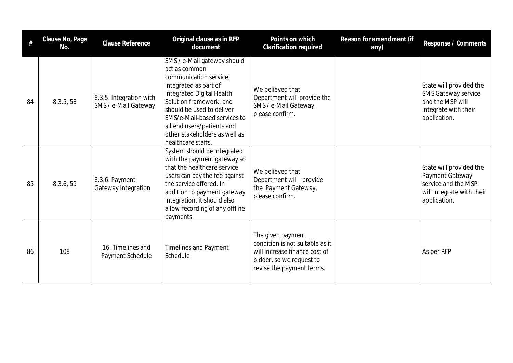| #  | Clause No, Page<br>No. | <b>Clause Reference</b>                         | Original clause as in RFP<br>document                                                                                                                                                                                                                                                                     | Points on which<br>Clarification required                                                                                                      | Reason for amendment (if<br>any) | Response / Comments                                                                                               |
|----|------------------------|-------------------------------------------------|-----------------------------------------------------------------------------------------------------------------------------------------------------------------------------------------------------------------------------------------------------------------------------------------------------------|------------------------------------------------------------------------------------------------------------------------------------------------|----------------------------------|-------------------------------------------------------------------------------------------------------------------|
| 84 | 8.3.5, 58              | 8.3.5. Integration with<br>SMS / e-Mail Gateway | SMS / e-Mail gateway should<br>act as common<br>communication service,<br>integrated as part of<br>Integrated Digital Health<br>Solution framework, and<br>should be used to deliver<br>SMS/e-Mail-based services to<br>all end users/patients and<br>other stakeholders as well as<br>healthcare staffs. | We believed that<br>Department will provide the<br>SMS / e-Mail Gateway,<br>please confirm.                                                    |                                  | State will provided the<br><b>SMS Gateway service</b><br>and the MSP will<br>integrate with their<br>application. |
| 85 | 8.3.6, 59              | 8.3.6. Payment<br>Gateway Integration           | System should be integrated<br>with the payment gateway so<br>that the healthcare service<br>users can pay the fee against<br>the service offered. In<br>addition to payment gateway<br>integration, it should also<br>allow recording of any offline<br>payments.                                        | We believed that<br>Department will provide<br>the Payment Gateway,<br>please confirm.                                                         |                                  | State will provided the<br>Payment Gateway<br>service and the MSP<br>will integrate with their<br>application.    |
| 86 | 108                    | 16. Timelines and<br>Payment Schedule           | <b>Timelines and Payment</b><br>Schedule                                                                                                                                                                                                                                                                  | The given payment<br>condition is not suitable as it<br>will increase finance cost of<br>bidder, so we request to<br>revise the payment terms. |                                  | As per RFP                                                                                                        |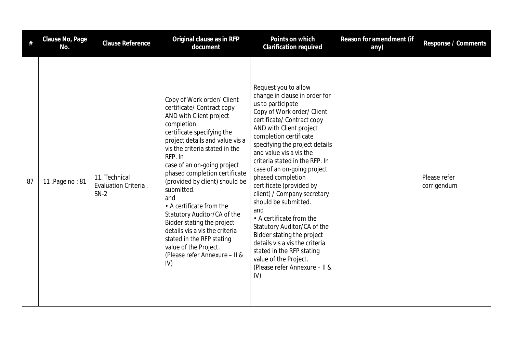| #  | Clause No, Page<br>No. | <b>Clause Reference</b>                         | Original clause as in RFP<br>document                                                                                                                                                                                                                                                                                                                                                                                                                                                                                                                           | Points on which<br>Clarification required                                                                                                                                                                                                                                                                                                                                                                                                                                                                                                                                                                                                                         | Reason for amendment (if<br>any) | Response / Comments         |
|----|------------------------|-------------------------------------------------|-----------------------------------------------------------------------------------------------------------------------------------------------------------------------------------------------------------------------------------------------------------------------------------------------------------------------------------------------------------------------------------------------------------------------------------------------------------------------------------------------------------------------------------------------------------------|-------------------------------------------------------------------------------------------------------------------------------------------------------------------------------------------------------------------------------------------------------------------------------------------------------------------------------------------------------------------------------------------------------------------------------------------------------------------------------------------------------------------------------------------------------------------------------------------------------------------------------------------------------------------|----------------------------------|-----------------------------|
| 87 | 11, Page no: 81        | 11. Technical<br>Evaluation Criteria,<br>$SN-2$ | Copy of Work order/ Client<br>certificate/ Contract copy<br>AND with Client project<br>completion<br>certificate specifying the<br>project details and value vis a<br>vis the criteria stated in the<br>RFP. In<br>case of an on-going project<br>phased completion certificate<br>(provided by client) should be<br>submitted.<br>and<br>• A certificate from the<br>Statutory Auditor/CA of the<br>Bidder stating the project<br>details vis a vis the criteria<br>stated in the RFP stating<br>value of the Project.<br>(Please refer Annexure - II &<br>IV) | Request you to allow<br>change in clause in order for<br>us to participate<br>Copy of Work order/ Client<br>certificate/ Contract copy<br>AND with Client project<br>completion certificate<br>specifying the project details<br>and value vis a vis the<br>criteria stated in the RFP. In<br>case of an on-going project<br>phased completion<br>certificate (provided by<br>client) / Company secretary<br>should be submitted.<br>and<br>• A certificate from the<br>Statutory Auditor/CA of the<br>Bidder stating the project<br>details vis a vis the criteria<br>stated in the RFP stating<br>value of the Project.<br>(Please refer Annexure - II &<br>IV) |                                  | Please refer<br>corrigendum |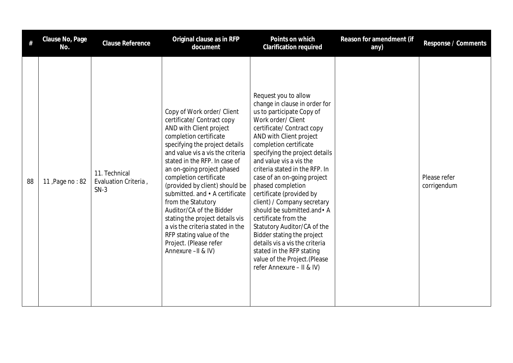| #  | Clause No, Page<br>No. | <b>Clause Reference</b>                         | Original clause as in RFP<br>document                                                                                                                                                                                                                                                                                                                                                                                                                                                                                                                 | Points on which<br><b>Clarification required</b>                                                                                                                                                                                                                                                                                                                                                                                                                                                                                                                                                                                                          | Reason for amendment (if<br>any) | Response / Comments         |
|----|------------------------|-------------------------------------------------|-------------------------------------------------------------------------------------------------------------------------------------------------------------------------------------------------------------------------------------------------------------------------------------------------------------------------------------------------------------------------------------------------------------------------------------------------------------------------------------------------------------------------------------------------------|-----------------------------------------------------------------------------------------------------------------------------------------------------------------------------------------------------------------------------------------------------------------------------------------------------------------------------------------------------------------------------------------------------------------------------------------------------------------------------------------------------------------------------------------------------------------------------------------------------------------------------------------------------------|----------------------------------|-----------------------------|
| 88 | 11, Page no: 82        | 11. Technical<br>Evaluation Criteria,<br>$SN-3$ | Copy of Work order/ Client<br>certificate/ Contract copy<br>AND with Client project<br>completion certificate<br>specifying the project details<br>and value vis a vis the criteria<br>stated in the RFP. In case of<br>an on-going project phased<br>completion certificate<br>(provided by client) should be<br>submitted. and • A certificate<br>from the Statutory<br>Auditor/CA of the Bidder<br>stating the project details vis<br>a vis the criteria stated in the<br>RFP stating value of the<br>Project. (Please refer<br>Annexure -II & IV) | Request you to allow<br>change in clause in order for<br>us to participate Copy of<br>Work order/ Client<br>certificate/ Contract copy<br>AND with Client project<br>completion certificate<br>specifying the project details<br>and value vis a vis the<br>criteria stated in the RFP. In<br>case of an on-going project<br>phased completion<br>certificate (provided by<br>client) / Company secretary<br>should be submitted.and • A<br>certificate from the<br>Statutory Auditor/CA of the<br>Bidder stating the project<br>details vis a vis the criteria<br>stated in the RFP stating<br>value of the Project.(Please<br>refer Annexure - II & IV) |                                  | Please refer<br>corrigendum |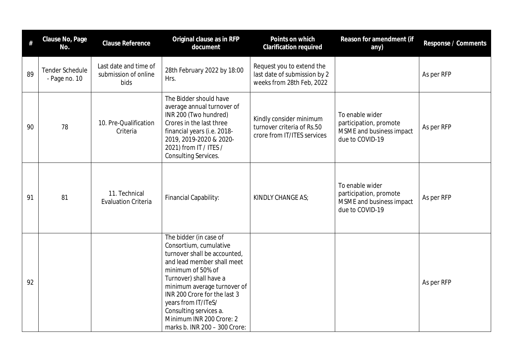| #  | Clause No, Page<br>No.           | <b>Clause Reference</b>                               | Original clause as in RFP<br>document                                                                                                                                                                                                                                                                                                      | Points on which<br>Clarification required                                              | Reason for amendment (if<br>any)                                                         | Response / Comments |
|----|----------------------------------|-------------------------------------------------------|--------------------------------------------------------------------------------------------------------------------------------------------------------------------------------------------------------------------------------------------------------------------------------------------------------------------------------------------|----------------------------------------------------------------------------------------|------------------------------------------------------------------------------------------|---------------------|
| 89 | Tender Schedule<br>- Page no. 10 | Last date and time of<br>submission of online<br>bids | 28th February 2022 by 18:00<br>Hrs.                                                                                                                                                                                                                                                                                                        | Request you to extend the<br>last date of submission by 2<br>weeks from 28th Feb, 2022 |                                                                                          | As per RFP          |
| 90 | 78                               | 10. Pre-Qualification<br>Criteria                     | The Bidder should have<br>average annual turnover of<br>INR 200 (Two hundred)<br>Crores in the last three<br>financial years (i.e. 2018-<br>2019, 2019-2020 & 2020-<br>2021) from IT / ITES /<br><b>Consulting Services.</b>                                                                                                               | Kindly consider minimum<br>turnover criteria of Rs.50<br>crore from IT/ITES services   | To enable wider<br>participation, promote<br>MSME and business impact<br>due to COVID-19 | As per RFP          |
| 91 | 81                               | 11. Technical<br><b>Evaluation Criteria</b>           | Financial Capability:                                                                                                                                                                                                                                                                                                                      | KINDLY CHANGE AS;                                                                      | To enable wider<br>participation, promote<br>MSME and business impact<br>due to COVID-19 | As per RFP          |
| 92 |                                  |                                                       | The bidder (in case of<br>Consortium, cumulative<br>turnover shall be accounted,<br>and lead member shall meet<br>minimum of 50% of<br>Turnover) shall have a<br>minimum average turnover of<br>INR 200 Crore for the last 3<br>years from IT/ITeS/<br>Consulting services a.<br>Minimum INR 200 Crore: 2<br>marks b. INR 200 - 300 Crore: |                                                                                        |                                                                                          | As per RFP          |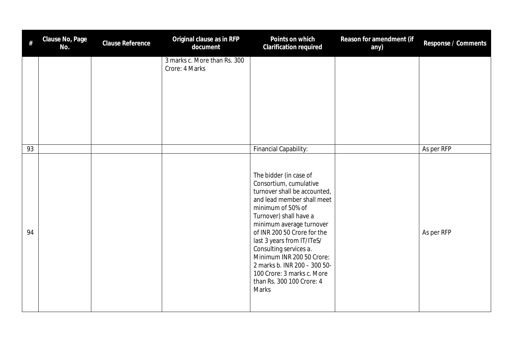| #  | Clause No, Page<br>No. | Clause Reference | Original clause as in RFP<br>document          | Points on which<br>Clarification required                                                                                                                                                                                                                                                                                                                                                                                | Reason for amendment (if<br>any) | Response / Comments |
|----|------------------------|------------------|------------------------------------------------|--------------------------------------------------------------------------------------------------------------------------------------------------------------------------------------------------------------------------------------------------------------------------------------------------------------------------------------------------------------------------------------------------------------------------|----------------------------------|---------------------|
|    |                        |                  | 3 marks c. More than Rs. 300<br>Crore: 4 Marks |                                                                                                                                                                                                                                                                                                                                                                                                                          |                                  |                     |
| 93 |                        |                  |                                                | Financial Capability:                                                                                                                                                                                                                                                                                                                                                                                                    |                                  | As per RFP          |
| 94 |                        |                  |                                                | The bidder (in case of<br>Consortium, cumulative<br>turnover shall be accounted,<br>and lead member shall meet<br>minimum of 50% of<br>Turnover) shall have a<br>minimum average turnover<br>of INR 200 50 Crore for the<br>last 3 years from IT/ITeS/<br>Consulting services a.<br>Minimum INR 200 50 Crore:<br>2 marks b. INR 200 - 300 50-<br>100 Crore: 3 marks c. More<br>than Rs. 300 100 Crore: 4<br><b>Marks</b> |                                  | As per RFP          |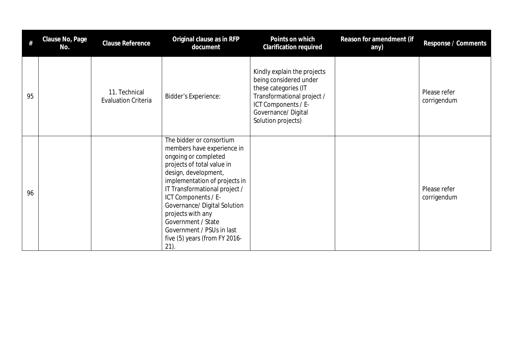| #  | Clause No, Page<br>No. | <b>Clause Reference</b>                     | Original clause as in RFP<br>document                                                                                                                                                                                                                                                                                                                                             | Points on which<br>Clarification required                                                                                                                                      | Reason for amendment (if<br>any) | Response / Comments         |
|----|------------------------|---------------------------------------------|-----------------------------------------------------------------------------------------------------------------------------------------------------------------------------------------------------------------------------------------------------------------------------------------------------------------------------------------------------------------------------------|--------------------------------------------------------------------------------------------------------------------------------------------------------------------------------|----------------------------------|-----------------------------|
| 95 |                        | 11. Technical<br><b>Evaluation Criteria</b> | <b>Bidder's Experience:</b>                                                                                                                                                                                                                                                                                                                                                       | Kindly explain the projects<br>being considered under<br>these categories (IT<br>Transformational project /<br>ICT Components / E-<br>Governance/Digital<br>Solution projects) |                                  | Please refer<br>corrigendum |
| 96 |                        |                                             | The bidder or consortium<br>members have experience in<br>ongoing or completed<br>projects of total value in<br>design, development,<br>implementation of projects in<br>IT Transformational project /<br>ICT Components / E-<br>Governance/ Digital Solution<br>projects with any<br>Government / State<br>Government / PSUs in last<br>five (5) years (from FY 2016-<br>$21$ ). |                                                                                                                                                                                |                                  | Please refer<br>corrigendum |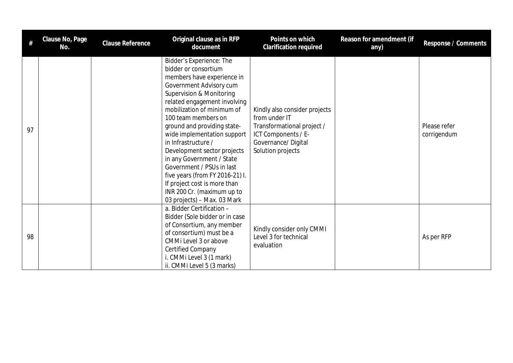| #  | Clause No, Page<br>No. | Clause Reference | Original clause as in RFP<br>document                                                                                                                                                                                                                                                                                                                                                                                                                                                                                                    | Points on which<br><b>Clarification required</b>                                                                                               | Reason for amendment (if<br>any) | Response / Comments         |
|----|------------------------|------------------|------------------------------------------------------------------------------------------------------------------------------------------------------------------------------------------------------------------------------------------------------------------------------------------------------------------------------------------------------------------------------------------------------------------------------------------------------------------------------------------------------------------------------------------|------------------------------------------------------------------------------------------------------------------------------------------------|----------------------------------|-----------------------------|
| 97 |                        |                  | Bidder's Experience: The<br>bidder or consortium<br>members have experience in<br>Government Advisory cum<br>Supervision & Monitoring<br>related engagement involving<br>mobilization of minimum of<br>100 team members on<br>ground and providing state-<br>wide implementation support<br>in Infrastructure /<br>Development sector projects<br>in any Government / State<br>Government / PSUs in last<br>five years (from FY 2016-21) I.<br>If project cost is more than<br>INR 200 Cr. (maximum up to<br>03 projects) - Max. 03 Mark | Kindly also consider projects<br>from under IT<br>Transformational project /<br>ICT Components / E-<br>Governance/Digital<br>Solution projects |                                  | Please refer<br>corrigendum |
| 98 |                        |                  | a. Bidder Certification -<br>Bidder (Sole bidder or in case<br>of Consortium, any member<br>of consortium) must be a<br>CMMi Level 3 or above<br><b>Certified Company</b><br>i. CMMi Level 3 (1 mark)<br>ii. CMMi Level 5 (3 marks)                                                                                                                                                                                                                                                                                                      | Kindly consider only CMMI<br>Level 3 for technical<br>evaluation                                                                               |                                  | As per RFP                  |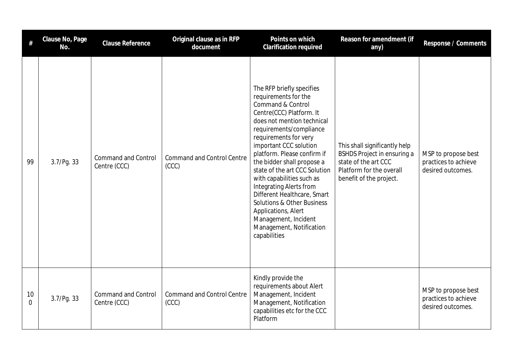| #              | Clause No, Page<br>No. | <b>Clause Reference</b>                    | Original clause as in RFP<br>document      | Points on which<br><b>Clarification required</b>                                                                                                                                                                                                                                                                                                                                                                                                                                                                                               | Reason for amendment (if<br>any)                                                                                                            | Response / Comments                                              |
|----------------|------------------------|--------------------------------------------|--------------------------------------------|------------------------------------------------------------------------------------------------------------------------------------------------------------------------------------------------------------------------------------------------------------------------------------------------------------------------------------------------------------------------------------------------------------------------------------------------------------------------------------------------------------------------------------------------|---------------------------------------------------------------------------------------------------------------------------------------------|------------------------------------------------------------------|
| 99             | 3.7/Pg. 33             | <b>Command and Control</b><br>Centre (CCC) | <b>Command and Control Centre</b><br>(CCC) | The RFP briefly specifies<br>requirements for the<br>Command & Control<br>Centre(CCC) Platform. It<br>does not mention technical<br>requirements/compliance<br>requirements for very<br>important CCC solution<br>platform. Please confirm if<br>the bidder shall propose a<br>state of the art CCC Solution<br>with capabilities such as<br><b>Integrating Alerts from</b><br>Different Healthcare, Smart<br><b>Solutions &amp; Other Business</b><br>Applications, Alert<br>Management, Incident<br>Management, Notification<br>capabilities | This shall significantly help<br>BSHDS Project in ensuring a<br>state of the art CCC<br>Platform for the overall<br>benefit of the project. | MSP to propose best<br>practices to achieve<br>desired outcomes. |
| 10<br>$\Omega$ | 3.7/Pg. 33             | <b>Command and Control</b><br>Centre (CCC) | <b>Command and Control Centre</b><br>(CCC) | Kindly provide the<br>requirements about Alert<br>Management, Incident<br>Management, Notification<br>capabilities etc for the CCC<br>Platform                                                                                                                                                                                                                                                                                                                                                                                                 |                                                                                                                                             | MSP to propose best<br>practices to achieve<br>desired outcomes. |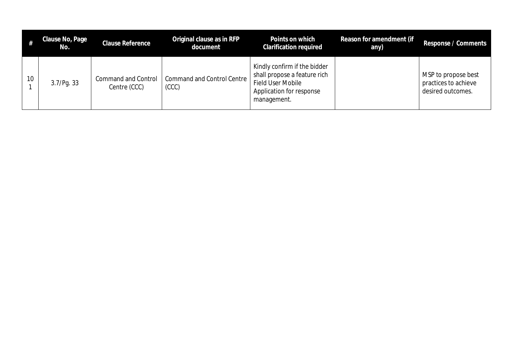|    | Clause No, Page<br>No. | <b>Clause Reference</b>                    | Original clause as in RFP<br>document      | Points on which<br><b>Clarification required</b>                                                                             | Reason for amendment (if<br>any) | Response / Comments                                              |
|----|------------------------|--------------------------------------------|--------------------------------------------|------------------------------------------------------------------------------------------------------------------------------|----------------------------------|------------------------------------------------------------------|
| 10 | 3.7/Pq.33              | <b>Command and Control</b><br>Centre (CCC) | <b>Command and Control Centre</b><br>(CCC) | Kindly confirm if the bidder<br>shall propose a feature rich<br>Field User Mobile<br>Application for response<br>management. |                                  | MSP to propose best<br>practices to achieve<br>desired outcomes. |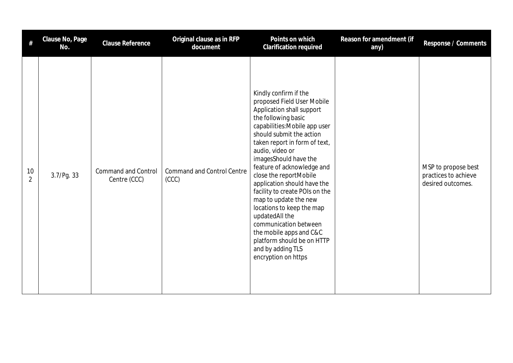|                      | Clause No, Page<br>No. | Clause Reference                           | Original clause as in RFP<br>document      | Points on which<br>Clarification required                                                                                                                                                                                                                                                                                                                                                                                                                                                                                                                                        | Reason for amendment (if<br>any) | Response / Comments                                              |
|----------------------|------------------------|--------------------------------------------|--------------------------------------------|----------------------------------------------------------------------------------------------------------------------------------------------------------------------------------------------------------------------------------------------------------------------------------------------------------------------------------------------------------------------------------------------------------------------------------------------------------------------------------------------------------------------------------------------------------------------------------|----------------------------------|------------------------------------------------------------------|
| 10<br>$\overline{2}$ | 3.7/Pg. 33             | <b>Command and Control</b><br>Centre (CCC) | <b>Command and Control Centre</b><br>(CCC) | Kindly confirm if the<br>proposed Field User Mobile<br>Application shall support<br>the following basic<br>capabilities: Mobile app user<br>should submit the action<br>taken report in form of text,<br>audio, video or<br>imagesShould have the<br>feature of acknowledge and<br>close the reportMobile<br>application should have the<br>facility to create POIs on the<br>map to update the new<br>locations to keep the map<br>updatedAll the<br>communication between<br>the mobile apps and C&C<br>platform should be on HTTP<br>and by adding TLS<br>encryption on https |                                  | MSP to propose best<br>practices to achieve<br>desired outcomes. |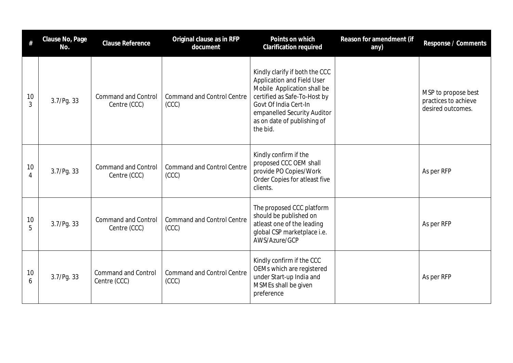| #                    | Clause No, Page<br>No. | <b>Clause Reference</b>                    | Original clause as in RFP<br>document      | Points on which<br><b>Clarification required</b>                                                                                                                                                                                      | Reason for amendment (if<br>any) | Response / Comments                                              |
|----------------------|------------------------|--------------------------------------------|--------------------------------------------|---------------------------------------------------------------------------------------------------------------------------------------------------------------------------------------------------------------------------------------|----------------------------------|------------------------------------------------------------------|
| 10<br>$\overline{3}$ | 3.7/Pg.33              | <b>Command and Control</b><br>Centre (CCC) | <b>Command and Control Centre</b><br>(CCC) | Kindly clarify if both the CCC<br><b>Application and Field User</b><br>Mobile Application shall be<br>certified as Safe-To-Host by<br>Govt Of India Cert-In<br>empanelled Security Auditor<br>as on date of publishing of<br>the bid. |                                  | MSP to propose best<br>practices to achieve<br>desired outcomes. |
| 10<br>$\overline{4}$ | 3.7/Pg. 33             | <b>Command and Control</b><br>Centre (CCC) | <b>Command and Control Centre</b><br>(CCC) | Kindly confirm if the<br>proposed CCC OEM shall<br>provide PO Copies/Work<br>Order Copies for atleast five<br>clients.                                                                                                                |                                  | As per RFP                                                       |
| 10<br>5              | 3.7/Pg.33              | <b>Command and Control</b><br>Centre (CCC) | <b>Command and Control Centre</b><br>(CC)  | The proposed CCC platform<br>should be published on<br>atleast one of the leading<br>global CSP marketplace i.e.<br>AWS/Azure/GCP                                                                                                     |                                  | As per RFP                                                       |
| 10<br>6              | 3.7/Pg. 33             | <b>Command and Control</b><br>Centre (CCC) | <b>Command and Control Centre</b><br>(CCC) | Kindly confirm if the CCC<br>OEMs which are registered<br>under Start-up India and<br>MSMEs shall be given<br>preference                                                                                                              |                                  | As per RFP                                                       |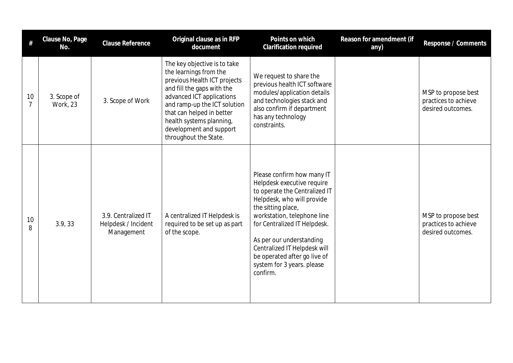|         | Clause No, Page<br>No.         | <b>Clause Reference</b>                                  | Original clause as in RFP<br>document                                                                                                                                                                                                                                                          | Points on which<br>Clarification required                                                                                                                                                                                                                                                                                                          | Reason for amendment (if<br>any) | Response / Comments                                              |
|---------|--------------------------------|----------------------------------------------------------|------------------------------------------------------------------------------------------------------------------------------------------------------------------------------------------------------------------------------------------------------------------------------------------------|----------------------------------------------------------------------------------------------------------------------------------------------------------------------------------------------------------------------------------------------------------------------------------------------------------------------------------------------------|----------------------------------|------------------------------------------------------------------|
| 10<br>7 | 3. Scope of<br><b>Work, 23</b> | 3. Scope of Work                                         | The key objective is to take<br>the learnings from the<br>previous Health ICT projects<br>and fill the gaps with the<br>advanced ICT applications<br>and ramp-up the ICT solution<br>that can helped in better<br>health systems planning,<br>development and support<br>throughout the State. | We request to share the<br>previous health ICT software<br>modules/application details<br>and technologies stack and<br>also confirm if department<br>has any technology<br>constraints.                                                                                                                                                           |                                  | MSP to propose best<br>practices to achieve<br>desired outcomes. |
| 10<br>8 | 3.9, 33                        | 3.9. Centralized IT<br>Helpdesk / Incident<br>Management | A centralized IT Helpdesk is<br>required to be set up as part<br>of the scope.                                                                                                                                                                                                                 | Please confirm how many IT<br>Helpdesk executive require<br>to operate the Centralized IT<br>Helpdesk, who will provide<br>the sitting place,<br>workstation, telephone line<br>for Centralized IT Helpdesk.<br>As per our understanding<br>Centralized IT Helpdesk will<br>be operated after go live of<br>system for 3 years. please<br>confirm. |                                  | MSP to propose best<br>practices to achieve<br>desired outcomes. |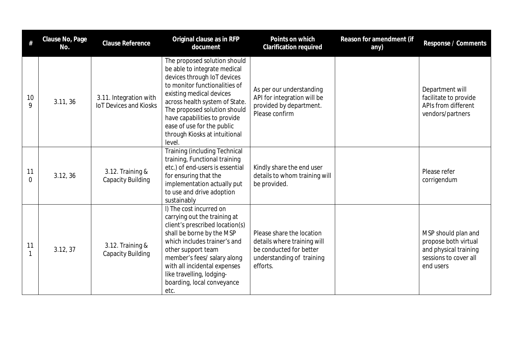| #       | Clause No, Page<br>No. | <b>Clause Reference</b>                                 | Original clause as in RFP<br>document                                                                                                                                                                                                                                                                                               | Points on which<br>Clarification required                                                                                    | Reason for amendment (if<br>any) | Response / Comments                                                                                        |
|---------|------------------------|---------------------------------------------------------|-------------------------------------------------------------------------------------------------------------------------------------------------------------------------------------------------------------------------------------------------------------------------------------------------------------------------------------|------------------------------------------------------------------------------------------------------------------------------|----------------------------------|------------------------------------------------------------------------------------------------------------|
| 10<br>9 | 3.11, 36               | 3.11. Integration with<br><b>IoT Devices and Kiosks</b> | The proposed solution should<br>be able to integrate medical<br>devices through IoT devices<br>to monitor functionalities of<br>existing medical devices<br>across health system of State.<br>The proposed solution should<br>have capabilities to provide<br>ease of use for the public<br>through Kiosks at intuitional<br>level. | As per our understanding<br>API for integration will be<br>provided by department.<br>Please confirm                         |                                  | Department will<br>facilitate to provide<br>APIs from different<br>vendors/partners                        |
| 11<br>0 | 3.12, 36               | 3.12. Training &<br><b>Capacity Building</b>            | <b>Training (including Technical</b><br>training, Functional training<br>etc.) of end-users is essential<br>for ensuring that the<br>implementation actually put<br>to use and drive adoption<br>sustainably                                                                                                                        | Kindly share the end user<br>details to whom training will<br>be provided.                                                   |                                  | Please refer<br>corrigendum                                                                                |
| 11      | 3.12, 37               | 3.12. Training &<br><b>Capacity Building</b>            | I) The cost incurred on<br>carrying out the training at<br>client's prescribed location(s)<br>shall be borne by the MSP<br>which includes trainer's and<br>other support team<br>member's fees/ salary along<br>with all incidental expenses<br>like travelling, lodging-<br>boarding, local conveyance<br>etc.                     | Please share the location<br>details where training will<br>be conducted for better<br>understanding of training<br>efforts. |                                  | MSP should plan and<br>propose both virtual<br>and physical training<br>sessions to cover all<br>end users |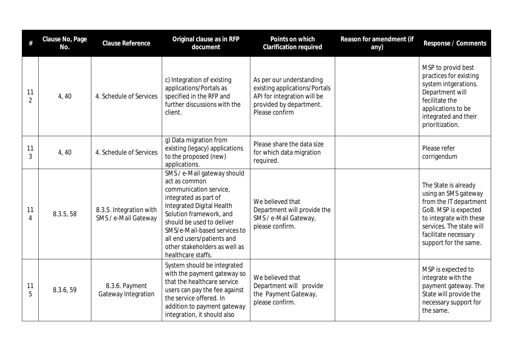| #                    | Clause No, Page<br>No. | <b>Clause Reference</b>                         | Original clause as in RFP<br>document                                                                                                                                                                                                                                                                     | Points on which<br><b>Clarification required</b>                                                                                      | Reason for amendment (if<br>any) | Response / Comments                                                                                                                                                                                    |
|----------------------|------------------------|-------------------------------------------------|-----------------------------------------------------------------------------------------------------------------------------------------------------------------------------------------------------------------------------------------------------------------------------------------------------------|---------------------------------------------------------------------------------------------------------------------------------------|----------------------------------|--------------------------------------------------------------------------------------------------------------------------------------------------------------------------------------------------------|
| 11<br>$\overline{2}$ | 4, 40                  | 4. Schedule of Services                         | c) Integration of existing<br>applications/Portals as<br>specified in the RFP and<br>further discussions with the<br>client.                                                                                                                                                                              | As per our understanding<br>existing applications/Portals<br>API for integration will be<br>provided by department.<br>Please confirm |                                  | MSP to provid best<br>practices for existing<br>system intgerations.<br>Department will<br>fecilitate the<br>applications to be<br>integrated and their<br>prioritization.                             |
| 11<br>3              | 4, 40                  | 4. Schedule of Services                         | g) Data migration from<br>existing (legacy) applications<br>to the proposed (new)<br>applications.                                                                                                                                                                                                        | Please share the data size<br>for which data migration<br>required.                                                                   |                                  | Please refer<br>corrigendum                                                                                                                                                                            |
| 11<br>4              | 8.3.5, 58              | 8.3.5. Integration with<br>SMS / e-Mail Gateway | SMS / e-Mail gateway should<br>act as common<br>communication service,<br>integrated as part of<br>Integrated Digital Health<br>Solution framework, and<br>should be used to deliver<br>SMS/e-Mail-based services to<br>all end users/patients and<br>other stakeholders as well as<br>healthcare staffs. | We believed that<br>Department will provide the<br>SMS / e-Mail Gateway,<br>please confirm.                                           |                                  | The State is already<br>using an SMS gateway<br>from the IT department<br>GoB. MSP is expected<br>to integrate with these<br>services. The state will<br>facilitate necessary<br>support for the same. |
| 11<br>5              | 8.3.6, 59              | 8.3.6. Payment<br>Gateway Integration           | System should be integrated<br>with the payment gateway so<br>that the healthcare service<br>users can pay the fee against<br>the service offered. In<br>addition to payment gateway<br>integration, it should also                                                                                       | We believed that<br>Department will provide<br>the Payment Gateway,<br>please confirm.                                                |                                  | MSP is expected to<br>integrate with the<br>payment gateway. The<br>State will provide the<br>necessary support for<br>the same.                                                                       |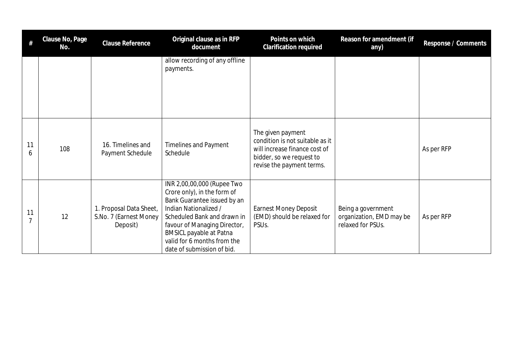| #       | Clause No, Page<br>No. | <b>Clause Reference</b>                                       | Original clause as in RFP<br>document                                                                                                                                                                                                                                           | Points on which<br>Clarification required                                                                                                      | Reason for amendment (if<br>any)                                    | Response / Comments |
|---------|------------------------|---------------------------------------------------------------|---------------------------------------------------------------------------------------------------------------------------------------------------------------------------------------------------------------------------------------------------------------------------------|------------------------------------------------------------------------------------------------------------------------------------------------|---------------------------------------------------------------------|---------------------|
|         |                        |                                                               | allow recording of any offline<br>payments.                                                                                                                                                                                                                                     |                                                                                                                                                |                                                                     |                     |
| 11<br>6 | 108                    | 16. Timelines and<br>Payment Schedule                         | <b>Timelines and Payment</b><br>Schedule                                                                                                                                                                                                                                        | The given payment<br>condition is not suitable as it<br>will increase finance cost of<br>bidder, so we request to<br>revise the payment terms. |                                                                     | As per RFP          |
| 11<br>7 | 12                     | 1. Proposal Data Sheet,<br>S.No. 7 (Earnest Money<br>Deposit) | INR 2,00,00,000 (Rupee Two<br>Crore only), in the form of<br>Bank Guarantee issued by an<br>Indian Nationalized /<br>Scheduled Bank and drawn in<br>favour of Managing Director,<br><b>BMSICL payable at Patna</b><br>valid for 6 months from the<br>date of submission of bid. | <b>Earnest Money Deposit</b><br>(EMD) should be relaxed for<br>PSU <sub>s</sub> .                                                              | Being a government<br>organization, EMD may be<br>relaxed for PSUs. | As per RFP          |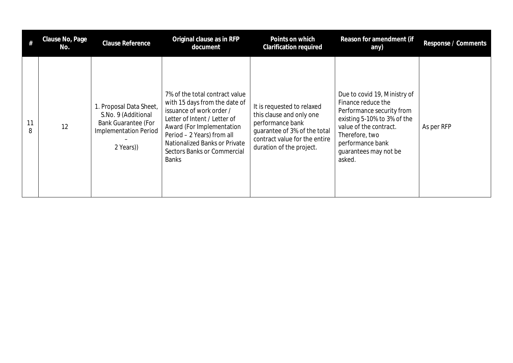| $^{\#}$ | Clause No, Page<br>No. | <b>Clause Reference</b>                                                                                                   | Original clause as in RFP<br>document                                                                                                                                                                                                                                  | Points on which<br><b>Clarification required</b>                                                                                                                        | Reason for amendment (if<br>any)                                                                                                                                                                                  | Response / Comments |
|---------|------------------------|---------------------------------------------------------------------------------------------------------------------------|------------------------------------------------------------------------------------------------------------------------------------------------------------------------------------------------------------------------------------------------------------------------|-------------------------------------------------------------------------------------------------------------------------------------------------------------------------|-------------------------------------------------------------------------------------------------------------------------------------------------------------------------------------------------------------------|---------------------|
| 11<br>8 | 12                     | 1. Proposal Data Sheet,<br>S.No. 9 (Additional<br><b>Bank Guarantee (For</b><br><b>Implementation Period</b><br>2 Years)) | 7% of the total contract value<br>with 15 days from the date of<br>issuance of work order /<br>Letter of Intent / Letter of<br>Award (For Implementation<br>Period - 2 Years) from all<br>Nationalized Banks or Private<br>Sectors Banks or Commercial<br><b>Banks</b> | It is requested to relaxed<br>this clause and only one<br>performance bank<br>quarantee of 3% of the total<br>contract value for the entire<br>duration of the project. | Due to covid 19, Ministry of<br>Finance reduce the<br>Performance security from<br>existing 5-10% to 3% of the<br>value of the contract.<br>Therefore, two<br>performance bank<br>guarantees may not be<br>asked. | As per RFP          |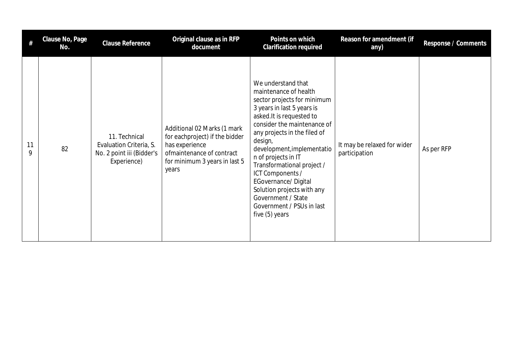| #       | Clause No, Page<br>No. | Clause Reference                                                                     | Original clause as in RFP<br>document                                                                                                                  | Points on which<br><b>Clarification required</b>                                                                                                                                                                                                                                                                                                                                                                                                        | Reason for amendment (if<br>any)             | Response / Comments |
|---------|------------------------|--------------------------------------------------------------------------------------|--------------------------------------------------------------------------------------------------------------------------------------------------------|---------------------------------------------------------------------------------------------------------------------------------------------------------------------------------------------------------------------------------------------------------------------------------------------------------------------------------------------------------------------------------------------------------------------------------------------------------|----------------------------------------------|---------------------|
| 11<br>9 | 82                     | 11. Technical<br>Evaluation Criteria, S.<br>No. 2 point iii (Bidder's<br>Experience) | Additional 02 Marks (1 mark<br>for eachproject) if the bidder<br>has experience<br>ofmaintenance of contract<br>for minimum 3 years in last 5<br>years | We understand that<br>maintenance of health<br>sector projects for minimum<br>3 years in last 5 years is<br>asked. It is requested to<br>consider the maintenance of<br>any projects in the filed of<br>design,<br>development, implementatio<br>n of projects in IT<br>Transformational project /<br>ICT Components /<br><b>EGovernance/Digital</b><br>Solution projects with any<br>Government / State<br>Government / PSUs in last<br>five (5) years | It may be relaxed for wider<br>participation | As per RFP          |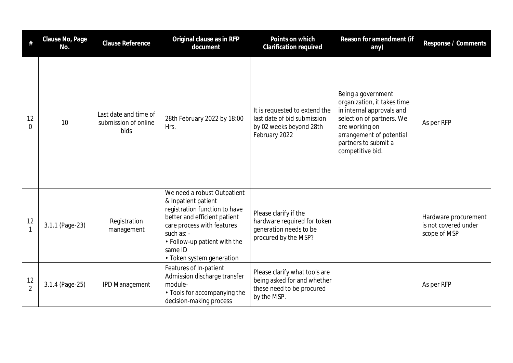|                      | Clause No, Page<br>No. | <b>Clause Reference</b>                               | Original clause as in RFP<br>document                                                                                                                                                                                                   | Points on which<br>Clarification required                                                                | Reason for amendment (if<br>any)                                                                                                                                                                      | Response / Comments                                          |
|----------------------|------------------------|-------------------------------------------------------|-----------------------------------------------------------------------------------------------------------------------------------------------------------------------------------------------------------------------------------------|----------------------------------------------------------------------------------------------------------|-------------------------------------------------------------------------------------------------------------------------------------------------------------------------------------------------------|--------------------------------------------------------------|
| 12<br>0              | 10                     | Last date and time of<br>submission of online<br>bids | 28th February 2022 by 18:00<br>Hrs.                                                                                                                                                                                                     | It is requested to extend the<br>last date of bid submission<br>by 02 weeks beyond 28th<br>February 2022 | Being a government<br>organization, it takes time<br>in internal approvals and<br>selection of partners. We<br>are working on<br>arrangement of potential<br>partners to submit a<br>competitive bid. | As per RFP                                                   |
| 12<br>$\mathbf{1}$   | 3.1.1 (Page-23)        | Registration<br>management                            | We need a robust Outpatient<br>& Inpatient patient<br>registration function to have<br>better and efficient patient<br>care process with features<br>such as: -<br>• Follow-up patient with the<br>same ID<br>• Token system generation | Please clarify if the<br>hardware required for token<br>generation needs to be<br>procured by the MSP?   |                                                                                                                                                                                                       | Hardware procurement<br>is not covered under<br>scope of MSP |
| 12<br>$\overline{2}$ | 3.1.4 (Page-25)        | <b>IPD Management</b>                                 | Features of In-patient<br>Admission discharge transfer<br>module-<br>• Tools for accompanying the<br>decision-making process                                                                                                            | Please clarify what tools are<br>being asked for and whether<br>these need to be procured<br>by the MSP. |                                                                                                                                                                                                       | As per RFP                                                   |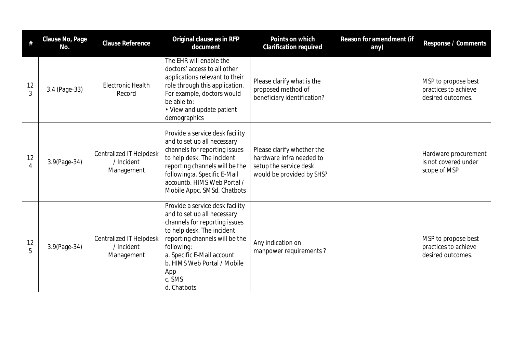|                      | Clause No, Page<br>No. | Clause Reference                                           | Original clause as in RFP<br>document                                                                                                                                                                                                                                      | Points on which<br><b>Clarification required</b>                                                              | Reason for amendment (if<br>any) | Response / Comments                                              |
|----------------------|------------------------|------------------------------------------------------------|----------------------------------------------------------------------------------------------------------------------------------------------------------------------------------------------------------------------------------------------------------------------------|---------------------------------------------------------------------------------------------------------------|----------------------------------|------------------------------------------------------------------|
| 12<br>3              | 3.4 (Page-33)          | <b>Electronic Health</b><br>Record                         | The EHR will enable the<br>doctors' access to all other<br>applications relevant to their<br>role through this application.<br>For example, doctors would<br>be able to:<br>• View and update patient<br>demographics                                                      | Please clarify what is the<br>proposed method of<br>beneficiary identification?                               |                                  | MSP to propose best<br>practices to achieve<br>desired outcomes. |
| 12<br>$\overline{4}$ | 3.9(Page-34)           | <b>Centralized IT Helpdesk</b><br>/ Incident<br>Management | Provide a service desk facility<br>and to set up all necessary<br>channels for reporting issues<br>to help desk. The incident<br>reporting channels will be the<br>following:a. Specific E-Mail<br>accountb. HIMS Web Portal /<br>Mobile Appc. SMSd. Chatbots              | Please clarify whether the<br>hardware infra needed to<br>setup the service desk<br>would be provided by SHS? |                                  | Hardware procurement<br>is not covered under<br>scope of MSP     |
| 12<br>5              | 3.9(Page-34)           | <b>Centralized IT Helpdesk</b><br>/ Incident<br>Management | Provide a service desk facility<br>and to set up all necessary<br>channels for reporting issues<br>to help desk. The incident<br>reporting channels will be the<br>following:<br>a. Specific E-Mail account<br>b. HIMS Web Portal / Mobile<br>App<br>c. SMS<br>d. Chatbots | Any indication on<br>manpower requirements?                                                                   |                                  | MSP to propose best<br>practices to achieve<br>desired outcomes. |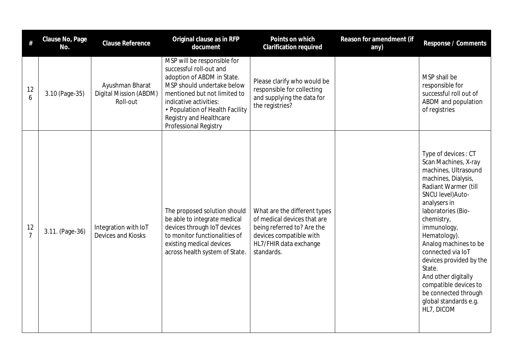| $\#$                 | Clause No, Page<br>No. | <b>Clause Reference</b>                               | Original clause as in RFP<br>document                                                                                                                                                                                                                               | Points on which<br><b>Clarification required</b>                                                                                                             | Reason for amendment (if<br>any) | Response / Comments                                                                                                                                                                                                                                                                                                                                                                                                          |
|----------------------|------------------------|-------------------------------------------------------|---------------------------------------------------------------------------------------------------------------------------------------------------------------------------------------------------------------------------------------------------------------------|--------------------------------------------------------------------------------------------------------------------------------------------------------------|----------------------------------|------------------------------------------------------------------------------------------------------------------------------------------------------------------------------------------------------------------------------------------------------------------------------------------------------------------------------------------------------------------------------------------------------------------------------|
| 12<br>6              | 3.10 (Page-35)         | Ayushman Bharat<br>Digital Mission (ABDM)<br>Roll-out | MSP will be responsible for<br>successful roll-out and<br>adoption of ABDM in State.<br>MSP should undertake below<br>mentioned but not limited to<br>indicative activities:<br>• Population of Health Facility<br>Registry and Healthcare<br>Professional Registry | Please clarify who would be<br>responsible for collecting<br>and supplying the data for<br>the registries?                                                   |                                  | MSP shall be<br>responsible for<br>successful roll out of<br>ABDM and population<br>of registries                                                                                                                                                                                                                                                                                                                            |
| 12<br>$\overline{7}$ | 3.11. (Page-36)        | Integration with IoT<br>Devices and Kiosks            | The proposed solution should<br>be able to integrate medical<br>devices through IoT devices<br>to monitor functionalities of<br>existing medical devices<br>across health system of State.                                                                          | What are the different types<br>of medical devices that are<br>being referred to? Are the<br>devices compatible with<br>HL7/FHIR data exchange<br>standards. |                                  | Type of devices: CT<br>Scan Machines, X-ray<br>machines, Ultrasound<br>machines, Dialysis,<br>Radiant Warmer (till<br>SNCU level) Auto-<br>analysers in<br>laboratories (Bio-<br>chemistry,<br>immunology,<br>Hematology).<br>Analog machines to be<br>connected via IoT<br>devices provided by the<br>State.<br>And other digitally<br>compatible devices to<br>be connected through<br>global standards e.g.<br>HL7, DICOM |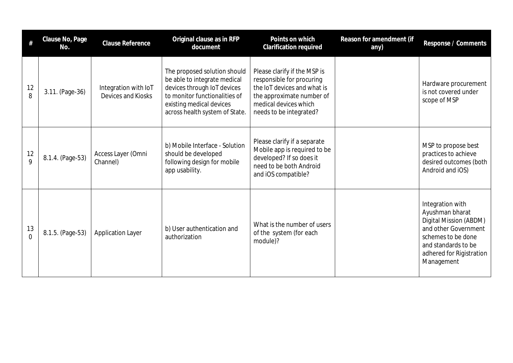| #                    | Clause No, Page<br>No. | <b>Clause Reference</b>                    | Original clause as in RFP<br>document                                                                                                                                                      | Points on which<br>Clarification required                                                                                                                                 | Reason for amendment (if<br>any) | Response / Comments                                                                                                                                                          |
|----------------------|------------------------|--------------------------------------------|--------------------------------------------------------------------------------------------------------------------------------------------------------------------------------------------|---------------------------------------------------------------------------------------------------------------------------------------------------------------------------|----------------------------------|------------------------------------------------------------------------------------------------------------------------------------------------------------------------------|
| 12<br>8              | 3.11. (Page-36)        | Integration with IoT<br>Devices and Kiosks | The proposed solution should<br>be able to integrate medical<br>devices through IoT devices<br>to monitor functionalities of<br>existing medical devices<br>across health system of State. | Please clarify if the MSP is<br>responsible for procuring<br>the IoT devices and what is<br>the approximate number of<br>medical devices which<br>needs to be integrated? |                                  | Hardware procurement<br>is not covered under<br>scope of MSP                                                                                                                 |
| 12<br>$\overline{Q}$ | 8.1.4. (Page-53)       | Access Layer (Omni<br>Channel)             | b) Mobile Interface - Solution<br>should be developed<br>following design for mobile<br>app usability.                                                                                     | Please clarify if a separate<br>Mobile app is required to be<br>developed? If so does it<br>need to be both Android<br>and iOS compatible?                                |                                  | MSP to propose best<br>practices to achieve<br>desired outcomes (both<br>Android and iOS)                                                                                    |
| 13<br>$\Omega$       | 8.1.5. (Page-53)       | <b>Application Layer</b>                   | b) User authentication and<br>authorization                                                                                                                                                | What is the number of users<br>of the system (for each<br>module)?                                                                                                        |                                  | Integration with<br>Ayushman bharat<br>Digital Mission (ABDM)<br>and other Government<br>schemes to be done<br>and standards to be<br>adhered for Rigistration<br>Management |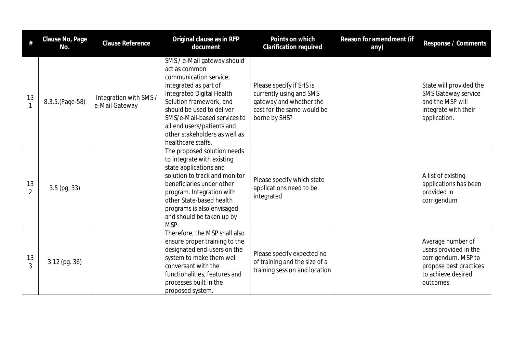| #                    | Clause No, Page<br>No. | <b>Clause Reference</b>                  | Original clause as in RFP<br>document                                                                                                                                                                                                                                                                     | Points on which<br><b>Clarification required</b>                                                                              | Reason for amendment (if<br>any) | Response / Comments                                                                                                            |
|----------------------|------------------------|------------------------------------------|-----------------------------------------------------------------------------------------------------------------------------------------------------------------------------------------------------------------------------------------------------------------------------------------------------------|-------------------------------------------------------------------------------------------------------------------------------|----------------------------------|--------------------------------------------------------------------------------------------------------------------------------|
| 13<br>$\mathbf{1}$   | 8.3.5. (Page-58)       | Integration with SMS /<br>e-Mail Gateway | SMS / e-Mail gateway should<br>act as common<br>communication service,<br>integrated as part of<br>Integrated Digital Health<br>Solution framework, and<br>should be used to deliver<br>SMS/e-Mail-based services to<br>all end users/patients and<br>other stakeholders as well as<br>healthcare staffs. | Please specify if SHS is<br>currently using and SMS<br>gateway and whether the<br>cost for the same would be<br>borne by SHS? |                                  | State will provided the<br><b>SMS Gateway service</b><br>and the MSP will<br>integrate with their<br>application.              |
| 13<br>$\overline{2}$ | $3.5$ (pg. 33)         |                                          | The proposed solution needs<br>to integrate with existing<br>state applications and<br>solution to track and monitor<br>beneficiaries under other<br>program. Integration with<br>other State-based health<br>programs is also envisaged<br>and should be taken up by<br><b>MSP</b>                       | Please specify which state<br>applications need to be<br>integrated                                                           |                                  | A list of existing<br>applications has been<br>provided in<br>corrigendum                                                      |
| 13<br>3              | $3.12$ (pg. 36)        |                                          | Therefore, the MSP shall also<br>ensure proper training to the<br>designated end-users on the<br>system to make them well<br>conversant with the<br>functionalities, features and<br>processes built in the<br>proposed system.                                                                           | Please specify expected no<br>of training and the size of a<br>training session and location                                  |                                  | Average number of<br>users provided in the<br>corrigendum. MSP to<br>propose best practices<br>to achieve desired<br>outcomes. |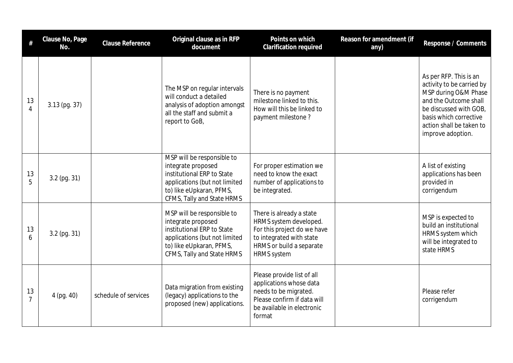| #                    | Clause No, Page<br>No. | Clause Reference     | Original clause as in RFP<br>document                                                                                                                                     | Points on which<br>Clarification required                                                                                                                       | Reason for amendment (if<br>any) | Response / Comments                                                                                                                                                                                       |
|----------------------|------------------------|----------------------|---------------------------------------------------------------------------------------------------------------------------------------------------------------------------|-----------------------------------------------------------------------------------------------------------------------------------------------------------------|----------------------------------|-----------------------------------------------------------------------------------------------------------------------------------------------------------------------------------------------------------|
| 13<br>$\overline{4}$ | $3.13$ (pg. 37)        |                      | The MSP on regular intervals<br>will conduct a detailed<br>analysis of adoption amongst<br>all the staff and submit a<br>report to GoB,                                   | There is no payment<br>milestone linked to this.<br>How will this be linked to<br>payment milestone?                                                            |                                  | As per RFP. This is an<br>activity to be carried by<br>MSP during O&M Phase<br>and the Outcome shall<br>be discussed with GOB,<br>basis which corrective<br>action shall be taken to<br>improve adoption. |
| $\frac{13}{5}$       | $3.2$ (pg. 31)         |                      | MSP will be responsible to<br>integrate proposed<br>institutional ERP to State<br>applications (but not limited<br>to) like eUpkaran, PFMS,<br>CFMS, Tally and State HRMS | For proper estimation we<br>need to know the exact<br>number of applications to<br>be integrated.                                                               |                                  | A list of existing<br>applications has been<br>provided in<br>corrigendum                                                                                                                                 |
| 13<br>6              | $3.2$ (pg. 31)         |                      | MSP will be responsible to<br>integrate proposed<br>institutional ERP to State<br>applications (but not limited<br>to) like eUpkaran, PFMS,<br>CFMS, Tally and State HRMS | There is already a state<br>HRMS system developed.<br>For this project do we have<br>to integrated with state<br>HRMS or build a separate<br><b>HRMS</b> system |                                  | MSP is expected to<br>build an institutional<br>HRMS system which<br>will be integrated to<br>state HRMS                                                                                                  |
| 13<br>$\overline{7}$ | $4$ (pg. $40$ )        | schedule of services | Data migration from existing<br>(legacy) applications to the<br>proposed (new) applications.                                                                              | Please provide list of all<br>applications whose data<br>needs to be migrated.<br>Please confirm if data will<br>be available in electronic<br>format           |                                  | Please refer<br>corrigendum                                                                                                                                                                               |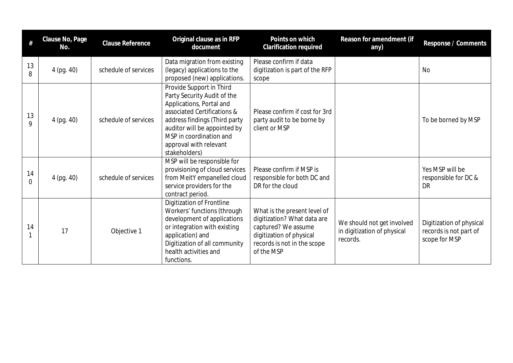| #              | Clause No, Page<br>No. | Clause Reference     | Original clause as in RFP<br>document                                                                                                                                                                                                                     | Points on which<br>Clarification required                                                                                                                   | Reason for amendment (if<br>any)                                      | Response / Comments                                                 |
|----------------|------------------------|----------------------|-----------------------------------------------------------------------------------------------------------------------------------------------------------------------------------------------------------------------------------------------------------|-------------------------------------------------------------------------------------------------------------------------------------------------------------|-----------------------------------------------------------------------|---------------------------------------------------------------------|
| 13<br>8        | 4 (pg. 40)             | schedule of services | Data migration from existing<br>(legacy) applications to the<br>proposed (new) applications.                                                                                                                                                              | Please confirm if data<br>digitization is part of the RFP<br>scope                                                                                          |                                                                       | <b>No</b>                                                           |
| 13<br>9        | 4 (pg. 40)             | schedule of services | Provide Support in Third<br>Party Security Audit of the<br>Applications, Portal and<br>associated Certifications &<br>address findings (Third party<br>auditor will be appointed by<br>MSP in coordination and<br>approval with relevant<br>stakeholders) | Please confirm if cost for 3rd<br>party audit to be borne by<br>client or MSP                                                                               |                                                                       | To be borned by MSP                                                 |
| 14<br>$\Omega$ | 4 (pg. 40)             | schedule of services | MSP will be responsible for<br>provisioning of cloud services<br>from MeitY empanelled cloud<br>service providers for the<br>contract period.                                                                                                             | Please confirm if MSP is<br>responsible for both DC and<br>DR for the cloud                                                                                 |                                                                       | Yes MSP will be<br>responsible for DC &<br><b>DR</b>                |
| 14             | 17                     | Objective 1          | Digitization of Frontline<br>Workers' functions (through<br>development of applications<br>or integration with existing<br>application) and<br>Digitization of all community<br>health activities and<br>functions.                                       | What is the present level of<br>digitization? What data are<br>captured? We assume<br>digitization of physical<br>records is not in the scope<br>of the MSP | We should not get involved<br>in digitization of physical<br>records. | Digitization of physical<br>records is not part of<br>scope for MSP |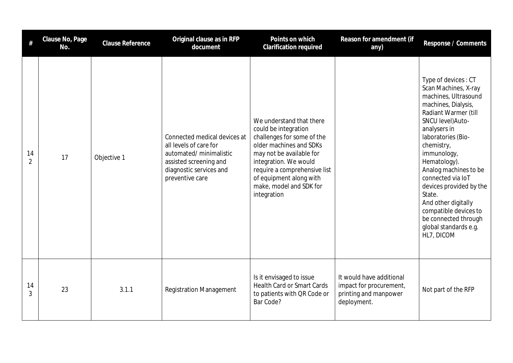| #                    | Clause No, Page<br>No. | <b>Clause Reference</b> | Original clause as in RFP<br>document                                                                                                                     | Points on which<br>Clarification required                                                                                                                                                                                                                           | Reason for amendment (if<br>any)                                                            | Response / Comments                                                                                                                                                                                                                                                                                                                                                                                                          |
|----------------------|------------------------|-------------------------|-----------------------------------------------------------------------------------------------------------------------------------------------------------|---------------------------------------------------------------------------------------------------------------------------------------------------------------------------------------------------------------------------------------------------------------------|---------------------------------------------------------------------------------------------|------------------------------------------------------------------------------------------------------------------------------------------------------------------------------------------------------------------------------------------------------------------------------------------------------------------------------------------------------------------------------------------------------------------------------|
| 14<br>$\overline{2}$ | 17                     | Objective 1             | Connected medical devices at<br>all levels of care for<br>automated/ minimalistic<br>assisted screening and<br>diagnostic services and<br>preventive care | We understand that there<br>could be integration<br>challenges for some of the<br>older machines and SDKs<br>may not be available for<br>integration. We would<br>require a comprehensive list<br>of equipment along with<br>make, model and SDK for<br>integration |                                                                                             | Type of devices: CT<br>Scan Machines, X-ray<br>machines, Ultrasound<br>machines, Dialysis,<br>Radiant Warmer (till<br>SNCU level) Auto-<br>analysers in<br>laboratories (Bio-<br>chemistry,<br>immunology,<br>Hematology).<br>Analog machines to be<br>connected via IoT<br>devices provided by the<br>State.<br>And other digitally<br>compatible devices to<br>be connected through<br>global standards e.g.<br>HL7, DICOM |
| 14<br>3              | 23                     | 3.1.1                   | <b>Registration Management</b>                                                                                                                            | Is it envisaged to issue<br><b>Health Card or Smart Cards</b><br>to patients with QR Code or<br>Bar Code?                                                                                                                                                           | It would have additional<br>impact for procurement,<br>printing and manpower<br>deployment. | Not part of the RFP                                                                                                                                                                                                                                                                                                                                                                                                          |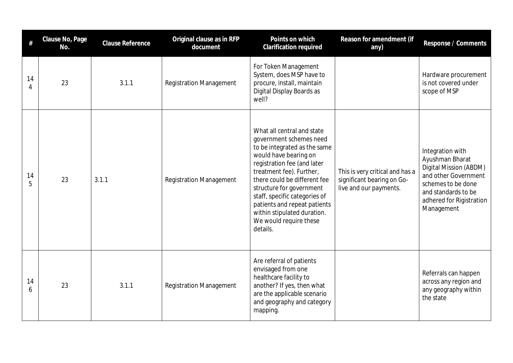| #       | Clause No, Page<br>No. | <b>Clause Reference</b> | Original clause as in RFP<br>document | Points on which<br>Clarification required                                                                                                                                                                                                                                                                                                                                   | Reason for amendment (if<br>any)                                                        | Response / Comments                                                                                                                                                          |
|---------|------------------------|-------------------------|---------------------------------------|-----------------------------------------------------------------------------------------------------------------------------------------------------------------------------------------------------------------------------------------------------------------------------------------------------------------------------------------------------------------------------|-----------------------------------------------------------------------------------------|------------------------------------------------------------------------------------------------------------------------------------------------------------------------------|
| 14<br>4 | 23                     | 3.1.1                   | <b>Registration Management</b>        | For Token Management<br>System, does MSP have to<br>procure, install, maintain<br>Digital Display Boards as<br>well?                                                                                                                                                                                                                                                        |                                                                                         | Hardware procurement<br>is not covered under<br>scope of MSP                                                                                                                 |
| 14<br>5 | 23                     | 3.1.1                   | <b>Registration Management</b>        | What all central and state<br>government schemes need<br>to be integrated as the same<br>would have bearing on<br>registration fee (and later<br>treatment fee). Further,<br>there could be different fee<br>structure for government<br>staff, specific categories of<br>patients and repeat patients<br>within stipulated duration.<br>We would require these<br>details. | This is very critical and has a<br>significant bearing on Go-<br>live and our payments. | Integration with<br>Ayushman Bharat<br>Digital Mission (ABDM)<br>and other Government<br>schemes to be done<br>and standards to be<br>adhered for Rigistration<br>Management |
| 14<br>6 | 23                     | 3.1.1                   | <b>Registration Management</b>        | Are referral of patients<br>envisaged from one<br>healthcare facility to<br>another? If yes, then what<br>are the applicable scenario<br>and geography and category<br>mapping.                                                                                                                                                                                             |                                                                                         | Referrals can happen<br>across any region and<br>any geography within<br>the state                                                                                           |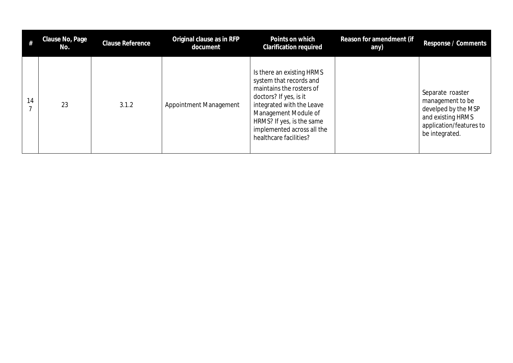|    | Clause No, Page<br>No. | Clause Reference | Original clause as in RFP<br>document | Points on which<br><b>Clarification required</b>                                                                                                                                                                                                     | Reason for amendment (if<br>any) | Response / Comments                                                                                                           |
|----|------------------------|------------------|---------------------------------------|------------------------------------------------------------------------------------------------------------------------------------------------------------------------------------------------------------------------------------------------------|----------------------------------|-------------------------------------------------------------------------------------------------------------------------------|
| 14 | 23                     | 3.1.2            | Appointment Management                | Is there an existing HRMS<br>system that records and<br>maintains the rosters of<br>doctors? If yes, is it<br>integrated with the Leave<br>Management Module of<br>HRMS? If yes, is the same<br>implemented across all the<br>healthcare facilities? |                                  | Separate roaster<br>management to be<br>develped by the MSP<br>and existing HRMS<br>application/features to<br>be integrated. |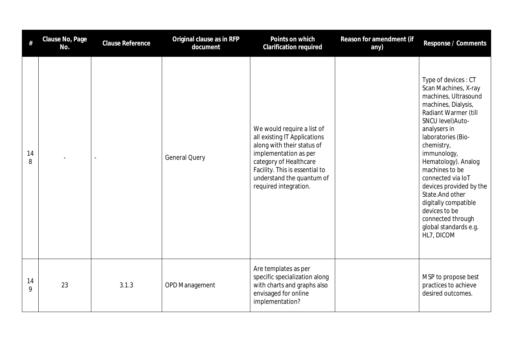| #       | Clause No, Page<br>No. | <b>Clause Reference</b>  | Original clause as in RFP<br>document | Points on which<br>Clarification required                                                                                                                                                                                           | Reason for amendment (if<br>any) | Response / Comments                                                                                                                                                                                                                                                                                                                                                                                                          |
|---------|------------------------|--------------------------|---------------------------------------|-------------------------------------------------------------------------------------------------------------------------------------------------------------------------------------------------------------------------------------|----------------------------------|------------------------------------------------------------------------------------------------------------------------------------------------------------------------------------------------------------------------------------------------------------------------------------------------------------------------------------------------------------------------------------------------------------------------------|
| 14<br>8 |                        | $\overline{\phantom{a}}$ | <b>General Query</b>                  | We would require a list of<br>all existing IT Applications<br>along with their status of<br>implementation as per<br>category of Healthcare<br>Facility. This is essential to<br>understand the quantum of<br>required integration. |                                  | Type of devices: CT<br>Scan Machines, X-ray<br>machines, Ultrasound<br>machines, Dialysis,<br>Radiant Warmer (till<br>SNCU level) Auto-<br>analysers in<br>laboratories (Bio-<br>chemistry,<br>immunology,<br>Hematology). Analog<br>machines to be<br>connected via IoT<br>devices provided by the<br>State. And other<br>digitally compatible<br>devices to be<br>connected through<br>global standards e.g.<br>HL7, DICOM |
| 14<br>9 | 23                     | 3.1.3                    | <b>OPD Management</b>                 | Are templates as per<br>specific specialization along<br>with charts and graphs also<br>envisaged for online<br>implementation?                                                                                                     |                                  | MSP to propose best<br>practices to achieve<br>desired outcomes.                                                                                                                                                                                                                                                                                                                                                             |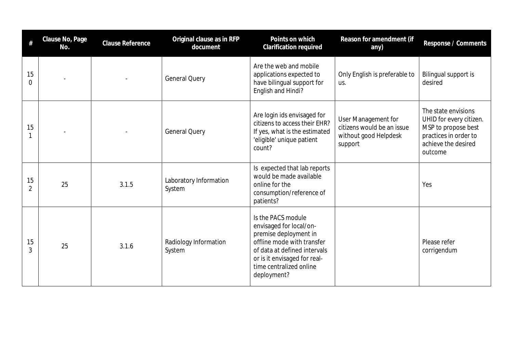| $\#$                 | Clause No, Page<br>No. | Clause Reference | Original clause as in RFP<br>document | Points on which<br>Clarification required                                                                                                                                                                      | Reason for amendment (if<br>any)                                                      | Response / Comments                                                                                                              |
|----------------------|------------------------|------------------|---------------------------------------|----------------------------------------------------------------------------------------------------------------------------------------------------------------------------------------------------------------|---------------------------------------------------------------------------------------|----------------------------------------------------------------------------------------------------------------------------------|
| 15<br>$\Omega$       |                        |                  | <b>General Query</b>                  | Are the web and mobile<br>applications expected to<br>have bilingual support for<br>English and Hindi?                                                                                                         | Only English is preferable to<br>us.                                                  | Bilingual support is<br>desired                                                                                                  |
| 15                   |                        |                  | <b>General Query</b>                  | Are login ids envisaged for<br>citizens to access their EHR?<br>If yes, what is the estimated<br>'eligible' unique patient<br>count?                                                                           | User Management for<br>citizens would be an issue<br>without good Helpdesk<br>support | The state envisions<br>UHID for every citizen.<br>MSP to propose best<br>practices in order to<br>achieve the desired<br>outcome |
| 15<br>$\overline{2}$ | 25                     | 3.1.5            | Laboratory Information<br>System      | Is expected that lab reports<br>would be made available<br>online for the<br>consumption/reference of<br>patients?                                                                                             |                                                                                       | Yes                                                                                                                              |
| 15<br>3              | 25                     | 3.1.6            | Radiology Information<br>System       | Is the PACS module<br>envisaged for local/on-<br>premise deployment in<br>offline mode with transfer<br>of data at defined intervals<br>or is it envisaged for real-<br>time centralized online<br>deployment? |                                                                                       | Please refer<br>corrigendum                                                                                                      |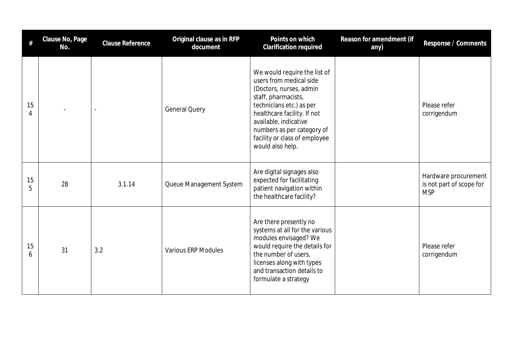| #       | Clause No, Page<br>No. | Clause Reference         | Original clause as in RFP<br>document | Points on which<br>Clarification required                                                                                                                                                                                                                                        | Reason for amendment (if<br>any) | Response / Comments                                            |
|---------|------------------------|--------------------------|---------------------------------------|----------------------------------------------------------------------------------------------------------------------------------------------------------------------------------------------------------------------------------------------------------------------------------|----------------------------------|----------------------------------------------------------------|
| 15<br>4 |                        | $\overline{\phantom{a}}$ | <b>General Query</b>                  | We would require the list of<br>users from medical side<br>(Doctors, nurses, admin<br>staff, pharmacists,<br>technicians etc.) as per<br>healthcare facility. If not<br>available, indicative<br>numbers as per category of<br>facility or class of employee<br>would also help. |                                  | Please refer<br>corrigendum                                    |
| 15<br>5 | 28                     | 3.1.14                   | Queue Management System               | Are digital signages also<br>expected for facilitating<br>patient navigation within<br>the healthcare facility?                                                                                                                                                                  |                                  | Hardware procurement<br>is not part of scope for<br><b>MSP</b> |
| 15<br>6 | 31                     | 3.2                      | <b>Various ERP Modules</b>            | Are there presently no<br>systems at all for the various<br>modules envisaged? We<br>would require the details for<br>the number of users,<br>licenses along with types<br>and transaction details to<br>formulate a strategy                                                    |                                  | Please refer<br>corrigendum                                    |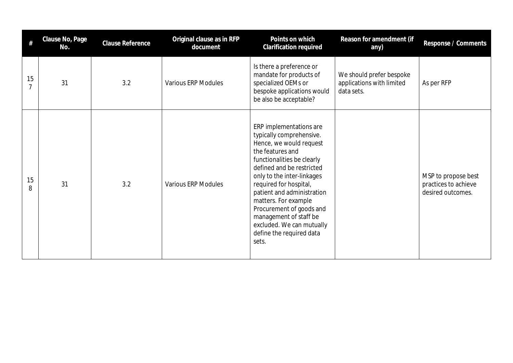|         | Clause No, Page<br>No. | <b>Clause Reference</b> | Original clause as in RFP<br>document | Points on which<br>Clarification required                                                                                                                                                                                                                                                                                                                                                           | Reason for amendment (if<br>any)                                    | Response / Comments                                              |
|---------|------------------------|-------------------------|---------------------------------------|-----------------------------------------------------------------------------------------------------------------------------------------------------------------------------------------------------------------------------------------------------------------------------------------------------------------------------------------------------------------------------------------------------|---------------------------------------------------------------------|------------------------------------------------------------------|
| 15      | 31                     | 3.2                     | <b>Various ERP Modules</b>            | Is there a preference or<br>mandate for products of<br>specialized OEMs or<br>bespoke applications would<br>be also be acceptable?                                                                                                                                                                                                                                                                  | We should prefer bespoke<br>applications with limited<br>data sets. | As per RFP                                                       |
| 15<br>8 | 31                     | 3.2                     | <b>Various ERP Modules</b>            | ERP implementations are<br>typically comprehensive.<br>Hence, we would request<br>the features and<br>functionalities be clearly<br>defined and be restricted<br>only to the inter-linkages<br>required for hospital,<br>patient and administration<br>matters. For example<br>Procurement of goods and<br>management of staff be<br>excluded. We can mutually<br>define the required data<br>sets. |                                                                     | MSP to propose best<br>practices to achieve<br>desired outcomes. |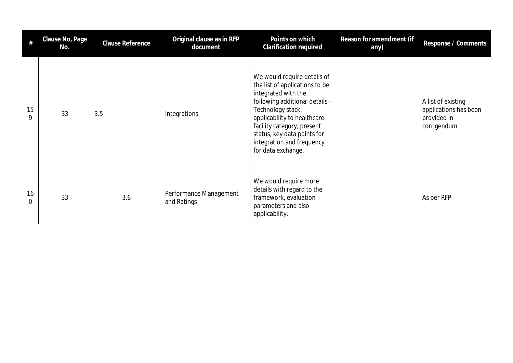| #              | Clause No, Page<br>No. | <b>Clause Reference</b> | Original clause as in RFP<br>document | Points on which<br>Clarification required                                                                                                                                                                                                                                                  | Reason for amendment (if<br>any) | Response / Comments                                                       |
|----------------|------------------------|-------------------------|---------------------------------------|--------------------------------------------------------------------------------------------------------------------------------------------------------------------------------------------------------------------------------------------------------------------------------------------|----------------------------------|---------------------------------------------------------------------------|
| 15<br>9        | 33                     | 3.5                     | Integrations                          | We would require details of<br>the list of applications to be<br>integrated with the<br>following additional details -<br>Technology stack,<br>applicability to healthcare<br>facility category, present<br>status, key data points for<br>integration and frequency<br>for data exchange. |                                  | A list of existing<br>applications has been<br>provided in<br>corrigendum |
| 16<br>$\Omega$ | 33                     | 3.6                     | Performance Management<br>and Ratings | We would require more<br>details with regard to the<br>framework, evaluation<br>parameters and also<br>applicability.                                                                                                                                                                      |                                  | As per RFP                                                                |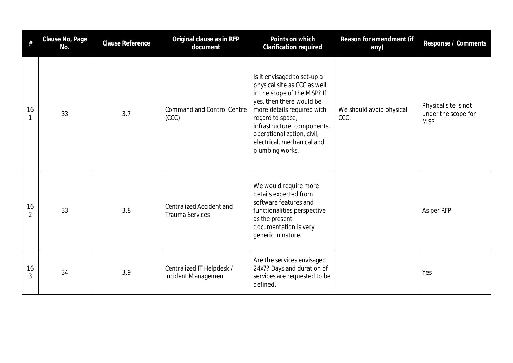| #                    | Clause No, Page<br>No. | <b>Clause Reference</b> | Original clause as in RFP<br>document                     | Points on which<br>Clarification required                                                                                                                                                                                                                                              | Reason for amendment (if<br>any) | Response / Comments                                       |
|----------------------|------------------------|-------------------------|-----------------------------------------------------------|----------------------------------------------------------------------------------------------------------------------------------------------------------------------------------------------------------------------------------------------------------------------------------------|----------------------------------|-----------------------------------------------------------|
| 16                   | 33                     | 3.7                     | <b>Command and Control Centre</b><br>(CCC)                | Is it envisaged to set-up a<br>physical site as CCC as well<br>in the scope of the MSP? If<br>yes, then there would be<br>more details required with<br>regard to space,<br>infrastructure, components,<br>operationalization, civil,<br>electrical, mechanical and<br>plumbing works. | We should avoid physical<br>CCC. | Physical site is not<br>under the scope for<br><b>MSP</b> |
| 16<br>$\overline{2}$ | 33                     | 3.8                     | <b>Centralized Accident and</b><br><b>Trauma Services</b> | We would require more<br>details expected from<br>software features and<br>functionalities perspective<br>as the present<br>documentation is very<br>generic in nature.                                                                                                                |                                  | As per RFP                                                |
| 16<br>3              | 34                     | 3.9                     | Centralized IT Helpdesk /<br>Incident Management          | Are the services envisaged<br>24x7? Days and duration of<br>services are requested to be<br>defined.                                                                                                                                                                                   |                                  | Yes                                                       |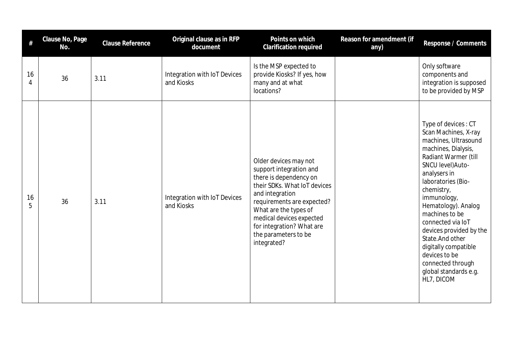|         | Clause No, Page<br>No. | Clause Reference | Original clause as in RFP<br>document      | Points on which<br>Clarification required                                                                                                                                                                                                                                            | Reason for amendment (if<br>any) | Response / Comments                                                                                                                                                                                                                                                                                                                                                                                                          |
|---------|------------------------|------------------|--------------------------------------------|--------------------------------------------------------------------------------------------------------------------------------------------------------------------------------------------------------------------------------------------------------------------------------------|----------------------------------|------------------------------------------------------------------------------------------------------------------------------------------------------------------------------------------------------------------------------------------------------------------------------------------------------------------------------------------------------------------------------------------------------------------------------|
| 16<br>4 | 36                     | 3.11             | Integration with IoT Devices<br>and Kiosks | Is the MSP expected to<br>provide Kiosks? If yes, how<br>many and at what<br>locations?                                                                                                                                                                                              |                                  | Only software<br>components and<br>integration is supposed<br>to be provided by MSP                                                                                                                                                                                                                                                                                                                                          |
| 16<br>5 | 36                     | 3.11             | Integration with IoT Devices<br>and Kiosks | Older devices may not<br>support integration and<br>there is dependency on<br>their SDKs. What IoT devices<br>and integration<br>requirements are expected?<br>What are the types of<br>medical devices expected<br>for integration? What are<br>the parameters to be<br>integrated? |                                  | Type of devices: CT<br>Scan Machines, X-ray<br>machines, Ultrasound<br>machines, Dialysis,<br>Radiant Warmer (till<br>SNCU level) Auto-<br>analysers in<br>laboratories (Bio-<br>chemistry,<br>immunology,<br>Hematology). Analog<br>machines to be<br>connected via IoT<br>devices provided by the<br>State. And other<br>digitally compatible<br>devices to be<br>connected through<br>global standards e.g.<br>HL7, DICOM |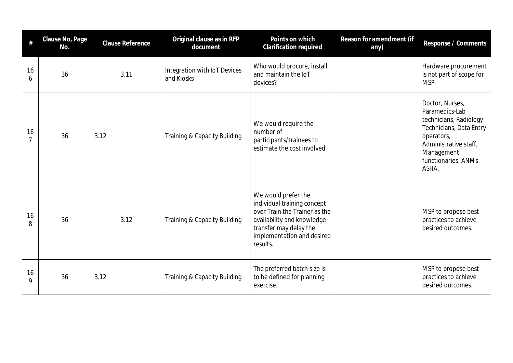| $\#$                 | Clause No, Page<br>No. | Clause Reference | Original clause as in RFP<br>document      | Points on which<br>Clarification required                                                                                                                                             | Reason for amendment (if<br>any) | Response / Comments                                                                                                                                                         |
|----------------------|------------------------|------------------|--------------------------------------------|---------------------------------------------------------------------------------------------------------------------------------------------------------------------------------------|----------------------------------|-----------------------------------------------------------------------------------------------------------------------------------------------------------------------------|
| 16<br>6              | 36                     | 3.11             | Integration with IoT Devices<br>and Kiosks | Who would procure, install<br>and maintain the IoT<br>devices?                                                                                                                        |                                  | Hardware procurement<br>is not part of scope for<br><b>MSP</b>                                                                                                              |
| 16<br>$\overline{7}$ | 36                     | 3.12             | Training & Capacity Building               | We would require the<br>number of<br>participants/trainees to<br>estimate the cost involved                                                                                           |                                  | Doctor, Nurses,<br>Paramedics-Lab<br>technicians, Radiology<br>Technicians, Data Entry<br>operators,<br>Administrative staff,<br>Management<br>functionaries, ANMs<br>ASHA, |
| 16<br>8              | 36                     | 3.12             | Training & Capacity Building               | We would prefer the<br>individual training concept<br>over Train the Trainer as the<br>availability and knowledge<br>transfer may delay the<br>implementation and desired<br>results. |                                  | MSP to propose best<br>practices to achieve<br>desired outcomes.                                                                                                            |
| 16<br>9              | 36                     | 3.12             | Training & Capacity Building               | The preferred batch size is<br>to be defined for planning<br>exercise.                                                                                                                |                                  | MSP to propose best<br>practices to achieve<br>desired outcomes.                                                                                                            |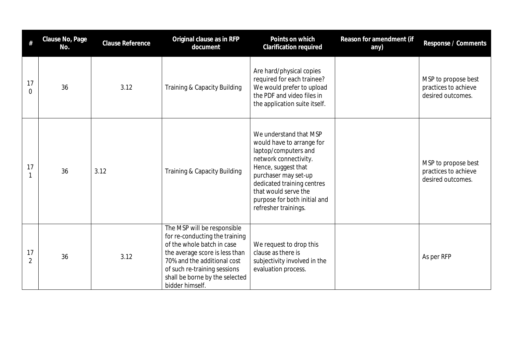| #                    | Clause No, Page<br>No. | Clause Reference | Original clause as in RFP<br>document                                                                                                                                                                                                             | Points on which<br>Clarification required                                                                                                                                                                                                                         | Reason for amendment (if<br>any) | Response / Comments                                              |
|----------------------|------------------------|------------------|---------------------------------------------------------------------------------------------------------------------------------------------------------------------------------------------------------------------------------------------------|-------------------------------------------------------------------------------------------------------------------------------------------------------------------------------------------------------------------------------------------------------------------|----------------------------------|------------------------------------------------------------------|
| 17<br>$\overline{0}$ | 36                     | 3.12             | Training & Capacity Building                                                                                                                                                                                                                      | Are hard/physical copies<br>required for each trainee?<br>We would prefer to upload<br>the PDF and video files in<br>the application suite itself.                                                                                                                |                                  | MSP to propose best<br>practices to achieve<br>desired outcomes. |
| 17                   | 36                     | 3.12             | Training & Capacity Building                                                                                                                                                                                                                      | We understand that MSP<br>would have to arrange for<br>laptop/computers and<br>network connectivity.<br>Hence, suggest that<br>purchaser may set-up<br>dedicated training centres<br>that would serve the<br>purpose for both initial and<br>refresher trainings. |                                  | MSP to propose best<br>practices to achieve<br>desired outcomes. |
| 17<br>$\overline{2}$ | 36                     | 3.12             | The MSP will be responsible<br>for re-conducting the training<br>of the whole batch in case<br>the average score is less than<br>70% and the additional cost<br>of such re-training sessions<br>shall be borne by the selected<br>bidder himself. | We request to drop this<br>clause as there is<br>subjectivity involved in the<br>evaluation process.                                                                                                                                                              |                                  | As per RFP                                                       |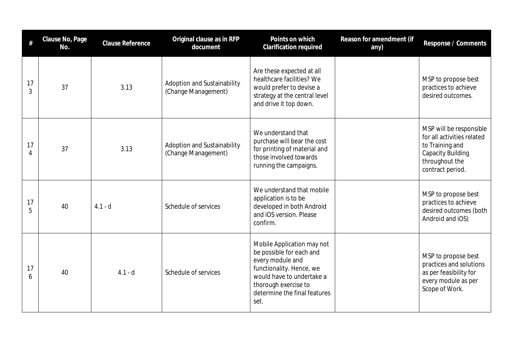|                      | Clause No, Page<br>No. | <b>Clause Reference</b> | Original clause as in RFP<br>document              | Points on which<br>Clarification required                                                                                                                                                           | Reason for amendment (if<br>any) | Response / Comments                                                                                                                        |
|----------------------|------------------------|-------------------------|----------------------------------------------------|-----------------------------------------------------------------------------------------------------------------------------------------------------------------------------------------------------|----------------------------------|--------------------------------------------------------------------------------------------------------------------------------------------|
| 17<br>3              | 37                     | 3.13                    | Adoption and Sustainability<br>(Change Management) | Are these expected at all<br>healthcare facilities? We<br>would prefer to devise a<br>strategy at the central level<br>and drive it top down.                                                       |                                  | MSP to propose best<br>practices to achieve<br>desired outcomes.                                                                           |
| 17<br>$\overline{A}$ | 37                     | 3.13                    | Adoption and Sustainability<br>(Change Management) | We understand that<br>purchase will bear the cost<br>for printing of material and<br>those involved towards<br>running the campaigns.                                                               |                                  | MSP will be responsible<br>for all activities related<br>to Training and<br><b>Capacity Building</b><br>throughout the<br>contract period. |
| 17<br>5              | 40                     | $4.1 - d$               | Schedule of services                               | We understand that mobile<br>application is to be<br>developed in both Android<br>and iOS version. Please<br>confirm.                                                                               |                                  | MSP to propose best<br>practices to achieve<br>desired outcomes (both<br>Android and iOS)                                                  |
| 17<br>6              | 40                     | $4.1 - d$               | Schedule of services                               | Mobile Application may not<br>be possible for each and<br>every module and<br>functionality. Hence, we<br>would have to undertake a<br>thorough exercise to<br>determine the final features<br>set. |                                  | MSP to propose best<br>practices and solutions<br>as per feasibility for<br>every module as per<br>Scope of Work.                          |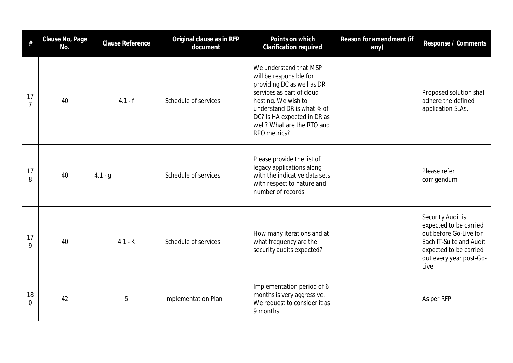| #                    | Clause No, Page<br>No. | <b>Clause Reference</b> | Original clause as in RFP<br>document | Points on which<br><b>Clarification required</b>                                                                                                                                                                                               | Reason for amendment (if<br>any) | Response / Comments                                                                                                                                           |
|----------------------|------------------------|-------------------------|---------------------------------------|------------------------------------------------------------------------------------------------------------------------------------------------------------------------------------------------------------------------------------------------|----------------------------------|---------------------------------------------------------------------------------------------------------------------------------------------------------------|
| 17<br>$\overline{7}$ | 40                     | $4.1 - f$               | Schedule of services                  | We understand that MSP<br>will be responsible for<br>providing DC as well as DR<br>services as part of cloud<br>hosting. We wish to<br>understand DR is what % of<br>DC? Is HA expected in DR as<br>well? What are the RTO and<br>RPO metrics? |                                  | Proposed solution shall<br>adhere the defined<br>application SLAs.                                                                                            |
| 17<br>8              | 40                     | $4.1 - g$               | Schedule of services                  | Please provide the list of<br>legacy applications along<br>with the indicative data sets<br>with respect to nature and<br>number of records.                                                                                                   |                                  | Please refer<br>corrigendum                                                                                                                                   |
| 17<br>9              | 40                     | $4.1 - K$               | Schedule of services                  | How many iterations and at<br>what frequency are the<br>security audits expected?                                                                                                                                                              |                                  | Security Audit is<br>expected to be carried<br>out before Go-Live for<br>Each IT-Suite and Audit<br>expected to be carried<br>out every year post-Go-<br>Live |
| 18<br>0              | 42                     | 5                       | Implementation Plan                   | Implementation period of 6<br>months is very aggressive.<br>We request to consider it as<br>9 months.                                                                                                                                          |                                  | As per RFP                                                                                                                                                    |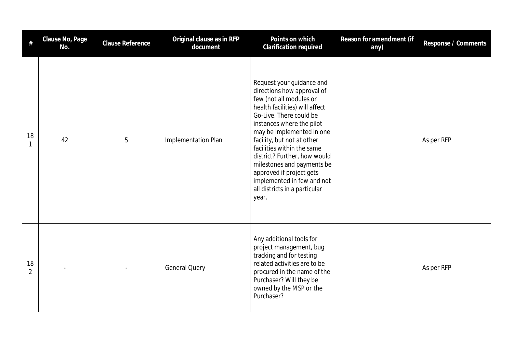| #                    | Clause No, Page<br>No. | <b>Clause Reference</b> | Original clause as in RFP<br>document | Points on which<br>Clarification required                                                                                                                                                                                                                                                                                                                                                                                               | Reason for amendment (if<br>any) | Response / Comments |
|----------------------|------------------------|-------------------------|---------------------------------------|-----------------------------------------------------------------------------------------------------------------------------------------------------------------------------------------------------------------------------------------------------------------------------------------------------------------------------------------------------------------------------------------------------------------------------------------|----------------------------------|---------------------|
| 18<br>$\mathbf{1}$   | 42                     | 5                       | Implementation Plan                   | Request your guidance and<br>directions how approval of<br>few (not all modules or<br>health facilities) will affect<br>Go-Live. There could be<br>instances where the pilot<br>may be implemented in one<br>facility, but not at other<br>facilities within the same<br>district? Further, how would<br>milestones and payments be<br>approved if project gets<br>implemented in few and not<br>all districts in a particular<br>year. |                                  | As per RFP          |
| 18<br>$\overline{2}$ |                        |                         | <b>General Query</b>                  | Any additional tools for<br>project management, bug<br>tracking and for testing<br>related activities are to be<br>procured in the name of the<br>Purchaser? Will they be<br>owned by the MSP or the<br>Purchaser?                                                                                                                                                                                                                      |                                  | As per RFP          |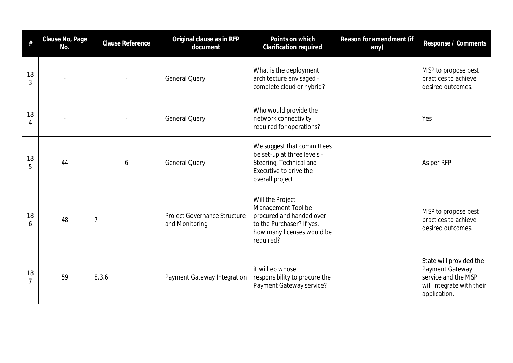| #                    | Clause No, Page<br>No. | <b>Clause Reference</b> | Original clause as in RFP<br>document          | Points on which<br>Clarification required                                                                                                  | Reason for amendment (if<br>any) | Response / Comments                                                                                            |
|----------------------|------------------------|-------------------------|------------------------------------------------|--------------------------------------------------------------------------------------------------------------------------------------------|----------------------------------|----------------------------------------------------------------------------------------------------------------|
| 18<br>3              |                        |                         | <b>General Query</b>                           | What is the deployment<br>architecture envisaged -<br>complete cloud or hybrid?                                                            |                                  | MSP to propose best<br>practices to achieve<br>desired outcomes.                                               |
| 18<br>4              |                        |                         | <b>General Query</b>                           | Who would provide the<br>network connectivity<br>required for operations?                                                                  |                                  | Yes                                                                                                            |
| 18<br>5              | 44                     | 6                       | <b>General Query</b>                           | We suggest that committees<br>be set-up at three levels -<br>Steering, Technical and<br>Executive to drive the<br>overall project          |                                  | As per RFP                                                                                                     |
| 18<br>6              | 48                     | $\overline{7}$          | Project Governance Structure<br>and Monitoring | Will the Project<br>Management Tool be<br>procured and handed over<br>to the Purchaser? If yes,<br>how many licenses would be<br>required? |                                  | MSP to propose best<br>practices to achieve<br>desired outcomes.                                               |
| 18<br>$\overline{7}$ | 59                     | 8.3.6                   | Payment Gateway Integration                    | it will eb whose<br>responsibility to procure the<br>Payment Gateway service?                                                              |                                  | State will provided the<br>Payment Gateway<br>service and the MSP<br>will integrate with their<br>application. |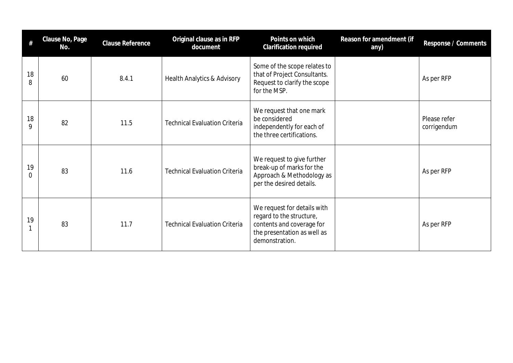| $\#$    | Clause No, Page<br>No. | <b>Clause Reference</b> | Original clause as in RFP<br>document  | Points on which<br>Clarification required                                                                                             | Reason for amendment (if<br>any) | Response / Comments         |
|---------|------------------------|-------------------------|----------------------------------------|---------------------------------------------------------------------------------------------------------------------------------------|----------------------------------|-----------------------------|
| 18<br>8 | 60                     | 8.4.1                   | <b>Health Analytics &amp; Advisory</b> | Some of the scope relates to<br>that of Project Consultants.<br>Request to clarify the scope<br>for the MSP.                          |                                  | As per RFP                  |
| 18<br>9 | 82                     | 11.5                    | <b>Technical Evaluation Criteria</b>   | We request that one mark<br>be considered<br>independently for each of<br>the three certifications.                                   |                                  | Please refer<br>corrigendum |
| 19<br>0 | 83                     | 11.6                    | <b>Technical Evaluation Criteria</b>   | We request to give further<br>break-up of marks for the<br>Approach & Methodology as<br>per the desired details.                      |                                  | As per RFP                  |
| 19      | 83                     | 11.7                    | <b>Technical Evaluation Criteria</b>   | We request for details with<br>regard to the structure,<br>contents and coverage for<br>the presentation as well as<br>demonstration. |                                  | As per RFP                  |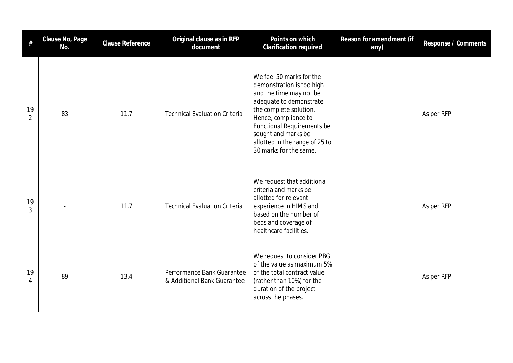| #                    | Clause No, Page<br>No. | <b>Clause Reference</b> | Original clause as in RFP<br>document                     | Points on which<br>Clarification required                                                                                                                                                                                                                                             | Reason for amendment (if<br>any) | Response / Comments |
|----------------------|------------------------|-------------------------|-----------------------------------------------------------|---------------------------------------------------------------------------------------------------------------------------------------------------------------------------------------------------------------------------------------------------------------------------------------|----------------------------------|---------------------|
| 19<br>$\overline{2}$ | 83                     | 11.7                    | <b>Technical Evaluation Criteria</b>                      | We feel 50 marks for the<br>demonstration is too high<br>and the time may not be<br>adequate to demonstrate<br>the complete solution.<br>Hence, compliance to<br><b>Functional Requirements be</b><br>sought and marks be<br>allotted in the range of 25 to<br>30 marks for the same. |                                  | As per RFP          |
| 19<br>3              |                        | 11.7                    | <b>Technical Evaluation Criteria</b>                      | We request that additional<br>criteria and marks be<br>allotted for relevant<br>experience in HIMS and<br>based on the number of<br>beds and coverage of<br>healthcare facilities.                                                                                                    |                                  | As per RFP          |
| 19<br>4              | 89                     | 13.4                    | Performance Bank Guarantee<br>& Additional Bank Guarantee | We request to consider PBG<br>of the value as maximum 5%<br>of the total contract value<br>(rather than 10%) for the<br>duration of the project<br>across the phases.                                                                                                                 |                                  | As per RFP          |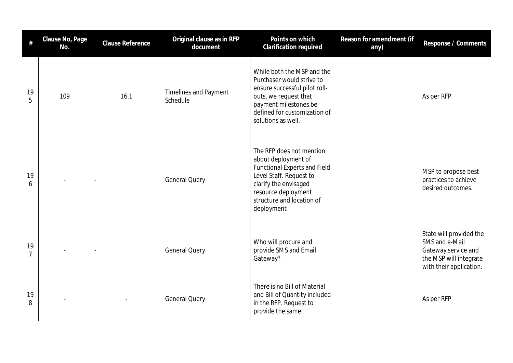| $\#$                 | Clause No, Page<br>No. | <b>Clause Reference</b>  | Original clause as in RFP<br>document    | Points on which<br>Clarification required                                                                                                                                                                     | Reason for amendment (if<br>any) | Response / Comments                                                                                                   |
|----------------------|------------------------|--------------------------|------------------------------------------|---------------------------------------------------------------------------------------------------------------------------------------------------------------------------------------------------------------|----------------------------------|-----------------------------------------------------------------------------------------------------------------------|
| 19<br>5              | 109                    | 16.1                     | <b>Timelines and Payment</b><br>Schedule | While both the MSP and the<br>Purchaser would strive to<br>ensure successful pilot roll-<br>outs, we request that<br>payment milestones be<br>defined for customization of<br>solutions as well.              |                                  | As per RFP                                                                                                            |
| 19<br>6              |                        | $\overline{a}$           | <b>General Query</b>                     | The RFP does not mention<br>about deployment of<br><b>Functional Experts and Field</b><br>Level Staff. Request to<br>clarify the envisaged<br>resource deployment<br>structure and location of<br>deployment. |                                  | MSP to propose best<br>practices to achieve<br>desired outcomes.                                                      |
| 19<br>$\overline{7}$ |                        | $\overline{\phantom{a}}$ | <b>General Query</b>                     | Who will procure and<br>provide SMS and Email<br>Gateway?                                                                                                                                                     |                                  | State will provided the<br>SMS and e-Mail<br>Gateway service and<br>the MSP will integrate<br>with their application. |
| 19<br>8              |                        |                          | <b>General Query</b>                     | There is no Bill of Material<br>and Bill of Quantity included<br>in the RFP. Request to<br>provide the same.                                                                                                  |                                  | As per RFP                                                                                                            |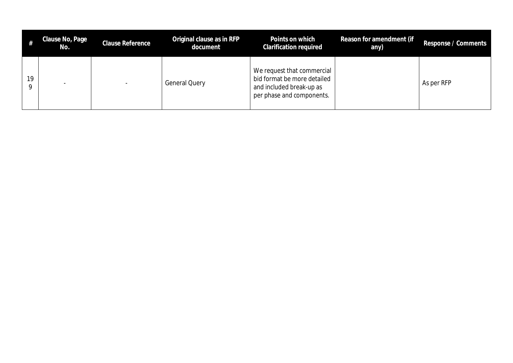|    | Clause No, Page<br>No. | <b>Clause Reference</b> | Original clause as in RFP<br>document | Points on which<br>Clarification required                                                                          | Reason for amendment (if<br>any) | Response / Comments |
|----|------------------------|-------------------------|---------------------------------------|--------------------------------------------------------------------------------------------------------------------|----------------------------------|---------------------|
| 19 |                        |                         | <b>General Query</b>                  | We request that commercial<br>bid format be more detailed<br>and included break-up as<br>per phase and components. |                                  | As per RFP          |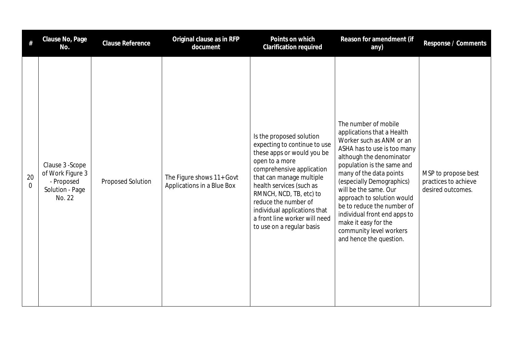|                      | Clause No, Page<br>No.                                                          | Clause Reference  | Original clause as in RFP<br>document                   | Points on which<br>Clarification required                                                                                                                                                                                                                                                                                                      | Reason for amendment (if<br>any)                                                                                                                                                                                                                                                                                                                                                                                                   | Response / Comments                                              |
|----------------------|---------------------------------------------------------------------------------|-------------------|---------------------------------------------------------|------------------------------------------------------------------------------------------------------------------------------------------------------------------------------------------------------------------------------------------------------------------------------------------------------------------------------------------------|------------------------------------------------------------------------------------------------------------------------------------------------------------------------------------------------------------------------------------------------------------------------------------------------------------------------------------------------------------------------------------------------------------------------------------|------------------------------------------------------------------|
| 20<br>$\overline{0}$ | Clause 3 - Scope<br>of Work Figure 3<br>- Proposed<br>Solution - Page<br>No. 22 | Proposed Solution | The Figure shows 11+ Govt<br>Applications in a Blue Box | Is the proposed solution<br>expecting to continue to use<br>these apps or would you be<br>open to a more<br>comprehensive application<br>that can manage multiple<br>health services (such as<br>RMNCH, NCD, TB, etc) to<br>reduce the number of<br>individual applications that<br>a front line worker will need<br>to use on a regular basis | The number of mobile<br>applications that a Health<br>Worker such as ANM or an<br>ASHA has to use is too many<br>although the denominator<br>population is the same and<br>many of the data points<br>(especially Demographics)<br>will be the same. Our<br>approach to solution would<br>be to reduce the number of<br>individual front end apps to<br>make it easy for the<br>community level workers<br>and hence the question. | MSP to propose best<br>practices to achieve<br>desired outcomes. |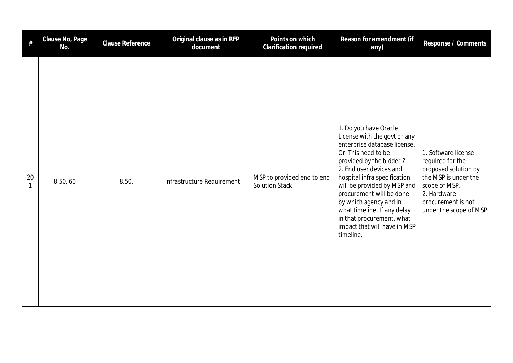| #  | Clause No, Page<br>No. | Clause Reference | Original clause as in RFP<br>document | Points on which<br>Clarification required           | Reason for amendment (if<br>any)                                                                                                                                                                                                                                                                                                                                                                | Response / Comments                                                                                                                                                     |
|----|------------------------|------------------|---------------------------------------|-----------------------------------------------------|-------------------------------------------------------------------------------------------------------------------------------------------------------------------------------------------------------------------------------------------------------------------------------------------------------------------------------------------------------------------------------------------------|-------------------------------------------------------------------------------------------------------------------------------------------------------------------------|
| 20 | 8.50, 60               | 8.50.            | Infrastructure Requirement            | MSP to provided end to end<br><b>Solution Stack</b> | 1. Do you have Oracle<br>License with the govt or any<br>enterprise database license.<br>Or This need to be<br>provided by the bidder?<br>2. End user devices and<br>hospital infra specification<br>will be provided by MSP and<br>procurement will be done<br>by which agency and in<br>what timeline. If any delay<br>in that procurement, what<br>impact that will have in MSP<br>timeline. | 1. Software license<br>required for the<br>proposed solution by<br>the MSP is under the<br>scope of MSP.<br>2. Hardware<br>procurement is not<br>under the scope of MSP |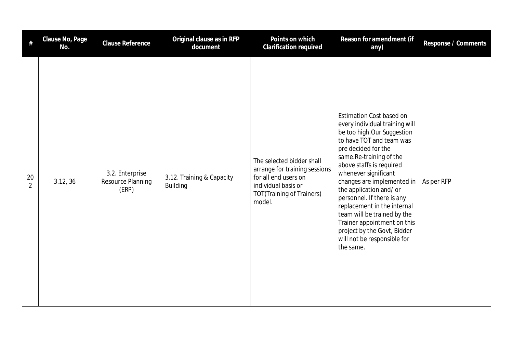| #                    | Clause No, Page<br>No. | <b>Clause Reference</b>                       | Original clause as in RFP<br>document        | Points on which<br>Clarification required                                                                                                               | Reason for amendment (if<br>any)                                                                                                                                                                                                                                                                                                                                                                                                                                                                 | Response / Comments |
|----------------------|------------------------|-----------------------------------------------|----------------------------------------------|---------------------------------------------------------------------------------------------------------------------------------------------------------|--------------------------------------------------------------------------------------------------------------------------------------------------------------------------------------------------------------------------------------------------------------------------------------------------------------------------------------------------------------------------------------------------------------------------------------------------------------------------------------------------|---------------------|
| 20<br>$\overline{2}$ | 3.12, 36               | 3.2. Enterprise<br>Resource Planning<br>(ERP) | 3.12. Training & Capacity<br><b>Building</b> | The selected bidder shall<br>arrange for training sessions<br>for all end users on<br>individual basis or<br><b>TOT(Training of Trainers)</b><br>model. | <b>Estimation Cost based on</b><br>every individual training will<br>be too high. Our Suggestion<br>to have TOT and team was<br>pre decided for the<br>same.Re-training of the<br>above staffs is required<br>whenever significant<br>changes are implemented in<br>the application and/or<br>personnel. If there is any<br>replacement in the internal<br>team will be trained by the<br>Trainer appointment on this<br>project by the Govt, Bidder<br>will not be responsible for<br>the same. | As per RFP          |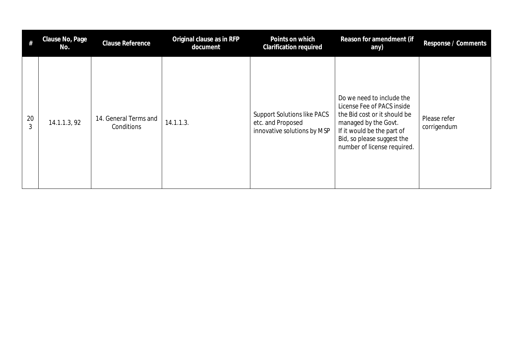| #       | Clause No, Page<br>No. | <b>Clause Reference</b>             | Original clause as in RFP<br>document | Points on which<br><b>Clarification required</b>                                       | Reason for amendment (if<br>any)                                                                                                                                                                           | Response / Comments         |
|---------|------------------------|-------------------------------------|---------------------------------------|----------------------------------------------------------------------------------------|------------------------------------------------------------------------------------------------------------------------------------------------------------------------------------------------------------|-----------------------------|
| 20<br>3 | 14.1.1.3, 92           | 14. General Terms and<br>Conditions | 14.1.1.3.                             | <b>Support Solutions like PACS</b><br>etc. and Proposed<br>innovative solutions by MSP | Do we need to include the<br>License Fee of PACS inside<br>the Bid cost or it should be<br>managed by the Govt.<br>If it would be the part of<br>Bid, so please suggest the<br>number of license required. | Please refer<br>corrigendum |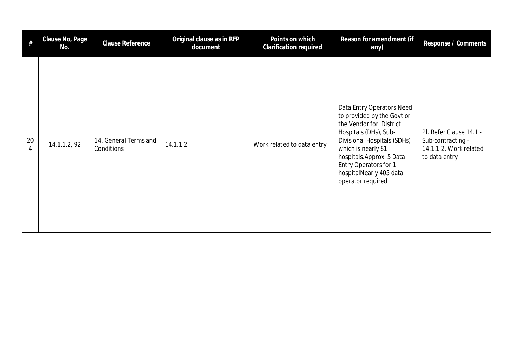| #       | Clause No, Page<br>No. | <b>Clause Reference</b>             | Original clause as in RFP<br>document | Points on which<br><b>Clarification required</b> | Reason for amendment (if<br>any)                                                                                                                                                                                                                                      | Response / Comments                                                                     |
|---------|------------------------|-------------------------------------|---------------------------------------|--------------------------------------------------|-----------------------------------------------------------------------------------------------------------------------------------------------------------------------------------------------------------------------------------------------------------------------|-----------------------------------------------------------------------------------------|
| 20<br>4 | 14.1.1.2, 92           | 14. General Terms and<br>Conditions | 14.1.1.2.                             | Work related to data entry                       | Data Entry Operators Need<br>to provided by the Govt or<br>the Vendor for District<br>Hospitals (DHs), Sub-<br>Divisional Hospitals (SDHs)<br>which is nearly 81<br>hospitals.Approx. 5 Data<br>Entry Operators for 1<br>hospitalNearly 405 data<br>operator required | Pl. Refer Clause 14.1 -<br>Sub-contracting -<br>14.1.1.2. Work related<br>to data entry |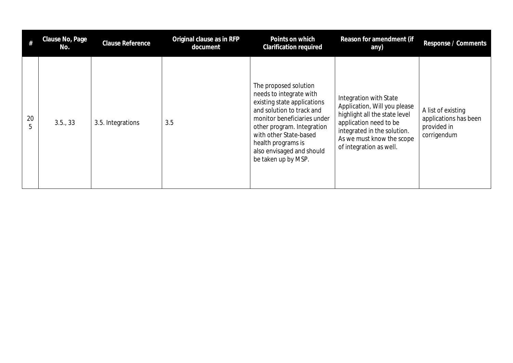| #       | Clause No, Page<br>No. | Clause Reference  | Original clause as in RFP<br>document | Points on which<br><b>Clarification required</b>                                                                                                                                                                                                                              | Reason for amendment (if<br>any)                                                                                                                                                                         | Response / Comments                                                       |
|---------|------------------------|-------------------|---------------------------------------|-------------------------------------------------------------------------------------------------------------------------------------------------------------------------------------------------------------------------------------------------------------------------------|----------------------------------------------------------------------------------------------------------------------------------------------------------------------------------------------------------|---------------------------------------------------------------------------|
| 20<br>5 | 3.5., 33               | 3.5. Integrations | 3.5                                   | The proposed solution<br>needs to integrate with<br>existing state applications<br>and solution to track and<br>monitor beneficiaries under<br>other program. Integration<br>with other State-based<br>health programs is<br>also envisaged and should<br>be taken up by MSP. | Integration with State<br>Application, Will you please<br>highlight all the state level<br>application need to be<br>integrated in the solution.<br>As we must know the scope<br>of integration as well. | A list of existing<br>applications has been<br>provided in<br>corrigendum |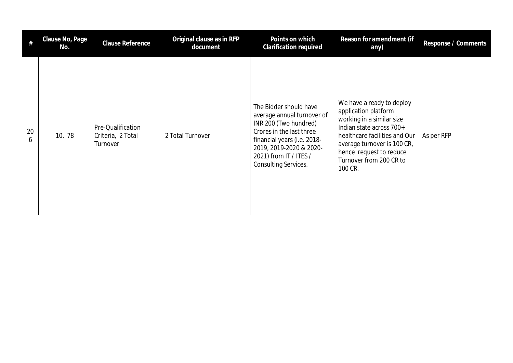| #       | Clause No, Page<br>No. | Clause Reference                                   | Original clause as in RFP<br>document | Points on which<br>Clarification required                                                                                                                                                                                    | Reason for amendment (if<br>any)                                                                                                                                                                                                            | Response / Comments |
|---------|------------------------|----------------------------------------------------|---------------------------------------|------------------------------------------------------------------------------------------------------------------------------------------------------------------------------------------------------------------------------|---------------------------------------------------------------------------------------------------------------------------------------------------------------------------------------------------------------------------------------------|---------------------|
| 20<br>6 | 10, 78                 | Pre-Qualification<br>Criteria, 2 Total<br>Turnover | 2 Total Turnover                      | The Bidder should have<br>average annual turnover of<br>INR 200 (Two hundred)<br>Crores in the last three<br>financial years (i.e. 2018-<br>2019, 2019-2020 & 2020-<br>2021) from IT / ITES /<br><b>Consulting Services.</b> | We have a ready to deploy<br>application platform<br>working in a similar size<br>Indian state across 700+<br>healthcare facilities and Our<br>average turnover is 100 CR,<br>hence request to reduce<br>Turnover from 200 CR to<br>100 CR. | As per RFP          |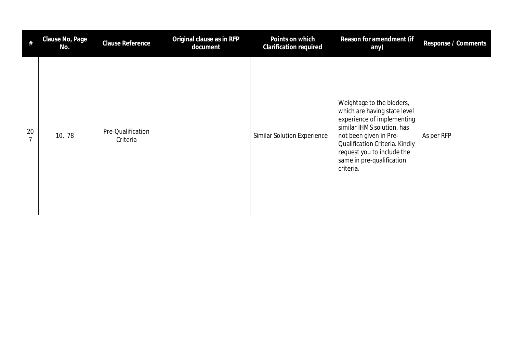| #                    | Clause No, Page<br>No. | <b>Clause Reference</b>       | Original clause as in RFP<br>document | Points on which<br>Clarification required | Reason for amendment (if<br>any)                                                                                                                                                                                                                          | Response / Comments |
|----------------------|------------------------|-------------------------------|---------------------------------------|-------------------------------------------|-----------------------------------------------------------------------------------------------------------------------------------------------------------------------------------------------------------------------------------------------------------|---------------------|
| 20<br>$\overline{7}$ | 10, 78                 | Pre-Qualification<br>Criteria |                                       | <b>Similar Solution Experience</b>        | Weightage to the bidders,<br>which are having state level<br>experience of implementing<br>similar IHMS solution, has<br>not been given in Pre-<br>Qualification Criteria. Kindly<br>request you to include the<br>same in pre-qualification<br>criteria. | As per RFP          |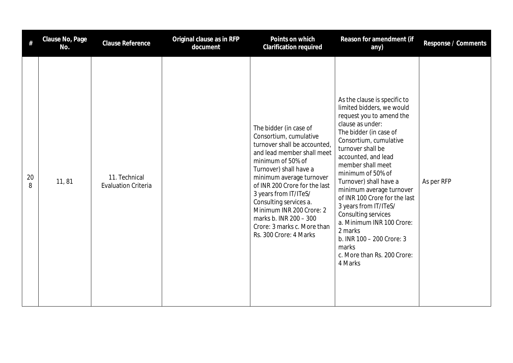| #       | Clause No, Page<br>No. | Clause Reference                            | Original clause as in RFP<br>document | Points on which<br><b>Clarification required</b>                                                                                                                                                                                                                                                                                                                                             | Reason for amendment (if<br>any)                                                                                                                                                                                                                                                                                                                                                                                                                                                                                   | Response / Comments |
|---------|------------------------|---------------------------------------------|---------------------------------------|----------------------------------------------------------------------------------------------------------------------------------------------------------------------------------------------------------------------------------------------------------------------------------------------------------------------------------------------------------------------------------------------|--------------------------------------------------------------------------------------------------------------------------------------------------------------------------------------------------------------------------------------------------------------------------------------------------------------------------------------------------------------------------------------------------------------------------------------------------------------------------------------------------------------------|---------------------|
| 20<br>8 | 11,81                  | 11. Technical<br><b>Evaluation Criteria</b> |                                       | The bidder (in case of<br>Consortium, cumulative<br>turnover shall be accounted,<br>and lead member shall meet<br>minimum of 50% of<br>Turnover) shall have a<br>minimum average turnover<br>of INR 200 Crore for the last<br>3 years from IT/ITeS/<br>Consulting services a.<br>Minimum INR 200 Crore: 2<br>marks b. INR 200 - 300<br>Crore: 3 marks c. More than<br>Rs. 300 Crore: 4 Marks | As the clause is specific to<br>limited bidders, we would<br>request you to amend the<br>clause as under:<br>The bidder (in case of<br>Consortium, cumulative<br>turnover shall be<br>accounted, and lead<br>member shall meet<br>minimum of 50% of<br>Turnover) shall have a<br>minimum average turnover<br>of INR 100 Crore for the last<br>3 years from IT/ITeS/<br>Consulting services<br>a. Minimum INR 100 Crore:<br>2 marks<br>b. INR 100 - 200 Crore: 3<br>marks<br>c. More than Rs. 200 Crore:<br>4 Marks | As per RFP          |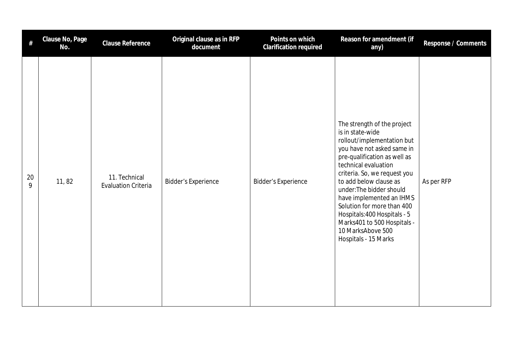| #       | Clause No, Page<br>No. | Clause Reference                            | Original clause as in RFP<br>document | Points on which<br>Clarification required | Reason for amendment (if<br>any)                                                                                                                                                                                                                                                                                                                                                                                                | Response / Comments |
|---------|------------------------|---------------------------------------------|---------------------------------------|-------------------------------------------|---------------------------------------------------------------------------------------------------------------------------------------------------------------------------------------------------------------------------------------------------------------------------------------------------------------------------------------------------------------------------------------------------------------------------------|---------------------|
| 20<br>9 | 11, 82                 | 11. Technical<br><b>Evaluation Criteria</b> | <b>Bidder's Experience</b>            | <b>Bidder's Experience</b>                | The strength of the project<br>is in state-wide<br>rollout/implementation but<br>you have not asked same in<br>pre-qualification as well as<br>technical evaluation<br>criteria. So, we request you<br>to add below clause as<br>under: The bidder should<br>have implemented an IHMS<br>Solution for more than 400<br>Hospitals: 400 Hospitals - 5<br>Marks401 to 500 Hospitals -<br>10 MarksAbove 500<br>Hospitals - 15 Marks | As per RFP          |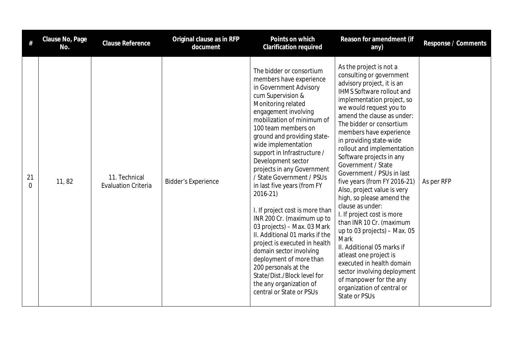| #              | Clause No, Page<br>No. | <b>Clause Reference</b>                     | Original clause as in RFP<br>document | Points on which<br><b>Clarification required</b>                                                                                                                                                                                                                                                                                                                                                                                                                                                                                                                                                                                                                                                                                                              | Reason for amendment (if<br>any)                                                                                                                                                                                                                                                                                                                                                                                                                                                                                                                                                                                                                                                                                                                                                                                     | Response / Comments |
|----------------|------------------------|---------------------------------------------|---------------------------------------|---------------------------------------------------------------------------------------------------------------------------------------------------------------------------------------------------------------------------------------------------------------------------------------------------------------------------------------------------------------------------------------------------------------------------------------------------------------------------------------------------------------------------------------------------------------------------------------------------------------------------------------------------------------------------------------------------------------------------------------------------------------|----------------------------------------------------------------------------------------------------------------------------------------------------------------------------------------------------------------------------------------------------------------------------------------------------------------------------------------------------------------------------------------------------------------------------------------------------------------------------------------------------------------------------------------------------------------------------------------------------------------------------------------------------------------------------------------------------------------------------------------------------------------------------------------------------------------------|---------------------|
| 21<br>$\Omega$ | 11,82                  | 11. Technical<br><b>Evaluation Criteria</b> | <b>Bidder's Experience</b>            | The bidder or consortium<br>members have experience<br>in Government Advisory<br>cum Supervision &<br>Monitoring related<br>engagement involving<br>mobilization of minimum of<br>100 team members on<br>ground and providing state-<br>wide implementation<br>support in Infrastructure /<br>Development sector<br>projects in any Government<br>/ State Government / PSUs<br>in last five years (from FY<br>2016-21)<br>I. If project cost is more than<br>INR 200 Cr. (maximum up to<br>03 projects) - Max. 03 Mark<br>II. Additional 01 marks if the<br>project is executed in health<br>domain sector involving<br>deployment of more than<br>200 personals at the<br>State/Dist./Block level for<br>the any organization of<br>central or State or PSUs | As the project is not a<br>consulting or government<br>advisory project, it is an<br>IHMS Software rollout and<br>implementation project, so<br>we would request you to<br>amend the clause as under:<br>The bidder or consortium<br>members have experience<br>in providing state-wide<br>rollout and implementation<br>Software projects in any<br>Government / State<br>Government / PSUs in last<br>five years (from FY 2016-21)<br>Also, project value is very<br>high, so please amend the<br>clause as under:<br>I. If project cost is more<br>than INR 10 Cr. (maximum<br>up to 03 projects) - Max. 05<br>Mark<br>II. Additional 05 marks if<br>atleast one project is<br>executed in health domain<br>sector involving deployment<br>of manpower for the any<br>organization of central or<br>State or PSUs | As per RFP          |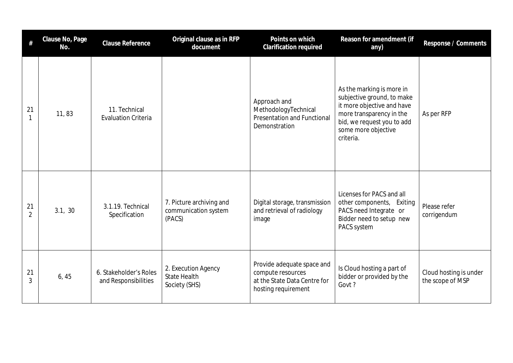| #                    | Clause No, Page<br>No. | <b>Clause Reference</b>                        | Original clause as in RFP<br>document                       | Points on which<br><b>Clarification required</b>                                                       | Reason for amendment (if<br>any)                                                                                                                                                    | Response / Comments                        |
|----------------------|------------------------|------------------------------------------------|-------------------------------------------------------------|--------------------------------------------------------------------------------------------------------|-------------------------------------------------------------------------------------------------------------------------------------------------------------------------------------|--------------------------------------------|
| 21                   | 11, 83                 | 11. Technical<br><b>Evaluation Criteria</b>    |                                                             | Approach and<br>MethodologyTechnical<br><b>Presentation and Functional</b><br>Demonstration            | As the marking is more in<br>subjective ground, to make<br>it more objective and have<br>more transparency in the<br>bid, we request you to add<br>some more objective<br>criteria. | As per RFP                                 |
| 21<br>$\mathfrak{D}$ | 3.1, 30                | 3.1.19. Technical<br>Specification             | 7. Picture archiving and<br>communication system<br>(PACS)  | Digital storage, transmission<br>and retrieval of radiology<br>image                                   | Licenses for PACS and all<br>other components, Exiting<br>PACS need Integrate or<br>Bidder need to setup new<br>PACS system                                                         | Please refer<br>corrigendum                |
| 21<br>3              | 6,45                   | 6. Stakeholder's Roles<br>and Responsibilities | 2. Execution Agency<br><b>State Health</b><br>Society (SHS) | Provide adequate space and<br>compute resources<br>at the State Data Centre for<br>hosting requirement | Is Cloud hosting a part of<br>bidder or provided by the<br>Govt?                                                                                                                    | Cloud hosting is under<br>the scope of MSP |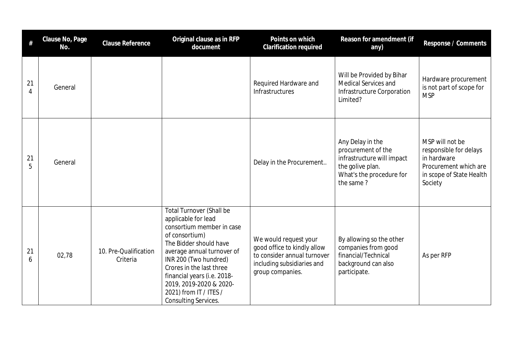| $\#$    | Clause No, Page<br>No. | Clause Reference                  | Original clause as in RFP<br>document                                                                                                                                                                                                                                                                                                 | Points on which<br><b>Clarification required</b>                                                                                      | Reason for amendment (if<br>any)                                                                                                  | Response / Comments                                                                                                      |
|---------|------------------------|-----------------------------------|---------------------------------------------------------------------------------------------------------------------------------------------------------------------------------------------------------------------------------------------------------------------------------------------------------------------------------------|---------------------------------------------------------------------------------------------------------------------------------------|-----------------------------------------------------------------------------------------------------------------------------------|--------------------------------------------------------------------------------------------------------------------------|
| 21<br>4 | General                |                                   |                                                                                                                                                                                                                                                                                                                                       | Required Hardware and<br>Infrastructures                                                                                              | Will be Provided by Bihar<br>Medical Services and<br>Infrastructure Corporation<br>Limited?                                       | Hardware procurement<br>is not part of scope for<br><b>MSP</b>                                                           |
| 21<br>5 | General                |                                   |                                                                                                                                                                                                                                                                                                                                       | Delay in the Procurement                                                                                                              | Any Delay in the<br>procurement of the<br>infrastructure will impact<br>the golive plan.<br>What's the procedure for<br>the same? | MSP will not be<br>responsible for delays<br>in hardware<br>Procurement which are<br>in scope of State Health<br>Society |
| 21<br>6 | 02,78                  | 10. Pre-Qualification<br>Criteria | <b>Total Turnover (Shall be</b><br>applicable for lead<br>consortium member in case<br>of consortium)<br>The Bidder should have<br>average annual turnover of<br>INR 200 (Two hundred)<br>Crores in the last three<br>financial years (i.e. 2018-<br>2019, 2019-2020 & 2020-<br>2021) from IT / ITES /<br><b>Consulting Services.</b> | We would request your<br>good office to kindly allow<br>to consider annual turnover<br>including subsidiaries and<br>group companies. | By allowing so the other<br>companies from good<br>financial/Technical<br>background can also<br>participate.                     | As per RFP                                                                                                               |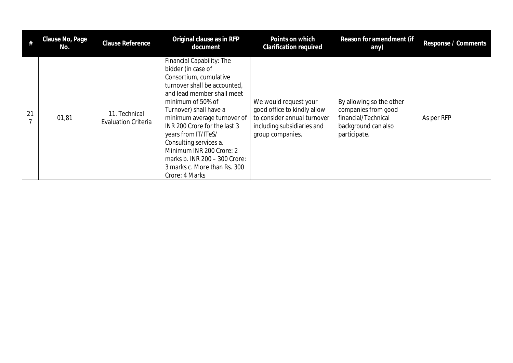|    | Clause No, Page<br>No. | <b>Clause Reference</b>                     | Original clause as in RFP<br>document                                                                                                                                                                                                                                                                                                                                                                                 | Points on which<br><b>Clarification required</b>                                                                                      | Reason for amendment (if<br>any)                                                                              | Response / Comments |
|----|------------------------|---------------------------------------------|-----------------------------------------------------------------------------------------------------------------------------------------------------------------------------------------------------------------------------------------------------------------------------------------------------------------------------------------------------------------------------------------------------------------------|---------------------------------------------------------------------------------------------------------------------------------------|---------------------------------------------------------------------------------------------------------------|---------------------|
| 21 | 01,81                  | 11. Technical<br><b>Evaluation Criteria</b> | Financial Capability: The<br>bidder (in case of<br>Consortium, cumulative<br>turnover shall be accounted,<br>and lead member shall meet<br>minimum of 50% of<br>Turnover) shall have a<br>minimum average turnover of<br>INR 200 Crore for the last 3<br>years from IT/ITeS/<br>Consulting services a.<br>Minimum INR 200 Crore: 2<br>marks b. INR 200 - 300 Crore:<br>3 marks c. More than Rs. 300<br>Crore: 4 Marks | We would request your<br>good office to kindly allow<br>to consider annual turnover<br>including subsidiaries and<br>group companies. | By allowing so the other<br>companies from good<br>financial/Technical<br>background can also<br>participate. | As per RFP          |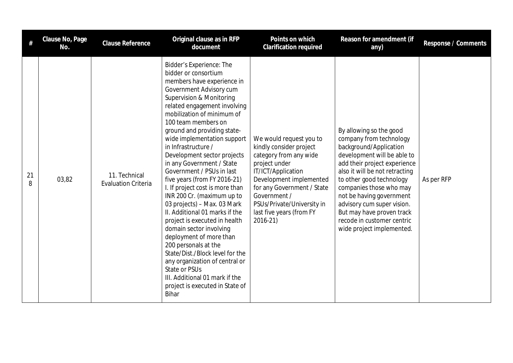| #       | Clause No, Page<br>No. | <b>Clause Reference</b>                     | Original clause as in RFP<br>document                                                                                                                                                                                                                                                                                                                                                                                                                                                                                                                                                                                                                                                                                                                                                                                                                                | Points on which<br><b>Clarification required</b>                                                                                                                                                                                                                   | Reason for amendment (if<br>any)                                                                                                                                                                                                                                                                                                                                                       | Response / Comments |
|---------|------------------------|---------------------------------------------|----------------------------------------------------------------------------------------------------------------------------------------------------------------------------------------------------------------------------------------------------------------------------------------------------------------------------------------------------------------------------------------------------------------------------------------------------------------------------------------------------------------------------------------------------------------------------------------------------------------------------------------------------------------------------------------------------------------------------------------------------------------------------------------------------------------------------------------------------------------------|--------------------------------------------------------------------------------------------------------------------------------------------------------------------------------------------------------------------------------------------------------------------|----------------------------------------------------------------------------------------------------------------------------------------------------------------------------------------------------------------------------------------------------------------------------------------------------------------------------------------------------------------------------------------|---------------------|
| 21<br>8 | 03,82                  | 11. Technical<br><b>Evaluation Criteria</b> | Bidder's Experience: The<br>bidder or consortium<br>members have experience in<br>Government Advisory cum<br>Supervision & Monitoring<br>related engagement involving<br>mobilization of minimum of<br>100 team members on<br>ground and providing state-<br>wide implementation support<br>in Infrastructure /<br>Development sector projects<br>in any Government / State<br>Government / PSUs in last<br>five years (from FY 2016-21)<br>I. If project cost is more than<br>INR 200 Cr. (maximum up to<br>03 projects) - Max. 03 Mark<br>II. Additional 01 marks if the<br>project is executed in health<br>domain sector involving<br>deployment of more than<br>200 personals at the<br>State/Dist./Block level for the<br>any organization of central or<br>State or PSUs<br>III. Additional 01 mark if the<br>project is executed in State of<br><b>Bihar</b> | We would request you to<br>kindly consider project<br>category from any wide<br>project under<br>IT/ICT/Application<br>Development implemented<br>for any Government / State<br>Government /<br>PSUs/Private/University in<br>last five years (from FY<br>2016-21) | By allowing so the good<br>company from technology<br>background/Application<br>development will be able to<br>add their project experience<br>also it will be not retracting<br>to other good technology<br>companies those who may<br>not be having government<br>advisory cum super vision.<br>But may have proven track<br>recode in customer centric<br>wide project implemented. | As per RFP          |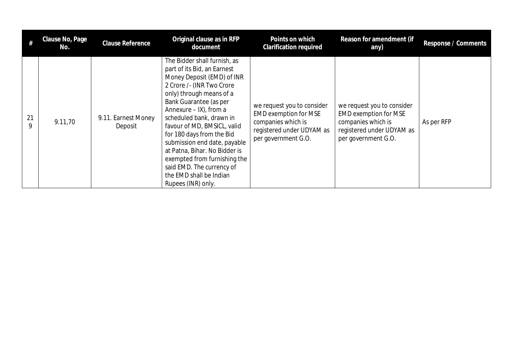|         | Clause No, Page<br>No. | Clause Reference               | Original clause as in RFP<br>document                                                                                                                                                                                                                                                                                                                                                                                                                                         | Points on which<br><b>Clarification required</b>                                                                                     | Reason for amendment (if<br>any)                                                                                                     | Response / Comments |
|---------|------------------------|--------------------------------|-------------------------------------------------------------------------------------------------------------------------------------------------------------------------------------------------------------------------------------------------------------------------------------------------------------------------------------------------------------------------------------------------------------------------------------------------------------------------------|--------------------------------------------------------------------------------------------------------------------------------------|--------------------------------------------------------------------------------------------------------------------------------------|---------------------|
| 21<br>9 | 9.11,70                | 9.11. Earnest Money<br>Deposit | The Bidder shall furnish, as<br>part of its Bid, an Earnest<br>Money Deposit (EMD) of INR<br>2 Crore /- (INR Two Crore<br>only) through means of a<br>Bank Guarantee (as per<br>Annexure – IX), from a<br>scheduled bank, drawn in<br>favour of MD, BMSICL, valid<br>for 180 days from the Bid<br>submission end date, payable<br>at Patna, Bihar. No Bidder is<br>exempted from furnishing the<br>said EMD. The currency of<br>the EMD shall be Indian<br>Rupees (INR) only. | we request you to consider<br><b>EMD exemption for MSE</b><br>companies which is<br>registered under UDYAM as<br>per government G.O. | we request you to consider<br><b>EMD exemption for MSE</b><br>companies which is<br>registered under UDYAM as<br>per government G.O. | As per RFP          |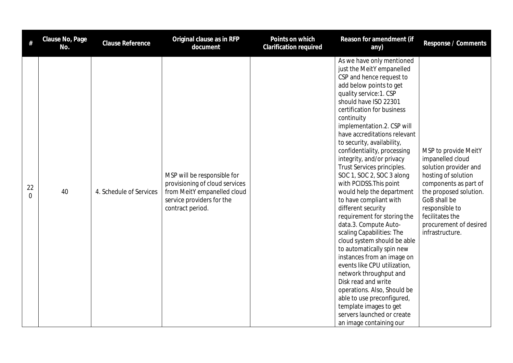| #                    | Clause No, Page<br>No. | <b>Clause Reference</b> | Original clause as in RFP<br>document                                                                                                         | Points on which<br><b>Clarification required</b> | Reason for amendment (if<br>any)                                                                                                                                                                                                                                                                                                                                                                                                                                                                                                                                                                                                                                                                                                                                                                                                                                                                                                                         | Response / Comments                                                                                                                                                                                                                           |
|----------------------|------------------------|-------------------------|-----------------------------------------------------------------------------------------------------------------------------------------------|--------------------------------------------------|----------------------------------------------------------------------------------------------------------------------------------------------------------------------------------------------------------------------------------------------------------------------------------------------------------------------------------------------------------------------------------------------------------------------------------------------------------------------------------------------------------------------------------------------------------------------------------------------------------------------------------------------------------------------------------------------------------------------------------------------------------------------------------------------------------------------------------------------------------------------------------------------------------------------------------------------------------|-----------------------------------------------------------------------------------------------------------------------------------------------------------------------------------------------------------------------------------------------|
| 22<br>$\overline{0}$ | 40                     | 4. Schedule of Services | MSP will be responsible for<br>provisioning of cloud services<br>from MeitY empanelled cloud<br>service providers for the<br>contract period. |                                                  | As we have only mentioned<br>just the MeitY empanelled<br>CSP and hence request to<br>add below points to get<br>quality service: 1. CSP<br>should have ISO 22301<br>certification for business<br>continuity<br>implementation.2. CSP will<br>have accreditations relevant<br>to security, availability,<br>confidentiality, processing<br>integrity, and/or privacy<br>Trust Services principles.<br>SOC 1, SOC 2, SOC 3 along<br>with PCIDSS. This point<br>would help the department<br>to have compliant with<br>different security<br>requirement for storing the<br>data.3. Compute Auto-<br>scaling Capabilities: The<br>cloud system should be able<br>to automatically spin new<br>instances from an image on<br>events like CPU utilization,<br>network throughput and<br>Disk read and write<br>operations. Also, Should be<br>able to use preconfigured,<br>template images to get<br>servers launched or create<br>an image containing our | MSP to provide MeitY<br>impanelled cloud<br>solution provider and<br>hosting of solution<br>components as part of<br>the proposed solution.<br>GoB shall be<br>responsible to<br>fecilitates the<br>procurement of desired<br>infrastructure. |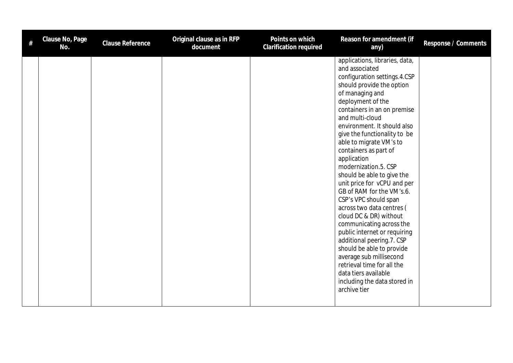| # | Clause No, Page<br>No. | Clause Reference | Original clause as in RFP<br>document | Points on which<br><b>Clarification required</b> | Reason for amendment (if<br>any)                                                                                                                                                                                                                                                                                                                                                                                                                                                                                                                                                                                                                                                                                                                                                                   | Response / Comments |
|---|------------------------|------------------|---------------------------------------|--------------------------------------------------|----------------------------------------------------------------------------------------------------------------------------------------------------------------------------------------------------------------------------------------------------------------------------------------------------------------------------------------------------------------------------------------------------------------------------------------------------------------------------------------------------------------------------------------------------------------------------------------------------------------------------------------------------------------------------------------------------------------------------------------------------------------------------------------------------|---------------------|
|   |                        |                  |                                       |                                                  | applications, libraries, data,<br>and associated<br>configuration settings.4.CSP<br>should provide the option<br>of managing and<br>deployment of the<br>containers in an on premise<br>and multi-cloud<br>environment. It should also<br>give the functionality to be<br>able to migrate VM's to<br>containers as part of<br>application<br>modernization.5. CSP<br>should be able to give the<br>unit price for vCPU and per<br>GB of RAM for the VM's.6.<br>CSP's VPC should span<br>across two data centres (<br>cloud DC & DR) without<br>communicating across the<br>public internet or requiring<br>additional peering.7. CSP<br>should be able to provide<br>average sub millisecond<br>retrieval time for all the<br>data tiers available<br>including the data stored in<br>archive tier |                     |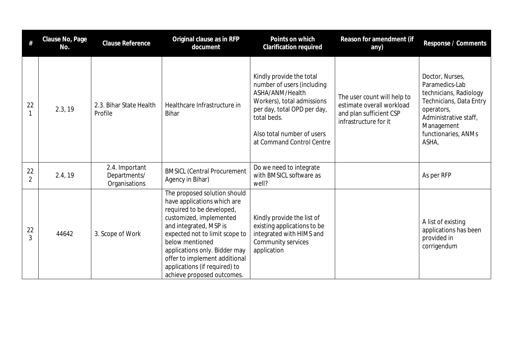| $\#$                 | Clause No, Page<br>No. | <b>Clause Reference</b>                         | Original clause as in RFP<br>document                                                                                                                                                                                                                                                                                               | Points on which<br>Clarification required                                                                                                                                                                        | Reason for amendment (if<br>any)                                                                             | Response / Comments                                                                                                                                                         |
|----------------------|------------------------|-------------------------------------------------|-------------------------------------------------------------------------------------------------------------------------------------------------------------------------------------------------------------------------------------------------------------------------------------------------------------------------------------|------------------------------------------------------------------------------------------------------------------------------------------------------------------------------------------------------------------|--------------------------------------------------------------------------------------------------------------|-----------------------------------------------------------------------------------------------------------------------------------------------------------------------------|
| 22                   | 2.3, 19                | 2.3. Bihar State Health<br>Profile              | Healthcare Infrastructure in<br><b>Bihar</b>                                                                                                                                                                                                                                                                                        | Kindly provide the total<br>number of users (including<br>ASHA/ANM/Health<br>Workers), total admissions<br>per day, total OPD per day,<br>total beds.<br>Also total number of users<br>at Command Control Centre | The user count will help to<br>estimate overall workload<br>and plan sufficient CSP<br>infrastructure for it | Doctor, Nurses,<br>Paramedics-Lab<br>technicians, Radiology<br>Technicians, Data Entry<br>operators,<br>Administrative staff,<br>Management<br>functionaries, ANMs<br>ASHA, |
| 22<br>$\overline{2}$ | 2.4, 19                | 2.4. Important<br>Departments/<br>Organisations | <b>BMSICL (Central Procurement</b><br>Agency in Bihar)                                                                                                                                                                                                                                                                              | Do we need to integrate<br>with BMSICL software as<br>well?                                                                                                                                                      |                                                                                                              | As per RFP                                                                                                                                                                  |
| 22                   | 44642                  | 3. Scope of Work                                | The proposed solution should<br>have applications which are<br>required to be developed,<br>customized, implemented<br>and integrated, MSP is<br>expected not to limit scope to<br>below mentioned<br>applications only. Bidder may<br>offer to implement additional<br>applications (if required) to<br>achieve proposed outcomes. | Kindly provide the list of<br>existing applications to be<br>integrated with HIMS and<br>Community services<br>application                                                                                       |                                                                                                              | A list of existing<br>applications has been<br>provided in<br>corrigendum                                                                                                   |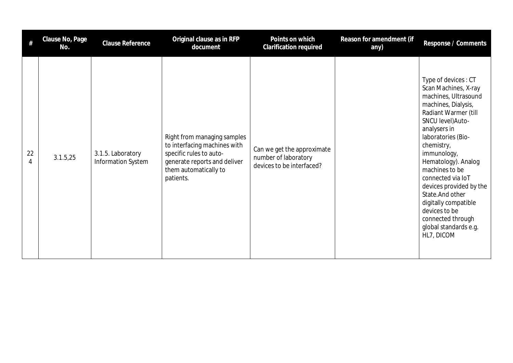| #       | Clause No, Page<br>No. | <b>Clause Reference</b>                 | Original clause as in RFP<br>document                                                                                                                        | Points on which<br><b>Clarification required</b>                                | Reason for amendment (if<br>any) | Response / Comments                                                                                                                                                                                                                                                                                                                                                                                                          |
|---------|------------------------|-----------------------------------------|--------------------------------------------------------------------------------------------------------------------------------------------------------------|---------------------------------------------------------------------------------|----------------------------------|------------------------------------------------------------------------------------------------------------------------------------------------------------------------------------------------------------------------------------------------------------------------------------------------------------------------------------------------------------------------------------------------------------------------------|
| 22<br>4 | 3.1.5,25               | 3.1.5. Laboratory<br>Information System | Right from managing samples<br>to interfacing machines with<br>specific rules to auto-<br>generate reports and deliver<br>them automatically to<br>patients. | Can we get the approximate<br>number of laboratory<br>devices to be interfaced? |                                  | Type of devices: CT<br>Scan Machines, X-ray<br>machines, Ultrasound<br>machines, Dialysis,<br>Radiant Warmer (till<br>SNCU level) Auto-<br>analysers in<br>laboratories (Bio-<br>chemistry,<br>immunology,<br>Hematology). Analog<br>machines to be<br>connected via IoT<br>devices provided by the<br>State. And other<br>digitally compatible<br>devices to be<br>connected through<br>global standards e.g.<br>HL7, DICOM |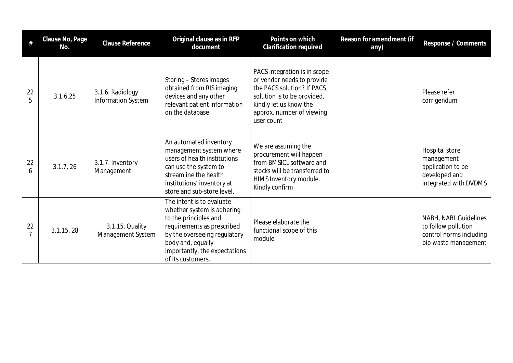| #                    | Clause No, Page<br>No. | <b>Clause Reference</b>                | Original clause as in RFP<br>document                                                                                                                                                                                     | Points on which<br><b>Clarification required</b>                                                                                                                                             | Reason for amendment (if<br>any) | Response / Comments                                                                             |
|----------------------|------------------------|----------------------------------------|---------------------------------------------------------------------------------------------------------------------------------------------------------------------------------------------------------------------------|----------------------------------------------------------------------------------------------------------------------------------------------------------------------------------------------|----------------------------------|-------------------------------------------------------------------------------------------------|
| 22                   | 3.1.6,25               | 3.1.6. Radiology<br>Information System | Storing - Stores images<br>obtained from RIS imaging<br>devices and any other<br>relevant patient information<br>on the database.                                                                                         | PACS integration is in scope<br>or vendor needs to provide<br>the PACS solution? If PACS<br>solution is to be provided,<br>kindly let us know the<br>approx. number of viewing<br>user count |                                  | Please refer<br>corrigendum                                                                     |
| 22<br>6              | 3.1.7, 26              | 3.1.7. Inventory<br>Management         | An automated inventory<br>management system where<br>users of health institutions<br>can use the system to<br>streamline the health<br>institutions' inventory at<br>store and sub-store level.                           | We are assuming the<br>procurement will happen<br>from BMSICL software and<br>stocks will be transferred to<br>HIMS Inventory module.<br>Kindly confirm                                      |                                  | Hospital store<br>management<br>application to be<br>developed and<br>integrated with DVDMS     |
| 22<br>$\overline{7}$ | 3.1.15, 28             | 3.1.15. Quality<br>Management System   | The intent is to evaluate<br>whether system is adhering<br>to the principles and<br>requirements as prescribed<br>by the overseeing regulatory<br>body and, equally<br>importantly, the expectations<br>of its customers. | Please elaborate the<br>functional scope of this<br>module                                                                                                                                   |                                  | NABH, NABL Guidelines<br>to follow pollution<br>control norms including<br>bio waste management |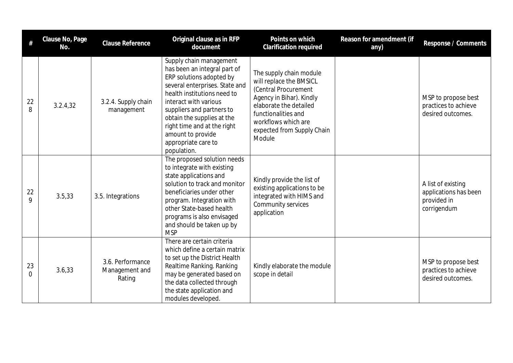|                   | Clause No, Page<br>No. | <b>Clause Reference</b>                      | Original clause as in RFP<br>document                                                                                                                                                                                                                                                                                              | Points on which<br>Clarification required                                                                                                                                                                              | Reason for amendment (if<br>any) | Response / Comments                                                       |
|-------------------|------------------------|----------------------------------------------|------------------------------------------------------------------------------------------------------------------------------------------------------------------------------------------------------------------------------------------------------------------------------------------------------------------------------------|------------------------------------------------------------------------------------------------------------------------------------------------------------------------------------------------------------------------|----------------------------------|---------------------------------------------------------------------------|
| 22<br>8           | 3.2.4.32               | 3.2.4. Supply chain<br>management            | Supply chain management<br>has been an integral part of<br>ERP solutions adopted by<br>several enterprises. State and<br>health institutions need to<br>interact with various<br>suppliers and partners to<br>obtain the supplies at the<br>right time and at the right<br>amount to provide<br>appropriate care to<br>population. | The supply chain module<br>will replace the BMSICL<br>(Central Procurement<br>Agency in Bihar). Kindly<br>elaborate the detailed<br>functionalities and<br>workflows which are<br>expected from Supply Chain<br>Module |                                  | MSP to propose best<br>practices to achieve<br>desired outcomes.          |
| 22<br>$\mathsf Q$ | 3.5,33                 | 3.5. Integrations                            | The proposed solution needs<br>to integrate with existing<br>state applications and<br>solution to track and monitor<br>beneficiaries under other<br>program. Integration with<br>other State-based health<br>programs is also envisaged<br>and should be taken up by<br><b>MSP</b>                                                | Kindly provide the list of<br>existing applications to be<br>integrated with HIMS and<br>Community services<br>application                                                                                             |                                  | A list of existing<br>applications has been<br>provided in<br>corrigendum |
| 23<br>$\Omega$    | 3.6,33                 | 3.6. Performance<br>Management and<br>Rating | There are certain criteria<br>which define a certain matrix<br>to set up the District Health<br>Realtime Ranking. Ranking<br>may be generated based on<br>the data collected through<br>the state application and<br>modules developed.                                                                                            | Kindly elaborate the module<br>scope in detail                                                                                                                                                                         |                                  | MSP to propose best<br>practices to achieve<br>desired outcomes.          |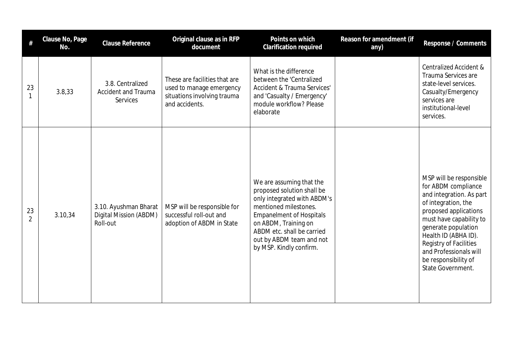| #                    | Clause No, Page<br>No. | <b>Clause Reference</b>                                     | Original clause as in RFP<br>document                                                                      | Points on which<br>Clarification required                                                                                                                                                                                                                      | Reason for amendment (if<br>any) | Response / Comments                                                                                                                                                                                                                                                                                   |
|----------------------|------------------------|-------------------------------------------------------------|------------------------------------------------------------------------------------------------------------|----------------------------------------------------------------------------------------------------------------------------------------------------------------------------------------------------------------------------------------------------------------|----------------------------------|-------------------------------------------------------------------------------------------------------------------------------------------------------------------------------------------------------------------------------------------------------------------------------------------------------|
| 23                   | 3.8,33                 | 3.8. Centralized<br><b>Accident and Trauma</b><br>Services  | These are facilities that are<br>used to manage emergency<br>situations involving trauma<br>and accidents. | What is the difference<br>between the 'Centralized<br><b>Accident &amp; Trauma Services'</b><br>and 'Casualty / Emergency'<br>module workflow? Please<br>elaborate                                                                                             |                                  | <b>Centralized Accident &amp;</b><br>Trauma Services are<br>state-level services.<br>Casualty/Emergency<br>services are<br>institutional-level<br>services.                                                                                                                                           |
| 23<br>$\overline{2}$ | 3.10,34                | 3.10. Ayushman Bharat<br>Digital Mission (ABDM)<br>Roll-out | MSP will be responsible for<br>successful roll-out and<br>adoption of ABDM in State                        | We are assuming that the<br>proposed solution shall be<br>only integrated with ABDM's<br>mentioned milestones.<br><b>Empanelment of Hospitals</b><br>on ABDM, Training on<br>ABDM etc. shall be carried<br>out by ABDM team and not<br>by MSP. Kindly confirm. |                                  | MSP will be responsible<br>for ABDM compliance<br>and integration. As part<br>of integration, the<br>proposed applications<br>must have capability to<br>generate population<br>Health ID (ABHA ID).<br>Registry of Facilities<br>and Professionals will<br>be responsibility of<br>State Government. |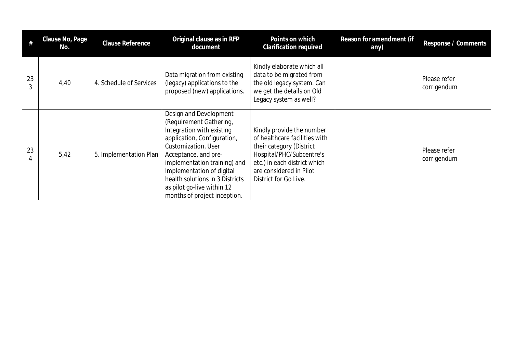|    | Clause No, Page<br>No. | Clause Reference        | Original clause as in RFP<br>document                                                                                                                                                                                                                                                                                      | Points on which<br>Clarification required                                                                                                                                                              | Reason for amendment (if<br>any) | Response / Comments         |
|----|------------------------|-------------------------|----------------------------------------------------------------------------------------------------------------------------------------------------------------------------------------------------------------------------------------------------------------------------------------------------------------------------|--------------------------------------------------------------------------------------------------------------------------------------------------------------------------------------------------------|----------------------------------|-----------------------------|
| 23 | 4,40                   | 4. Schedule of Services | Data migration from existing<br>(legacy) applications to the<br>proposed (new) applications.                                                                                                                                                                                                                               | Kindly elaborate which all<br>data to be migrated from<br>the old legacy system. Can<br>we get the details on Old<br>Legacy system as well?                                                            |                                  | Please refer<br>corrigendum |
| 23 | 5,42                   | 5. Implementation Plan  | Design and Development<br>(Requirement Gathering,<br>Integration with existing<br>application, Configuration,<br>Customization, User<br>Acceptance, and pre-<br>implementation training) and<br>Implementation of digital<br>health solutions in 3 Districts<br>as pilot go-live within 12<br>months of project inception. | Kindly provide the number<br>of healthcare facilities with<br>their category (District<br>Hospital/PHC/Subcentre's<br>etc.) in each district which<br>are considered in Pilot<br>District for Go Live. |                                  | Please refer<br>corrigendum |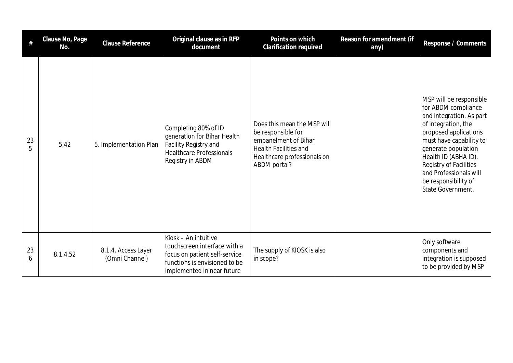| #       | Clause No, Page<br>No. | Clause Reference                      | Original clause as in RFP<br>document                                                                                                                | Points on which<br>Clarification required                                                                                                                | Reason for amendment (if<br>any) | Response / Comments                                                                                                                                                                                                                                                                                   |
|---------|------------------------|---------------------------------------|------------------------------------------------------------------------------------------------------------------------------------------------------|----------------------------------------------------------------------------------------------------------------------------------------------------------|----------------------------------|-------------------------------------------------------------------------------------------------------------------------------------------------------------------------------------------------------------------------------------------------------------------------------------------------------|
| 23<br>5 | 5,42                   | 5. Implementation Plan                | Completing 80% of ID<br>generation for Bihar Health<br>Facility Registry and<br><b>Healthcare Professionals</b><br>Registry in ABDM                  | Does this mean the MSP will<br>be responsible for<br>empanelment of Bihar<br><b>Health Facilities and</b><br>Healthcare professionals on<br>ABDM portal? |                                  | MSP will be responsible<br>for ABDM compliance<br>and integration. As part<br>of integration, the<br>proposed applications<br>must have capability to<br>generate population<br>Health ID (ABHA ID).<br>Registry of Facilities<br>and Professionals will<br>be responsibility of<br>State Government. |
| 23<br>6 | 8.1.4,52               | 8.1.4. Access Layer<br>(Omni Channel) | Kiosk - An intuitive<br>touchscreen interface with a<br>focus on patient self-service<br>functions is envisioned to be<br>implemented in near future | The supply of KIOSK is also<br>in scope?                                                                                                                 |                                  | Only software<br>components and<br>integration is supposed<br>to be provided by MSP                                                                                                                                                                                                                   |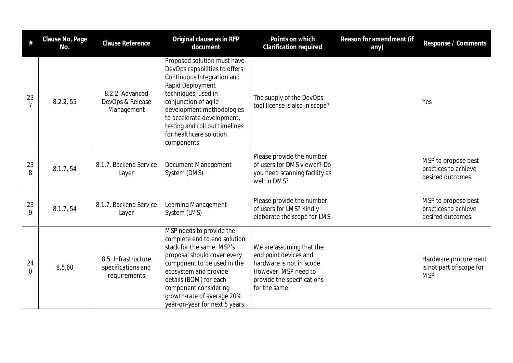| #                    | Clause No, Page<br>No. | <b>Clause Reference</b>                                   | Original clause as in RFP<br>document                                                                                                                                                                                                                                                               | Points on which<br>Clarification required                                                                                                             | Reason for amendment (if<br>any) | Response / Comments                                              |
|----------------------|------------------------|-----------------------------------------------------------|-----------------------------------------------------------------------------------------------------------------------------------------------------------------------------------------------------------------------------------------------------------------------------------------------------|-------------------------------------------------------------------------------------------------------------------------------------------------------|----------------------------------|------------------------------------------------------------------|
| 23<br>$\overline{7}$ | 8.2.2, 55              | 8.2.2. Advanced<br>DevOps & Release<br>Management         | Proposed solution must have<br>DevOps capabilities to offers<br>Continuous Integration and<br>Rapid Deployment<br>techniques, used in<br>conjunction of agile<br>development methodologies<br>to accelerate development,<br>testing and roll out timelines<br>for healthcare solution<br>components | The supply of the DevOps<br>tool license is also in scope?                                                                                            |                                  | Yes                                                              |
| 23<br>8              | 8.1.7, 54              | 8.1.7. Backend Service<br>Layer                           | Document Management<br>System (DMS)                                                                                                                                                                                                                                                                 | Please provide the number<br>of users for DMS viewer? Do<br>you need scanning facility as<br>well in DMS?                                             |                                  | MSP to propose best<br>practices to achieve<br>desired outcomes. |
| 23<br>9              | 8.1.7,54               | 8.1.7. Backend Service<br>Layer                           | Learning Management<br>System (LMS)                                                                                                                                                                                                                                                                 | Please provide the number<br>of users for LMS? Kindly<br>elaborate the scope for LMS                                                                  |                                  | MSP to propose best<br>practices to achieve<br>desired outcomes. |
| 24<br>$\Omega$       | 8.5,60                 | 8.5. Infrastructure<br>specifications and<br>requirements | MSP needs to provide the<br>complete end to end solution<br>stack for the same. MSP's<br>proposal should cover every<br>component to be used in the<br>ecosystem and provide<br>details (BOM) for each<br>component considering<br>growth-rate of average 20%<br>year-on-year for next 5 years.     | We are assuming that the<br>end point devices and<br>hardware is not in scope.<br>However, MSP need to<br>provide the specifications<br>for the same. |                                  | Hardware procurement<br>is not part of scope for<br><b>MSP</b>   |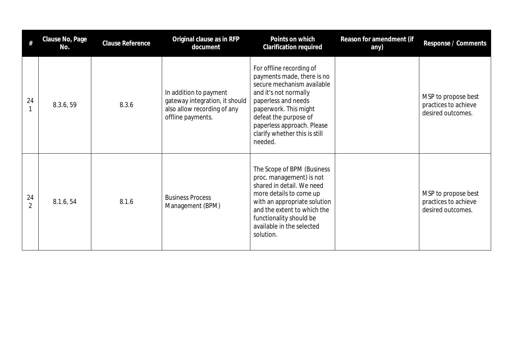| #                    | Clause No, Page<br>No. | Clause Reference | Original clause as in RFP<br>document                                                                        | Points on which<br><b>Clarification required</b>                                                                                                                                                                                                                 | Reason for amendment (if<br>any) | Response / Comments                                              |
|----------------------|------------------------|------------------|--------------------------------------------------------------------------------------------------------------|------------------------------------------------------------------------------------------------------------------------------------------------------------------------------------------------------------------------------------------------------------------|----------------------------------|------------------------------------------------------------------|
| 24                   | 8.3.6, 59              | 8.3.6            | In addition to payment<br>gateway integration, it should<br>also allow recording of any<br>offline payments. | For offline recording of<br>payments made, there is no<br>secure mechanism available<br>and it's not normally<br>paperless and needs<br>paperwork. This might<br>defeat the purpose of<br>paperless approach. Please<br>clarify whether this is still<br>needed. |                                  | MSP to propose best<br>practices to achieve<br>desired outcomes. |
| 24<br>$\overline{2}$ | 8.1.6, 54              | 8.1.6            | <b>Business Process</b><br>Management (BPM)                                                                  | The Scope of BPM (Business<br>proc. management) is not<br>shared in detail. We need<br>more details to come up<br>with an appropriate solution<br>and the extent to which the<br>functionality should be<br>available in the selected<br>solution.               |                                  | MSP to propose best<br>practices to achieve<br>desired outcomes. |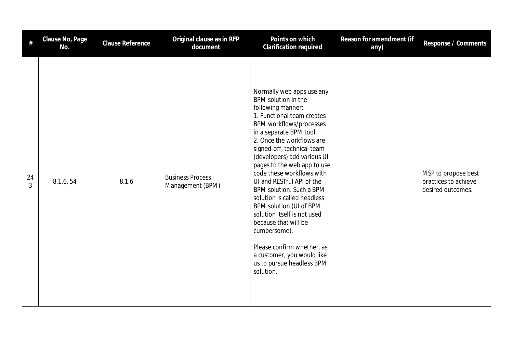| #                    | Clause No, Page<br>No. | Clause Reference | Original clause as in RFP<br>document       | Points on which<br>Clarification required                                                                                                                                                                                                                                                                                                                                                                                                                                                                                                                                                                       | Reason for amendment (if<br>any) | Response / Comments                                              |
|----------------------|------------------------|------------------|---------------------------------------------|-----------------------------------------------------------------------------------------------------------------------------------------------------------------------------------------------------------------------------------------------------------------------------------------------------------------------------------------------------------------------------------------------------------------------------------------------------------------------------------------------------------------------------------------------------------------------------------------------------------------|----------------------------------|------------------------------------------------------------------|
| 24<br>$\overline{3}$ | 8.1.6, 54              | 8.1.6            | <b>Business Process</b><br>Management (BPM) | Normally web apps use any<br>BPM solution in the<br>following manner:<br>1. Functional team creates<br>BPM workflows/processes<br>in a separate BPM tool.<br>2. Once the workflows are<br>signed-off, technical team<br>(developers) add various UI<br>pages to the web app to use<br>code these workflows with<br>UI and RESTful API of the<br>BPM solution. Such a BPM<br>solution is called headless<br>BPM solution (UI of BPM<br>solution itself is not used<br>because that will be<br>cumbersome).<br>Please confirm whether, as<br>a customer, you would like<br>us to pursue headless BPM<br>solution. |                                  | MSP to propose best<br>practices to achieve<br>desired outcomes. |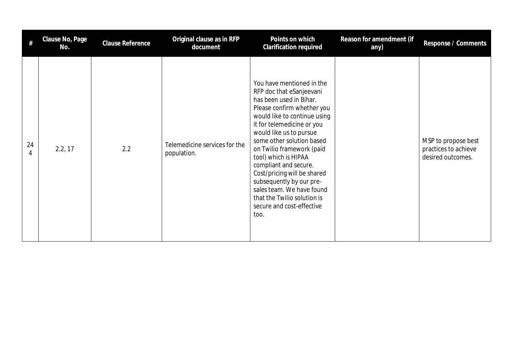| #       | Clause No, Page<br>No. | Clause Reference | Original clause as in RFP<br>document        | Points on which<br><b>Clarification required</b>                                                                                                                                                                                                                                                                                                                                                                                                                               | Reason for amendment (if<br>any) | Response / Comments                                              |
|---------|------------------------|------------------|----------------------------------------------|--------------------------------------------------------------------------------------------------------------------------------------------------------------------------------------------------------------------------------------------------------------------------------------------------------------------------------------------------------------------------------------------------------------------------------------------------------------------------------|----------------------------------|------------------------------------------------------------------|
| 24<br>4 | 2.2, 17                | 2.2              | Telemedicine services for the<br>population. | You have mentioned in the<br>RFP doc that eSanjeevani<br>has been used in Bihar.<br>Please confirm whether you<br>would like to continue using<br>it for telemedicine or you<br>would like us to pursue<br>some other solution based<br>on Twilio framework (paid<br>tool) which is HIPAA<br>compliant and secure.<br>Cost/pricing will be shared<br>subsequently by our pre-<br>sales team. We have found<br>that the Twilio solution is<br>secure and cost-effective<br>too. |                                  | MSP to propose best<br>practices to achieve<br>desired outcomes. |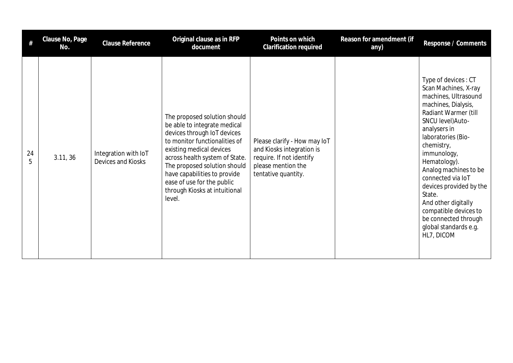| #       | Clause No, Page<br>No. | <b>Clause Reference</b>                    | Original clause as in RFP<br>document                                                                                                                                                                                                                                                                                               | Points on which<br><b>Clarification required</b>                                                                                   | Reason for amendment (if<br>any) | Response / Comments                                                                                                                                                                                                                                                                                                                                                                                                          |
|---------|------------------------|--------------------------------------------|-------------------------------------------------------------------------------------------------------------------------------------------------------------------------------------------------------------------------------------------------------------------------------------------------------------------------------------|------------------------------------------------------------------------------------------------------------------------------------|----------------------------------|------------------------------------------------------------------------------------------------------------------------------------------------------------------------------------------------------------------------------------------------------------------------------------------------------------------------------------------------------------------------------------------------------------------------------|
| 24<br>5 | 3.11, 36               | Integration with IoT<br>Devices and Kiosks | The proposed solution should<br>be able to integrate medical<br>devices through IoT devices<br>to monitor functionalities of<br>existing medical devices<br>across health system of State.<br>The proposed solution should<br>have capabilities to provide<br>ease of use for the public<br>through Kiosks at intuitional<br>level. | Please clarify - How may loT<br>and Kiosks integration is<br>require. If not identify<br>please mention the<br>tentative quantity. |                                  | Type of devices: CT<br>Scan Machines, X-ray<br>machines, Ultrasound<br>machines, Dialysis,<br>Radiant Warmer (till<br>SNCU level) Auto-<br>analysers in<br>laboratories (Bio-<br>chemistry,<br>immunology,<br>Hematology).<br>Analog machines to be<br>connected via IoT<br>devices provided by the<br>State.<br>And other digitally<br>compatible devices to<br>be connected through<br>global standards e.g.<br>HL7, DICOM |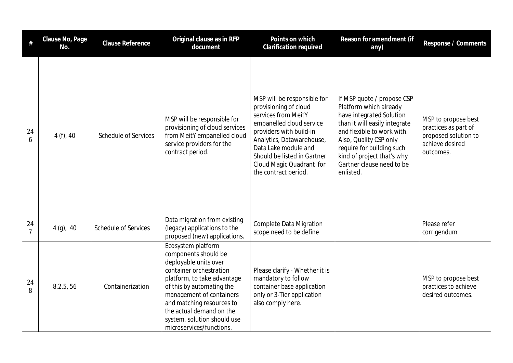| $\#$                 | Clause No, Page<br>No. | Clause Reference            | Original clause as in RFP<br>document                                                                                                                                                                                                                                                                      | Points on which<br>Clarification required                                                                                                                                                                                                                                  | Reason for amendment (if<br>any)                                                                                                                                                                                                                                               | Response / Comments                                                                                 |
|----------------------|------------------------|-----------------------------|------------------------------------------------------------------------------------------------------------------------------------------------------------------------------------------------------------------------------------------------------------------------------------------------------------|----------------------------------------------------------------------------------------------------------------------------------------------------------------------------------------------------------------------------------------------------------------------------|--------------------------------------------------------------------------------------------------------------------------------------------------------------------------------------------------------------------------------------------------------------------------------|-----------------------------------------------------------------------------------------------------|
| 24<br>6              | 4(f), 40               | <b>Schedule of Services</b> | MSP will be responsible for<br>provisioning of cloud services<br>from MeitY empanelled cloud<br>service providers for the<br>contract period.                                                                                                                                                              | MSP will be responsible for<br>provisioning of cloud<br>services from MeitY<br>empanelled cloud service<br>providers with build-in<br>Analytics, Datawarehouse,<br>Data Lake module and<br>Should be listed in Gartner<br>Cloud Magic Quadrant for<br>the contract period. | If MSP quote / propose CSP<br>Platform which already<br>have integrated Solution<br>than it will easily integrate<br>and flexible to work with.<br>Also, Quality CSP only<br>require for building such<br>kind of project that's why<br>Gartner clause need to be<br>enlisted. | MSP to propose best<br>practices as part of<br>proposed solution to<br>achieve desired<br>outcomes. |
| 24<br>$\overline{7}$ | $4(g)$ , 40            | <b>Schedule of Services</b> | Data migration from existing<br>(legacy) applications to the<br>proposed (new) applications.                                                                                                                                                                                                               | <b>Complete Data Migration</b><br>scope need to be define                                                                                                                                                                                                                  |                                                                                                                                                                                                                                                                                | Please refer<br>corrigendum                                                                         |
| 24<br>8              | 8.2.5, 56              | Containerization            | Ecosystem platform<br>components should be<br>deployable units over<br>container orchestration<br>platform, to take advantage<br>of this by automating the<br>management of containers<br>and matching resources to<br>the actual demand on the<br>system. solution should use<br>microservices/functions. | Please clarify - Whether it is<br>mandatory to follow<br>container base application<br>only or 3-Tier application<br>also comply here.                                                                                                                                     |                                                                                                                                                                                                                                                                                | MSP to propose best<br>practices to achieve<br>desired outcomes.                                    |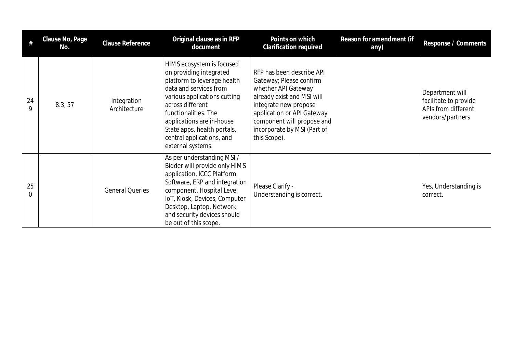|                | Clause No, Page<br>No. | <b>Clause Reference</b>     | Original clause as in RFP<br>document                                                                                                                                                                                                                                                                   | Points on which<br>Clarification required                                                                                                                                                                                                     | Reason for amendment (if<br>any) | Response / Comments                                                                 |
|----------------|------------------------|-----------------------------|---------------------------------------------------------------------------------------------------------------------------------------------------------------------------------------------------------------------------------------------------------------------------------------------------------|-----------------------------------------------------------------------------------------------------------------------------------------------------------------------------------------------------------------------------------------------|----------------------------------|-------------------------------------------------------------------------------------|
| 24<br>9        | 8.3, 57                | Integration<br>Architecture | HIMS ecosystem is focused<br>on providing integrated<br>platform to leverage health<br>data and services from<br>various applications cutting<br>across different<br>functionalities. The<br>applications are in-house<br>State apps, health portals,<br>central applications, and<br>external systems. | RFP has been describe API<br>Gateway; Please confirm<br>whether API Gateway<br>already exist and MSI will<br>integrate new propose<br>application or API Gateway<br>component will propose and<br>incorporate by MSI (Part of<br>this Scope). |                                  | Department will<br>facilitate to provide<br>APIs from different<br>vendors/partners |
| 25<br>$\Omega$ |                        | <b>General Queries</b>      | As per understanding MSI /<br>Bidder will provide only HIMS<br>application, ICCC Platform<br>Software, ERP and integration<br>component. Hospital Level<br>IoT, Kiosk, Devices, Computer<br>Desktop, Laptop, Network<br>and security devices should<br>be out of this scope.                            | Please Clarify -<br>Understanding is correct.                                                                                                                                                                                                 |                                  | Yes, Understanding is<br>correct.                                                   |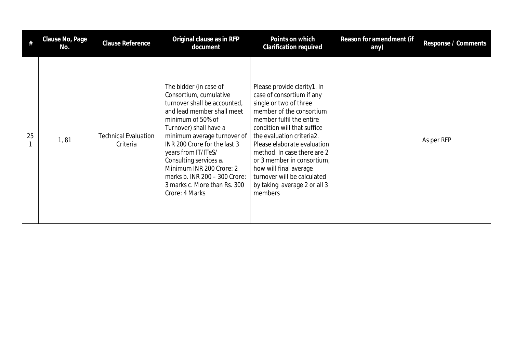|    | Clause No, Page<br>No. | Clause Reference                        | Original clause as in RFP<br>document                                                                                                                                                                                                                                                                                                                                                        | Points on which<br><b>Clarification required</b>                                                                                                                                                                                                                                                                                                                                                       | Reason for amendment (if<br>any) | Response / Comments |
|----|------------------------|-----------------------------------------|----------------------------------------------------------------------------------------------------------------------------------------------------------------------------------------------------------------------------------------------------------------------------------------------------------------------------------------------------------------------------------------------|--------------------------------------------------------------------------------------------------------------------------------------------------------------------------------------------------------------------------------------------------------------------------------------------------------------------------------------------------------------------------------------------------------|----------------------------------|---------------------|
| 25 | 1, 81                  | <b>Technical Evaluation</b><br>Criteria | The bidder (in case of<br>Consortium, cumulative<br>turnover shall be accounted,<br>and lead member shall meet<br>minimum of 50% of<br>Turnover) shall have a<br>minimum average turnover of<br>INR 200 Crore for the last 3<br>years from IT/ITeS/<br>Consulting services a.<br>Minimum INR 200 Crore: 2<br>marks b. INR 200 - 300 Crore:<br>3 marks c. More than Rs. 300<br>Crore: 4 Marks | Please provide clarity1. In<br>case of consortium if any<br>single or two of three<br>member of the consortium<br>member fulfil the entire<br>condition will that suffice<br>the evaluation criteria2.<br>Please elaborate evaluation<br>method. In case there are 2<br>or 3 member in consortium,<br>how will final average<br>turnover will be calculated<br>by taking average 2 or all 3<br>members |                                  | As per RFP          |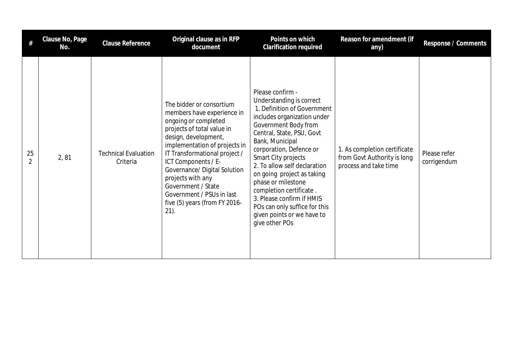|    | Clause No, Page<br>No. | <b>Clause Reference</b>                 | Original clause as in RFP<br>document                                                                                                                                                                                                                                                                                                                                             | Points on which<br>Clarification required                                                                                                                                                                                                                                                                                                                                                                                                                         | Reason for amendment (if<br>any)                                                     | Response / Comments         |
|----|------------------------|-----------------------------------------|-----------------------------------------------------------------------------------------------------------------------------------------------------------------------------------------------------------------------------------------------------------------------------------------------------------------------------------------------------------------------------------|-------------------------------------------------------------------------------------------------------------------------------------------------------------------------------------------------------------------------------------------------------------------------------------------------------------------------------------------------------------------------------------------------------------------------------------------------------------------|--------------------------------------------------------------------------------------|-----------------------------|
| 25 | 2,81                   | <b>Technical Evaluation</b><br>Criteria | The bidder or consortium<br>members have experience in<br>ongoing or completed<br>projects of total value in<br>design, development,<br>implementation of projects in<br>IT Transformational project /<br>ICT Components / E-<br>Governance/ Digital Solution<br>projects with any<br>Government / State<br>Government / PSUs in last<br>five (5) years (from FY 2016-<br>$21$ ). | Please confirm -<br>Understanding is correct<br>1. Definition of Government<br>includes organization under<br>Government Body from<br>Central, State, PSU, Govt<br>Bank, Municipal<br>corporation, Defence or<br>Smart City projects<br>2. To allow self declaration<br>on going project as taking<br>phase or milestone<br>completion certificate.<br>3. Please confirm if HMIS<br>POs can only suffice for this<br>given points or we have to<br>give other POs | 1. As completion certificate<br>from Govt Authority is long<br>process and take time | Please refer<br>corrigendum |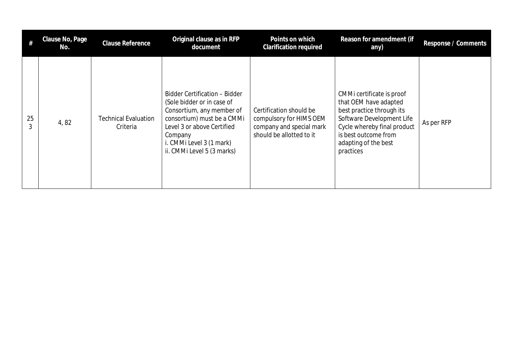| #  | Clause No, Page<br>No. | Clause Reference                        | Original clause as in RFP<br>document                                                                                                                                                                                     | Points on which<br><b>Clarification required</b>                                                           | Reason for amendment (if<br>any)                                                                                                                                                                         | Response / Comments |
|----|------------------------|-----------------------------------------|---------------------------------------------------------------------------------------------------------------------------------------------------------------------------------------------------------------------------|------------------------------------------------------------------------------------------------------------|----------------------------------------------------------------------------------------------------------------------------------------------------------------------------------------------------------|---------------------|
| 25 | 4,82                   | <b>Technical Evaluation</b><br>Criteria | Bidder Certification - Bidder<br>(Sole bidder or in case of<br>Consortium, any member of<br>consortium) must be a CMMi<br>Level 3 or above Certified<br>Company<br>i. CMMi Level 3 (1 mark)<br>ii. CMMi Level 5 (3 marks) | Certification should be<br>compulsory for HIMS OEM<br>company and special mark<br>should be allotted to it | CMMi certificate is proof<br>that OEM have adapted<br>best practice through its<br>Software Development Life<br>Cycle whereby final product<br>is best outcome from<br>adapting of the best<br>practices | As per RFP          |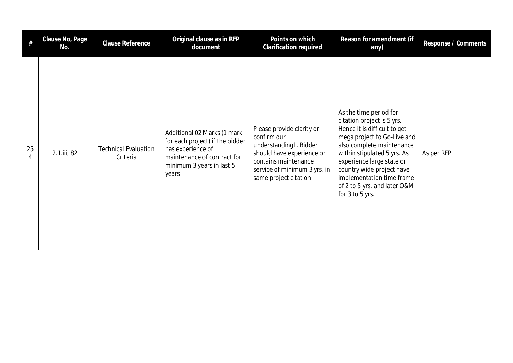| #       | Clause No, Page<br>No. | <b>Clause Reference</b>                 | Original clause as in RFP<br>document                                                                                                                    | Points on which<br>Clarification required                                                                                                                                        | Reason for amendment (if<br>any)                                                                                                                                                                                                                                                                                          | Response / Comments |
|---------|------------------------|-----------------------------------------|----------------------------------------------------------------------------------------------------------------------------------------------------------|----------------------------------------------------------------------------------------------------------------------------------------------------------------------------------|---------------------------------------------------------------------------------------------------------------------------------------------------------------------------------------------------------------------------------------------------------------------------------------------------------------------------|---------------------|
| 25<br>4 | 2.1.iii, 82            | <b>Technical Evaluation</b><br>Criteria | Additional 02 Marks (1 mark<br>for each project) if the bidder<br>has experience of<br>maintenance of contract for<br>minimum 3 years in last 5<br>years | Please provide clarity or<br>confirm our<br>understanding1. Bidder<br>should have experience or<br>contains maintenance<br>service of minimum 3 yrs. in<br>same project citation | As the time period for<br>citation project is 5 yrs.<br>Hence it is difficult to get<br>mega project to Go-Live and<br>also complete maintenance<br>within stipulated 5 yrs. As<br>experience large state or<br>country wide project have<br>implementation time frame<br>of 2 to 5 yrs. and later O&M<br>for 3 to 5 yrs. | As per RFP          |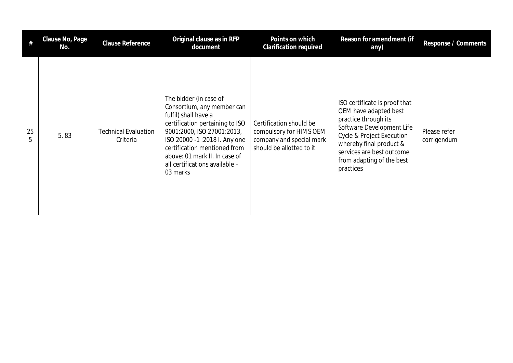|         | Clause No, Page<br>No. | Clause Reference                        | Original clause as in RFP<br>document                                                                                                                                                                                                                                                        | Points on which<br><b>Clarification required</b>                                                           | Reason for amendment (if<br>any)                                                                                                                                                                                                           | Response / Comments         |
|---------|------------------------|-----------------------------------------|----------------------------------------------------------------------------------------------------------------------------------------------------------------------------------------------------------------------------------------------------------------------------------------------|------------------------------------------------------------------------------------------------------------|--------------------------------------------------------------------------------------------------------------------------------------------------------------------------------------------------------------------------------------------|-----------------------------|
| 25<br>5 | 5,83                   | <b>Technical Evaluation</b><br>Criteria | The bidder (in case of<br>Consortium, any member can<br>fulfil) shall have a<br>certification pertaining to ISO<br>9001:2000, ISO 27001:2013,<br>ISO 20000 -1:2018 I. Any one<br>certification mentioned from<br>above: 01 mark II. In case of<br>all certifications available -<br>03 marks | Certification should be<br>compulsory for HIMS OEM<br>company and special mark<br>should be allotted to it | ISO certificate is proof that<br>OEM have adapted best<br>practice through its<br>Software Development Life<br>Cycle & Project Execution<br>whereby final product &<br>services are best outcome<br>from adapting of the best<br>practices | Please refer<br>corrigendum |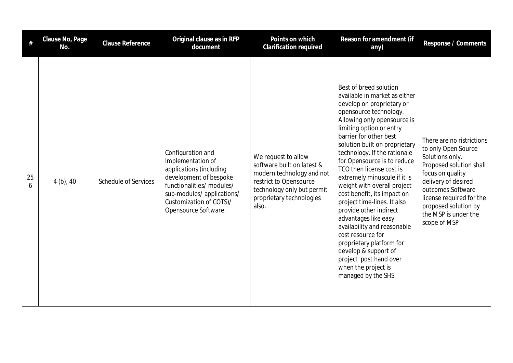| #       | Clause No, Page<br>No. | <b>Clause Reference</b>     | Original clause as in RFP<br>document                                                                                                                                                                    | Points on which<br>Clarification required                                                                                                                                   | Reason for amendment (if<br>any)                                                                                                                                                                                                                                                                                                                                                                                                                                                                                                                                                                                                                                                              | Response / Comments                                                                                                                                                                                                                                        |
|---------|------------------------|-----------------------------|----------------------------------------------------------------------------------------------------------------------------------------------------------------------------------------------------------|-----------------------------------------------------------------------------------------------------------------------------------------------------------------------------|-----------------------------------------------------------------------------------------------------------------------------------------------------------------------------------------------------------------------------------------------------------------------------------------------------------------------------------------------------------------------------------------------------------------------------------------------------------------------------------------------------------------------------------------------------------------------------------------------------------------------------------------------------------------------------------------------|------------------------------------------------------------------------------------------------------------------------------------------------------------------------------------------------------------------------------------------------------------|
| 25<br>6 | $4(b)$ , 40            | <b>Schedule of Services</b> | Configuration and<br>Implementation of<br>applications (including<br>development of bespoke<br>functionalities/ modules/<br>sub-modules/applications/<br>Customization of COTS)/<br>Opensource Software. | We request to allow<br>software built on latest &<br>modern technology and not<br>restrict to Opensource<br>technology only but permit<br>proprietary technologies<br>also. | Best of breed solution<br>available in market as either<br>develop on proprietary or<br>opensource technology.<br>Allowing only opensource is<br>limiting option or entry<br>barrier for other best<br>solution built on proprietary<br>technology. If the rationale<br>for Opensource is to reduce<br>TCO then license cost is<br>extremely minuscule if it is<br>weight with overall project<br>cost benefit, its impact on<br>project time-lines. It also<br>provide other indirect<br>advantages like easy<br>availability and reasonable<br>cost resource for<br>proprietary platform for<br>develop & support of<br>project post hand over<br>when the project is<br>managed by the SHS | There are no ristrictions<br>to only Open Source<br>Solutions only.<br>Proposed solution shall<br>focus on quality<br>delivery of desired<br>outcomes.Software<br>license required for the<br>proposed solution by<br>the MSP is under the<br>scope of MSP |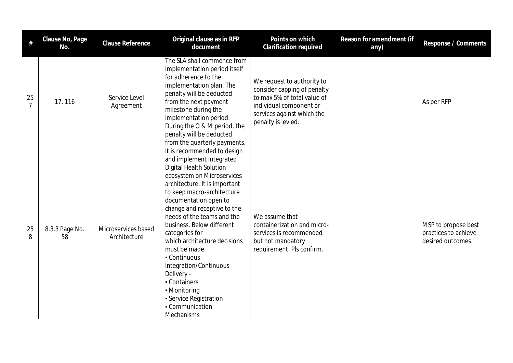| $\#$                 | Clause No, Page<br>No. | Clause Reference                    | Original clause as in RFP<br>document                                                                                                                                                                                                                                                                                                                                                                                                                                                                                    | Points on which<br><b>Clarification required</b>                                                                                                                        | Reason for amendment (if<br>any) | Response / Comments                                              |
|----------------------|------------------------|-------------------------------------|--------------------------------------------------------------------------------------------------------------------------------------------------------------------------------------------------------------------------------------------------------------------------------------------------------------------------------------------------------------------------------------------------------------------------------------------------------------------------------------------------------------------------|-------------------------------------------------------------------------------------------------------------------------------------------------------------------------|----------------------------------|------------------------------------------------------------------|
| 25<br>$\overline{7}$ | 17, 116                | Service Level<br>Agreement          | The SLA shall commence from<br>implementation period itself<br>for adherence to the<br>implementation plan. The<br>penalty will be deducted<br>from the next payment<br>milestone during the<br>implementation period.<br>During the O & M period, the<br>penalty will be deducted<br>from the quarterly payments.                                                                                                                                                                                                       | We request to authority to<br>consider capping of penalty<br>to max 5% of total value of<br>individual component or<br>services against which the<br>penalty is levied. |                                  | As per RFP                                                       |
| 25<br>8              | 8.3.3 Page No.<br>58   | Microservices based<br>Architecture | It is recommended to design<br>and implement Integrated<br>Digital Health Solution<br>ecosystem on Microservices<br>architecture. It is important<br>to keep macro-architecture<br>documentation open to<br>change and receptive to the<br>needs of the teams and the<br>business. Below different<br>categories for<br>which architecture decisions<br>must be made.<br>- Continuous<br>Integration/Continuous<br>Delivery -<br>- Containers<br>• Monitoring<br>• Service Registration<br>- Communication<br>Mechanisms | We assume that<br>containerization and micro-<br>services is recommended<br>but not mandatory<br>requirement. Pls confirm.                                              |                                  | MSP to propose best<br>practices to achieve<br>desired outcomes. |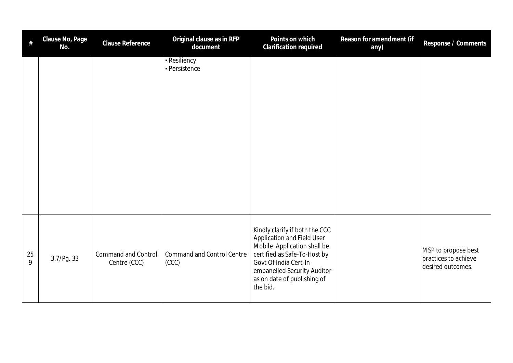| $\#$    | Clause No, Page<br>No. | Clause Reference                           | Original clause as in RFP<br>document      | Points on which<br>Clarification required                                                                                                                                                                                      | Reason for amendment (if<br>any) | Response / Comments                                              |
|---------|------------------------|--------------------------------------------|--------------------------------------------|--------------------------------------------------------------------------------------------------------------------------------------------------------------------------------------------------------------------------------|----------------------------------|------------------------------------------------------------------|
|         |                        |                                            | - Resiliency<br>- Persistence              |                                                                                                                                                                                                                                |                                  |                                                                  |
| 25<br>9 | 3.7/Pg. 33             | <b>Command and Control</b><br>Centre (CCC) | <b>Command and Control Centre</b><br>(CCC) | Kindly clarify if both the CCC<br>Application and Field User<br>Mobile Application shall be<br>certified as Safe-To-Host by<br>Govt Of India Cert-In<br>empanelled Security Auditor<br>as on date of publishing of<br>the bid. |                                  | MSP to propose best<br>practices to achieve<br>desired outcomes. |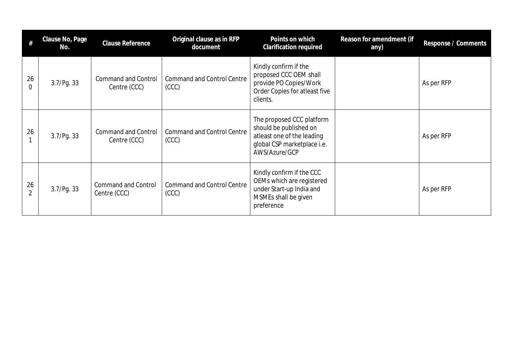| #              | Clause No, Page<br>No. | Clause Reference                           | Original clause as in RFP<br>document      | Points on which<br><b>Clarification required</b>                                                                                  | Reason for amendment (if<br>any) | Response / Comments |
|----------------|------------------------|--------------------------------------------|--------------------------------------------|-----------------------------------------------------------------------------------------------------------------------------------|----------------------------------|---------------------|
| 26<br>$\Omega$ | 3.7/Pg. 33             | <b>Command and Control</b><br>Centre (CCC) | <b>Command and Control Centre</b><br>(CCC) | Kindly confirm if the<br>proposed CCC OEM shall<br>provide PO Copies/Work<br>Order Copies for atleast five<br>clients.            |                                  | As per RFP          |
| 26             | 3.7/Pg. 33             | <b>Command and Control</b><br>Centre (CCC) | <b>Command and Control Centre</b><br>(CC)  | The proposed CCC platform<br>should be published on<br>atleast one of the leading<br>global CSP marketplace i.e.<br>AWS/Azure/GCP |                                  | As per RFP          |
| 26             | 3.7/Pg. 33             | <b>Command and Control</b><br>Centre (CCC) | <b>Command and Control Centre</b><br>(CC)  | Kindly confirm if the CCC<br>OEMs which are registered<br>under Start-up India and<br>MSMEs shall be given<br>preference          |                                  | As per RFP          |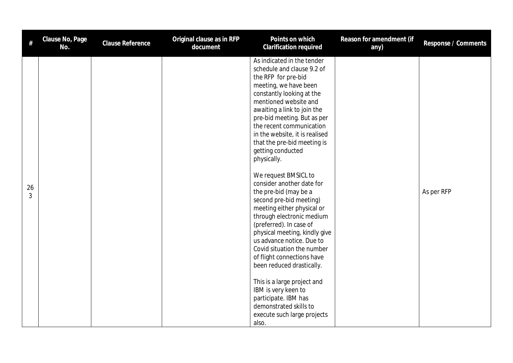| #                    | Clause No, Page<br>No. | Clause Reference | Original clause as in RFP<br>document | Points on which<br>Clarification required                                                                                                                                                                                                                                                                                                                                                                | Reason for amendment (if<br>any) | Response / Comments |
|----------------------|------------------------|------------------|---------------------------------------|----------------------------------------------------------------------------------------------------------------------------------------------------------------------------------------------------------------------------------------------------------------------------------------------------------------------------------------------------------------------------------------------------------|----------------------------------|---------------------|
|                      |                        |                  |                                       | As indicated in the tender<br>schedule and clause 9.2 of<br>the RFP for pre-bid<br>meeting, we have been<br>constantly looking at the<br>mentioned website and<br>awaiting a link to join the<br>pre-bid meeting. But as per<br>the recent communication<br>in the website, it is realised<br>that the pre-bid meeting is<br>getting conducted<br>physically.                                            |                                  |                     |
| 26<br>$\mathfrak{Z}$ |                        |                  |                                       | We request BMSICL to<br>consider another date for<br>the pre-bid (may be a<br>second pre-bid meeting)<br>meeting either physical or<br>through electronic medium<br>(preferred). In case of<br>physical meeting, kindly give<br>us advance notice. Due to<br>Covid situation the number<br>of flight connections have<br>been reduced drastically.<br>This is a large project and<br>IBM is very keen to |                                  | As per RFP          |
|                      |                        |                  |                                       | participate. IBM has<br>demonstrated skills to<br>execute such large projects<br>also.                                                                                                                                                                                                                                                                                                                   |                                  |                     |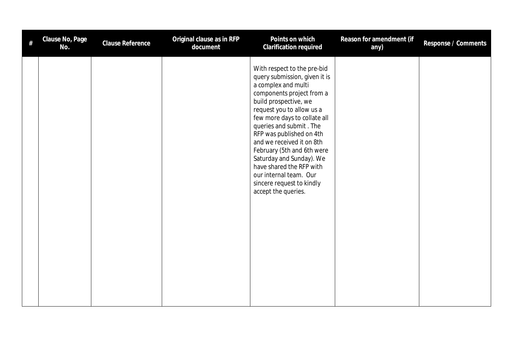| # | Clause No, Page<br>No. | Clause Reference | Original clause as in RFP<br>document | Points on which<br>Clarification required                                                                                                                                                                                                                                                                                                                                                                                                                      | Reason for amendment (if<br>any) | Response / Comments |
|---|------------------------|------------------|---------------------------------------|----------------------------------------------------------------------------------------------------------------------------------------------------------------------------------------------------------------------------------------------------------------------------------------------------------------------------------------------------------------------------------------------------------------------------------------------------------------|----------------------------------|---------------------|
|   |                        |                  |                                       | With respect to the pre-bid<br>query submission, given it is<br>a complex and multi<br>components project from a<br>build prospective, we<br>request you to allow us a<br>few more days to collate all<br>queries and submit. The<br>RFP was published on 4th<br>and we received it on 8th<br>February (5th and 6th were<br>Saturday and Sunday). We<br>have shared the RFP with<br>our internal team. Our<br>sincere request to kindly<br>accept the queries. |                                  |                     |
|   |                        |                  |                                       |                                                                                                                                                                                                                                                                                                                                                                                                                                                                |                                  |                     |
|   |                        |                  |                                       |                                                                                                                                                                                                                                                                                                                                                                                                                                                                |                                  |                     |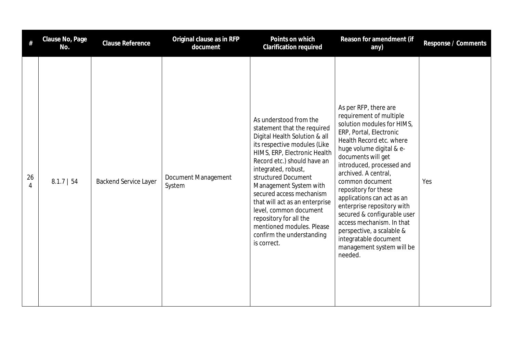|         | Clause No, Page<br>No. | Clause Reference             | Original clause as in RFP<br>document | Points on which<br>Clarification required                                                                                                                                                                                                                                                                                                                                                                                                                | Reason for amendment (if<br>any)                                                                                                                                                                                                                                                                                                                                                                                                                                                                              | Response / Comments |
|---------|------------------------|------------------------------|---------------------------------------|----------------------------------------------------------------------------------------------------------------------------------------------------------------------------------------------------------------------------------------------------------------------------------------------------------------------------------------------------------------------------------------------------------------------------------------------------------|---------------------------------------------------------------------------------------------------------------------------------------------------------------------------------------------------------------------------------------------------------------------------------------------------------------------------------------------------------------------------------------------------------------------------------------------------------------------------------------------------------------|---------------------|
| 26<br>4 | $8.1.7$   54           | <b>Backend Service Layer</b> | Document Management<br>System         | As understood from the<br>statement that the required<br>Digital Health Solution & all<br>its respective modules (Like<br>HIMS, ERP, Electronic Health<br>Record etc.) should have an<br>integrated, robust,<br>structured Document<br>Management System with<br>secured access mechanism<br>that will act as an enterprise<br>level, common document<br>repository for all the<br>mentioned modules. Please<br>confirm the understanding<br>is correct. | As per RFP, there are<br>requirement of multiple<br>solution modules for HIMS,<br>ERP, Portal, Electronic<br>Health Record etc. where<br>huge volume digital & e-<br>documents will get<br>introduced, processed and<br>archived. A central,<br>common document<br>repository for these<br>applications can act as an<br>enterprise repository with<br>secured & configurable user<br>access mechanism. In that<br>perspective, a scalable &<br>integratable document<br>management system will be<br>needed. | Yes                 |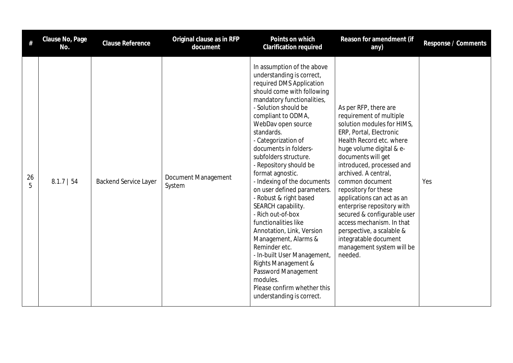| #       | Clause No, Page<br>No. | <b>Clause Reference</b>      | Original clause as in RFP<br>document | Points on which<br><b>Clarification required</b>                                                                                                                                                                                                                                                                                                                                                                                                                                                                                                                                                                                                                                                                                               | Reason for amendment (if<br>any)                                                                                                                                                                                                                                                                                                                                                                                                                                                                              | Response / Comments |
|---------|------------------------|------------------------------|---------------------------------------|------------------------------------------------------------------------------------------------------------------------------------------------------------------------------------------------------------------------------------------------------------------------------------------------------------------------------------------------------------------------------------------------------------------------------------------------------------------------------------------------------------------------------------------------------------------------------------------------------------------------------------------------------------------------------------------------------------------------------------------------|---------------------------------------------------------------------------------------------------------------------------------------------------------------------------------------------------------------------------------------------------------------------------------------------------------------------------------------------------------------------------------------------------------------------------------------------------------------------------------------------------------------|---------------------|
| 26<br>5 | $8.1.7$   54           | <b>Backend Service Layer</b> | Document Management<br>System         | In assumption of the above<br>understanding is correct,<br>required DMS Application<br>should come with following<br>mandatory functionalities,<br>- Solution should be<br>compliant to ODMA,<br>WebDav open source<br>standards.<br>- Categorization of<br>documents in folders-<br>subfolders structure.<br>- Repository should be<br>format agnostic.<br>- Indexing of the documents<br>on user defined parameters.<br>- Robust & right based<br>SEARCH capability.<br>- Rich out-of-box<br>functionalities like<br>Annotation, Link, Version<br>Management, Alarms &<br>Reminder etc.<br>- In-built User Management,<br>Rights Management &<br>Password Management<br>modules.<br>Please confirm whether this<br>understanding is correct. | As per RFP, there are<br>requirement of multiple<br>solution modules for HIMS,<br>ERP, Portal, Electronic<br>Health Record etc. where<br>huge volume digital & e-<br>documents will get<br>introduced, processed and<br>archived. A central,<br>common document<br>repository for these<br>applications can act as an<br>enterprise repository with<br>secured & configurable user<br>access mechanism. In that<br>perspective, a scalable &<br>integratable document<br>management system will be<br>needed. | Yes                 |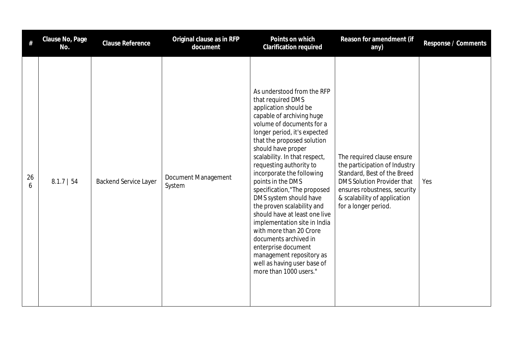|         | Clause No, Page<br>No. | <b>Clause Reference</b>      | Original clause as in RFP<br>document | Points on which<br><b>Clarification required</b>                                                                                                                                                                                                                                                                                                                                                                                                                                                                                                                                                                                                             | Reason for amendment (if<br>any)                                                                                                                                                                                        | Response / Comments |
|---------|------------------------|------------------------------|---------------------------------------|--------------------------------------------------------------------------------------------------------------------------------------------------------------------------------------------------------------------------------------------------------------------------------------------------------------------------------------------------------------------------------------------------------------------------------------------------------------------------------------------------------------------------------------------------------------------------------------------------------------------------------------------------------------|-------------------------------------------------------------------------------------------------------------------------------------------------------------------------------------------------------------------------|---------------------|
| 26<br>6 | $8.1.7$   54           | <b>Backend Service Layer</b> | Document Management<br>System         | As understood from the RFP<br>that required DMS<br>application should be<br>capable of archiving huge<br>volume of documents for a<br>longer period, it's expected<br>that the proposed solution<br>should have proper<br>scalability. In that respect,<br>requesting authority to<br>incorporate the following<br>points in the DMS<br>specification,"The proposed<br>DMS system should have<br>the proven scalability and<br>should have at least one live<br>implementation site in India<br>with more than 20 Crore<br>documents archived in<br>enterprise document<br>management repository as<br>well as having user base of<br>more than 1000 users." | The required clause ensure<br>the participation of Industry<br>Standard, Best of the Breed<br><b>DMS Solution Provider that</b><br>ensures robustness, security<br>& scalability of application<br>for a longer period. | Yes                 |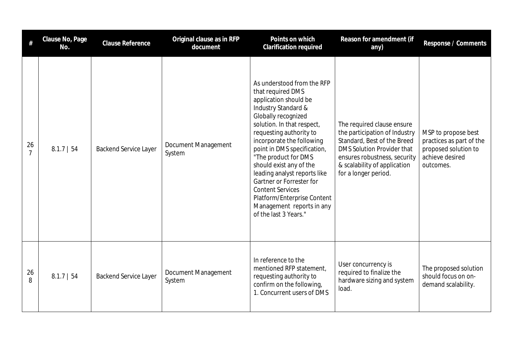| #                    | Clause No, Page<br>No. | <b>Clause Reference</b>      | Original clause as in RFP<br>document | Points on which<br>Clarification required                                                                                                                                                                                                                                                                                                                                                                                                                                  | Reason for amendment (if<br>any)                                                                                                                                                                                        | Response / Comments                                                                                     |
|----------------------|------------------------|------------------------------|---------------------------------------|----------------------------------------------------------------------------------------------------------------------------------------------------------------------------------------------------------------------------------------------------------------------------------------------------------------------------------------------------------------------------------------------------------------------------------------------------------------------------|-------------------------------------------------------------------------------------------------------------------------------------------------------------------------------------------------------------------------|---------------------------------------------------------------------------------------------------------|
| 26<br>$\overline{7}$ | $8.1.7$   54           | <b>Backend Service Layer</b> | Document Management<br>System         | As understood from the RFP<br>that required DMS<br>application should be<br>Industry Standard &<br>Globally recognized<br>solution. In that respect,<br>requesting authority to<br>incorporate the following<br>point in DMS specification,<br>"The product for DMS<br>should exist any of the<br>leading analyst reports like<br>Gartner or Forrester for<br><b>Content Services</b><br>Platform/Enterprise Content<br>Management reports in any<br>of the last 3 Years." | The required clause ensure<br>the participation of Industry<br>Standard, Best of the Breed<br><b>DMS Solution Provider that</b><br>ensures robustness, security<br>& scalability of application<br>for a longer period. | MSP to propose best<br>practices as part of the<br>proposed solution to<br>achieve desired<br>outcomes. |
| 26<br>8              | $8.1.7$   54           | <b>Backend Service Layer</b> | Document Management<br>System         | In reference to the<br>mentioned RFP statement,<br>requesting authority to<br>confirm on the following,<br>1. Concurrent users of DMS                                                                                                                                                                                                                                                                                                                                      | User concurrency is<br>required to finalize the<br>hardware sizing and system<br>load.                                                                                                                                  | The proposed solution<br>should focus on on-<br>demand scalability.                                     |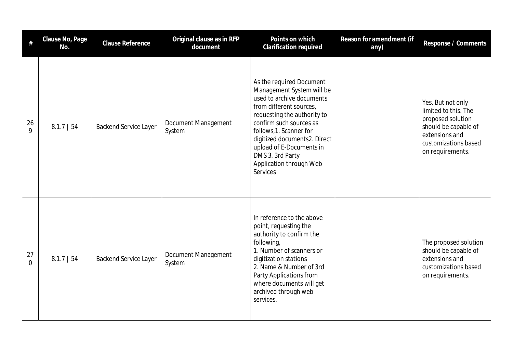| #                    | Clause No, Page<br>No. | <b>Clause Reference</b>      | Original clause as in RFP<br>document | Points on which<br>Clarification required                                                                                                                                                                                                                                                                                 | Reason for amendment (if<br>any) | Response / Comments                                                                                                                                  |
|----------------------|------------------------|------------------------------|---------------------------------------|---------------------------------------------------------------------------------------------------------------------------------------------------------------------------------------------------------------------------------------------------------------------------------------------------------------------------|----------------------------------|------------------------------------------------------------------------------------------------------------------------------------------------------|
| 26<br>9              | $8.1.7$   54           | <b>Backend Service Layer</b> | Document Management<br>System         | As the required Document<br>Management System will be<br>used to archive documents<br>from different sources,<br>requesting the authority to<br>confirm such sources as<br>follows, 1. Scanner for<br>digitized documents2. Direct<br>upload of E-Documents in<br>DMS 3. 3rd Party<br>Application through Web<br>Services |                                  | Yes, But not only<br>limited to this. The<br>proposed solution<br>should be capable of<br>extensions and<br>customizations based<br>on requirements. |
| 27<br>$\overline{0}$ | $8.1.7$   54           | <b>Backend Service Layer</b> | Document Management<br>System         | In reference to the above<br>point, requesting the<br>authority to confirm the<br>following,<br>1. Number of scanners or<br>digitization stations<br>2. Name & Number of 3rd<br>Party Applications from<br>where documents will get<br>archived through web<br>services.                                                  |                                  | The proposed solution<br>should be capable of<br>extensions and<br>customizations based<br>on requirements.                                          |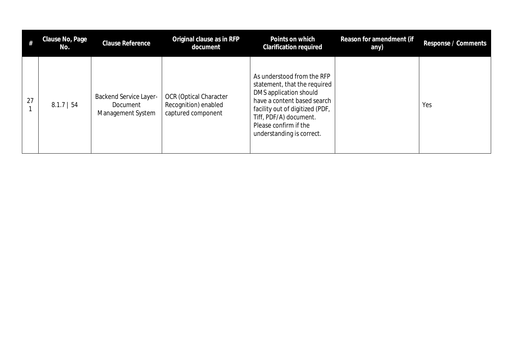|    | Clause No, Page<br>No. | Clause Reference                                               | Original clause as in RFP<br>document                                       | Points on which<br><b>Clarification required</b>                                                                                                                                                                                       | Reason for amendment (if<br>any) | Response / Comments |
|----|------------------------|----------------------------------------------------------------|-----------------------------------------------------------------------------|----------------------------------------------------------------------------------------------------------------------------------------------------------------------------------------------------------------------------------------|----------------------------------|---------------------|
| 27 | $8.1.7$   54           | <b>Backend Service Layer-</b><br>Document<br>Management System | <b>OCR</b> (Optical Character<br>Recognition) enabled<br>captured component | As understood from the RFP<br>statement, that the required<br>DMS application should<br>have a content based search<br>facility out of digitized (PDF,<br>Tiff, PDF/A) document.<br>Please confirm if the<br>understanding is correct. |                                  | Yes                 |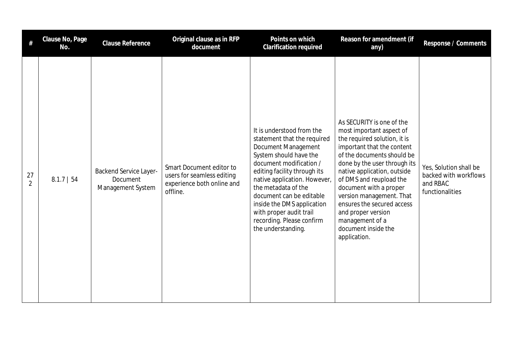| #                    | Clause No, Page<br>No. | <b>Clause Reference</b>                                        | Original clause as in RFP<br>document                                                            | Points on which<br>Clarification required                                                                                                                                                                                                                                                                                                                           | Reason for amendment (if<br>any)                                                                                                                                                                                                                                                                                                                                                                                | Response / Comments                                                            |
|----------------------|------------------------|----------------------------------------------------------------|--------------------------------------------------------------------------------------------------|---------------------------------------------------------------------------------------------------------------------------------------------------------------------------------------------------------------------------------------------------------------------------------------------------------------------------------------------------------------------|-----------------------------------------------------------------------------------------------------------------------------------------------------------------------------------------------------------------------------------------------------------------------------------------------------------------------------------------------------------------------------------------------------------------|--------------------------------------------------------------------------------|
| 27<br>$\overline{2}$ | $8.1.7$   54           | <b>Backend Service Layer-</b><br>Document<br>Management System | Smart Document editor to<br>users for seamless editing<br>experience both online and<br>offline. | It is understood from the<br>statement that the required<br>Document Management<br>System should have the<br>document modification /<br>editing facility through its<br>native application. However,<br>the metadata of the<br>document can be editable<br>inside the DMS application<br>with proper audit trail<br>recording. Please confirm<br>the understanding. | As SECURITY is one of the<br>most important aspect of<br>the required solution, it is<br>important that the content<br>of the documents should be<br>done by the user through its<br>native application, outside<br>of DMS and reupload the<br>document with a proper<br>version management. That<br>ensures the secured access<br>and proper version<br>management of a<br>document inside the<br>application. | Yes, Solution shall be<br>backed with workflows<br>and RBAC<br>functionalities |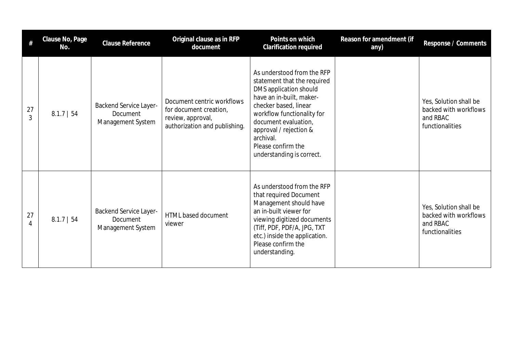| #       | Clause No, Page<br>No. | Clause Reference                                                      | Original clause as in RFP<br>document                                                                      | Points on which<br><b>Clarification required</b>                                                                                                                                                                                                                                         | Reason for amendment (if<br>any) | Response / Comments                                                            |
|---------|------------------------|-----------------------------------------------------------------------|------------------------------------------------------------------------------------------------------------|------------------------------------------------------------------------------------------------------------------------------------------------------------------------------------------------------------------------------------------------------------------------------------------|----------------------------------|--------------------------------------------------------------------------------|
| 27<br>3 | $8.1.7$   54           | <b>Backend Service Layer-</b><br><b>Document</b><br>Management System | Document centric workflows<br>for document creation,<br>review, approval,<br>authorization and publishing. | As understood from the RFP<br>statement that the required<br>DMS application should<br>have an in-built, maker-<br>checker based, linear<br>workflow functionality for<br>document evaluation,<br>approval / rejection &<br>archival.<br>Please confirm the<br>understanding is correct. |                                  | Yes, Solution shall be<br>backed with workflows<br>and RBAC<br>functionalities |
| 27<br>4 | $8.1.7$   54           | <b>Backend Service Layer-</b><br>Document<br>Management System        | HTML based document<br>viewer                                                                              | As understood from the RFP<br>that required Document<br>Management should have<br>an in-built viewer for<br>viewing digitized documents<br>(Tiff, PDF, PDF/A, JPG, TXT<br>etc.) inside the application.<br>Please confirm the<br>understanding.                                          |                                  | Yes, Solution shall be<br>backed with workflows<br>and RBAC<br>functionalities |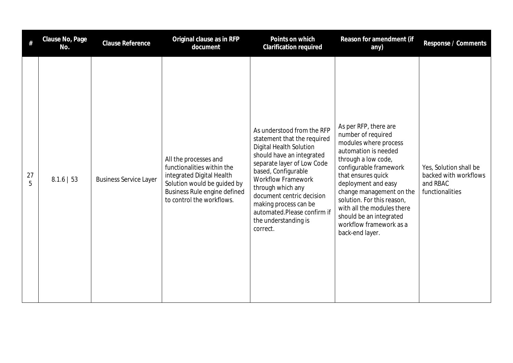| #       | Clause No, Page<br>No. | <b>Clause Reference</b>       | Original clause as in RFP<br>document                                                                                                                                        | Points on which<br><b>Clarification required</b>                                                                                                                                                                                                                                                                                                         | Reason for amendment (if<br>any)                                                                                                                                                                                                                                                                                                                            | Response / Comments                                                            |
|---------|------------------------|-------------------------------|------------------------------------------------------------------------------------------------------------------------------------------------------------------------------|----------------------------------------------------------------------------------------------------------------------------------------------------------------------------------------------------------------------------------------------------------------------------------------------------------------------------------------------------------|-------------------------------------------------------------------------------------------------------------------------------------------------------------------------------------------------------------------------------------------------------------------------------------------------------------------------------------------------------------|--------------------------------------------------------------------------------|
| 27<br>5 | $8.1.6$   53           | <b>Business Service Layer</b> | All the processes and<br>functionalities within the<br>integrated Digital Health<br>Solution would be guided by<br>Business Rule engine defined<br>to control the workflows. | As understood from the RFP<br>statement that the required<br><b>Digital Health Solution</b><br>should have an integrated<br>separate layer of Low Code<br>based, Configurable<br><b>Workflow Framework</b><br>through which any<br>document centric decision<br>making process can be<br>automated.Please confirm if<br>the understanding is<br>correct. | As per RFP, there are<br>number of required<br>modules where process<br>automation is needed<br>through a low code,<br>configurable framework<br>that ensures quick<br>deployment and easy<br>change management on the<br>solution. For this reason,<br>with all the modules there<br>should be an integrated<br>workflow framework as a<br>back-end layer. | Yes, Solution shall be<br>backed with workflows<br>and RBAC<br>functionalities |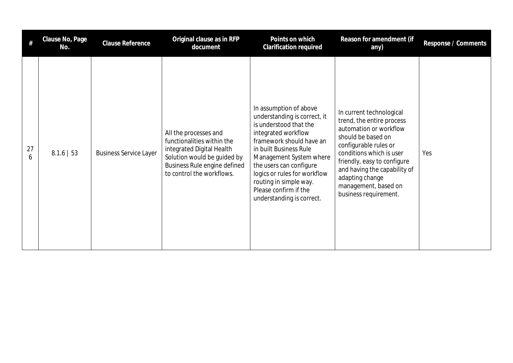|         | Clause No, Page<br>No. | Clause Reference              | Original clause as in RFP<br>document                                                                                                                                        | Points on which<br>Clarification required                                                                                                                                                                                                                                                                                           | Reason for amendment (if<br>any)                                                                                                                                                                                                                                                              | Response / Comments |
|---------|------------------------|-------------------------------|------------------------------------------------------------------------------------------------------------------------------------------------------------------------------|-------------------------------------------------------------------------------------------------------------------------------------------------------------------------------------------------------------------------------------------------------------------------------------------------------------------------------------|-----------------------------------------------------------------------------------------------------------------------------------------------------------------------------------------------------------------------------------------------------------------------------------------------|---------------------|
| 27<br>6 | $8.1.6$   53           | <b>Business Service Layer</b> | All the processes and<br>functionalities within the<br>integrated Digital Health<br>Solution would be guided by<br>Business Rule engine defined<br>to control the workflows. | In assumption of above<br>understanding is correct, it<br>is understood that the<br>integrated workflow<br>framework should have an<br>in built Business Rule<br>Management System where<br>the users can configure<br>logics or rules for workflow<br>routing in simple way.<br>Please confirm if the<br>understanding is correct. | In current technological<br>trend, the entire process<br>automation or workflow<br>should be based on<br>configurable rules or<br>conditions which is user<br>friendly, easy to configure<br>and having the capability of<br>adapting change<br>management, based on<br>business requirement. | Yes                 |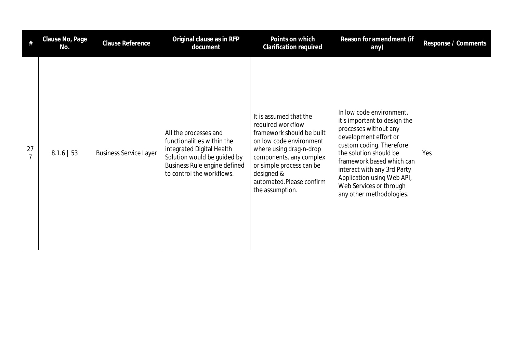|    | Clause No, Page<br>No. | Clause Reference              | Original clause as in RFP<br>document                                                                                                                                        | Points on which<br>Clarification required                                                                                                                                                                                                          | Reason for amendment (if<br>any)                                                                                                                                                                                                                                                                                  | Response / Comments |
|----|------------------------|-------------------------------|------------------------------------------------------------------------------------------------------------------------------------------------------------------------------|----------------------------------------------------------------------------------------------------------------------------------------------------------------------------------------------------------------------------------------------------|-------------------------------------------------------------------------------------------------------------------------------------------------------------------------------------------------------------------------------------------------------------------------------------------------------------------|---------------------|
| 27 | $8.1.6$   53           | <b>Business Service Layer</b> | All the processes and<br>functionalities within the<br>integrated Digital Health<br>Solution would be guided by<br>Business Rule engine defined<br>to control the workflows. | It is assumed that the<br>required workflow<br>framework should be built<br>on low code environment<br>where using drag-n-drop<br>components, any complex<br>or simple process can be<br>designed &<br>automated.Please confirm<br>the assumption. | In low code environment,<br>it's important to design the<br>processes without any<br>development effort or<br>custom coding. Therefore<br>the solution should be<br>framework based which can<br>interact with any 3rd Party<br>Application using Web API,<br>Web Services or through<br>any other methodologies. | Yes                 |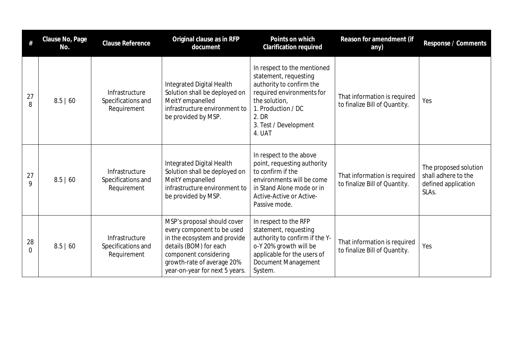|                   | Clause No, Page<br>No. | Clause Reference                                    | Original clause as in RFP<br>document                                                                                                                                                                        | Points on which<br>Clarification required                                                                                                                                                        | Reason for amendment (if<br>any)                              | Response / Comments                                                          |
|-------------------|------------------------|-----------------------------------------------------|--------------------------------------------------------------------------------------------------------------------------------------------------------------------------------------------------------------|--------------------------------------------------------------------------------------------------------------------------------------------------------------------------------------------------|---------------------------------------------------------------|------------------------------------------------------------------------------|
| 27<br>8           | 8.5   60               | Infrastructure<br>Specifications and<br>Requirement | Integrated Digital Health<br>Solution shall be deployed on<br>MeitY empanelled<br>infrastructure environment to<br>be provided by MSP.                                                                       | In respect to the mentioned<br>statement, requesting<br>authority to confirm the<br>required environments for<br>the solution,<br>1. Production / DC<br>2. DR<br>3. Test / Development<br>4. UAT | That information is required<br>to finalize Bill of Quantity. | Yes                                                                          |
| 27<br>$\mathsf Q$ | 8.5   60               | Infrastructure<br>Specifications and<br>Requirement | Integrated Digital Health<br>Solution shall be deployed on<br>MeitY empanelled<br>infrastructure environment to<br>be provided by MSP.                                                                       | In respect to the above<br>point, requesting authority<br>to confirm if the<br>environments will be come<br>in Stand Alone mode or in<br>Active-Active or Active-<br>Passive mode.               | That information is required<br>to finalize Bill of Quantity. | The proposed solution<br>shall adhere to the<br>defined application<br>SLAs. |
| 28<br>$\Omega$    | 8.5   60               | Infrastructure<br>Specifications and<br>Requirement | MSP's proposal should cover<br>every component to be used<br>in the ecosystem and provide<br>details (BOM) for each<br>component considering<br>growth-rate of average 20%<br>year-on-year for next 5 years. | In respect to the RFP<br>statement, requesting<br>authority to confirm if the Y-<br>o-Y 20% growth will be<br>applicable for the users of<br>Document Management<br>System.                      | That information is required<br>to finalize Bill of Quantity. | Yes                                                                          |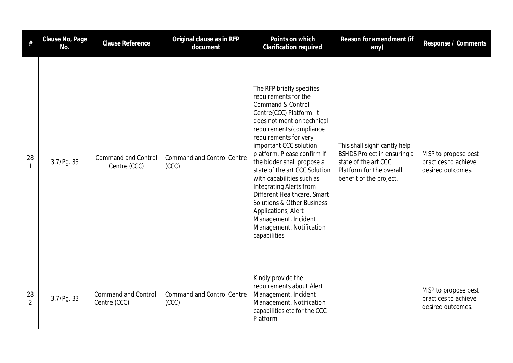| #                    | Clause No, Page<br>No. | <b>Clause Reference</b>                    | Original clause as in RFP<br>document      | Points on which<br><b>Clarification required</b>                                                                                                                                                                                                                                                                                                                                                                                                                                                                                               | Reason for amendment (if<br>any)                                                                                                            | Response / Comments                                              |
|----------------------|------------------------|--------------------------------------------|--------------------------------------------|------------------------------------------------------------------------------------------------------------------------------------------------------------------------------------------------------------------------------------------------------------------------------------------------------------------------------------------------------------------------------------------------------------------------------------------------------------------------------------------------------------------------------------------------|---------------------------------------------------------------------------------------------------------------------------------------------|------------------------------------------------------------------|
| 28<br>$\mathbf{1}$   | 3.7/Pg. 33             | <b>Command and Control</b><br>Centre (CCC) | <b>Command and Control Centre</b><br>(CCC) | The RFP briefly specifies<br>requirements for the<br>Command & Control<br>Centre(CCC) Platform. It<br>does not mention technical<br>requirements/compliance<br>requirements for very<br>important CCC solution<br>platform. Please confirm if<br>the bidder shall propose a<br>state of the art CCC Solution<br>with capabilities such as<br><b>Integrating Alerts from</b><br>Different Healthcare, Smart<br><b>Solutions &amp; Other Business</b><br>Applications, Alert<br>Management, Incident<br>Management, Notification<br>capabilities | This shall significantly help<br>BSHDS Project in ensuring a<br>state of the art CCC<br>Platform for the overall<br>benefit of the project. | MSP to propose best<br>practices to achieve<br>desired outcomes. |
| 28<br>$\overline{2}$ | 3.7/Pg. 33             | <b>Command and Control</b><br>Centre (CCC) | <b>Command and Control Centre</b><br>(CCC) | Kindly provide the<br>requirements about Alert<br>Management, Incident<br>Management, Notification<br>capabilities etc for the CCC<br>Platform                                                                                                                                                                                                                                                                                                                                                                                                 |                                                                                                                                             | MSP to propose best<br>practices to achieve<br>desired outcomes. |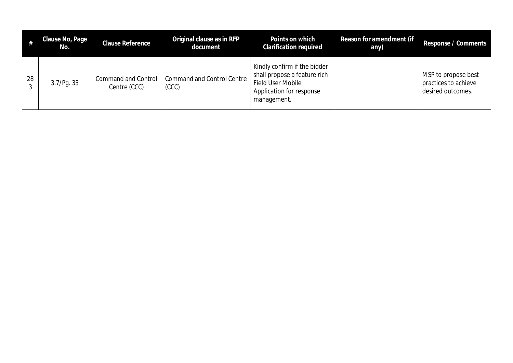|    | Clause No, Page<br>No. | <b>Clause Reference</b>                    | Original clause as in RFP<br>document      | Points on which<br><b>Clarification required</b>                                                                             | Reason for amendment (if<br>any) | Response / Comments                                              |
|----|------------------------|--------------------------------------------|--------------------------------------------|------------------------------------------------------------------------------------------------------------------------------|----------------------------------|------------------------------------------------------------------|
| 28 | 3.7/Pg. 33             | <b>Command and Control</b><br>Centre (CCC) | <b>Command and Control Centre</b><br>(CCC) | Kindly confirm if the bidder<br>shall propose a feature rich<br>Field User Mobile<br>Application for response<br>management. |                                  | MSP to propose best<br>practices to achieve<br>desired outcomes. |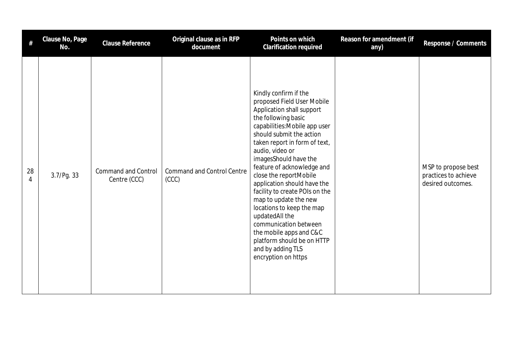|         | Clause No, Page<br>No. | <b>Clause Reference</b>                    | Original clause as in RFP<br>document      | Points on which<br>Clarification required                                                                                                                                                                                                                                                                                                                                                                                                                                                                                                                                        | Reason for amendment (if<br>any) | Response / Comments                                              |
|---------|------------------------|--------------------------------------------|--------------------------------------------|----------------------------------------------------------------------------------------------------------------------------------------------------------------------------------------------------------------------------------------------------------------------------------------------------------------------------------------------------------------------------------------------------------------------------------------------------------------------------------------------------------------------------------------------------------------------------------|----------------------------------|------------------------------------------------------------------|
| 28<br>4 | 3.7/Pg. 33             | <b>Command and Control</b><br>Centre (CCC) | <b>Command and Control Centre</b><br>(CCC) | Kindly confirm if the<br>proposed Field User Mobile<br>Application shall support<br>the following basic<br>capabilities: Mobile app user<br>should submit the action<br>taken report in form of text,<br>audio, video or<br>imagesShould have the<br>feature of acknowledge and<br>close the reportMobile<br>application should have the<br>facility to create POIs on the<br>map to update the new<br>locations to keep the map<br>updatedAll the<br>communication between<br>the mobile apps and C&C<br>platform should be on HTTP<br>and by adding TLS<br>encryption on https |                                  | MSP to propose best<br>practices to achieve<br>desired outcomes. |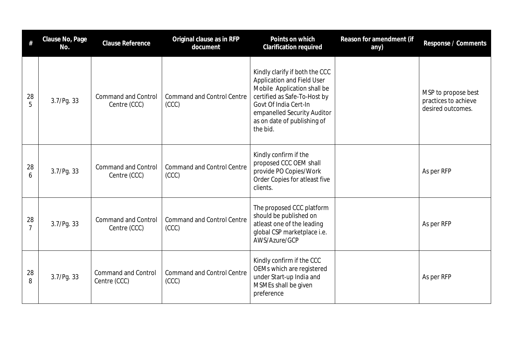| #                    | Clause No, Page<br>No. | <b>Clause Reference</b>                    | Original clause as in RFP<br>document      | Points on which<br><b>Clarification required</b>                                                                                                                                                                                      | Reason for amendment (if<br>any) | Response / Comments                                              |
|----------------------|------------------------|--------------------------------------------|--------------------------------------------|---------------------------------------------------------------------------------------------------------------------------------------------------------------------------------------------------------------------------------------|----------------------------------|------------------------------------------------------------------|
| 28<br>5              | 3.7/Pg.33              | <b>Command and Control</b><br>Centre (CCC) | <b>Command and Control Centre</b><br>(CCC) | Kindly clarify if both the CCC<br><b>Application and Field User</b><br>Mobile Application shall be<br>certified as Safe-To-Host by<br>Govt Of India Cert-In<br>empanelled Security Auditor<br>as on date of publishing of<br>the bid. |                                  | MSP to propose best<br>practices to achieve<br>desired outcomes. |
| 28<br>6              | 3.7/Pq.33              | <b>Command and Control</b><br>Centre (CCC) | <b>Command and Control Centre</b><br>(CCC) | Kindly confirm if the<br>proposed CCC OEM shall<br>provide PO Copies/Work<br>Order Copies for atleast five<br>clients.                                                                                                                |                                  | As per RFP                                                       |
| 28<br>$\overline{7}$ | 3.7/Pg.33              | <b>Command and Control</b><br>Centre (CCC) | <b>Command and Control Centre</b><br>(CC)  | The proposed CCC platform<br>should be published on<br>atleast one of the leading<br>global CSP marketplace i.e.<br>AWS/Azure/GCP                                                                                                     |                                  | As per RFP                                                       |
| 28<br>8              | 3.7/Pg.33              | <b>Command and Control</b><br>Centre (CCC) | <b>Command and Control Centre</b><br>(CCC) | Kindly confirm if the CCC<br>OEMs which are registered<br>under Start-up India and<br>MSMEs shall be given<br>preference                                                                                                              |                                  | As per RFP                                                       |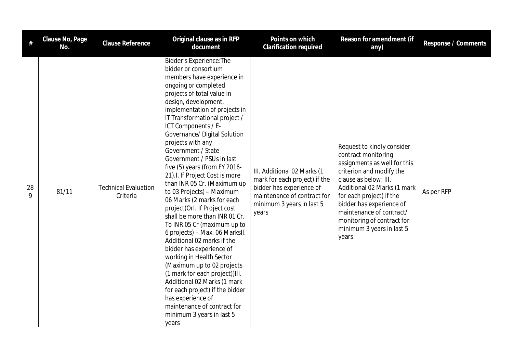| #       | Clause No, Page<br>No. | <b>Clause Reference</b>                 | Original clause as in RFP<br>document                                                                                                                                                                                                                                                                                                                                                                                                                                                                                                                                                                                                                                                                                                                                                                                                                                                                                                                                                   | Points on which<br>Clarification required                                                                                                                     | Reason for amendment (if<br>any)                                                                                                                                                                                                                                                                                              | Response / Comments |
|---------|------------------------|-----------------------------------------|-----------------------------------------------------------------------------------------------------------------------------------------------------------------------------------------------------------------------------------------------------------------------------------------------------------------------------------------------------------------------------------------------------------------------------------------------------------------------------------------------------------------------------------------------------------------------------------------------------------------------------------------------------------------------------------------------------------------------------------------------------------------------------------------------------------------------------------------------------------------------------------------------------------------------------------------------------------------------------------------|---------------------------------------------------------------------------------------------------------------------------------------------------------------|-------------------------------------------------------------------------------------------------------------------------------------------------------------------------------------------------------------------------------------------------------------------------------------------------------------------------------|---------------------|
| 28<br>Q | 81/11                  | <b>Technical Evaluation</b><br>Criteria | <b>Bidder's Experience: The</b><br>bidder or consortium<br>members have experience in<br>ongoing or completed<br>projects of total value in<br>design, development,<br>implementation of projects in<br>IT Transformational project /<br>ICT Components / E-<br>Governance/ Digital Solution<br>projects with any<br>Government / State<br>Government / PSUs in last<br>five (5) years (from FY 2016-<br>21). I. If Project Cost is more<br>than INR 05 Cr. (Maximum up<br>to 03 Projects) - Maximum<br>06 Marks (2 marks for each<br>project) Orl. If Project cost<br>shall be more than INR 01 Cr.<br>To INR 05 Cr (maximum up to<br>6 projects) - Max. 06 MarksII.<br>Additional 02 marks if the<br>bidder has experience of<br>working in Health Sector<br>(Maximum up to 02 projects<br>(1 mark for each project))III.<br>Additional 02 Marks (1 mark<br>for each project) if the bidder<br>has experience of<br>maintenance of contract for<br>minimum 3 years in last 5<br>years | III. Additional 02 Marks (1<br>mark for each project) if the<br>bidder has experience of<br>maintenance of contract for<br>minimum 3 years in last 5<br>years | Request to kindly consider<br>contract monitoring<br>assignments as well for this<br>criterion and modify the<br>clause as below: III.<br>Additional 02 Marks (1 mark<br>for each project) if the<br>bidder has experience of<br>maintenance of contract/<br>monitoring of contract for<br>minimum 3 years in last 5<br>years | As per RFP          |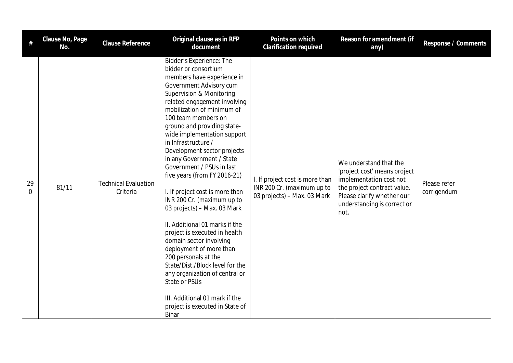| #              | Clause No, Page<br>No. | Clause Reference                        | Original clause as in RFP<br>document                                                                                                                                                                                                                                                                                                                                                                                                                                                                                                                                                                                                                                                                                                                                                                                                                                           | Points on which<br>Clarification required                                                    | Reason for amendment (if<br>any)                                                                                                                                                      | Response / Comments         |
|----------------|------------------------|-----------------------------------------|---------------------------------------------------------------------------------------------------------------------------------------------------------------------------------------------------------------------------------------------------------------------------------------------------------------------------------------------------------------------------------------------------------------------------------------------------------------------------------------------------------------------------------------------------------------------------------------------------------------------------------------------------------------------------------------------------------------------------------------------------------------------------------------------------------------------------------------------------------------------------------|----------------------------------------------------------------------------------------------|---------------------------------------------------------------------------------------------------------------------------------------------------------------------------------------|-----------------------------|
| 29<br>$\Omega$ | 81/11                  | <b>Technical Evaluation</b><br>Criteria | Bidder's Experience: The<br>bidder or consortium<br>members have experience in<br>Government Advisory cum<br><b>Supervision &amp; Monitoring</b><br>related engagement involving<br>mobilization of minimum of<br>100 team members on<br>ground and providing state-<br>wide implementation support<br>in Infrastructure /<br>Development sector projects<br>in any Government / State<br>Government / PSUs in last<br>five years (from FY 2016-21)<br>I. If project cost is more than<br>INR 200 Cr. (maximum up to<br>03 projects) - Max. 03 Mark<br>II. Additional 01 marks if the<br>project is executed in health<br>domain sector involving<br>deployment of more than<br>200 personals at the<br>State/Dist./Block level for the<br>any organization of central or<br>State or PSUs<br>III. Additional 01 mark if the<br>project is executed in State of<br><b>Bihar</b> | I. If project cost is more than<br>INR 200 Cr. (maximum up to<br>03 projects) - Max. 03 Mark | We understand that the<br>'project cost' means project<br>implementation cost not<br>the project contract value.<br>Please clarify whether our<br>understanding is correct or<br>not. | Please refer<br>corrigendum |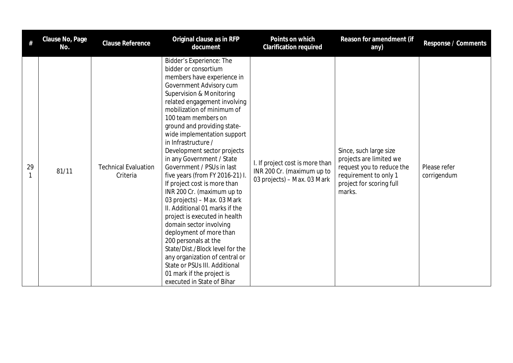|    | Clause No, Page<br>No. | Clause Reference                        | Original clause as in RFP<br>document                                                                                                                                                                                                                                                                                                                                                                                                                                                                                                                                                                                                                                                                                                                                                                                                                      | Points on which<br>Clarification required                                                    | Reason for amendment (if<br>any)                                                                                                              | Response / Comments         |
|----|------------------------|-----------------------------------------|------------------------------------------------------------------------------------------------------------------------------------------------------------------------------------------------------------------------------------------------------------------------------------------------------------------------------------------------------------------------------------------------------------------------------------------------------------------------------------------------------------------------------------------------------------------------------------------------------------------------------------------------------------------------------------------------------------------------------------------------------------------------------------------------------------------------------------------------------------|----------------------------------------------------------------------------------------------|-----------------------------------------------------------------------------------------------------------------------------------------------|-----------------------------|
| 29 | 81/11                  | <b>Technical Evaluation</b><br>Criteria | Bidder's Experience: The<br>bidder or consortium<br>members have experience in<br>Government Advisory cum<br>Supervision & Monitoring<br>related engagement involving<br>mobilization of minimum of<br>100 team members on<br>ground and providing state-<br>wide implementation support<br>in Infrastructure /<br>Development sector projects<br>in any Government / State<br>Government / PSUs in last<br>five years (from FY 2016-21) I.<br>If project cost is more than<br>INR 200 Cr. (maximum up to<br>03 projects) - Max. 03 Mark<br>II. Additional 01 marks if the<br>project is executed in health<br>domain sector involving<br>deployment of more than<br>200 personals at the<br>State/Dist./Block level for the<br>any organization of central or<br>State or PSUs III. Additional<br>01 mark if the project is<br>executed in State of Bihar | I. If project cost is more than<br>INR 200 Cr. (maximum up to<br>03 projects) - Max. 03 Mark | Since, such large size<br>projects are limited we<br>request you to reduce the<br>requirement to only 1<br>project for scoring full<br>marks. | Please refer<br>corrigendum |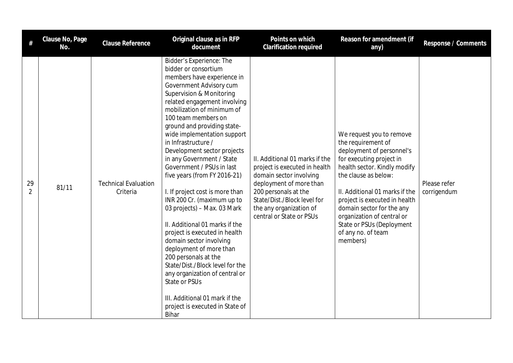| #                    | Clause No, Page<br>No. | Clause Reference                        | Original clause as in RFP<br>document                                                                                                                                                                                                                                                                                                                                                                                                                                                                                                                                                                                                                                                                                                                                                                                                                                | Points on which<br>Clarification required                                                                                                                                                                                           | Reason for amendment (if<br>any)                                                                                                                                                                                                                                                                                                                             | Response / Comments         |
|----------------------|------------------------|-----------------------------------------|----------------------------------------------------------------------------------------------------------------------------------------------------------------------------------------------------------------------------------------------------------------------------------------------------------------------------------------------------------------------------------------------------------------------------------------------------------------------------------------------------------------------------------------------------------------------------------------------------------------------------------------------------------------------------------------------------------------------------------------------------------------------------------------------------------------------------------------------------------------------|-------------------------------------------------------------------------------------------------------------------------------------------------------------------------------------------------------------------------------------|--------------------------------------------------------------------------------------------------------------------------------------------------------------------------------------------------------------------------------------------------------------------------------------------------------------------------------------------------------------|-----------------------------|
| 29<br>$\overline{2}$ | 81/11                  | <b>Technical Evaluation</b><br>Criteria | Bidder's Experience: The<br>bidder or consortium<br>members have experience in<br>Government Advisory cum<br>Supervision & Monitoring<br>related engagement involving<br>mobilization of minimum of<br>100 team members on<br>ground and providing state-<br>wide implementation support<br>in Infrastructure /<br>Development sector projects<br>in any Government / State<br>Government / PSUs in last<br>five years (from FY 2016-21)<br>I. If project cost is more than<br>INR 200 Cr. (maximum up to<br>03 projects) - Max. 03 Mark<br>II. Additional 01 marks if the<br>project is executed in health<br>domain sector involving<br>deployment of more than<br>200 personals at the<br>State/Dist./Block level for the<br>any organization of central or<br>State or PSUs<br>III. Additional 01 mark if the<br>project is executed in State of<br><b>Bihar</b> | II. Additional 01 marks if the<br>project is executed in health<br>domain sector involving<br>deployment of more than<br>200 personals at the<br>State/Dist./Block level for<br>the any organization of<br>central or State or PSUs | We request you to remove<br>the requirement of<br>deployment of personnel's<br>for executing project in<br>health sector. Kindly modify<br>the clause as below:<br>II. Additional 01 marks if the<br>project is executed in health<br>domain sector for the any<br>organization of central or<br>State or PSUs (Deployment<br>of any no. of team<br>members) | Please refer<br>corrigendum |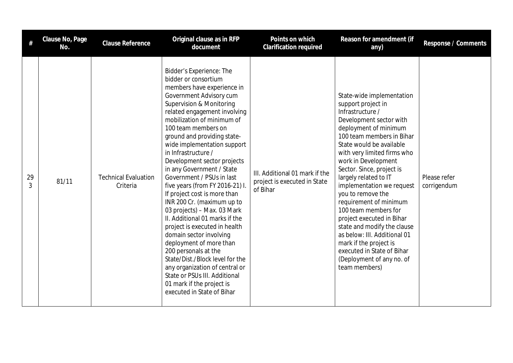| #       | Clause No, Page<br>No. | <b>Clause Reference</b>                 | Original clause as in RFP<br>document                                                                                                                                                                                                                                                                                                                                                                                                                                                                                                                                                                                                                                                                                                                                                                                                                                 | Points on which<br><b>Clarification required</b>                           | Reason for amendment (if<br>any)                                                                                                                                                                                                                                                                                                                                                                                                                                                                                                                                                                   | Response / Comments         |
|---------|------------------------|-----------------------------------------|-----------------------------------------------------------------------------------------------------------------------------------------------------------------------------------------------------------------------------------------------------------------------------------------------------------------------------------------------------------------------------------------------------------------------------------------------------------------------------------------------------------------------------------------------------------------------------------------------------------------------------------------------------------------------------------------------------------------------------------------------------------------------------------------------------------------------------------------------------------------------|----------------------------------------------------------------------------|----------------------------------------------------------------------------------------------------------------------------------------------------------------------------------------------------------------------------------------------------------------------------------------------------------------------------------------------------------------------------------------------------------------------------------------------------------------------------------------------------------------------------------------------------------------------------------------------------|-----------------------------|
| 29<br>3 | 81/11                  | <b>Technical Evaluation</b><br>Criteria | Bidder's Experience: The<br>bidder or consortium<br>members have experience in<br>Government Advisory cum<br><b>Supervision &amp; Monitoring</b><br>related engagement involving<br>mobilization of minimum of<br>100 team members on<br>ground and providing state-<br>wide implementation support<br>in Infrastructure /<br>Development sector projects<br>in any Government / State<br>Government / PSUs in last<br>five years (from FY 2016-21) I.<br>If project cost is more than<br>INR 200 Cr. (maximum up to<br>03 projects) - Max. 03 Mark<br>II. Additional 01 marks if the<br>project is executed in health<br>domain sector involving<br>deployment of more than<br>200 personals at the<br>State/Dist./Block level for the<br>any organization of central or<br>State or PSUs III. Additional<br>01 mark if the project is<br>executed in State of Bihar | III. Additional 01 mark if the<br>project is executed in State<br>of Bihar | State-wide implementation<br>support project in<br>Infrastructure /<br>Development sector with<br>deployment of minimum<br>100 team members in Bihar<br>State would be available<br>with very limited firms who<br>work in Development<br>Sector. Since, project is<br>largely related to IT<br>implementation we request<br>you to remove the<br>requirement of minimum<br>100 team members for<br>project executed in Bihar<br>state and modify the clause<br>as below: III. Additional 01<br>mark if the project is<br>executed in State of Bihar<br>(Deployment of any no. of<br>team members) | Please refer<br>corrigendum |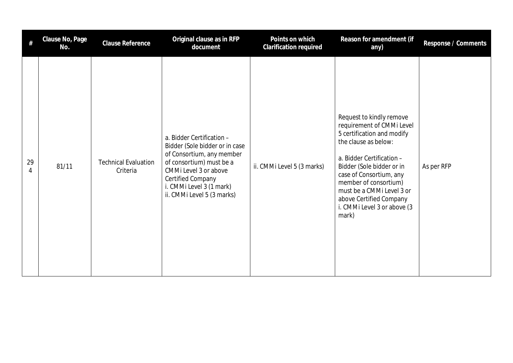| #       | Clause No, Page<br>No. | Clause Reference                        | Original clause as in RFP<br>document                                                                                                                                                                                               | Points on which<br>Clarification required | Reason for amendment (if<br>any)                                                                                                                                                                                                                                                                                          | Response / Comments |
|---------|------------------------|-----------------------------------------|-------------------------------------------------------------------------------------------------------------------------------------------------------------------------------------------------------------------------------------|-------------------------------------------|---------------------------------------------------------------------------------------------------------------------------------------------------------------------------------------------------------------------------------------------------------------------------------------------------------------------------|---------------------|
| 29<br>4 | 81/11                  | <b>Technical Evaluation</b><br>Criteria | a. Bidder Certification -<br>Bidder (Sole bidder or in case<br>of Consortium, any member<br>of consortium) must be a<br>CMMi Level 3 or above<br><b>Certified Company</b><br>i. CMMi Level 3 (1 mark)<br>ii. CMMi Level 5 (3 marks) | ii. CMMi Level 5 (3 marks)                | Request to kindly remove<br>requirement of CMMi Level<br>5 certification and modify<br>the clause as below:<br>a. Bidder Certification -<br>Bidder (Sole bidder or in<br>case of Consortium, any<br>member of consortium)<br>must be a CMMi Level 3 or<br>above Certified Company<br>i. CMMi Level 3 or above (3<br>mark) | As per RFP          |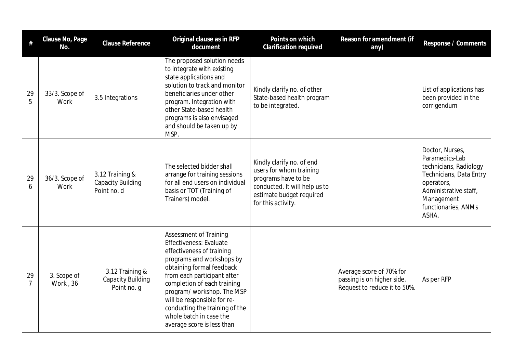| $\#$                 | Clause No, Page<br>No.  | <b>Clause Reference</b>                                    | Original clause as in RFP<br>document                                                                                                                                                                                                                                                                                                                                | Points on which<br>Clarification required                                                                                                                      | Reason for amendment (if<br>any)                                                       | Response / Comments                                                                                                                                                         |
|----------------------|-------------------------|------------------------------------------------------------|----------------------------------------------------------------------------------------------------------------------------------------------------------------------------------------------------------------------------------------------------------------------------------------------------------------------------------------------------------------------|----------------------------------------------------------------------------------------------------------------------------------------------------------------|----------------------------------------------------------------------------------------|-----------------------------------------------------------------------------------------------------------------------------------------------------------------------------|
| 29<br>5              | 33/3. Scope of<br>Work  | 3.5 Integrations                                           | The proposed solution needs<br>to integrate with existing<br>state applications and<br>solution to track and monitor<br>beneficiaries under other<br>program. Integration with<br>other State-based health<br>programs is also envisaged<br>and should be taken up by<br>MSP.                                                                                        | Kindly clarify no. of other<br>State-based health program<br>to be integrated.                                                                                 |                                                                                        | List of applications has<br>been provided in the<br>corrigendum                                                                                                             |
| 29<br>6              | 36/3. Scope of<br>Work  | 3.12 Training &<br><b>Capacity Building</b><br>Point no. d | The selected bidder shall<br>arrange for training sessions<br>for all end users on individual<br>basis or TOT (Training of<br>Trainers) model.                                                                                                                                                                                                                       | Kindly clarify no. of end<br>users for whom training<br>programs have to be<br>conducted. It will help us to<br>estimate budget required<br>for this activity. |                                                                                        | Doctor, Nurses,<br>Paramedics-Lab<br>technicians, Radiology<br>Technicians, Data Entry<br>operators,<br>Administrative staff,<br>Management<br>functionaries, ANMs<br>ASHA, |
| 29<br>$\overline{7}$ | 3. Scope of<br>Work, 36 | 3.12 Training &<br><b>Capacity Building</b><br>Point no. g | <b>Assessment of Training</b><br>Effectiveness: Evaluate<br>effectiveness of training<br>programs and workshops by<br>obtaining formal feedback<br>from each participant after<br>completion of each training<br>program/workshop. The MSP<br>will be responsible for re-<br>conducting the training of the<br>whole batch in case the<br>average score is less than |                                                                                                                                                                | Average score of 70% for<br>passing is on higher side.<br>Request to reduce it to 50%. | As per RFP                                                                                                                                                                  |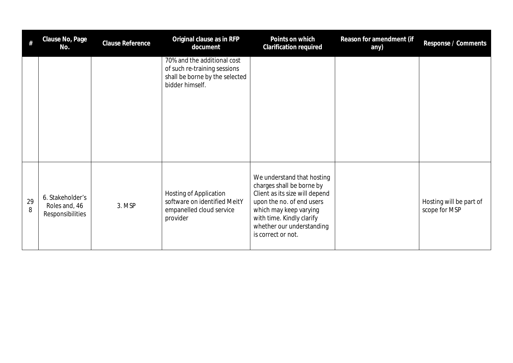| #       | Clause No, Page<br>No.                                | <b>Clause Reference</b> | Original clause as in RFP<br>document                                                                            | Points on which<br>Clarification required                                                                                                                                                                                        | Reason for amendment (if<br>any) | Response / Comments                      |
|---------|-------------------------------------------------------|-------------------------|------------------------------------------------------------------------------------------------------------------|----------------------------------------------------------------------------------------------------------------------------------------------------------------------------------------------------------------------------------|----------------------------------|------------------------------------------|
|         |                                                       |                         | 70% and the additional cost<br>of such re-training sessions<br>shall be borne by the selected<br>bidder himself. |                                                                                                                                                                                                                                  |                                  |                                          |
| 29<br>8 | 6. Stakeholder's<br>Roles and, 46<br>Responsibilities | 3. MSP                  | Hosting of Application<br>software on identified MeitY<br>empanelled cloud service<br>provider                   | We understand that hosting<br>charges shall be borne by<br>Client as its size will depend<br>upon the no. of end users<br>which may keep varying<br>with time. Kindly clarify<br>whether our understanding<br>is correct or not. |                                  | Hosting will be part of<br>scope for MSP |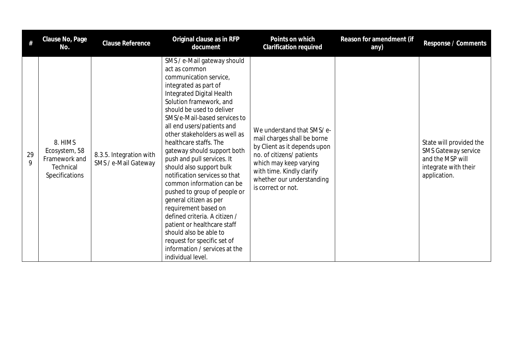| #       | Clause No, Page<br>No.                                                   | <b>Clause Reference</b>                         | Original clause as in RFP<br>document                                                                                                                                                                                                                                                                                                                                                                                                                                                                                                                                                                                                                                                                                                 | Points on which<br><b>Clarification required</b>                                                                                                                                                                                | Reason for amendment (if<br>any) | Response / Comments                                                                                               |
|---------|--------------------------------------------------------------------------|-------------------------------------------------|---------------------------------------------------------------------------------------------------------------------------------------------------------------------------------------------------------------------------------------------------------------------------------------------------------------------------------------------------------------------------------------------------------------------------------------------------------------------------------------------------------------------------------------------------------------------------------------------------------------------------------------------------------------------------------------------------------------------------------------|---------------------------------------------------------------------------------------------------------------------------------------------------------------------------------------------------------------------------------|----------------------------------|-------------------------------------------------------------------------------------------------------------------|
| 29<br>9 | 8. HIMS<br>Ecosystem, 58<br>Framework and<br>Technical<br>Specifications | 8.3.5. Integration with<br>SMS / e-Mail Gateway | SMS / e-Mail gateway should<br>act as common<br>communication service,<br>integrated as part of<br>Integrated Digital Health<br>Solution framework, and<br>should be used to deliver<br>SMS/e-Mail-based services to<br>all end users/patients and<br>other stakeholders as well as<br>healthcare staffs. The<br>gateway should support both<br>push and pull services. It<br>should also support bulk<br>notification services so that<br>common information can be<br>pushed to group of people or<br>general citizen as per<br>requirement based on<br>defined criteria. A citizen /<br>patient or healthcare staff<br>should also be able to<br>request for specific set of<br>information / services at the<br>individual level. | We understand that SMS/e-<br>mail charges shall be borne<br>by Client as it depends upon<br>no. of citizens/ patients<br>which may keep varying<br>with time. Kindly clarify<br>whether our understanding<br>is correct or not. |                                  | State will provided the<br><b>SMS Gateway service</b><br>and the MSP will<br>integrate with their<br>application. |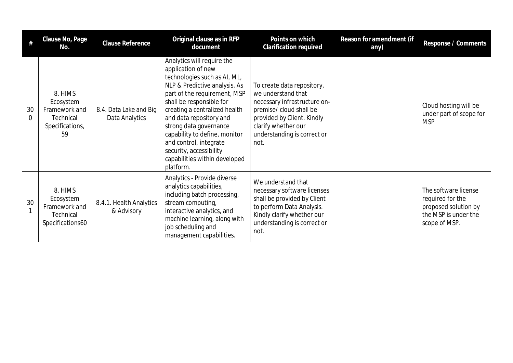| #              | Clause No, Page<br>No.                                                      | Clause Reference                         | Original clause as in RFP<br>document                                                                                                                                                                                                                                                                                                                                                                   | Points on which<br><b>Clarification required</b>                                                                                                                                                        | Reason for amendment (if<br>any) | Response / Comments                                                                                       |
|----------------|-----------------------------------------------------------------------------|------------------------------------------|---------------------------------------------------------------------------------------------------------------------------------------------------------------------------------------------------------------------------------------------------------------------------------------------------------------------------------------------------------------------------------------------------------|---------------------------------------------------------------------------------------------------------------------------------------------------------------------------------------------------------|----------------------------------|-----------------------------------------------------------------------------------------------------------|
| 30<br>$\Omega$ | 8. HIMS<br>Ecosystem<br>Framework and<br>Technical<br>Specifications,<br>59 | 8.4. Data Lake and Big<br>Data Analytics | Analytics will require the<br>application of new<br>technologies such as AI, ML,<br>NLP & Predictive analysis. As<br>part of the requirement, MSP<br>shall be responsible for<br>creating a centralized health<br>and data repository and<br>strong data governance<br>capability to define, monitor<br>and control, integrate<br>security, accessibility<br>capabilities within developed<br>platform. | To create data repository,<br>we understand that<br>necessary infrastructure on-<br>premise/ cloud shall be<br>provided by Client. Kindly<br>clarify whether our<br>understanding is correct or<br>not. |                                  | Cloud hosting will be<br>under part of scope for<br><b>MSP</b>                                            |
| 30             | 8. HIMS<br>Ecosystem<br>Framework and<br>Technical<br>Specifications60      | 8.4.1. Health Analytics<br>& Advisory    | Analytics - Provide diverse<br>analytics capabilities,<br>including batch processing,<br>stream computing,<br>interactive analytics, and<br>machine learning, along with<br>job scheduling and<br>management capabilities.                                                                                                                                                                              | We understand that<br>necessary software licenses<br>shall be provided by Client<br>to perform Data Analysis.<br>Kindly clarify whether our<br>understanding is correct or<br>not.                      |                                  | The software license<br>required for the<br>proposed solution by<br>the MSP is under the<br>scope of MSP. |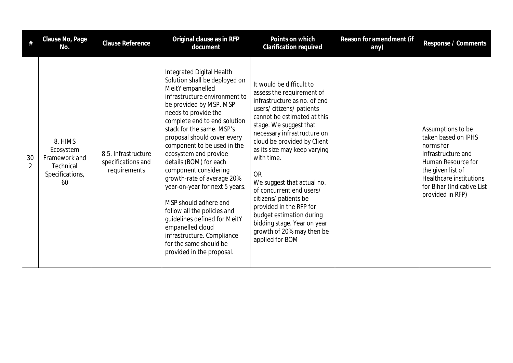| #                    | Clause No, Page<br>No.                                                      | Clause Reference                                          | Original clause as in RFP<br>document                                                                                                                                                                                                                                                                                                                                                                                                                                                                                                                                                                                                      | Points on which<br><b>Clarification required</b>                                                                                                                                                                                                                                                                                                                                                                                                                                                                            | Reason for amendment (if<br>any) | Response / Comments                                                                                                                                                                                 |
|----------------------|-----------------------------------------------------------------------------|-----------------------------------------------------------|--------------------------------------------------------------------------------------------------------------------------------------------------------------------------------------------------------------------------------------------------------------------------------------------------------------------------------------------------------------------------------------------------------------------------------------------------------------------------------------------------------------------------------------------------------------------------------------------------------------------------------------------|-----------------------------------------------------------------------------------------------------------------------------------------------------------------------------------------------------------------------------------------------------------------------------------------------------------------------------------------------------------------------------------------------------------------------------------------------------------------------------------------------------------------------------|----------------------------------|-----------------------------------------------------------------------------------------------------------------------------------------------------------------------------------------------------|
| 30<br>$\overline{2}$ | 8. HIMS<br>Ecosystem<br>Framework and<br>Technical<br>Specifications,<br>60 | 8.5. Infrastructure<br>specifications and<br>requirements | Integrated Digital Health<br>Solution shall be deployed on<br>MeitY empanelled<br>infrastructure environment to<br>be provided by MSP. MSP<br>needs to provide the<br>complete end to end solution<br>stack for the same. MSP's<br>proposal should cover every<br>component to be used in the<br>ecosystem and provide<br>details (BOM) for each<br>component considering<br>growth-rate of average 20%<br>year-on-year for next 5 years.<br>MSP should adhere and<br>follow all the policies and<br>guidelines defined for MeitY<br>empanelled cloud<br>infrastructure. Compliance<br>for the same should be<br>provided in the proposal. | It would be difficult to<br>assess the requirement of<br>infrastructure as no. of end<br>users/citizens/patients<br>cannot be estimated at this<br>stage. We suggest that<br>necessary infrastructure on<br>cloud be provided by Client<br>as its size may keep varying<br>with time.<br><b>OR</b><br>We suggest that actual no.<br>of concurrent end users/<br>citizens/ patients be<br>provided in the RFP for<br>budget estimation during<br>bidding stage. Year on year<br>growth of 20% may then be<br>applied for BOM |                                  | Assumptions to be<br>taken based on IPHS<br>norms for<br>Infrastructure and<br>Human Resource for<br>the given list of<br>Healthcare institutions<br>for Bihar (Indicative List<br>provided in RFP) |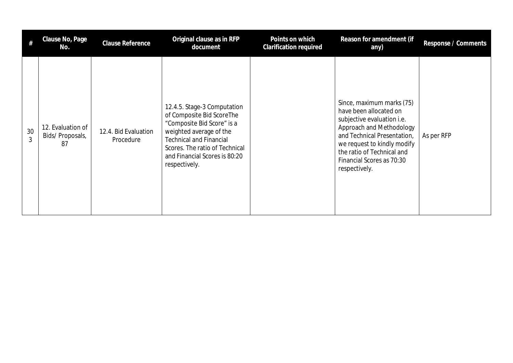|                      | Clause No, Page<br>No.                     | Clause Reference                  | Original clause as in RFP<br>document                                                                                                                                                                                                   | Points on which<br><b>Clarification required</b> | Reason for amendment (if<br>any)                                                                                                                                                                                                                        | Response / Comments |
|----------------------|--------------------------------------------|-----------------------------------|-----------------------------------------------------------------------------------------------------------------------------------------------------------------------------------------------------------------------------------------|--------------------------------------------------|---------------------------------------------------------------------------------------------------------------------------------------------------------------------------------------------------------------------------------------------------------|---------------------|
| 30<br>$\mathfrak{Z}$ | 12. Evaluation of<br>Bids/Proposals,<br>87 | 12.4. Bid Evaluation<br>Procedure | 12.4.5. Stage-3 Computation<br>of Composite Bid ScoreThe<br>"Composite Bid Score" is a<br>weighted average of the<br><b>Technical and Financial</b><br>Scores. The ratio of Technical<br>and Financial Scores is 80:20<br>respectively. |                                                  | Since, maximum marks (75)<br>have been allocated on<br>subjective evaluation i.e.<br>Approach and Methodology<br>and Technical Presentation,<br>we request to kindly modify<br>the ratio of Technical and<br>Financial Scores as 70:30<br>respectively. | As per RFP          |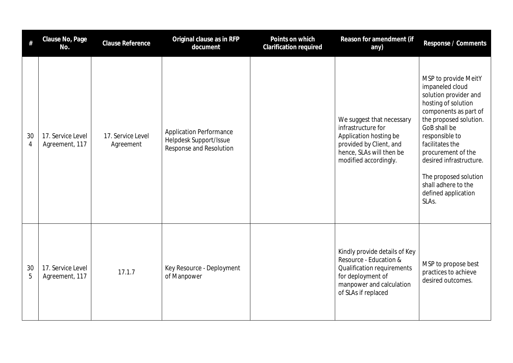| #                    | Clause No, Page<br>No.              | <b>Clause Reference</b>        | Original clause as in RFP<br>document                                               | Points on which<br>Clarification required | Reason for amendment (if<br>any)                                                                                                                              | Response / Comments                                                                                                                                                                                                                                                                                                              |
|----------------------|-------------------------------------|--------------------------------|-------------------------------------------------------------------------------------|-------------------------------------------|---------------------------------------------------------------------------------------------------------------------------------------------------------------|----------------------------------------------------------------------------------------------------------------------------------------------------------------------------------------------------------------------------------------------------------------------------------------------------------------------------------|
| 30<br>$\overline{4}$ | 17. Service Level<br>Agreement, 117 | 17. Service Level<br>Agreement | <b>Application Performance</b><br>Helpdesk Support/Issue<br>Response and Resolution |                                           | We suggest that necessary<br>infrastructure for<br>Application hosting be<br>provided by Client, and<br>hence, SLAs will then be<br>modified accordingly.     | MSP to provide MeitY<br>impaneled cloud<br>solution provider and<br>hosting of solution<br>components as part of<br>the proposed solution.<br>GoB shall be<br>responsible to<br>facilitates the<br>procurement of the<br>desired infrastructure.<br>The proposed solution<br>shall adhere to the<br>defined application<br>SLAs. |
| 30<br>5              | 17. Service Level<br>Agreement, 117 | 17.1.7                         | Key Resource - Deployment<br>of Manpower                                            |                                           | Kindly provide details of Key<br>Resource - Education &<br>Qualification requirements<br>for deployment of<br>manpower and calculation<br>of SLAs if replaced | MSP to propose best<br>practices to achieve<br>desired outcomes.                                                                                                                                                                                                                                                                 |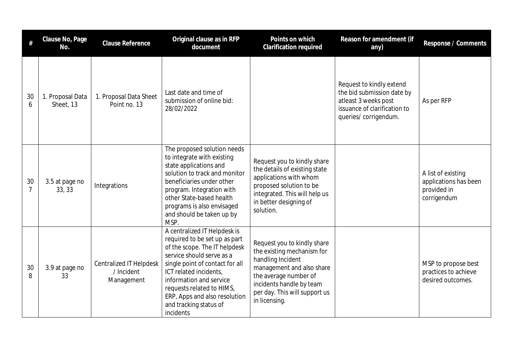|                      | Clause No, Page<br>No.        | Clause Reference                                           | Original clause as in RFP<br>document                                                                                                                                                                                                                                                                                    | Points on which<br>Clarification required                                                                                                                                                                          | Reason for amendment (if<br>any)                                                                                                        | Response / Comments                                                       |
|----------------------|-------------------------------|------------------------------------------------------------|--------------------------------------------------------------------------------------------------------------------------------------------------------------------------------------------------------------------------------------------------------------------------------------------------------------------------|--------------------------------------------------------------------------------------------------------------------------------------------------------------------------------------------------------------------|-----------------------------------------------------------------------------------------------------------------------------------------|---------------------------------------------------------------------------|
| 30<br>6              | 1. Proposal Data<br>Sheet, 13 | 1. Proposal Data Sheet<br>Point no. 13                     | Last date and time of<br>submission of online bid:<br>28/02/2022                                                                                                                                                                                                                                                         |                                                                                                                                                                                                                    | Request to kindly extend<br>the bid submission date by<br>atleast 3 weeks post<br>issuance of clarification to<br>queries/ corrigendum. | As per RFP                                                                |
| 30<br>$\overline{7}$ | 3.5 at page no<br>33, 33      | Integrations                                               | The proposed solution needs<br>to integrate with existing<br>state applications and<br>solution to track and monitor<br>beneficiaries under other<br>program. Integration with<br>other State-based health<br>programs is also envisaged<br>and should be taken up by<br>MSP.                                            | Request you to kindly share<br>the details of existing state<br>applications with whom<br>proposed solution to be<br>integrated. This will help us<br>in better designing of<br>solution.                          |                                                                                                                                         | A list of existing<br>applications has been<br>provided in<br>corrigendum |
| 30<br>8              | 3.9 at page no<br>33          | <b>Centralized IT Helpdesk</b><br>/ Incident<br>Management | A centralized IT Helpdesk is<br>required to be set up as part<br>of the scope. The IT helpdesk<br>service should serve as a<br>single point of contact for all<br>ICT related incidents,<br>information and service<br>requests related to HIMS,<br>ERP, Apps and also resolution<br>and tracking status of<br>incidents | Request you to kindly share<br>the existing mechanism for<br>handling Incident<br>management and also share<br>the average number of<br>incidents handle by team<br>per day. This will support us<br>in licensing. |                                                                                                                                         | MSP to propose best<br>practices to achieve<br>desired outcomes.          |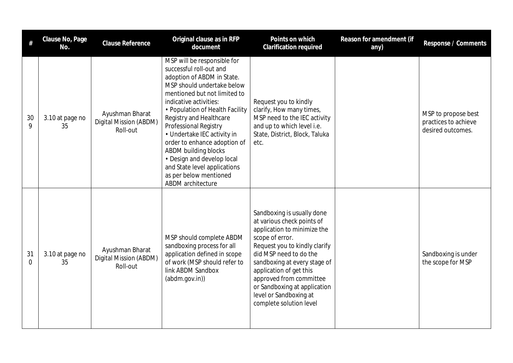|                | Clause No, Page<br>No. | <b>Clause Reference</b>                               | Original clause as in RFP<br>document                                                                                                                                                                                                                                                                                                                                                                                                                                   | Points on which<br><b>Clarification required</b>                                                                                                                                                                                                                                                                                                 | Reason for amendment (if<br>any) | Response / Comments                                              |
|----------------|------------------------|-------------------------------------------------------|-------------------------------------------------------------------------------------------------------------------------------------------------------------------------------------------------------------------------------------------------------------------------------------------------------------------------------------------------------------------------------------------------------------------------------------------------------------------------|--------------------------------------------------------------------------------------------------------------------------------------------------------------------------------------------------------------------------------------------------------------------------------------------------------------------------------------------------|----------------------------------|------------------------------------------------------------------|
| 30<br>9        | 3.10 at page no<br>35  | Ayushman Bharat<br>Digital Mission (ABDM)<br>Roll-out | MSP will be responsible for<br>successful roll-out and<br>adoption of ABDM in State.<br>MSP should undertake below<br>mentioned but not limited to<br>indicative activities:<br>• Population of Health Facility<br>Registry and Healthcare<br>Professional Registry<br>• Undertake IEC activity in<br>order to enhance adoption of<br>ABDM building blocks<br>• Design and develop local<br>and State level applications<br>as per below mentioned<br>ABDM architecture | Request you to kindly<br>clarify, How many times,<br>MSP need to the IEC activity<br>and up to which level i.e.<br>State, District, Block, Taluka<br>etc.                                                                                                                                                                                        |                                  | MSP to propose best<br>practices to achieve<br>desired outcomes. |
| 31<br>$\Omega$ | 3.10 at page no<br>35  | Ayushman Bharat<br>Digital Mission (ABDM)<br>Roll-out | MSP should complete ABDM<br>sandboxing process for all<br>application defined in scope<br>of work (MSP should refer to<br>link ABDM Sandbox<br>(abdm.gov.in))                                                                                                                                                                                                                                                                                                           | Sandboxing is usually done<br>at various check points of<br>application to minimize the<br>scope of error.<br>Request you to kindly clarify<br>did MSP need to do the<br>sandboxing at every stage of<br>application of get this<br>approved from committee<br>or Sandboxing at application<br>level or Sandboxing at<br>complete solution level |                                  | Sandboxing is under<br>the scope for MSP                         |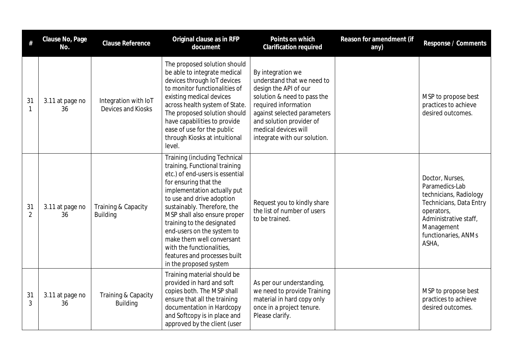| #                    | Clause No, Page<br>No. | Clause Reference                           | Original clause as in RFP<br>document                                                                                                                                                                                                                                                                                                                                                                                                        | Points on which<br><b>Clarification required</b>                                                                                                                                                                                                   | Reason for amendment (if<br>any) | Response / Comments                                                                                                                                                         |
|----------------------|------------------------|--------------------------------------------|----------------------------------------------------------------------------------------------------------------------------------------------------------------------------------------------------------------------------------------------------------------------------------------------------------------------------------------------------------------------------------------------------------------------------------------------|----------------------------------------------------------------------------------------------------------------------------------------------------------------------------------------------------------------------------------------------------|----------------------------------|-----------------------------------------------------------------------------------------------------------------------------------------------------------------------------|
| 31<br>$\mathbf{1}$   | 3.11 at page no<br>36  | Integration with IoT<br>Devices and Kiosks | The proposed solution should<br>be able to integrate medical<br>devices through IoT devices<br>to monitor functionalities of<br>existing medical devices<br>across health system of State.<br>The proposed solution should<br>have capabilities to provide<br>ease of use for the public<br>through Kiosks at intuitional<br>level.                                                                                                          | By integration we<br>understand that we need to<br>design the API of our<br>solution & need to pass the<br>required information<br>against selected parameters<br>and solution provider of<br>medical devices will<br>integrate with our solution. |                                  | MSP to propose best<br>practices to achieve<br>desired outcomes.                                                                                                            |
| 31<br>$\overline{2}$ | 3.11 at page no<br>36  | Training & Capacity<br><b>Building</b>     | <b>Training (including Technical</b><br>training, Functional training<br>etc.) of end-users is essential<br>for ensuring that the<br>implementation actually put<br>to use and drive adoption<br>sustainably. Therefore, the<br>MSP shall also ensure proper<br>training to the designated<br>end-users on the system to<br>make them well conversant<br>with the functionalities,<br>features and processes built<br>in the proposed system | Request you to kindly share<br>the list of number of users<br>to be trained.                                                                                                                                                                       |                                  | Doctor, Nurses,<br>Paramedics-Lab<br>technicians, Radiology<br>Technicians, Data Entry<br>operators,<br>Administrative staff,<br>Management<br>functionaries, ANMs<br>ASHA, |
| 31<br>3              | 3.11 at page no<br>36  | Training & Capacity<br><b>Building</b>     | Training material should be<br>provided in hard and soft<br>copies both. The MSP shall<br>ensure that all the training<br>documentation in Hardcopy<br>and Softcopy is in place and<br>approved by the client (user                                                                                                                                                                                                                          | As per our understanding,<br>we need to provide Training<br>material in hard copy only<br>once in a project tenure.<br>Please clarify.                                                                                                             |                                  | MSP to propose best<br>practices to achieve<br>desired outcomes.                                                                                                            |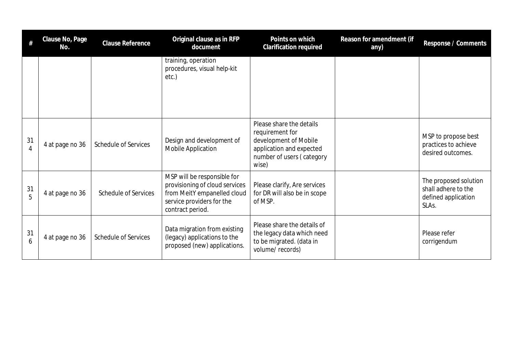| #                    | Clause No, Page<br>No. | Clause Reference            | Original clause as in RFP<br>document                                                                                                         | Points on which<br>Clarification required                                                                                              | Reason for amendment (if<br>any) | Response / Comments                                                          |
|----------------------|------------------------|-----------------------------|-----------------------------------------------------------------------------------------------------------------------------------------------|----------------------------------------------------------------------------------------------------------------------------------------|----------------------------------|------------------------------------------------------------------------------|
|                      |                        |                             | training, operation<br>procedures, visual help-kit<br>etc.)                                                                                   |                                                                                                                                        |                                  |                                                                              |
| 31<br>$\overline{4}$ | 4 at page no 36        | <b>Schedule of Services</b> | Design and development of<br>Mobile Application                                                                                               | Please share the details<br>requirement for<br>development of Mobile<br>application and expected<br>number of users (category<br>wise) |                                  | MSP to propose best<br>practices to achieve<br>desired outcomes.             |
| 31<br>5              | 4 at page no 36        | <b>Schedule of Services</b> | MSP will be responsible for<br>provisioning of cloud services<br>from MeitY empanelled cloud<br>service providers for the<br>contract period. | Please clarify, Are services<br>for DR will also be in scope<br>of MSP.                                                                |                                  | The proposed solution<br>shall adhere to the<br>defined application<br>SLAs. |
| 31<br>6              | 4 at page no 36        | <b>Schedule of Services</b> | Data migration from existing<br>(legacy) applications to the<br>proposed (new) applications.                                                  | Please share the details of<br>the legacy data which need<br>to be migrated. (data in<br>volume/records)                               |                                  | Please refer<br>corrigendum                                                  |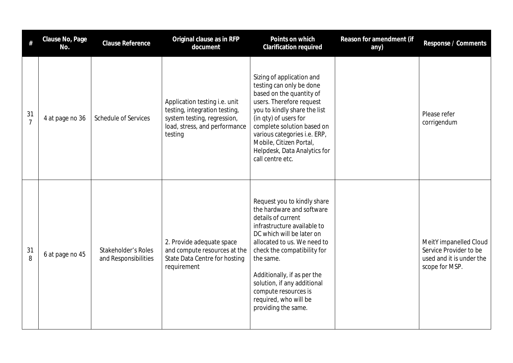|                      | Clause No, Page<br>No. | <b>Clause Reference</b>                     | Original clause as in RFP<br>document                                                                                                     | Points on which<br>Clarification required                                                                                                                                                                                                                                                                                                                   | Reason for amendment (if<br>any) | Response / Comments                                                                            |
|----------------------|------------------------|---------------------------------------------|-------------------------------------------------------------------------------------------------------------------------------------------|-------------------------------------------------------------------------------------------------------------------------------------------------------------------------------------------------------------------------------------------------------------------------------------------------------------------------------------------------------------|----------------------------------|------------------------------------------------------------------------------------------------|
| 31<br>$\overline{7}$ | 4 at page no 36        | <b>Schedule of Services</b>                 | Application testing i.e. unit<br>testing, integration testing,<br>system testing, regression,<br>load, stress, and performance<br>testing | Sizing of application and<br>testing can only be done<br>based on the quantity of<br>users. Therefore request<br>you to kindly share the list<br>(in qty) of users for<br>complete solution based on<br>various categories i.e. ERP,<br>Mobile, Citizen Portal,<br>Helpdesk, Data Analytics for<br>call centre etc.                                         |                                  | Please refer<br>corrigendum                                                                    |
| 31<br>8              | 6 at page no 45        | Stakeholder's Roles<br>and Responsibilities | 2. Provide adequate space<br>and compute resources at the<br>State Data Centre for hosting<br>requirement                                 | Request you to kindly share<br>the hardware and software<br>details of current<br>infrastructure available to<br>DC which will be later on<br>allocated to us. We need to<br>check the compatibility for<br>the same.<br>Additionally, if as per the<br>solution, if any additional<br>compute resources is<br>required, who will be<br>providing the same. |                                  | MeitY impanelled Cloud<br>Service Provider to be<br>used and it is under the<br>scope for MSP. |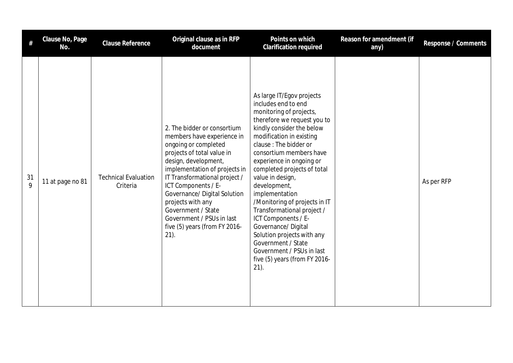| #                 | Clause No, Page<br>No. | <b>Clause Reference</b>                 | Original clause as in RFP<br>document                                                                                                                                                                                                                                                                                                                                                | Points on which<br><b>Clarification required</b>                                                                                                                                                                                                                                                                                                                                                                                                                                                                                                                                  | Reason for amendment (if<br>any) | Response / Comments |
|-------------------|------------------------|-----------------------------------------|--------------------------------------------------------------------------------------------------------------------------------------------------------------------------------------------------------------------------------------------------------------------------------------------------------------------------------------------------------------------------------------|-----------------------------------------------------------------------------------------------------------------------------------------------------------------------------------------------------------------------------------------------------------------------------------------------------------------------------------------------------------------------------------------------------------------------------------------------------------------------------------------------------------------------------------------------------------------------------------|----------------------------------|---------------------|
| 31<br>$\mathsf Q$ | 11 at page no 81       | <b>Technical Evaluation</b><br>Criteria | 2. The bidder or consortium<br>members have experience in<br>ongoing or completed<br>projects of total value in<br>design, development,<br>implementation of projects in<br>IT Transformational project /<br>ICT Components / E-<br>Governance/ Digital Solution<br>projects with any<br>Government / State<br>Government / PSUs in last<br>five (5) years (from FY 2016-<br>$21$ ). | As large IT/Egov projects<br>includes end to end<br>monitoring of projects,<br>therefore we request you to<br>kindly consider the below<br>modification in existing<br>clause: The bidder or<br>consortium members have<br>experience in ongoing or<br>completed projects of total<br>value in design,<br>development,<br>implementation<br>/Monitoring of projects in IT<br>Transformational project /<br>ICT Components / E-<br>Governance/Digital<br>Solution projects with any<br>Government / State<br>Government / PSUs in last<br>five (5) years (from FY 2016-<br>$21$ ). |                                  | As per RFP          |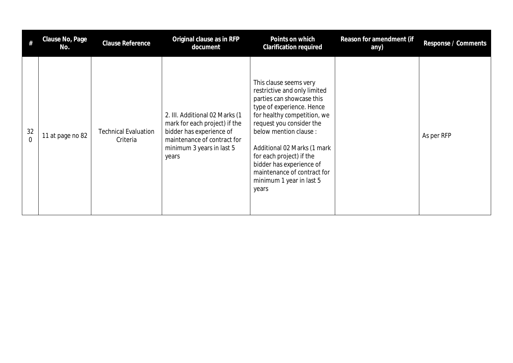|                | Clause No, Page<br>No. | <b>Clause Reference</b>                 | Original clause as in RFP<br>document                                                                                                                            | Points on which<br><b>Clarification required</b>                                                                                                                                                                                                                                                                                                                 | Reason for amendment (if<br>any) | Response / Comments |
|----------------|------------------------|-----------------------------------------|------------------------------------------------------------------------------------------------------------------------------------------------------------------|------------------------------------------------------------------------------------------------------------------------------------------------------------------------------------------------------------------------------------------------------------------------------------------------------------------------------------------------------------------|----------------------------------|---------------------|
| 32<br>$\Omega$ | 11 at page no 82       | <b>Technical Evaluation</b><br>Criteria | 2. III. Additional 02 Marks (1<br>mark for each project) if the<br>bidder has experience of<br>maintenance of contract for<br>minimum 3 years in last 5<br>years | This clause seems very<br>restrictive and only limited<br>parties can showcase this<br>type of experience. Hence<br>for healthy competition, we<br>request you consider the<br>below mention clause :<br>Additional 02 Marks (1 mark<br>for each project) if the<br>bidder has experience of<br>maintenance of contract for<br>minimum 1 year in last 5<br>years |                                  | As per RFP          |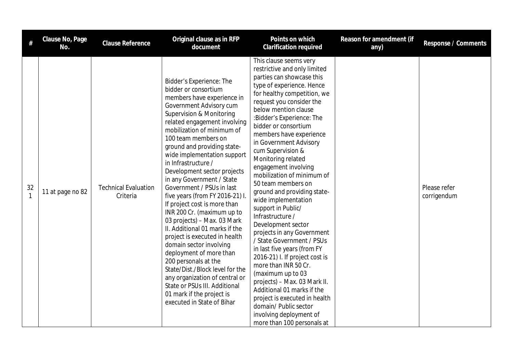| $\#$               | Clause No, Page<br>No. | Clause Reference                        | Original clause as in RFP<br>document                                                                                                                                                                                                                                                                                                                                                                                                                                                                                                                                                                                                                                                                                                                                                                                                                                 | Points on which<br><b>Clarification required</b>                                                                                                                                                                                                                                                                                                                                                                                                                                                                                                                                                                                                                                                                                                                                                                                                                                                                     | Reason for amendment (if<br>any) | Response / Comments         |
|--------------------|------------------------|-----------------------------------------|-----------------------------------------------------------------------------------------------------------------------------------------------------------------------------------------------------------------------------------------------------------------------------------------------------------------------------------------------------------------------------------------------------------------------------------------------------------------------------------------------------------------------------------------------------------------------------------------------------------------------------------------------------------------------------------------------------------------------------------------------------------------------------------------------------------------------------------------------------------------------|----------------------------------------------------------------------------------------------------------------------------------------------------------------------------------------------------------------------------------------------------------------------------------------------------------------------------------------------------------------------------------------------------------------------------------------------------------------------------------------------------------------------------------------------------------------------------------------------------------------------------------------------------------------------------------------------------------------------------------------------------------------------------------------------------------------------------------------------------------------------------------------------------------------------|----------------------------------|-----------------------------|
| 32<br>$\mathbf{1}$ | 11 at page no 82       | <b>Technical Evaluation</b><br>Criteria | Bidder's Experience: The<br>bidder or consortium<br>members have experience in<br>Government Advisory cum<br><b>Supervision &amp; Monitoring</b><br>related engagement involving<br>mobilization of minimum of<br>100 team members on<br>ground and providing state-<br>wide implementation support<br>in Infrastructure /<br>Development sector projects<br>in any Government / State<br>Government / PSUs in last<br>five years (from FY 2016-21) I.<br>If project cost is more than<br>INR 200 Cr. (maximum up to<br>03 projects) - Max. 03 Mark<br>II. Additional 01 marks if the<br>project is executed in health<br>domain sector involving<br>deployment of more than<br>200 personals at the<br>State/Dist./Block level for the<br>any organization of central or<br>State or PSUs III. Additional<br>01 mark if the project is<br>executed in State of Bihar | This clause seems very<br>restrictive and only limited<br>parties can showcase this<br>type of experience. Hence<br>for healthy competition, we<br>request you consider the<br>below mention clause<br>:Bidder's Experience: The<br>bidder or consortium<br>members have experience<br>in Government Advisory<br>cum Supervision &<br>Monitoring related<br>engagement involving<br>mobilization of minimum of<br>50 team members on<br>ground and providing state-<br>wide implementation<br>support in Public/<br>Infrastructure /<br>Development sector<br>projects in any Government<br>/ State Government / PSUs<br>in last five years (from FY<br>2016-21) I. If project cost is<br>more than INR 50 Cr.<br>(maximum up to 03<br>projects) - Max. 03 Mark II.<br>Additional 01 marks if the<br>project is executed in health<br>domain/ Public sector<br>involving deployment of<br>more than 100 personals at |                                  | Please refer<br>corrigendum |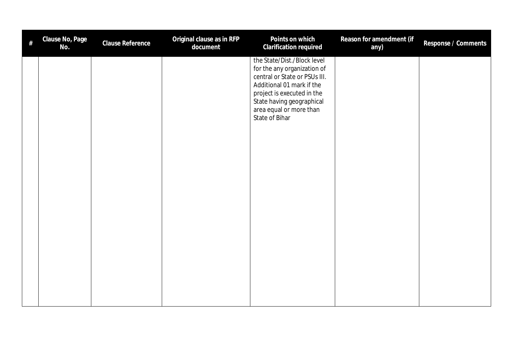| # | Clause No, Page<br>No. | Clause Reference | Original clause as in RFP<br>document | Points on which<br>Clarification required                                                                                                                                                                                        | Reason for amendment (if<br>any) | Response / Comments |
|---|------------------------|------------------|---------------------------------------|----------------------------------------------------------------------------------------------------------------------------------------------------------------------------------------------------------------------------------|----------------------------------|---------------------|
|   |                        |                  |                                       | the State/Dist./Block level<br>for the any organization of<br>central or State or PSUs III.<br>Additional 01 mark if the<br>project is executed in the<br>State having geographical<br>area equal or more than<br>State of Bihar |                                  |                     |
|   |                        |                  |                                       |                                                                                                                                                                                                                                  |                                  |                     |
|   |                        |                  |                                       |                                                                                                                                                                                                                                  |                                  |                     |
|   |                        |                  |                                       |                                                                                                                                                                                                                                  |                                  |                     |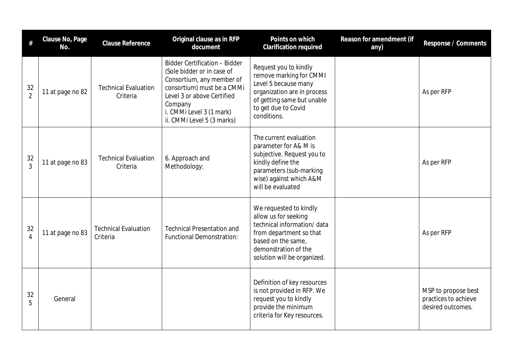| $\#$                 | Clause No, Page<br>No. | <b>Clause Reference</b>                 | Original clause as in RFP<br>document                                                                                                                                                                                            | Points on which<br>Clarification required                                                                                                                                            | Reason for amendment (if<br>any) | Response / Comments                                              |
|----------------------|------------------------|-----------------------------------------|----------------------------------------------------------------------------------------------------------------------------------------------------------------------------------------------------------------------------------|--------------------------------------------------------------------------------------------------------------------------------------------------------------------------------------|----------------------------------|------------------------------------------------------------------|
| 32<br>$\overline{2}$ | 11 at page no 82       | <b>Technical Evaluation</b><br>Criteria | <b>Bidder Certification - Bidder</b><br>(Sole bidder or in case of<br>Consortium, any member of<br>consortium) must be a CMMi<br>Level 3 or above Certified<br>Company<br>i. CMMi Level 3 (1 mark)<br>ii. CMMi Level 5 (3 marks) | Request you to kindly<br>remove marking for CMMI<br>Level 5 because many<br>organization are in process<br>of getting same but unable<br>to get due to Covid<br>conditions.          |                                  | As per RFP                                                       |
| 32<br>$\overline{3}$ | 11 at page no 83       | <b>Technical Evaluation</b><br>Criteria | 6. Approach and<br>Methodology:                                                                                                                                                                                                  | The current evaluation<br>parameter for A& M is<br>subjective. Request you to<br>kindly define the<br>parameters (sub-marking<br>wise) against which A&M<br>will be evaluated        |                                  | As per RFP                                                       |
| 32<br>$\overline{4}$ | 11 at page no 83       | <b>Technical Evaluation</b><br>Criteria | <b>Technical Presentation and</b><br><b>Functional Demonstration:</b>                                                                                                                                                            | We requested to kindly<br>allow us for seeking<br>technical information/data<br>from department so that<br>based on the same,<br>demonstration of the<br>solution will be organized. |                                  | As per RFP                                                       |
| 32<br>5              | General                |                                         |                                                                                                                                                                                                                                  | Definition of key resources<br>is not provided in RFP. We<br>request you to kindly<br>provide the minimum<br>criteria for Key resources.                                             |                                  | MSP to propose best<br>practices to achieve<br>desired outcomes. |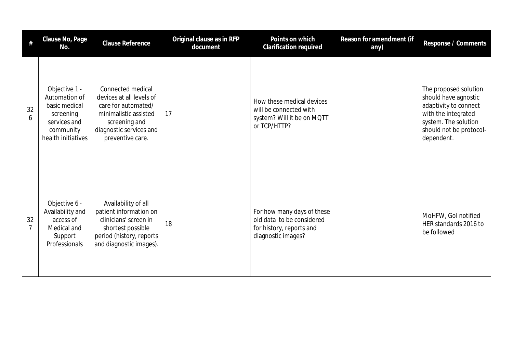| #                    | Clause No, Page<br>No.                                                                                          | <b>Clause Reference</b>                                                                                                                                       | Original clause as in RFP<br>document | Points on which<br><b>Clarification required</b>                                                          | Reason for amendment (if<br>any) | Response / Comments                                                                                                                                            |
|----------------------|-----------------------------------------------------------------------------------------------------------------|---------------------------------------------------------------------------------------------------------------------------------------------------------------|---------------------------------------|-----------------------------------------------------------------------------------------------------------|----------------------------------|----------------------------------------------------------------------------------------------------------------------------------------------------------------|
| 32<br>6              | Objective 1 -<br>Automation of<br>basic medical<br>screening<br>services and<br>community<br>health initiatives | Connected medical<br>devices at all levels of<br>care for automated/<br>minimalistic assisted<br>screening and<br>diagnostic services and<br>preventive care. | 17                                    | How these medical devices<br>will be connected with<br>system? Will it be on MQTT<br>or TCP/HTTP?         |                                  | The proposed solution<br>should have agnostic<br>adaptivity to connect<br>with the integrated<br>system. The solution<br>should not be protocol-<br>dependent. |
| 32<br>$\overline{7}$ | Objective 6 -<br>Availability and<br>access of<br>Medical and<br>Support<br>Professionals                       | Availability of all<br>patient information on<br>clinicians' screen in<br>shortest possible<br>period (history, reports<br>and diagnostic images).            | 18                                    | For how many days of these<br>old data to be considered<br>for history, reports and<br>diagnostic images? |                                  | MoHFW, Gol notified<br>HER standards 2016 to<br>be followed                                                                                                    |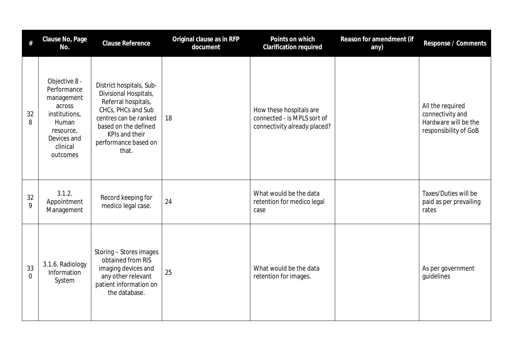| #                    | Clause No, Page<br>No.                                                                                                             | <b>Clause Reference</b>                                                                                                                                                                            | Original clause as in RFP<br>document | Points on which<br><b>Clarification required</b>                                       | Reason for amendment (if<br>any) | Response / Comments                                                                   |
|----------------------|------------------------------------------------------------------------------------------------------------------------------------|----------------------------------------------------------------------------------------------------------------------------------------------------------------------------------------------------|---------------------------------------|----------------------------------------------------------------------------------------|----------------------------------|---------------------------------------------------------------------------------------|
| 32<br>8              | Objective 8 -<br>Performance<br>management<br>across<br>institutions,<br>Human<br>resource,<br>Devices and<br>clinical<br>outcomes | District hospitals, Sub-<br>Divisional Hospitals,<br>Referral hospitals,<br>CHCs, PHCs and Sub<br>centres can be ranked<br>based on the defined<br>KPIs and their<br>performance based on<br>that. | 18                                    | How these hospitals are<br>connected - is MPLS sort of<br>connectivity already placed? |                                  | All the required<br>connectivity and<br>Hardware will be the<br>responsibility of GoB |
| 32<br>9              | 3.1.2.<br>Appointment<br>Management                                                                                                | Record keeping for<br>medico legal case.                                                                                                                                                           | 24                                    | What would be the data<br>retention for medico legal<br>case                           |                                  | Taxes/Duties will be<br>paid as per prevailing<br>rates                               |
| 33<br>$\overline{0}$ | 3.1.6. Radiology<br>Information<br>System                                                                                          | Storing - Stores images<br>obtained from RIS<br>imaging devices and<br>any other relevant<br>patient information on<br>the database.                                                               | 25                                    | What would be the data<br>retention for images.                                        |                                  | As per government<br>quidelines                                                       |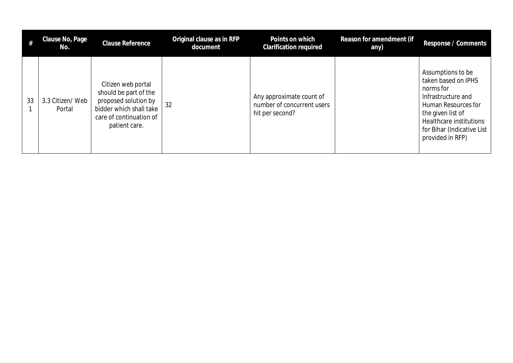|    | Clause No, Page<br>No.    | <b>Clause Reference</b>                                                                                                                    | Original clause as in RFP<br>document | Points on which<br><b>Clarification required</b>                          | Reason for amendment (if<br>any) | Response / Comments                                                                                                                                                                                  |
|----|---------------------------|--------------------------------------------------------------------------------------------------------------------------------------------|---------------------------------------|---------------------------------------------------------------------------|----------------------------------|------------------------------------------------------------------------------------------------------------------------------------------------------------------------------------------------------|
| 33 | 3.3 Citizen/Web<br>Portal | Citizen web portal<br>should be part of the<br>proposed solution by<br>bidder which shall take<br>care of continuation of<br>patient care. | 32                                    | Any approximate count of<br>number of concurrent users<br>hit per second? |                                  | Assumptions to be<br>taken based on IPHS<br>norms for<br>Infrastructure and<br>Human Resources for<br>the given list of<br>Healthcare institutions<br>for Bihar (Indicative List<br>provided in RFP) |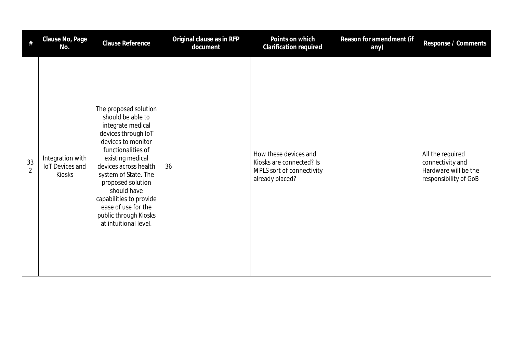| #                    | Clause No, Page<br>No.                        | <b>Clause Reference</b>                                                                                                                                                                                                                                                                                                                         | Original clause as in RFP<br>document | Points on which<br>Clarification required                                                         | Reason for amendment (if<br>any) | Response / Comments                                                                   |
|----------------------|-----------------------------------------------|-------------------------------------------------------------------------------------------------------------------------------------------------------------------------------------------------------------------------------------------------------------------------------------------------------------------------------------------------|---------------------------------------|---------------------------------------------------------------------------------------------------|----------------------------------|---------------------------------------------------------------------------------------|
| 33<br>$\overline{2}$ | Integration with<br>IoT Devices and<br>Kiosks | The proposed solution<br>should be able to<br>integrate medical<br>devices through IoT<br>devices to monitor<br>functionalities of<br>existing medical<br>devices across health<br>system of State. The<br>proposed solution<br>should have<br>capabilities to provide<br>ease of use for the<br>public through Kiosks<br>at intuitional level. | 36                                    | How these devices and<br>Kiosks are connected? Is<br>MPLS sort of connectivity<br>already placed? |                                  | All the required<br>connectivity and<br>Hardware will be the<br>responsibility of GoB |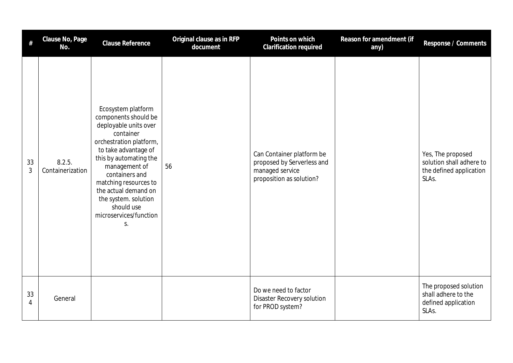| #                    | Clause No, Page<br>No.     | <b>Clause Reference</b>                                                                                                                                                                                                                                                                                                 | Original clause as in RFP<br>document | Points on which<br>Clarification required                                                              | Reason for amendment (if<br>any) | Response / Comments                                                               |
|----------------------|----------------------------|-------------------------------------------------------------------------------------------------------------------------------------------------------------------------------------------------------------------------------------------------------------------------------------------------------------------------|---------------------------------------|--------------------------------------------------------------------------------------------------------|----------------------------------|-----------------------------------------------------------------------------------|
| 33<br>$\mathfrak{Z}$ | 8.2.5.<br>Containerization | Ecosystem platform<br>components should be<br>deployable units over<br>container<br>orchestration platform,<br>to take advantage of<br>this by automating the<br>management of<br>containers and<br>matching resources to<br>the actual demand on<br>the system. solution<br>should use<br>microservices/function<br>S. | 56                                    | Can Container platform be<br>proposed by Serverless and<br>managed service<br>proposition as solution? |                                  | Yes, The proposed<br>solution shall adhere to<br>the defined application<br>SLAs. |
| 33<br>4              | General                    |                                                                                                                                                                                                                                                                                                                         |                                       | Do we need to factor<br><b>Disaster Recovery solution</b><br>for PROD system?                          |                                  | The proposed solution<br>shall adhere to the<br>defined application<br>SLAs.      |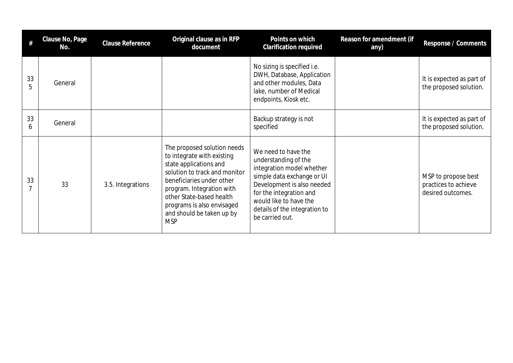|         | Clause No, Page<br>No. | <b>Clause Reference</b> | Original clause as in RFP<br>document                                                                                                                                                                                                                                               | Points on which<br><b>Clarification required</b>                                                                                                                                                                                              | Reason for amendment (if<br>any) | Response / Comments                                              |
|---------|------------------------|-------------------------|-------------------------------------------------------------------------------------------------------------------------------------------------------------------------------------------------------------------------------------------------------------------------------------|-----------------------------------------------------------------------------------------------------------------------------------------------------------------------------------------------------------------------------------------------|----------------------------------|------------------------------------------------------------------|
| 33<br>5 | General                |                         |                                                                                                                                                                                                                                                                                     | No sizing is specified i.e.<br>DWH, Database, Application<br>and other modules, Data<br>lake, number of Medical<br>endpoints, Kiosk etc.                                                                                                      |                                  | It is expected as part of<br>the proposed solution.              |
| 33<br>6 | General                |                         |                                                                                                                                                                                                                                                                                     | Backup strategy is not<br>specified                                                                                                                                                                                                           |                                  | It is expected as part of<br>the proposed solution.              |
| 33      | 33                     | 3.5. Integrations       | The proposed solution needs<br>to integrate with existing<br>state applications and<br>solution to track and monitor<br>beneficiaries under other<br>program. Integration with<br>other State-based health<br>programs is also envisaged<br>and should be taken up by<br><b>MSP</b> | We need to have the<br>understanding of the<br>integration model whether<br>simple data exchange or UI<br>Development is also needed<br>for the integration and<br>would like to have the<br>details of the integration to<br>be carried out. |                                  | MSP to propose best<br>practices to achieve<br>desired outcomes. |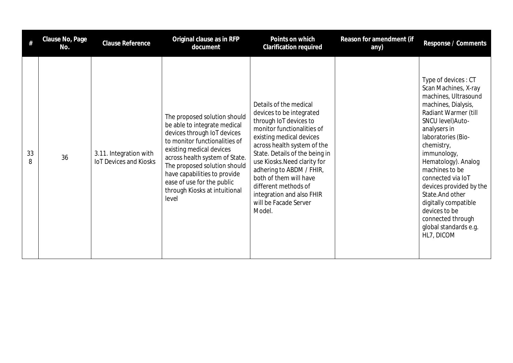|         | Clause No, Page<br>No. | Clause Reference                                        | Original clause as in RFP<br>document                                                                                                                                                                                                                                                                                              | Points on which<br><b>Clarification required</b>                                                                                                                                                                                                                                                                                                                                      | Reason for amendment (if<br>any) | Response / Comments                                                                                                                                                                                                                                                                                                                                                                                                          |
|---------|------------------------|---------------------------------------------------------|------------------------------------------------------------------------------------------------------------------------------------------------------------------------------------------------------------------------------------------------------------------------------------------------------------------------------------|---------------------------------------------------------------------------------------------------------------------------------------------------------------------------------------------------------------------------------------------------------------------------------------------------------------------------------------------------------------------------------------|----------------------------------|------------------------------------------------------------------------------------------------------------------------------------------------------------------------------------------------------------------------------------------------------------------------------------------------------------------------------------------------------------------------------------------------------------------------------|
| 33<br>8 | 36                     | 3.11. Integration with<br><b>IoT Devices and Kiosks</b> | The proposed solution should<br>be able to integrate medical<br>devices through IoT devices<br>to monitor functionalities of<br>existing medical devices<br>across health system of State.<br>The proposed solution should<br>have capabilities to provide<br>ease of use for the public<br>through Kiosks at intuitional<br>level | Details of the medical<br>devices to be integrated<br>through IoT devices to<br>monitor functionalities of<br>existing medical devices<br>across health system of the<br>State. Details of the being in<br>use Kiosks. Need clarity for<br>adhering to ABDM / FHIR,<br>both of them will have<br>different methods of<br>integration and also FHIR<br>will be Facade Server<br>Model. |                                  | Type of devices: CT<br>Scan Machines, X-ray<br>machines, Ultrasound<br>machines, Dialysis,<br>Radiant Warmer (till<br>SNCU level) Auto-<br>analysers in<br>laboratories (Bio-<br>chemistry,<br>immunology,<br>Hematology). Analog<br>machines to be<br>connected via IoT<br>devices provided by the<br>State. And other<br>digitally compatible<br>devices to be<br>connected through<br>global standards e.g.<br>HL7, DICOM |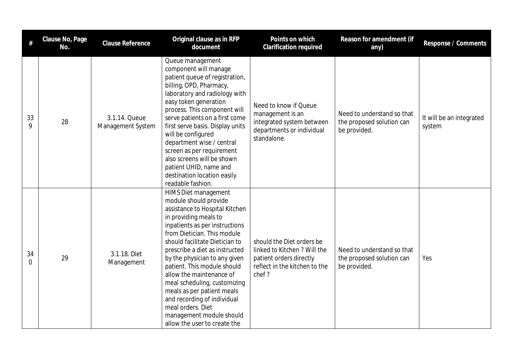| $\#$                 | Clause No, Page<br>No. | Clause Reference                   | Original clause as in RFP<br>document                                                                                                                                                                                                                                                                                                                                                                                                                                                                                   | Points on which<br><b>Clarification required</b>                                                                               | Reason for amendment (if<br>any)                                        | Response / Comments                |
|----------------------|------------------------|------------------------------------|-------------------------------------------------------------------------------------------------------------------------------------------------------------------------------------------------------------------------------------------------------------------------------------------------------------------------------------------------------------------------------------------------------------------------------------------------------------------------------------------------------------------------|--------------------------------------------------------------------------------------------------------------------------------|-------------------------------------------------------------------------|------------------------------------|
| 33<br>9              | 28                     | 3.1.14. Queue<br>Management System | Queue management<br>component will manage<br>patient queue of registration,<br>billing, OPD, Pharmacy,<br>laboratory and radiology with<br>easy token generation<br>process. This component will<br>serve patients on a first come<br>first serve basis. Display units<br>will be configured<br>department wise / central<br>screen as per requirement<br>also screens will be shown<br>patient UHID, name and<br>destination location easily<br>readable fashion.                                                      | Need to know if Queue<br>management is an<br>integrated system between<br>departments or individual<br>standalone.             | Need to understand so that<br>the proposed solution can<br>be provided. | It will be an integrated<br>system |
| 34<br>$\overline{0}$ | 29                     | 3.1.18. Diet<br>Management         | HIMS Diet management<br>module should provide<br>assistance to Hospital Kitchen<br>in providing meals to<br>inpatients as per instructions<br>from Dietician. This module<br>should facilitate Dietician to<br>prescribe a diet as instructed<br>by the physician to any given<br>patient. This module should<br>allow the maintenance of<br>meal scheduling, customizing<br>meals as per patient meals<br>and recording of individual<br>meal orders. Diet<br>management module should<br>allow the user to create the | should the Diet orders be<br>linked to Kitchen ? Will the<br>patient orders directly<br>reflect in the kitchen to the<br>chef? | Need to understand so that<br>the proposed solution can<br>be provided. | Yes                                |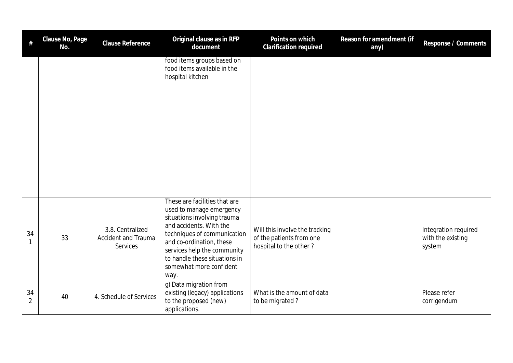| #                    | Clause No, Page<br>No. | <b>Clause Reference</b>                                           | Original clause as in RFP<br>document                                                                                                                                                                                                                                             | Points on which<br>Clarification required                                            | Reason for amendment (if<br>any) | Response / Comments                                 |
|----------------------|------------------------|-------------------------------------------------------------------|-----------------------------------------------------------------------------------------------------------------------------------------------------------------------------------------------------------------------------------------------------------------------------------|--------------------------------------------------------------------------------------|----------------------------------|-----------------------------------------------------|
|                      |                        |                                                                   | food items groups based on<br>food items available in the<br>hospital kitchen                                                                                                                                                                                                     |                                                                                      |                                  |                                                     |
| 34                   | 33                     | 3.8. Centralized<br><b>Accident and Trauma</b><br><b>Services</b> | These are facilities that are<br>used to manage emergency<br>situations involving trauma<br>and accidents. With the<br>techniques of communication<br>and co-ordination, these<br>services help the community<br>to handle these situations in<br>somewhat more confident<br>way. | Will this involve the tracking<br>of the patients from one<br>hospital to the other? |                                  | Integration required<br>with the existing<br>system |
| 34<br>$\overline{2}$ | 40                     | 4. Schedule of Services                                           | g) Data migration from<br>existing (legacy) applications<br>to the proposed (new)<br>applications.                                                                                                                                                                                | What is the amount of data<br>to be migrated?                                        |                                  | Please refer<br>corrigendum                         |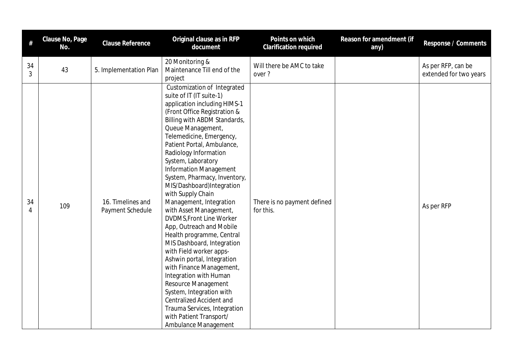| #       | Clause No, Page<br>No. | Clause Reference                      | Original clause as in RFP<br>document                                                                                                                                                                                                                                                                                                                                                                                                                                                                                                                                                                                                                                                                                                                                                                                                                                    | Points on which<br>Clarification required | Reason for amendment (if<br>any) | Response / Comments                          |
|---------|------------------------|---------------------------------------|--------------------------------------------------------------------------------------------------------------------------------------------------------------------------------------------------------------------------------------------------------------------------------------------------------------------------------------------------------------------------------------------------------------------------------------------------------------------------------------------------------------------------------------------------------------------------------------------------------------------------------------------------------------------------------------------------------------------------------------------------------------------------------------------------------------------------------------------------------------------------|-------------------------------------------|----------------------------------|----------------------------------------------|
| 34<br>3 | 43                     | 5. Implementation Plan                | 20 Monitoring &<br>Maintenance Till end of the<br>project                                                                                                                                                                                                                                                                                                                                                                                                                                                                                                                                                                                                                                                                                                                                                                                                                | Will there be AMC to take<br>over?        |                                  | As per RFP, can be<br>extended for two years |
| 34<br>4 | 109                    | 16. Timelines and<br>Payment Schedule | Customization of Integrated<br>suite of IT (IT suite-1)<br>application including HIMS-1<br>(Front Office Registration &<br>Billing with ABDM Standards,<br>Queue Management,<br>Telemedicine, Emergency,<br>Patient Portal, Ambulance,<br>Radiology Information<br>System, Laboratory<br><b>Information Management</b><br>System, Pharmacy, Inventory,<br>MIS/Dashboard)Integration<br>with Supply Chain<br>Management, Integration<br>with Asset Management,<br>DVDMS, Front Line Worker<br>App, Outreach and Mobile<br>Health programme, Central<br>MIS Dashboard, Integration<br>with Field worker apps-<br>Ashwin portal, Integration<br>with Finance Management,<br>Integration with Human<br>Resource Management<br>System, Integration with<br><b>Centralized Accident and</b><br>Trauma Services, Integration<br>with Patient Transport/<br>Ambulance Management | There is no payment defined<br>for this.  |                                  | As per RFP                                   |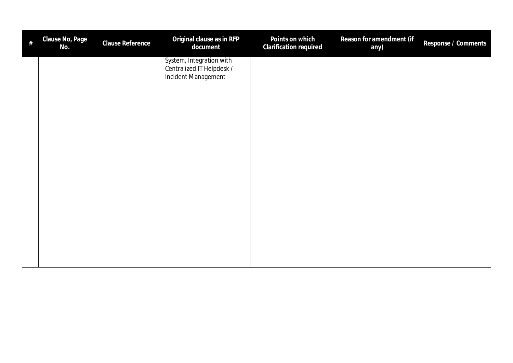| $\#$ | Clause No, Page<br>No. | Clause Reference | Original clause as in RFP<br>document                                        | Points on which<br>Clarification required | Reason for amendment (if<br>any) | Response / Comments |
|------|------------------------|------------------|------------------------------------------------------------------------------|-------------------------------------------|----------------------------------|---------------------|
|      |                        |                  | System, Integration with<br>Centralized IT Helpdesk /<br>Incident Management |                                           |                                  |                     |
|      |                        |                  |                                                                              |                                           |                                  |                     |
|      |                        |                  |                                                                              |                                           |                                  |                     |
|      |                        |                  |                                                                              |                                           |                                  |                     |
|      |                        |                  |                                                                              |                                           |                                  |                     |
|      |                        |                  |                                                                              |                                           |                                  |                     |
|      |                        |                  |                                                                              |                                           |                                  |                     |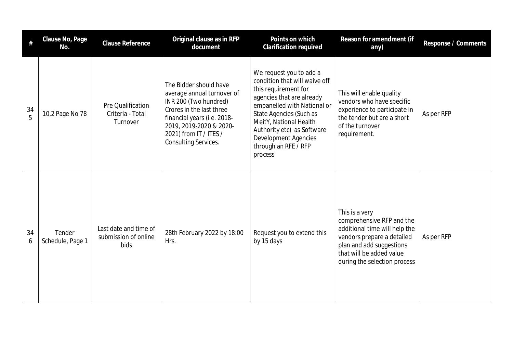| #       | Clause No, Page<br>No.     | <b>Clause Reference</b>                               | Original clause as in RFP<br>document                                                                                                                                                                                 | Points on which<br><b>Clarification required</b>                                                                                                                                                                                                                                                  | Reason for amendment (if<br>any)                                                                                                                                                                   | Response / Comments |
|---------|----------------------------|-------------------------------------------------------|-----------------------------------------------------------------------------------------------------------------------------------------------------------------------------------------------------------------------|---------------------------------------------------------------------------------------------------------------------------------------------------------------------------------------------------------------------------------------------------------------------------------------------------|----------------------------------------------------------------------------------------------------------------------------------------------------------------------------------------------------|---------------------|
| 34<br>5 | 10.2 Page No 78            | Pre Qualification<br>Criteria - Total<br>Turnover     | The Bidder should have<br>average annual turnover of<br>INR 200 (Two hundred)<br>Crores in the last three<br>financial years (i.e. 2018-<br>2019, 2019-2020 & 2020-<br>2021) from IT / ITES /<br>Consulting Services. | We request you to add a<br>condition that will waive off<br>this requirement for<br>agencies that are already<br>empanelled with National or<br>State Agencies (Such as<br>MeitY, National Health<br>Authority etc) as Software<br><b>Development Agencies</b><br>through an RFE / RFP<br>process | This will enable quality<br>vendors who have specific<br>experience to participate in<br>the tender but are a short<br>of the turnover<br>requirement.                                             | As per RFP          |
| 34<br>6 | Tender<br>Schedule, Page 1 | Last date and time of<br>submission of online<br>bids | 28th February 2022 by 18:00<br>Hrs.                                                                                                                                                                                   | Request you to extend this<br>by 15 days                                                                                                                                                                                                                                                          | This is a very<br>comprehensive RFP and the<br>additional time will help the<br>vendors prepare a detailed<br>plan and add suggestions<br>that will be added value<br>during the selection process | As per RFP          |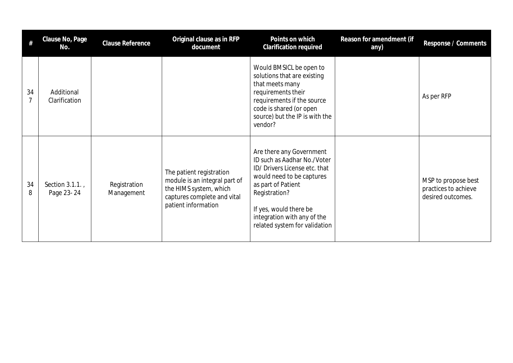| #       | Clause No, Page<br>No.       | <b>Clause Reference</b>    | Original clause as in RFP<br>document                                                                                                     | Points on which<br>Clarification required                                                                                                                                                                                                              | Reason for amendment (if<br>any) | Response / Comments                                              |
|---------|------------------------------|----------------------------|-------------------------------------------------------------------------------------------------------------------------------------------|--------------------------------------------------------------------------------------------------------------------------------------------------------------------------------------------------------------------------------------------------------|----------------------------------|------------------------------------------------------------------|
| 34<br>7 | Additional<br>Clarification  |                            |                                                                                                                                           | Would BMSICL be open to<br>solutions that are existing<br>that meets many<br>requirements their<br>requirements if the source<br>code is shared (or open<br>source) but the IP is with the<br>vendor?                                                  |                                  | As per RFP                                                       |
| 34<br>8 | Section 3.1.1.<br>Page 23-24 | Registration<br>Management | The patient registration<br>module is an integral part of<br>the HIMS system, which<br>captures complete and vital<br>patient information | Are there any Government<br>ID such as Aadhar No./Voter<br>ID/ Drivers License etc. that<br>would need to be captures<br>as part of Patient<br>Registration?<br>If yes, would there be<br>integration with any of the<br>related system for validation |                                  | MSP to propose best<br>practices to achieve<br>desired outcomes. |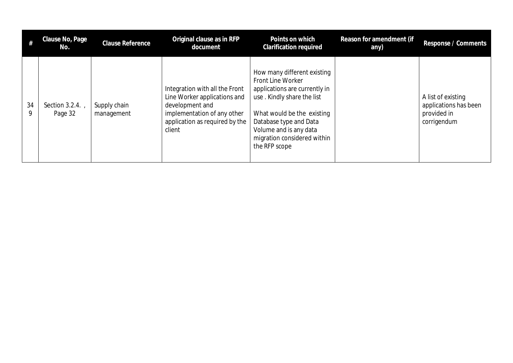|         | Clause No, Page<br>No.      | <b>Clause Reference</b>    | Original clause as in RFP<br>document                                                                                                                        | Points on which<br><b>Clarification required</b>                                                                                                                                                                                                  | Reason for amendment (if<br>any) | Response / Comments                                                       |
|---------|-----------------------------|----------------------------|--------------------------------------------------------------------------------------------------------------------------------------------------------------|---------------------------------------------------------------------------------------------------------------------------------------------------------------------------------------------------------------------------------------------------|----------------------------------|---------------------------------------------------------------------------|
| 34<br>9 | Section $3.2.4.$<br>Page 32 | Supply chain<br>management | Integration with all the Front<br>Line Worker applications and<br>development and<br>implementation of any other<br>application as required by the<br>client | How many different existing<br>Front Line Worker<br>applications are currently in<br>use. Kindly share the list<br>What would be the existing<br>Database type and Data<br>Volume and is any data<br>migration considered within<br>the RFP scope |                                  | A list of existing<br>applications has been<br>provided in<br>corrigendum |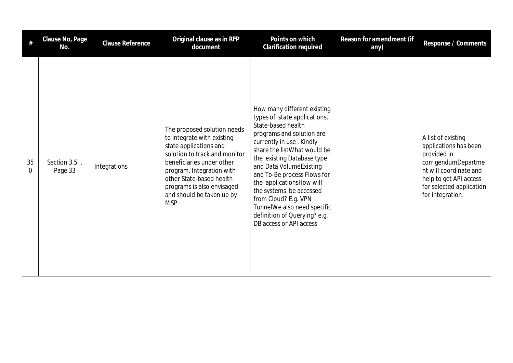|         | Clause No, Page<br>No.      | <b>Clause Reference</b> | Original clause as in RFP<br>document                                                                                                                                                                                                                                               | Points on which<br><b>Clarification required</b>                                                                                                                                                                                                                                                                                                                                                                                            | Reason for amendment (if<br>any) | Response / Comments                                                                                                                                                                   |
|---------|-----------------------------|-------------------------|-------------------------------------------------------------------------------------------------------------------------------------------------------------------------------------------------------------------------------------------------------------------------------------|---------------------------------------------------------------------------------------------------------------------------------------------------------------------------------------------------------------------------------------------------------------------------------------------------------------------------------------------------------------------------------------------------------------------------------------------|----------------------------------|---------------------------------------------------------------------------------------------------------------------------------------------------------------------------------------|
| 35<br>0 | Section $3.5.$ ,<br>Page 33 | Integrations            | The proposed solution needs<br>to integrate with existing<br>state applications and<br>solution to track and monitor<br>beneficiaries under other<br>program. Integration with<br>other State-based health<br>programs is also envisaged<br>and should be taken up by<br><b>MSP</b> | How many different existing<br>types of state applications,<br>State-based health<br>programs and solution are<br>currently in use. Kindly<br>share the list What would be<br>the existing Database type<br>and Data VolumeExisting<br>and To-Be process Flows for<br>the applicationsHow will<br>the systems be accessed<br>from Cloud? E.g. VPN<br>TunnelWe also need specific<br>definition of Querying? e.g.<br>DB access or API access |                                  | A list of existing<br>applications has been<br>provided in<br>corrigendumDepartme<br>nt will coordinate and<br>help to get API access<br>for selected application<br>for integration. |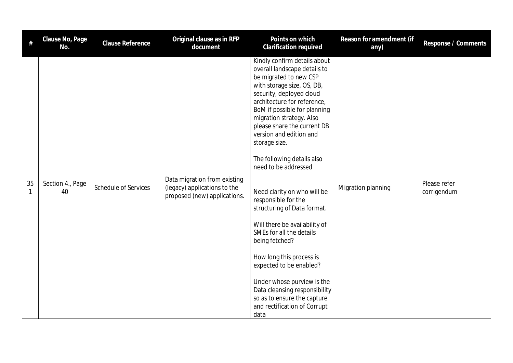| $\#$    | Clause No, Page<br>No. | <b>Clause Reference</b> | Original clause as in RFP<br>document                                                        | Points on which<br>Clarification required                                                                                                                                                                                                                                                                                                                                                                                                                                                                                                                                                                                                                                                                                                     | Reason for amendment (if<br>any) | Response / Comments         |
|---------|------------------------|-------------------------|----------------------------------------------------------------------------------------------|-----------------------------------------------------------------------------------------------------------------------------------------------------------------------------------------------------------------------------------------------------------------------------------------------------------------------------------------------------------------------------------------------------------------------------------------------------------------------------------------------------------------------------------------------------------------------------------------------------------------------------------------------------------------------------------------------------------------------------------------------|----------------------------------|-----------------------------|
| 35<br>1 | Section 4., Page<br>40 | Schedule of Services    | Data migration from existing<br>(legacy) applications to the<br>proposed (new) applications. | Kindly confirm details about<br>overall landscape details to<br>be migrated to new CSP<br>with storage size, OS, DB,<br>security, deployed cloud<br>architecture for reference,<br>BoM if possible for planning<br>migration strategy. Also<br>please share the current DB<br>version and edition and<br>storage size.<br>The following details also<br>need to be addressed<br>Need clarity on who will be<br>responsible for the<br>structuring of Data format.<br>Will there be availability of<br>SMEs for all the details<br>being fetched?<br>How long this process is<br>expected to be enabled?<br>Under whose purview is the<br>Data cleansing responsibility<br>so as to ensure the capture<br>and rectification of Corrupt<br>data | Migration planning               | Please refer<br>corrigendum |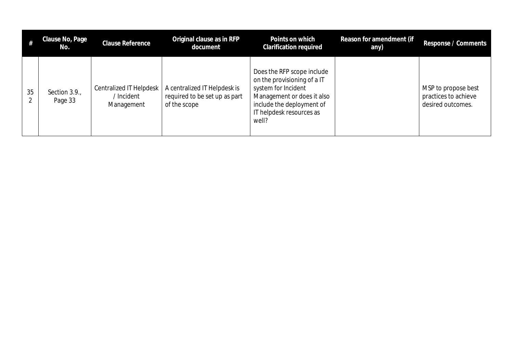|         | Clause No, Page<br>No.  | Clause Reference                                  | Original clause as in RFP<br>document                                         | Points on which<br>Clarification required                                                                                                                                        | Reason for amendment (if<br>any) | Response / Comments                                              |
|---------|-------------------------|---------------------------------------------------|-------------------------------------------------------------------------------|----------------------------------------------------------------------------------------------------------------------------------------------------------------------------------|----------------------------------|------------------------------------------------------------------|
| 35<br>↑ | Section 3.9.<br>Page 33 | Centralized IT Helpdesk<br>Incident<br>Management | A centralized IT Helpdesk is<br>required to be set up as part<br>of the scope | Does the RFP scope include<br>on the provisioning of a IT<br>system for Incident<br>Management or does it also<br>include the deployment of<br>IT helpdesk resources as<br>well? |                                  | MSP to propose best<br>practices to achieve<br>desired outcomes. |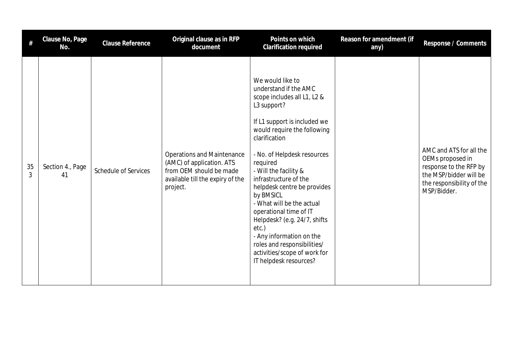| #       | Clause No, Page<br>No. | Clause Reference            | Original clause as in RFP<br>document                                                                                                     | Points on which<br><b>Clarification required</b>                                                                                                                                                                                                                                                                                                                                                                                                                                                                                      | Reason for amendment (if<br>any) | Response / Comments                                                                                                                         |
|---------|------------------------|-----------------------------|-------------------------------------------------------------------------------------------------------------------------------------------|---------------------------------------------------------------------------------------------------------------------------------------------------------------------------------------------------------------------------------------------------------------------------------------------------------------------------------------------------------------------------------------------------------------------------------------------------------------------------------------------------------------------------------------|----------------------------------|---------------------------------------------------------------------------------------------------------------------------------------------|
| 35<br>3 | Section 4., Page<br>41 | <b>Schedule of Services</b> | <b>Operations and Maintenance</b><br>(AMC) of application. ATS<br>from OEM should be made<br>available till the expiry of the<br>project. | We would like to<br>understand if the AMC<br>scope includes all L1, L2 &<br>L3 support?<br>If L1 support is included we<br>would require the following<br>clarification<br>- No. of Helpdesk resources<br>required<br>- Will the facility &<br>infrastructure of the<br>helpdesk centre be provides<br>by BMSICL<br>- What will be the actual<br>operational time of IT<br>Helpdesk? (e.g. 24/7, shifts<br>etc.)<br>- Any information on the<br>roles and responsibilities/<br>activities/scope of work for<br>IT helpdesk resources? |                                  | AMC and ATS for all the<br>OEMs proposed in<br>response to the RFP by<br>the MSP/bidder will be<br>the responsibility of the<br>MSP/Bidder. |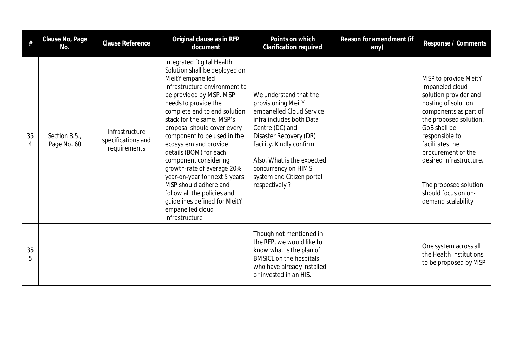|         | Clause No, Page<br>No.      | <b>Clause Reference</b>                              | Original clause as in RFP<br>document                                                                                                                                                                                                                                                                                                                                                                                                                                                                                                                                   | Points on which<br>Clarification required                                                                                                                                                                                                                                         | Reason for amendment (if<br>any) | Response / Comments                                                                                                                                                                                                                                                                                                     |
|---------|-----------------------------|------------------------------------------------------|-------------------------------------------------------------------------------------------------------------------------------------------------------------------------------------------------------------------------------------------------------------------------------------------------------------------------------------------------------------------------------------------------------------------------------------------------------------------------------------------------------------------------------------------------------------------------|-----------------------------------------------------------------------------------------------------------------------------------------------------------------------------------------------------------------------------------------------------------------------------------|----------------------------------|-------------------------------------------------------------------------------------------------------------------------------------------------------------------------------------------------------------------------------------------------------------------------------------------------------------------------|
| 35<br>4 | Section 8.5.<br>Page No. 60 | Infrastructure<br>specifications and<br>requirements | Integrated Digital Health<br>Solution shall be deployed on<br>MeitY empanelled<br>infrastructure environment to<br>be provided by MSP. MSP<br>needs to provide the<br>complete end to end solution<br>stack for the same. MSP's<br>proposal should cover every<br>component to be used in the<br>ecosystem and provide<br>details (BOM) for each<br>component considering<br>growth-rate of average 20%<br>year-on-year for next 5 years.<br>MSP should adhere and<br>follow all the policies and<br>guidelines defined for MeitY<br>empanelled cloud<br>infrastructure | We understand that the<br>provisioning MeitY<br>empanelled Cloud Service<br>infra includes both Data<br>Centre (DC) and<br>Disaster Recovery (DR)<br>facility. Kindly confirm.<br>Also, What is the expected<br>concurrency on HIMS<br>system and Citizen portal<br>respectively? |                                  | MSP to provide MeitY<br>impaneled cloud<br>solution provider and<br>hosting of solution<br>components as part of<br>the proposed solution.<br>GoB shall be<br>responsible to<br>facilitates the<br>procurement of the<br>desired infrastructure.<br>The proposed solution<br>should focus on on-<br>demand scalability. |
| 35<br>5 |                             |                                                      |                                                                                                                                                                                                                                                                                                                                                                                                                                                                                                                                                                         | Though not mentioned in<br>the RFP, we would like to<br>know what is the plan of<br><b>BMSICL on the hospitals</b><br>who have already installed<br>or invested in an HIS.                                                                                                        |                                  | One system across all<br>the Health Institutions<br>to be proposed by MSP                                                                                                                                                                                                                                               |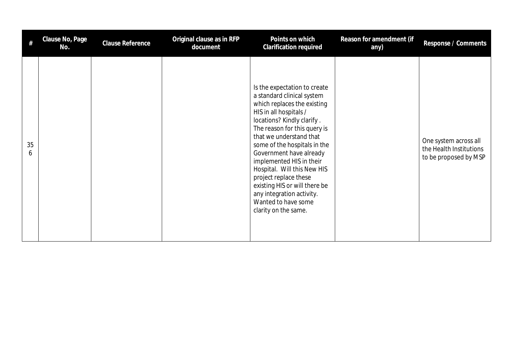|         | Clause No, Page<br>No. | <b>Clause Reference</b> | Original clause as in RFP<br>document | Points on which<br>Clarification required                                                                                                                                                                                                                                                                                                                                                                                                                                | Reason for amendment (if<br>any) | Response / Comments                                                       |
|---------|------------------------|-------------------------|---------------------------------------|--------------------------------------------------------------------------------------------------------------------------------------------------------------------------------------------------------------------------------------------------------------------------------------------------------------------------------------------------------------------------------------------------------------------------------------------------------------------------|----------------------------------|---------------------------------------------------------------------------|
| 35<br>6 |                        |                         |                                       | Is the expectation to create<br>a standard clinical system<br>which replaces the existing<br>HIS in all hospitals /<br>locations? Kindly clarify.<br>The reason for this query is<br>that we understand that<br>some of the hospitals in the<br>Government have already<br>implemented HIS in their<br>Hospital. Will this New HIS<br>project replace these<br>existing HIS or will there be<br>any integration activity.<br>Wanted to have some<br>clarity on the same. |                                  | One system across all<br>the Health Institutions<br>to be proposed by MSP |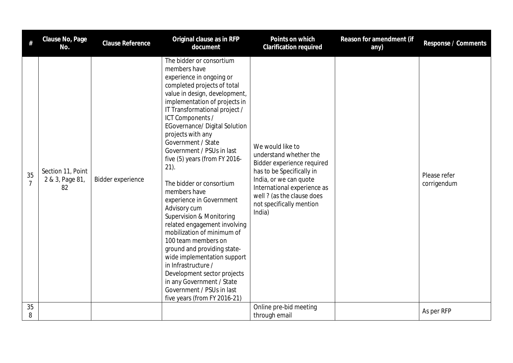| #       | Clause No, Page<br>No.                     | <b>Clause Reference</b> | Original clause as in RFP<br>document                                                                                                                                                                                                                                                                                                                                                                                                                                                                                                                                                                                                                                                                                                                                                                                    | Points on which<br><b>Clarification required</b>                                                                                                                                                                                   | Reason for amendment (if<br>any) | Response / Comments         |
|---------|--------------------------------------------|-------------------------|--------------------------------------------------------------------------------------------------------------------------------------------------------------------------------------------------------------------------------------------------------------------------------------------------------------------------------------------------------------------------------------------------------------------------------------------------------------------------------------------------------------------------------------------------------------------------------------------------------------------------------------------------------------------------------------------------------------------------------------------------------------------------------------------------------------------------|------------------------------------------------------------------------------------------------------------------------------------------------------------------------------------------------------------------------------------|----------------------------------|-----------------------------|
| 35      | Section 11, Point<br>2 & 3, Page 81,<br>82 | Bidder experience       | The bidder or consortium<br>members have<br>experience in ongoing or<br>completed projects of total<br>value in design, development,<br>implementation of projects in<br>IT Transformational project /<br>ICT Components /<br><b>EGovernance/ Digital Solution</b><br>projects with any<br>Government / State<br>Government / PSUs in last<br>five (5) years (from FY 2016-<br>$21$ ).<br>The bidder or consortium<br>members have<br>experience in Government<br>Advisory cum<br><b>Supervision &amp; Monitoring</b><br>related engagement involving<br>mobilization of minimum of<br>100 team members on<br>ground and providing state-<br>wide implementation support<br>in Infrastructure /<br>Development sector projects<br>in any Government / State<br>Government / PSUs in last<br>five years (from FY 2016-21) | We would like to<br>understand whether the<br>Bidder experience required<br>has to be Specifically in<br>India, or we can quote<br>International experience as<br>well ? (as the clause does<br>not specifically mention<br>India) |                                  | Please refer<br>corrigendum |
| 35<br>8 |                                            |                         |                                                                                                                                                                                                                                                                                                                                                                                                                                                                                                                                                                                                                                                                                                                                                                                                                          | Online pre-bid meeting<br>through email                                                                                                                                                                                            |                                  | As per RFP                  |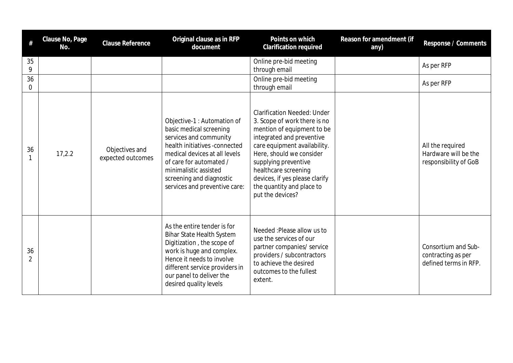| #                   | Clause No, Page<br>No. | <b>Clause Reference</b>             | Original clause as in RFP<br>document                                                                                                                                                                                                                               | Points on which<br><b>Clarification required</b>                                                                                                                                                                                                                                                                             | Reason for amendment (if<br>any) | Response / Comments                                                |
|---------------------|------------------------|-------------------------------------|---------------------------------------------------------------------------------------------------------------------------------------------------------------------------------------------------------------------------------------------------------------------|------------------------------------------------------------------------------------------------------------------------------------------------------------------------------------------------------------------------------------------------------------------------------------------------------------------------------|----------------------------------|--------------------------------------------------------------------|
| 35<br>9             |                        |                                     |                                                                                                                                                                                                                                                                     | Online pre-bid meeting<br>through email                                                                                                                                                                                                                                                                                      |                                  | As per RFP                                                         |
| 36<br>$\mathbf 0$   |                        |                                     |                                                                                                                                                                                                                                                                     | Online pre-bid meeting<br>through email                                                                                                                                                                                                                                                                                      |                                  | As per RFP                                                         |
| 36                  | 17,2.2                 | Objectives and<br>expected outcomes | Objective-1 : Automation of<br>basic medical screening<br>services and community<br>health initiatives -connected<br>medical devices at all levels<br>of care for automated /<br>minimalistic assisted<br>screening and diagnostic<br>services and preventive care: | <b>Clarification Needed: Under</b><br>3. Scope of work there is no<br>mention of equipment to be<br>integrated and preventive<br>care equipment availability.<br>Here, should we consider<br>supplying preventive<br>healthcare screening<br>devices, if yes please clarify<br>the quantity and place to<br>put the devices? |                                  | All the required<br>Hardware will be the<br>responsibility of GoB  |
| 36<br>$\mathcal{P}$ |                        |                                     | As the entire tender is for<br><b>Bihar State Health System</b><br>Digitization, the scope of<br>work is huge and complex.<br>Hence it needs to involve<br>different service providers in<br>our panel to deliver the<br>desired quality levels                     | Needed: Please allow us to<br>use the services of our<br>partner companies/ service<br>providers / subcontractors<br>to achieve the desired<br>outcomes to the fullest<br>extent.                                                                                                                                            |                                  | Consortium and Sub-<br>contracting as per<br>defined terms in RFP. |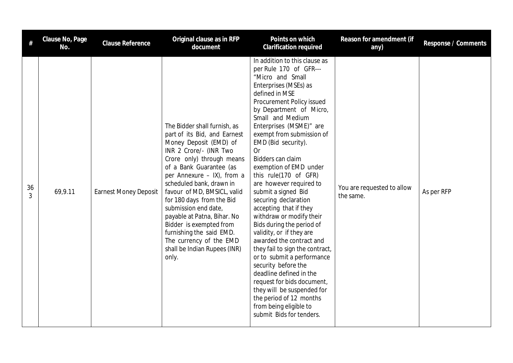|         | Clause No, Page<br>No. | <b>Clause Reference</b>      | Original clause as in RFP<br>document                                                                                                                                                                                                                                                                                                                                                                                                                                            | Points on which<br>Clarification required                                                                                                                                                                                                                                                                                                                                                                                                                                                                                                                                                                                                                                                                                                                                                                                                                   | Reason for amendment (if<br>any)        | Response / Comments |
|---------|------------------------|------------------------------|----------------------------------------------------------------------------------------------------------------------------------------------------------------------------------------------------------------------------------------------------------------------------------------------------------------------------------------------------------------------------------------------------------------------------------------------------------------------------------|-------------------------------------------------------------------------------------------------------------------------------------------------------------------------------------------------------------------------------------------------------------------------------------------------------------------------------------------------------------------------------------------------------------------------------------------------------------------------------------------------------------------------------------------------------------------------------------------------------------------------------------------------------------------------------------------------------------------------------------------------------------------------------------------------------------------------------------------------------------|-----------------------------------------|---------------------|
| 36<br>3 | 69,9.11                | <b>Earnest Money Deposit</b> | The Bidder shall furnish, as<br>part of its Bid, and Earnest<br>Money Deposit (EMD) of<br>INR 2 Crore/- (INR Two<br>Crore only) through means<br>of a Bank Guarantee (as<br>per Annexure - IX), from a<br>scheduled bank, drawn in<br>favour of MD, BMSICL, valid<br>for 180 days from the Bid<br>submission end date,<br>payable at Patna, Bihar. No<br>Bidder is exempted from<br>furnishing the said EMD.<br>The currency of the EMD<br>shall be Indian Rupees (INR)<br>only. | In addition to this clause as<br>per Rule 170 of GFR---<br>"Micro and Small<br>Enterprises (MSEs) as<br>defined in MSE<br>Procurement Policy issued<br>by Department of Micro,<br>Small and Medium<br>Enterprises (MSME)" are<br>exempt from submission of<br>EMD (Bid security).<br><b>Or</b><br>Bidders can claim<br>exemption of EMD under<br>this rule(170 of GFR)<br>are however required to<br>submit a signed Bid<br>securing declaration<br>accepting that if they<br>withdraw or modify their<br>Bids during the period of<br>validity, or if they are<br>awarded the contract and<br>they fail to sign the contract,<br>or to submit a performance<br>security before the<br>deadline defined in the<br>request for bids document,<br>they will be suspended for<br>the period of 12 months<br>from being eligible to<br>submit Bids for tenders. | You are requested to allow<br>the same. | As per RFP          |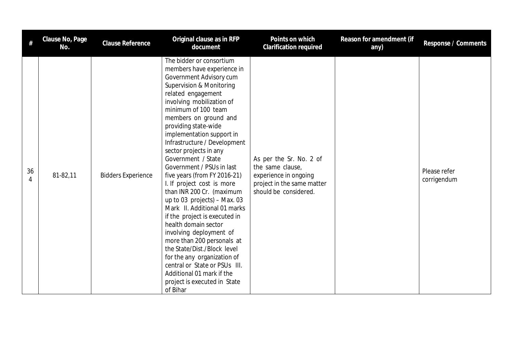| #       | Clause No, Page<br>No. | <b>Clause Reference</b>   | Original clause as in RFP<br>document                                                                                                                                                                                                                                                                                                                                                                                                                                                                                                                                                                                                                                                                                                                                                                                                     | Points on which<br>Clarification required                                                                                   | Reason for amendment (if<br>any) | Response / Comments         |
|---------|------------------------|---------------------------|-------------------------------------------------------------------------------------------------------------------------------------------------------------------------------------------------------------------------------------------------------------------------------------------------------------------------------------------------------------------------------------------------------------------------------------------------------------------------------------------------------------------------------------------------------------------------------------------------------------------------------------------------------------------------------------------------------------------------------------------------------------------------------------------------------------------------------------------|-----------------------------------------------------------------------------------------------------------------------------|----------------------------------|-----------------------------|
| 36<br>4 | 81-82,11               | <b>Bidders Experience</b> | The bidder or consortium<br>members have experience in<br>Government Advisory cum<br>Supervision & Monitoring<br>related engagement<br>involving mobilization of<br>minimum of 100 team<br>members on ground and<br>providing state-wide<br>implementation support in<br>Infrastructure / Development<br>sector projects in any<br>Government / State<br>Government / PSUs in last<br>five years (from FY 2016-21)<br>I. If project cost is more<br>than INR 200 Cr. (maximum<br>up to 03 projects) $-$ Max. 03<br>Mark II. Additional 01 marks<br>if the project is executed in<br>health domain sector<br>involving deployment of<br>more than 200 personals at<br>the State/Dist./Block level<br>for the any organization of<br>central or State or PSUs III.<br>Additional 01 mark if the<br>project is executed in State<br>of Bihar | As per the Sr. No. 2 of<br>the same clause,<br>experience in ongoing<br>project in the same matter<br>should be considered. |                                  | Please refer<br>corrigendum |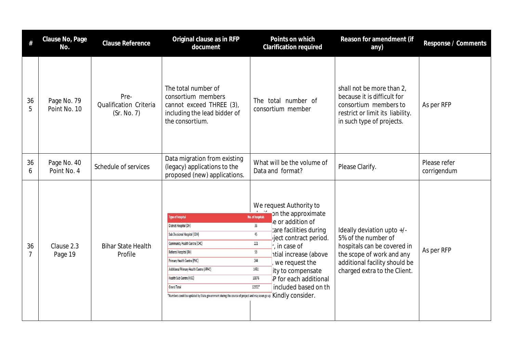| #                    | Clause No, Page<br>No.      | Clause Reference                              | Original clause as in RFP<br>document                                                                                                                                                                                                                                                                                                                                                       | Points on which<br>Clarification required                                                                                                                                                                                                                                                                                                        | Reason for amendment (if<br>any)                                                                                                                                               | Response / Comments         |
|----------------------|-----------------------------|-----------------------------------------------|---------------------------------------------------------------------------------------------------------------------------------------------------------------------------------------------------------------------------------------------------------------------------------------------------------------------------------------------------------------------------------------------|--------------------------------------------------------------------------------------------------------------------------------------------------------------------------------------------------------------------------------------------------------------------------------------------------------------------------------------------------|--------------------------------------------------------------------------------------------------------------------------------------------------------------------------------|-----------------------------|
| 36<br>5              | Page No. 79<br>Point No. 10 | Pre-<br>Qualification Criteria<br>(Sr. No. 7) | The total number of<br>consortium members<br>cannot exceed THREE (3),<br>including the lead bidder of<br>the consortium.                                                                                                                                                                                                                                                                    | The total number of<br>consortium member                                                                                                                                                                                                                                                                                                         | shall not be more than 2,<br>because it is difficult for<br>consortium members to<br>restrict or limit its liability.<br>in such type of projects.                             | As per RFP                  |
| 36<br>6              | Page No. 40<br>Point No. 4  | Schedule of services                          | Data migration from existing<br>(legacy) applications to the<br>proposed (new) applications.                                                                                                                                                                                                                                                                                                | What will be the volume of<br>Data and format?                                                                                                                                                                                                                                                                                                   | Please Clarify.                                                                                                                                                                | Please refer<br>corrigendum |
| 36<br>$\overline{7}$ | Clause 2.3<br>Page 19       | <b>Bihar State Health</b><br>Profile          | <b>Type of hospital</b><br>District Hospital (DH)<br>Sub Divisional Hospital (SDH)<br>Community Health Centre (CHC)<br>Referral Hospital (RH)<br>Primary Health Centre (PHC)<br>Additional Primary Health Centre (APHC)<br>Health Sub Centre (HSC)<br><b>Grand Total</b><br>*Numbers could be updated by State government during the course of project and may even go up. Kindly consider. | We request Authority to<br>on the approximate<br>No. of hospitals<br>e or addition of<br>36<br>care facilities during<br>45<br>pject contract period.<br>221<br>$\therefore$ in case of<br>59<br>ntial increase (above<br>244<br>we request the<br>1451<br>ity to compensate<br>10876<br>P for each additional<br>included based on th<br>12932* | Ideally deviation upto +/-<br>5% of the number of<br>hospitals can be covered in<br>the scope of work and any<br>additional facility should be<br>charged extra to the Client. | As per RFP                  |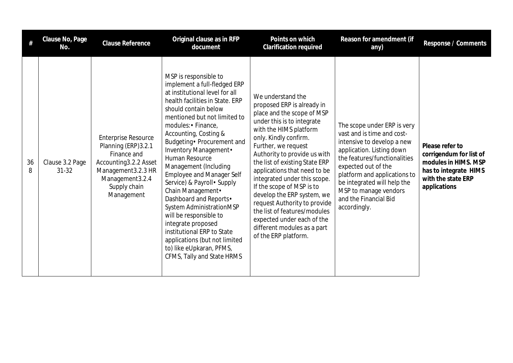|         | Clause No, Page<br>No.       | <b>Clause Reference</b>                                                                                                                                            | Original clause as in RFP<br>document                                                                                                                                                                                                                                                                                                                                                                                                                                                                                                                                                                                                                        | Points on which<br>Clarification required                                                                                                                                                                                                                                                                                                                                                                                                                                                                                               | Reason for amendment (if<br>any)                                                                                                                                                                                                                                                                             | Response / Comments                                                                                                               |
|---------|------------------------------|--------------------------------------------------------------------------------------------------------------------------------------------------------------------|--------------------------------------------------------------------------------------------------------------------------------------------------------------------------------------------------------------------------------------------------------------------------------------------------------------------------------------------------------------------------------------------------------------------------------------------------------------------------------------------------------------------------------------------------------------------------------------------------------------------------------------------------------------|-----------------------------------------------------------------------------------------------------------------------------------------------------------------------------------------------------------------------------------------------------------------------------------------------------------------------------------------------------------------------------------------------------------------------------------------------------------------------------------------------------------------------------------------|--------------------------------------------------------------------------------------------------------------------------------------------------------------------------------------------------------------------------------------------------------------------------------------------------------------|-----------------------------------------------------------------------------------------------------------------------------------|
| 36<br>8 | Clause 3.2 Page<br>$31 - 32$ | <b>Enterprise Resource</b><br>Planning (ERP) 3.2.1<br>Finance and<br>Accounting3.2.2 Asset<br>Management 3.2.3 HR<br>Management3.2.4<br>Supply chain<br>Management | MSP is responsible to<br>implement a full-fledged ERP<br>at institutional level for all<br>health facilities in State. ERP<br>should contain below<br>mentioned but not limited to<br>modules: • Finance,<br>Accounting, Costing &<br>Budgeting · Procurement and<br>Inventory Management.<br>Human Resource<br>Management (Including<br><b>Employee and Manager Self</b><br>Service) & Payroll · Supply<br>Chain Management.<br>Dashboard and Reports.<br>System AdministrationMSP<br>will be responsible to<br>integrate proposed<br>institutional ERP to State<br>applications (but not limited<br>to) like eUpkaran, PFMS,<br>CFMS, Tally and State HRMS | We understand the<br>proposed ERP is already in<br>place and the scope of MSP<br>under this is to integrate<br>with the HIMS platform<br>only. Kindly confirm.<br>Further, we request<br>Authority to provide us with<br>the list of existing State ERP<br>applications that need to be<br>integrated under this scope.<br>If the scope of MSP is to<br>develop the ERP system, we<br>request Authority to provide<br>the list of features/modules<br>expected under each of the<br>different modules as a part<br>of the ERP platform. | The scope under ERP is very<br>vast and is time and cost-<br>intensive to develop a new<br>application. Listing down<br>the features/functionalities<br>expected out of the<br>platform and applications to<br>be integrated will help the<br>MSP to manage vendors<br>and the Financial Bid<br>accordingly. | Please refer to<br>corrigendum for list of<br>modules in HIMS. MSP<br>has to integrate HIMS<br>with the state ERP<br>applications |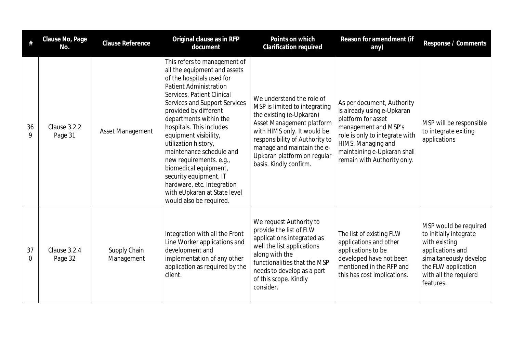| #       | Clause No, Page<br>No.  | <b>Clause Reference</b>    | Original clause as in RFP<br>document                                                                                                                                                                                                                                                                                                                                                                                                                                                                                        | Points on which<br>Clarification required                                                                                                                                                                                                                                   | Reason for amendment (if<br>any)                                                                                                                                                                                             | Response / Comments                                                                                                                                                         |
|---------|-------------------------|----------------------------|------------------------------------------------------------------------------------------------------------------------------------------------------------------------------------------------------------------------------------------------------------------------------------------------------------------------------------------------------------------------------------------------------------------------------------------------------------------------------------------------------------------------------|-----------------------------------------------------------------------------------------------------------------------------------------------------------------------------------------------------------------------------------------------------------------------------|------------------------------------------------------------------------------------------------------------------------------------------------------------------------------------------------------------------------------|-----------------------------------------------------------------------------------------------------------------------------------------------------------------------------|
| 36<br>Q | Clause 3.2.2<br>Page 31 | Asset Management           | This refers to management of<br>all the equipment and assets<br>of the hospitals used for<br><b>Patient Administration</b><br>Services, Patient Clinical<br>Services and Support Services<br>provided by different<br>departments within the<br>hospitals. This includes<br>equipment visibility,<br>utilization history,<br>maintenance schedule and<br>new requirements. e.g.,<br>biomedical equipment,<br>security equipment, IT<br>hardware, etc. Integration<br>with eUpkaran at State level<br>would also be required. | We understand the role of<br>MSP is limited to integrating<br>the existing (e-Upkaran)<br>Asset Management platform<br>with HIMS only. It would be<br>responsibility of Authority to<br>manage and maintain the e-<br>Upkaran platform on regular<br>basis. Kindly confirm. | As per document, Authority<br>is already using e-Upkaran<br>platform for asset<br>management and MSP's<br>role is only to integrate with<br>HIMS. Managing and<br>maintaining e-Upkaran shall<br>remain with Authority only. | MSP will be responsible<br>to integrate exiting<br>applications                                                                                                             |
| 37<br>0 | Clause 3.2.4<br>Page 32 | Supply Chain<br>Management | Integration with all the Front<br>Line Worker applications and<br>development and<br>implementation of any other<br>application as required by the<br>client.                                                                                                                                                                                                                                                                                                                                                                | We request Authority to<br>provide the list of FLW<br>applications integrated as<br>well the list applications<br>along with the<br>functionalities that the MSP<br>needs to develop as a part<br>of this scope. Kindly<br>consider.                                        | The list of existing FLW<br>applications and other<br>applications to be<br>developed have not been<br>mentioned in the RFP and<br>this has cost implications.                                                               | MSP would be required<br>to initially integrate<br>with existing<br>applications and<br>simaltaneously develop<br>the FLW application<br>with all the requierd<br>features. |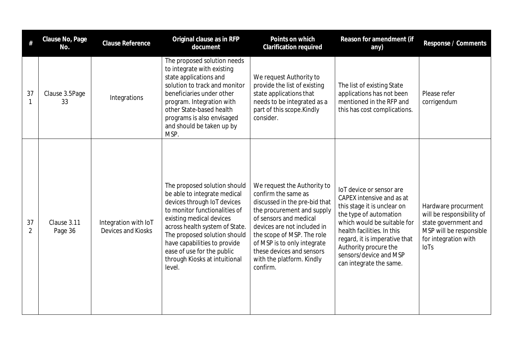|                      | Clause No, Page<br>No. | Clause Reference                           | Original clause as in RFP<br>document                                                                                                                                                                                                                                                                                               | Points on which<br><b>Clarification required</b>                                                                                                                                                                                                                                                              | Reason for amendment (if<br>any)                                                                                                                                                                                                                                                           | Response / Comments                                                                                                                        |
|----------------------|------------------------|--------------------------------------------|-------------------------------------------------------------------------------------------------------------------------------------------------------------------------------------------------------------------------------------------------------------------------------------------------------------------------------------|---------------------------------------------------------------------------------------------------------------------------------------------------------------------------------------------------------------------------------------------------------------------------------------------------------------|--------------------------------------------------------------------------------------------------------------------------------------------------------------------------------------------------------------------------------------------------------------------------------------------|--------------------------------------------------------------------------------------------------------------------------------------------|
| 37<br>$\mathbf{1}$   | Clause 3.5Page<br>33   | Integrations                               | The proposed solution needs<br>to integrate with existing<br>state applications and<br>solution to track and monitor<br>beneficiaries under other<br>program. Integration with<br>other State-based health<br>programs is also envisaged<br>and should be taken up by<br>MSP.                                                       | We request Authority to<br>provide the list of existing<br>state applications that<br>needs to be integrated as a<br>part of this scope.Kindly<br>consider.                                                                                                                                                   | The list of existing State<br>applications has not been<br>mentioned in the RFP and<br>this has cost complications.                                                                                                                                                                        | Please refer<br>corrigendum                                                                                                                |
| 37<br>$\overline{2}$ | Clause 3.11<br>Page 36 | Integration with IoT<br>Devices and Kiosks | The proposed solution should<br>be able to integrate medical<br>devices through IoT devices<br>to monitor functionalities of<br>existing medical devices<br>across health system of State.<br>The proposed solution should<br>have capabilities to provide<br>ease of use for the public<br>through Kiosks at intuitional<br>level. | We request the Authority to<br>confirm the same as<br>discussed in the pre-bid that<br>the procurement and supply<br>of sensors and medical<br>devices are not included in<br>the scope of MSP. The role<br>of MSP is to only integrate<br>these devices and sensors<br>with the platform. Kindly<br>confirm. | loT device or sensor are<br>CAPEX intensive and as at<br>this stage it is unclear on<br>the type of automation<br>which would be suitable for<br>health facilities. In this<br>regard, it is imperative that<br>Authority procure the<br>sensors/device and MSP<br>can integrate the same. | Hardware procurment<br>will be responsibility of<br>state government and<br>MSP will be responsible<br>for integration with<br><b>IoTs</b> |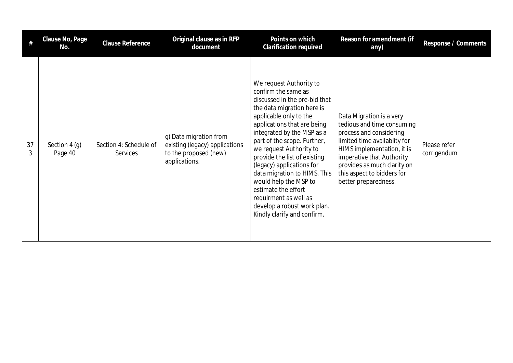|         | Clause No, Page<br>No.    | Clause Reference                   | Original clause as in RFP<br>document                                                              | Points on which<br><b>Clarification required</b>                                                                                                                                                                                                                                                                                                                                                                                                                                                   | Reason for amendment (if<br>any)                                                                                                                                                                                                                                  | Response / Comments         |
|---------|---------------------------|------------------------------------|----------------------------------------------------------------------------------------------------|----------------------------------------------------------------------------------------------------------------------------------------------------------------------------------------------------------------------------------------------------------------------------------------------------------------------------------------------------------------------------------------------------------------------------------------------------------------------------------------------------|-------------------------------------------------------------------------------------------------------------------------------------------------------------------------------------------------------------------------------------------------------------------|-----------------------------|
| 37<br>3 | Section $4(q)$<br>Page 40 | Section 4: Schedule of<br>Services | g) Data migration from<br>existing (legacy) applications<br>to the proposed (new)<br>applications. | We request Authority to<br>confirm the same as<br>discussed in the pre-bid that<br>the data migration here is<br>applicable only to the<br>applications that are being<br>integrated by the MSP as a<br>part of the scope. Further,<br>we request Authority to<br>provide the list of existing<br>(legacy) applications for<br>data migration to HIMS. This<br>would help the MSP to<br>estimate the effort<br>requirment as well as<br>develop a robust work plan.<br>Kindly clarify and confirm. | Data Migration is a very<br>tedious and time consuming<br>process and considering<br>limited time availablity for<br>HIMS implementation, it is<br>imperative that Authority<br>provides as much clarity on<br>this aspect to bidders for<br>better preparedness. | Please refer<br>corrigendum |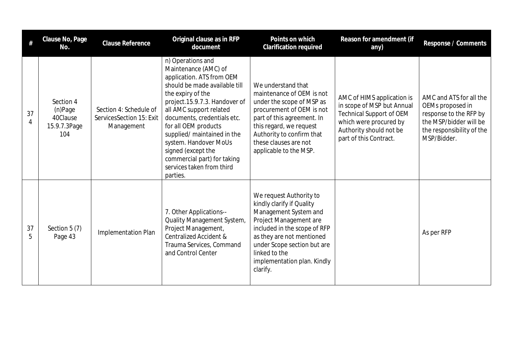| #       | Clause No, Page<br>No.                                  | Clause Reference                                                 | Original clause as in RFP<br>document                                                                                                                                                                                                                                                                                                                                                                 | Points on which<br>Clarification required                                                                                                                                                                                                                       | Reason for amendment (if<br>any)                                                                                                                                           | Response / Comments                                                                                                                         |
|---------|---------------------------------------------------------|------------------------------------------------------------------|-------------------------------------------------------------------------------------------------------------------------------------------------------------------------------------------------------------------------------------------------------------------------------------------------------------------------------------------------------------------------------------------------------|-----------------------------------------------------------------------------------------------------------------------------------------------------------------------------------------------------------------------------------------------------------------|----------------------------------------------------------------------------------------------------------------------------------------------------------------------------|---------------------------------------------------------------------------------------------------------------------------------------------|
| 37<br>4 | Section 4<br>(n)Page<br>40Clause<br>15.9.7.3Page<br>104 | Section 4: Schedule of<br>ServicesSection 15: Exit<br>Management | n) Operations and<br>Maintenance (AMC) of<br>application. ATS from OEM<br>should be made available till<br>the expiry of the<br>project.15.9.7.3. Handover of<br>all AMC support related<br>documents, credentials etc.<br>for all OEM products<br>supplied/ maintained in the<br>system. Handover MoUs<br>signed (except the<br>commercial part) for taking<br>services taken from third<br>parties. | We understand that<br>maintenance of OEM is not<br>under the scope of MSP as<br>procurement of OEM is not<br>part of this agreement. In<br>this regard, we request<br>Authority to confirm that<br>these clauses are not<br>applicable to the MSP.              | AMC of HIMS application is<br>in scope of MSP but Annual<br><b>Technical Support of OEM</b><br>which were procured by<br>Authority should not be<br>part of this Contract. | AMC and ATS for all the<br>OEMs proposed in<br>response to the RFP by<br>the MSP/bidder will be<br>the responsibility of the<br>MSP/Bidder. |
| 37<br>5 | Section $5(7)$<br>Page 43                               | Implementation Plan                                              | 7. Other Applications--<br>Quality Management System,<br>Project Management,<br><b>Centralized Accident &amp;</b><br>Trauma Services, Command<br>and Control Center                                                                                                                                                                                                                                   | We request Authority to<br>kindly clarify if Quality<br>Management System and<br>Project Management are<br>included in the scope of RFP<br>as they are not mentioned<br>under Scope section but are<br>linked to the<br>implementation plan. Kindly<br>clarify. |                                                                                                                                                                            | As per RFP                                                                                                                                  |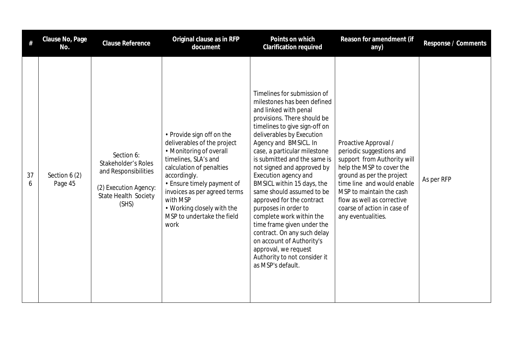|         | Clause No, Page<br>No.    | <b>Clause Reference</b>                                                                                                    | Original clause as in RFP<br>document                                                                                                                                                                                                                                                                 | Points on which<br>Clarification required                                                                                                                                                                                                                                                                                                                                                                                                                                                                                                                                                                                                          | Reason for amendment (if<br>any)                                                                                                                                                                                                                                                       | Response / Comments |
|---------|---------------------------|----------------------------------------------------------------------------------------------------------------------------|-------------------------------------------------------------------------------------------------------------------------------------------------------------------------------------------------------------------------------------------------------------------------------------------------------|----------------------------------------------------------------------------------------------------------------------------------------------------------------------------------------------------------------------------------------------------------------------------------------------------------------------------------------------------------------------------------------------------------------------------------------------------------------------------------------------------------------------------------------------------------------------------------------------------------------------------------------------------|----------------------------------------------------------------------------------------------------------------------------------------------------------------------------------------------------------------------------------------------------------------------------------------|---------------------|
| 37<br>6 | Section $6(2)$<br>Page 45 | Section 6:<br>Stakeholder's Roles<br>and Responsibilities<br>(2) Execution Agency:<br><b>State Health Society</b><br>(SHS) | • Provide sign off on the<br>deliverables of the project<br>• Monitoring of overall<br>timelines, SLA's and<br>calculation of penalties<br>accordingly.<br>• Ensure timely payment of<br>invoices as per agreed terms<br>with MSP<br>• Working closely with the<br>MSP to undertake the field<br>work | Timelines for submission of<br>milestones has been defined<br>and linked with penal<br>provisions. There should be<br>timelines to give sign-off on<br>deliverables by Execution<br>Agency and BMSICL. In<br>case, a particular milestone<br>is submitted and the same is<br>not signed and approved by<br>Execution agency and<br>BMSICL within 15 days, the<br>same should assumed to be<br>approved for the contract<br>purposes in order to<br>complete work within the<br>time frame given under the<br>contract. On any such delay<br>on account of Authority's<br>approval, we request<br>Authority to not consider it<br>as MSP's default. | Proactive Approval /<br>periodic suggestions and<br>support from Authority will<br>help the MSP to cover the<br>ground as per the project<br>time line and would enable<br>MSP to maintain the cash<br>flow as well as corrective<br>coarse of action in case of<br>any eventualities. | As per RFP          |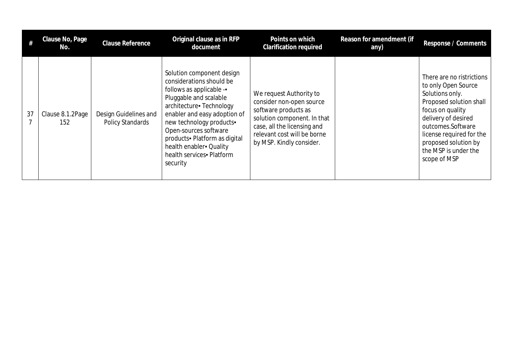|    | Clause No, Page<br>No.  | <b>Clause Reference</b>                   | Original clause as in RFP<br>document                                                                                                                                                                                                                                                                                                | Points on which<br><b>Clarification required</b>                                                                                                                                                     | Reason for amendment (if<br>any) | Response / Comments                                                                                                                                                                                                                                        |
|----|-------------------------|-------------------------------------------|--------------------------------------------------------------------------------------------------------------------------------------------------------------------------------------------------------------------------------------------------------------------------------------------------------------------------------------|------------------------------------------------------------------------------------------------------------------------------------------------------------------------------------------------------|----------------------------------|------------------------------------------------------------------------------------------------------------------------------------------------------------------------------------------------------------------------------------------------------------|
| 37 | Clause 8.1.2Page<br>152 | Design Guidelines and<br>Policy Standards | Solution component design<br>considerations should be<br>follows as applicable -<br>Pluggable and scalable<br>architecture - Technology<br>enabler and easy adoption of<br>new technology products-<br>Open-sources software<br>products - Platform as digital<br>health enabler - Quality<br>health services - Platform<br>security | We request Authority to<br>consider non-open source<br>software products as<br>solution component. In that<br>case, all the licensing and<br>relevant cost will be borne<br>by MSP. Kindly consider. |                                  | There are no ristrictions<br>to only Open Source<br>Solutions only.<br>Proposed solution shall<br>focus on quality<br>delivery of desired<br>outcomes.Software<br>license required for the<br>proposed solution by<br>the MSP is under the<br>scope of MSP |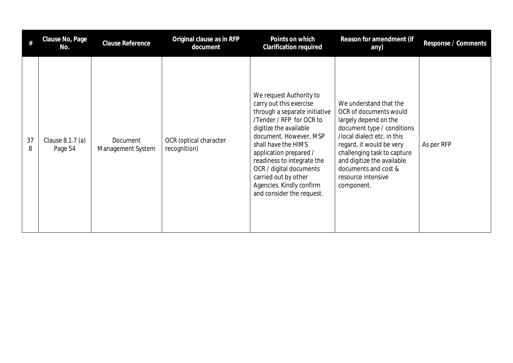|         | Clause No, Page<br>No.      | <b>Clause Reference</b>       | Original clause as in RFP<br>document  | Points on which<br><b>Clarification required</b>                                                                                                                                                                                                                                                                                                               | Reason for amendment (if<br>any)                                                                                                                                                                                                                                                            | Response / Comments |
|---------|-----------------------------|-------------------------------|----------------------------------------|----------------------------------------------------------------------------------------------------------------------------------------------------------------------------------------------------------------------------------------------------------------------------------------------------------------------------------------------------------------|---------------------------------------------------------------------------------------------------------------------------------------------------------------------------------------------------------------------------------------------------------------------------------------------|---------------------|
| 37<br>8 | Clause 8.1.7 (a)<br>Page 54 | Document<br>Management System | OCR (optical character<br>recognition) | We request Authority to<br>carry out this exercise<br>through a separate initiative<br>/Tender / RFP for OCR to<br>digitize the available<br>document. However, MSP<br>shall have the HIMS<br>application prepared /<br>readiness to integrate the<br>OCR / digital documents<br>carried out by other<br>Agencies. Kindly confirm<br>and consider the request. | We understand that the<br>OCR of documents would<br>largely depend on the<br>document type / conditions<br>/local dialect etc. in this<br>regard, it would be very<br>challenging task to capture<br>and digitize the available<br>documents and cost &<br>resource intensive<br>component. | As per RFP          |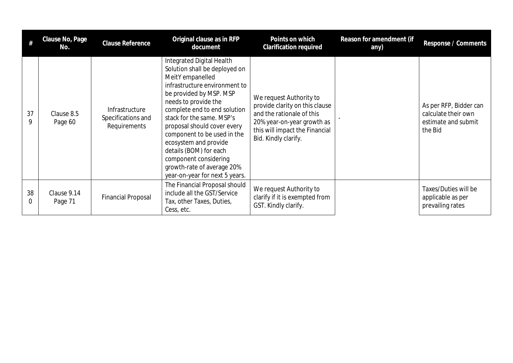|         | Clause No, Page<br>No. | <b>Clause Reference</b>                              | Original clause as in RFP<br>document                                                                                                                                                                                                                                                                                                                                                                                                     | Points on which<br><b>Clarification required</b>                                                                                                                               | Reason for amendment (if<br>any) | Response / Comments                                                             |
|---------|------------------------|------------------------------------------------------|-------------------------------------------------------------------------------------------------------------------------------------------------------------------------------------------------------------------------------------------------------------------------------------------------------------------------------------------------------------------------------------------------------------------------------------------|--------------------------------------------------------------------------------------------------------------------------------------------------------------------------------|----------------------------------|---------------------------------------------------------------------------------|
| 37<br>9 | Clause 8.5<br>Page 60  | Infrastructure<br>Specifications and<br>Requirements | Integrated Digital Health<br>Solution shall be deployed on<br>MeitY empanelled<br>infrastructure environment to<br>be provided by MSP. MSP<br>needs to provide the<br>complete end to end solution<br>stack for the same. MSP's<br>proposal should cover every<br>component to be used in the<br>ecosystem and provide<br>details (BOM) for each<br>component considering<br>growth-rate of average 20%<br>year-on-year for next 5 years. | We request Authority to<br>provide clarity on this clause<br>and the rationale of this<br>20% year-on-year growth as<br>this will impact the Financial<br>Bid. Kindly clarify. |                                  | As per RFP, Bidder can<br>calculate their own<br>estimate and submit<br>the Bid |
| 38<br>0 | Clause 9.14<br>Page 71 | <b>Financial Proposal</b>                            | The Financial Proposal should<br>include all the GST/Service<br>Tax, other Taxes, Duties,<br>Cess, etc.                                                                                                                                                                                                                                                                                                                                   | We request Authority to<br>clarify if it is exempted from<br>GST. Kindly clarify.                                                                                              |                                  | Taxes/Duties will be<br>applicable as per<br>prevailing rates                   |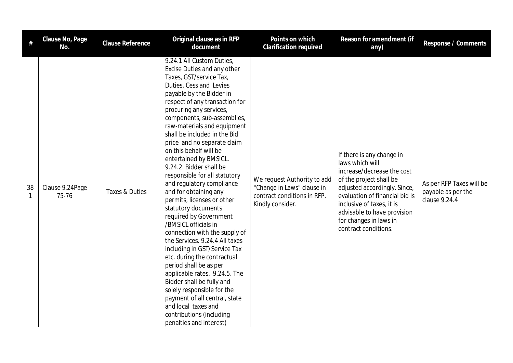| #       | Clause No, Page<br>No.   | Clause Reference | Original clause as in RFP<br>document                                                                                                                                                                                                                                                                                                                                                                                                                                                                                                                                                                                                                                                                                                                                                                                                                                                                                                                                                    | Points on which<br><b>Clarification required</b>                                                             | Reason for amendment (if<br>any)                                                                                                                                                                                                                                                      | Response / Comments                                             |
|---------|--------------------------|------------------|------------------------------------------------------------------------------------------------------------------------------------------------------------------------------------------------------------------------------------------------------------------------------------------------------------------------------------------------------------------------------------------------------------------------------------------------------------------------------------------------------------------------------------------------------------------------------------------------------------------------------------------------------------------------------------------------------------------------------------------------------------------------------------------------------------------------------------------------------------------------------------------------------------------------------------------------------------------------------------------|--------------------------------------------------------------------------------------------------------------|---------------------------------------------------------------------------------------------------------------------------------------------------------------------------------------------------------------------------------------------------------------------------------------|-----------------------------------------------------------------|
| 38<br>1 | Clause 9.24Page<br>75-76 | Taxes & Duties   | 9.24.1 All Custom Duties,<br>Excise Duties and any other<br>Taxes, GST/service Tax,<br>Duties, Cess and Levies<br>payable by the Bidder in<br>respect of any transaction for<br>procuring any services,<br>components, sub-assemblies,<br>raw-materials and equipment<br>shall be included in the Bid<br>price and no separate claim<br>on this behalf will be<br>entertained by BMSICL.<br>9.24.2. Bidder shall be<br>responsible for all statutory<br>and regulatory compliance<br>and for obtaining any<br>permits, licenses or other<br>statutory documents<br>required by Government<br>/BMSICL officials in<br>connection with the supply of<br>the Services. 9.24.4 All taxes<br>including in GST/Service Tax<br>etc. during the contractual<br>period shall be as per<br>applicable rates. 9.24.5. The<br>Bidder shall be fully and<br>solely responsible for the<br>payment of all central, state<br>and local taxes and<br>contributions (including<br>penalties and interest) | We request Authority to add<br>"Change in Laws" clause in<br>contract conditions in RFP.<br>Kindly consider. | If there is any change in<br>laws which will<br>increase/decrease the cost<br>of the project shall be<br>adjusted accordingly. Since,<br>evaluation of financial bid is<br>inclusive of taxes, it is<br>advisable to have provision<br>for changes in laws in<br>contract conditions. | As per RFP Taxes will be<br>payable as per the<br>clause 9.24.4 |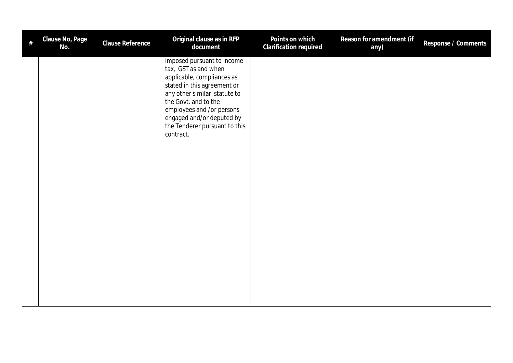| # | Clause No, Page<br>No. | Clause Reference | Original clause as in RFP<br>document                                                                                                                                                                                                                                           | Points on which<br>Clarification required | Reason for amendment (if<br>any) | Response / Comments |
|---|------------------------|------------------|---------------------------------------------------------------------------------------------------------------------------------------------------------------------------------------------------------------------------------------------------------------------------------|-------------------------------------------|----------------------------------|---------------------|
|   |                        |                  | imposed pursuant to income<br>tax, GST as and when<br>applicable, compliances as<br>stated in this agreement or<br>any other similar statute to<br>the Govt. and to the<br>employees and /or persons<br>engaged and/or deputed by<br>the Tenderer pursuant to this<br>contract. |                                           |                                  |                     |
|   |                        |                  |                                                                                                                                                                                                                                                                                 |                                           |                                  |                     |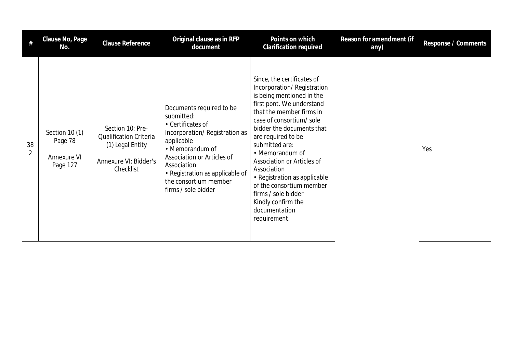|                      | Clause No, Page<br>No.                               | <b>Clause Reference</b>                                                                                     | Original clause as in RFP<br>document                                                                                                                                                                                                                         | Points on which<br>Clarification required                                                                                                                                                                                                                                                                                                                                                                                                                | Reason for amendment (if<br>any) | Response / Comments |
|----------------------|------------------------------------------------------|-------------------------------------------------------------------------------------------------------------|---------------------------------------------------------------------------------------------------------------------------------------------------------------------------------------------------------------------------------------------------------------|----------------------------------------------------------------------------------------------------------------------------------------------------------------------------------------------------------------------------------------------------------------------------------------------------------------------------------------------------------------------------------------------------------------------------------------------------------|----------------------------------|---------------------|
| 38<br>$\overline{2}$ | Section 10 (1)<br>Page 78<br>Annexure VI<br>Page 127 | Section 10: Pre-<br><b>Qualification Criteria</b><br>(1) Legal Entity<br>Annexure VI: Bidder's<br>Checklist | Documents required to be<br>submitted:<br>• Certificates of<br>Incorporation/Registration as<br>applicable<br>• Memorandum of<br>Association or Articles of<br>Association<br>• Registration as applicable of<br>the consortium member<br>firms / sole bidder | Since, the certificates of<br>Incorporation/Registration<br>is being mentioned in the<br>first pont. We understand<br>that the member firms in<br>case of consortium/sole<br>bidder the documents that<br>are required to be<br>submitted are:<br>• Memorandum of<br>Association or Articles of<br>Association<br>• Registration as applicable<br>of the consortium member<br>firms / sole bidder<br>Kindly confirm the<br>documentation<br>requirement. |                                  | Yes                 |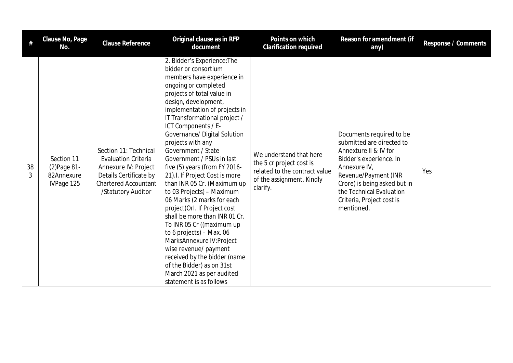|         | Clause No, Page<br>No.                                 | <b>Clause Reference</b>                                                                                                                                    | Original clause as in RFP<br>document                                                                                                                                                                                                                                                                                                                                                                                                                                                                                                                                                                                                                                                                                                                                                                                                  | Points on which<br>Clarification required                                                                                     | Reason for amendment (if<br>any)                                                                                                                                                                                                                         | Response / Comments |
|---------|--------------------------------------------------------|------------------------------------------------------------------------------------------------------------------------------------------------------------|----------------------------------------------------------------------------------------------------------------------------------------------------------------------------------------------------------------------------------------------------------------------------------------------------------------------------------------------------------------------------------------------------------------------------------------------------------------------------------------------------------------------------------------------------------------------------------------------------------------------------------------------------------------------------------------------------------------------------------------------------------------------------------------------------------------------------------------|-------------------------------------------------------------------------------------------------------------------------------|----------------------------------------------------------------------------------------------------------------------------------------------------------------------------------------------------------------------------------------------------------|---------------------|
| 38<br>3 | Section 11<br>(2) Page 81-<br>82Annexure<br>IVPage 125 | Section 11: Technical<br><b>Evaluation Criteria</b><br>Annexure IV: Project<br>Details Certificate by<br><b>Chartered Accountant</b><br>/Statutory Auditor | 2. Bidder's Experience: The<br>bidder or consortium<br>members have experience in<br>ongoing or completed<br>projects of total value in<br>design, development,<br>implementation of projects in<br>IT Transformational project /<br>ICT Components / E-<br>Governance/ Digital Solution<br>projects with any<br>Government / State<br>Government / PSUs in last<br>five (5) years (from FY 2016-<br>21). I. If Project Cost is more<br>than INR 05 Cr. (Maximum up<br>to 03 Projects) - Maximum<br>06 Marks (2 marks for each<br>project) Orl. If Project cost<br>shall be more than INR 01 Cr.<br>To INR 05 Cr ((maximum up<br>to 6 projects) $-$ Max. 06<br>MarksAnnexure IV: Project<br>wise revenue/ payment<br>received by the bidder (name<br>of the Bidder) as on 31st<br>March 2021 as per audited<br>statement is as follows | We understand that here<br>the 5 cr project cost is<br>related to the contract value<br>of the assignment. Kindly<br>clarify. | Documents required to be<br>submitted are directed to<br>Annexture II & IV for<br>Bidder's experience. In<br>Annexure IV,<br>Revenue/Payment (INR<br>Crore) is being asked but in<br>the Technical Evaluation<br>Criteria, Project cost is<br>mentioned. | Yes                 |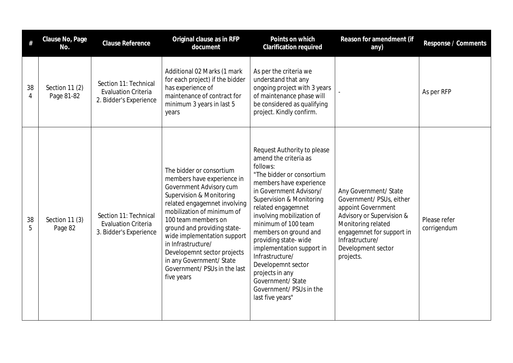|         | Clause No, Page<br>No.       | <b>Clause Reference</b>                                                       | Original clause as in RFP<br>document                                                                                                                                                                                                                                                                                                                                                                      | Points on which<br>Clarification required                                                                                                                                                                                                                                                                                                                                                                                                                               | Reason for amendment (if<br>any)                                                                                                                                                                              | Response / Comments         |
|---------|------------------------------|-------------------------------------------------------------------------------|------------------------------------------------------------------------------------------------------------------------------------------------------------------------------------------------------------------------------------------------------------------------------------------------------------------------------------------------------------------------------------------------------------|-------------------------------------------------------------------------------------------------------------------------------------------------------------------------------------------------------------------------------------------------------------------------------------------------------------------------------------------------------------------------------------------------------------------------------------------------------------------------|---------------------------------------------------------------------------------------------------------------------------------------------------------------------------------------------------------------|-----------------------------|
| 38<br>4 | Section 11 (2)<br>Page 81-82 | Section 11: Technical<br><b>Evaluation Criteria</b><br>2. Bidder's Experience | Additional 02 Marks (1 mark<br>for each project) if the bidder<br>has experience of<br>maintenance of contract for<br>minimum 3 years in last 5<br>years                                                                                                                                                                                                                                                   | As per the criteria we<br>understand that any<br>ongoing project with 3 years<br>of maintenance phase will<br>be considered as qualifying<br>project. Kindly confirm.                                                                                                                                                                                                                                                                                                   |                                                                                                                                                                                                               | As per RFP                  |
| 38<br>5 | Section 11 (3)<br>Page 82    | Section 11: Technical<br><b>Evaluation Criteria</b><br>3. Bidder's Experience | The bidder or consortium<br>members have experience in<br>Government Advisory cum<br><b>Supervision &amp; Monitoring</b><br>related engagemnet involving<br>mobilization of minimum of<br>100 team members on<br>ground and providing state-<br>wide implementation support<br>in Infrastructure/<br>Developemnt sector projects<br>in any Government/ State<br>Government/ PSUs in the last<br>five years | Request Authority to please<br>amend the criteria as<br>follows:<br>"The bidder or consortium<br>members have experience<br>in Government Advisory/<br>Supervision & Monitoring<br>related engagemnet<br>involving mobilization of<br>minimum of 100 team<br>members on ground and<br>providing state-wide<br>implementation support in<br>Infrastructure/<br>Developemnt sector<br>projects in any<br>Government/ State<br>Government/ PSUs in the<br>last five years" | Any Government/ State<br>Government/ PSUs, either<br>appoint Government<br>Advisory or Supervision &<br>Monitoring related<br>engagemnet for support in<br>Infrastructure/<br>Development sector<br>projects. | Please refer<br>corrigendum |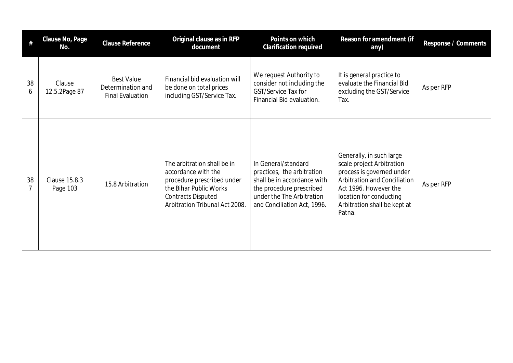| #       | Clause No, Page<br>No.    | <b>Clause Reference</b>                                           | Original clause as in RFP<br>document                                                                                                                                     | Points on which<br><b>Clarification required</b>                                                                                                                         | Reason for amendment (if<br>any)                                                                                                                                                                                 | Response / Comments |
|---------|---------------------------|-------------------------------------------------------------------|---------------------------------------------------------------------------------------------------------------------------------------------------------------------------|--------------------------------------------------------------------------------------------------------------------------------------------------------------------------|------------------------------------------------------------------------------------------------------------------------------------------------------------------------------------------------------------------|---------------------|
| 38<br>6 | Clause<br>12.5.2Page 87   | <b>Best Value</b><br>Determination and<br><b>Final Evaluation</b> | Financial bid evaluation will<br>be done on total prices<br>including GST/Service Tax.                                                                                    | We request Authority to<br>consider not including the<br>GST/Service Tax for<br>Financial Bid evaluation.                                                                | It is general practice to<br>evaluate the Financial Bid<br>excluding the GST/Service<br>Tax.                                                                                                                     | As per RFP          |
| 38<br>7 | Clause 15.8.3<br>Page 103 | 15.8 Arbitration                                                  | The arbitration shall be in<br>accordance with the<br>procedure prescribed under<br>the Bihar Public Works<br><b>Contracts Disputed</b><br>Arbitration Tribunal Act 2008. | In General/standard<br>practices, the arbitration<br>shall be in accordance with<br>the procedure prescribed<br>under the The Arbitration<br>and Conciliation Act, 1996. | Generally, in such large<br>scale project Arbitration<br>process is governed under<br>Arbitration and Conciliation<br>Act 1996. However the<br>location for conducting<br>Arbitration shall be kept at<br>Patna. | As per RFP          |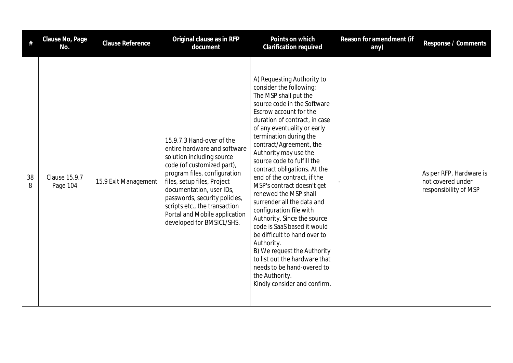| #       | Clause No, Page<br>No.           | <b>Clause Reference</b> | Original clause as in RFP<br>document                                                                                                                                                                                                                                                                                                           | Points on which<br>Clarification required                                                                                                                                                                                                                                                                                                                                                                                                                                                                                                                                                                                                                                                                                                                      | Reason for amendment (if<br>any) | Response / Comments                                                   |
|---------|----------------------------------|-------------------------|-------------------------------------------------------------------------------------------------------------------------------------------------------------------------------------------------------------------------------------------------------------------------------------------------------------------------------------------------|----------------------------------------------------------------------------------------------------------------------------------------------------------------------------------------------------------------------------------------------------------------------------------------------------------------------------------------------------------------------------------------------------------------------------------------------------------------------------------------------------------------------------------------------------------------------------------------------------------------------------------------------------------------------------------------------------------------------------------------------------------------|----------------------------------|-----------------------------------------------------------------------|
| 38<br>8 | <b>Clause 15.9.7</b><br>Page 104 | 15.9 Exit Management    | 15.9.7.3 Hand-over of the<br>entire hardware and software<br>solution including source<br>code (of customized part),<br>program files, configuration<br>files, setup files, Project<br>documentation, user IDs,<br>passwords, security policies,<br>scripts etc., the transaction<br>Portal and Mobile application<br>developed for BMSICL/SHS. | A) Requesting Authority to<br>consider the following:<br>The MSP shall put the<br>source code in the Software<br>Escrow account for the<br>duration of contract, in case<br>of any eventuality or early<br>termination during the<br>contract/Agreement, the<br>Authority may use the<br>source code to fulfill the<br>contract obligations. At the<br>end of the contract, if the<br>MSP's contract doesn't get<br>renewed the MSP shall<br>surrender all the data and<br>configuration file with<br>Authority. Since the source<br>code is SaaS based it would<br>be difficult to hand over to<br>Authority.<br>B) We request the Authority<br>to list out the hardware that<br>needs to be hand-overed to<br>the Authority.<br>Kindly consider and confirm. |                                  | As per RFP, Hardware is<br>not covered under<br>responsibility of MSP |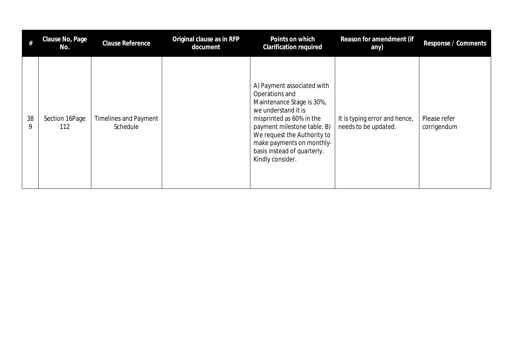| #       | Clause No, Page<br>No. | Clause Reference                         | Original clause as in RFP<br>document | Points on which<br><b>Clarification required</b>                                                                                                                                                                                                                           | Reason for amendment (if<br>any)                      | Response / Comments         |
|---------|------------------------|------------------------------------------|---------------------------------------|----------------------------------------------------------------------------------------------------------------------------------------------------------------------------------------------------------------------------------------------------------------------------|-------------------------------------------------------|-----------------------------|
| 38<br>9 | Section 16Page<br>112  | <b>Timelines and Payment</b><br>Schedule |                                       | A) Payment associated with<br>Operations and<br>Maintenance Stage is 30%,<br>we understand it is<br>misprinted as 60% in the<br>payment milestone table. B)<br>We request the Authority to<br>make payments on monthly-<br>basis instead of quarterly.<br>Kindly consider. | It is typing error and hence,<br>needs to be updated. | Please refer<br>corrigendum |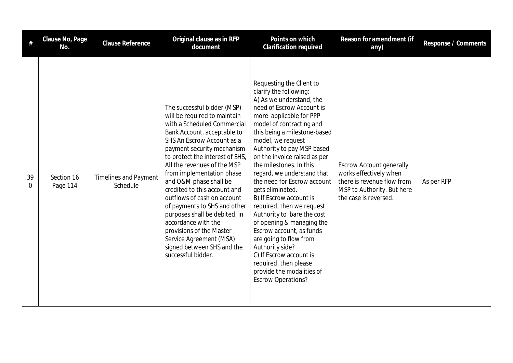|         | Clause No, Page<br>No. | Clause Reference                         | Original clause as in RFP<br>document                                                                                                                                                                                                                                                                                                                                                                                                                                                                                                                                            | Points on which<br><b>Clarification required</b>                                                                                                                                                                                                                                                                                                                                                                                                                                                                                                                                                                                                                                                            | Reason for amendment (if<br>any)                                                                                                               | Response / Comments |
|---------|------------------------|------------------------------------------|----------------------------------------------------------------------------------------------------------------------------------------------------------------------------------------------------------------------------------------------------------------------------------------------------------------------------------------------------------------------------------------------------------------------------------------------------------------------------------------------------------------------------------------------------------------------------------|-------------------------------------------------------------------------------------------------------------------------------------------------------------------------------------------------------------------------------------------------------------------------------------------------------------------------------------------------------------------------------------------------------------------------------------------------------------------------------------------------------------------------------------------------------------------------------------------------------------------------------------------------------------------------------------------------------------|------------------------------------------------------------------------------------------------------------------------------------------------|---------------------|
| 39<br>0 | Section 16<br>Page 114 | <b>Timelines and Payment</b><br>Schedule | The successful bidder (MSP)<br>will be required to maintain<br>with a Scheduled Commercial<br>Bank Account, acceptable to<br>SHS An Escrow Account as a<br>payment security mechanism<br>to protect the interest of SHS,<br>All the revenues of the MSP<br>from implementation phase<br>and O&M phase shall be<br>credited to this account and<br>outflows of cash on account<br>of payments to SHS and other<br>purposes shall be debited, in<br>accordance with the<br>provisions of the Master<br>Service Agreement (MSA)<br>signed between SHS and the<br>successful bidder. | Requesting the Client to<br>clarify the following:<br>A) As we understand, the<br>need of Escrow Account is<br>more applicable for PPP<br>model of contracting and<br>this being a milestone-based<br>model, we request<br>Authority to pay MSP based<br>on the invoice raised as per<br>the milestones. In this<br>regard, we understand that<br>the need for Escrow account<br>gets eliminated.<br>B) If Escrow account is<br>required, then we request<br>Authority to bare the cost<br>of opening & managing the<br>Escrow account, as funds<br>are going to flow from<br>Authority side?<br>C) If Escrow account is<br>required, then please<br>provide the modalities of<br><b>Escrow Operations?</b> | <b>Escrow Account generally</b><br>works effectively when<br>there is revenue flow from<br>MSP to Authority. But here<br>the case is reversed. | As per RFP          |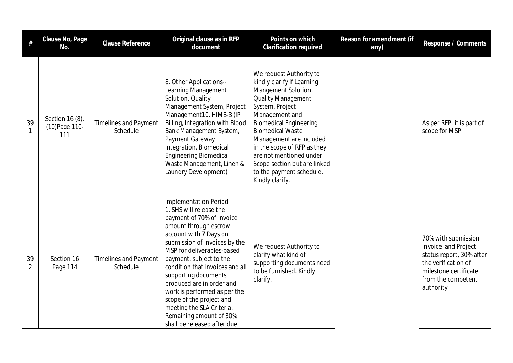| #                    | Clause No, Page<br>No.                   | Clause Reference                         | Original clause as in RFP<br>document                                                                                                                                                                                                                                                                                                                                                                                                                                        | Points on which<br><b>Clarification required</b>                                                                                                                                                                                                                                                                                                                               | Reason for amendment (if<br>any) | Response / Comments                                                                                                                                       |
|----------------------|------------------------------------------|------------------------------------------|------------------------------------------------------------------------------------------------------------------------------------------------------------------------------------------------------------------------------------------------------------------------------------------------------------------------------------------------------------------------------------------------------------------------------------------------------------------------------|--------------------------------------------------------------------------------------------------------------------------------------------------------------------------------------------------------------------------------------------------------------------------------------------------------------------------------------------------------------------------------|----------------------------------|-----------------------------------------------------------------------------------------------------------------------------------------------------------|
| 39<br>$\mathbf{1}$   | Section 16 (8),<br>(10) Page 110-<br>111 | <b>Timelines and Payment</b><br>Schedule | 8. Other Applications--<br>Learning Management<br>Solution, Quality<br>Management System, Project<br>Management10. HIMS-3 (IP<br>Billing, Integration with Blood<br>Bank Management System,<br>Payment Gateway<br>Integration, Biomedical<br><b>Engineering Biomedical</b><br>Waste Management, Linen &<br>Laundry Development)                                                                                                                                              | We request Authority to<br>kindly clarify if Learning<br>Mangement Solution,<br><b>Quality Management</b><br>System, Project<br>Management and<br><b>Biomedical Engineering</b><br><b>Biomedical Waste</b><br>Management are included<br>in the scope of RFP as they<br>are not mentioned under<br>Scope section but are linked<br>to the payment schedule.<br>Kindly clarify. |                                  | As per RFP, it is part of<br>scope for MSP                                                                                                                |
| 39<br>$\overline{2}$ | Section 16<br>Page 114                   | <b>Timelines and Payment</b><br>Schedule | <b>Implementation Period</b><br>1. SHS will release the<br>payment of 70% of invoice<br>amount through escrow<br>account with 7 Days on<br>submission of invoices by the<br>MSP for deliverables-based<br>payment, subject to the<br>condition that invoices and all<br>supporting documents<br>produced are in order and<br>work is performed as per the<br>scope of the project and<br>meeting the SLA Criteria.<br>Remaining amount of 30%<br>shall be released after due | We request Authority to<br>clarify what kind of<br>supporting documents need<br>to be furnished. Kindly<br>clarify.                                                                                                                                                                                                                                                            |                                  | 70% with submission<br>Invoice and Project<br>status report, 30% after<br>the verification of<br>milestone certificate<br>from the competent<br>authority |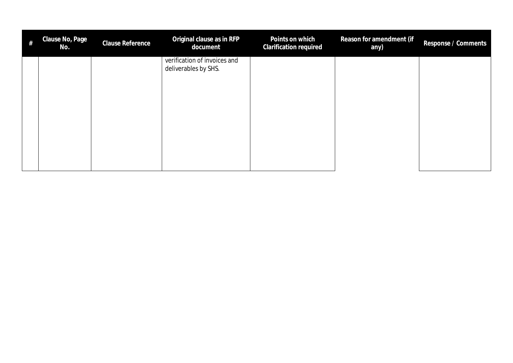| $\#$ | Clause No, Page<br>No. | Clause Reference | Original clause as in RFP<br>document                | Points on which<br><b>Clarification required</b> | Reason for amendment (if<br>any) | Response / Comments |
|------|------------------------|------------------|------------------------------------------------------|--------------------------------------------------|----------------------------------|---------------------|
|      |                        |                  | verification of invoices and<br>deliverables by SHS. |                                                  |                                  |                     |
|      |                        |                  |                                                      |                                                  |                                  |                     |
|      |                        |                  |                                                      |                                                  |                                  |                     |
|      |                        |                  |                                                      |                                                  |                                  |                     |
|      |                        |                  |                                                      |                                                  |                                  |                     |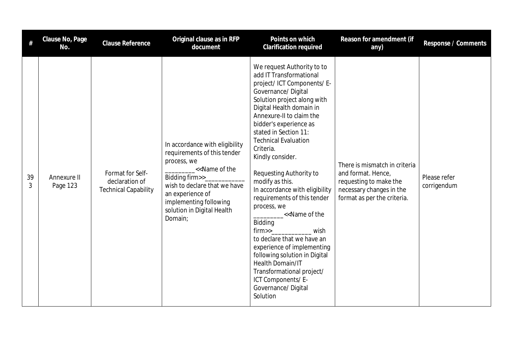| #       | Clause No, Page<br>No.  | Clause Reference                                                  | Original clause as in RFP<br>document                                                                                                                                                                                                    | Points on which<br><b>Clarification required</b>                                                                                                                                                                                                                                                                                                                                                                                                                                                                                                                                                                                                                                                                                     | Reason for amendment (if<br>any)                                                                                                         | Response / Comments         |
|---------|-------------------------|-------------------------------------------------------------------|------------------------------------------------------------------------------------------------------------------------------------------------------------------------------------------------------------------------------------------|--------------------------------------------------------------------------------------------------------------------------------------------------------------------------------------------------------------------------------------------------------------------------------------------------------------------------------------------------------------------------------------------------------------------------------------------------------------------------------------------------------------------------------------------------------------------------------------------------------------------------------------------------------------------------------------------------------------------------------------|------------------------------------------------------------------------------------------------------------------------------------------|-----------------------------|
| 39<br>3 | Annexure II<br>Page 123 | Format for Self-<br>declaration of<br><b>Technical Capability</b> | In accordance with eligibility<br>requirements of this tender<br>process, we<br><< Name of the<br>Bidding firm>>_<br>wish to declare that we have<br>an experience of<br>implementing following<br>solution in Digital Health<br>Domain; | We request Authority to to<br>add IT Transformational<br>project/ ICT Components/ E-<br>Governance/Digital<br>Solution project along with<br>Digital Health domain in<br>Annexure-II to claim the<br>bidder's experience as<br>stated in Section 11:<br><b>Technical Evaluation</b><br>Criteria.<br>Kindly consider.<br>Requesting Authority to<br>modify as this.<br>In accordance with eligibility<br>requirements of this tender<br>process, we<br>_< <name of="" the<br="">Bidding<br/>firm&gt;&gt;<br/>wish<br/>to declare that we have an<br/>experience of implementing<br/>following solution in Digital<br/>Health Domain/IT<br/>Transformational project/<br/>ICT Components/E-<br/>Governance/Digital<br/>Solution</name> | There is mismatch in criteria<br>and format. Hence,<br>requesting to make the<br>necessary changes in the<br>format as per the criteria. | Please refer<br>corrigendum |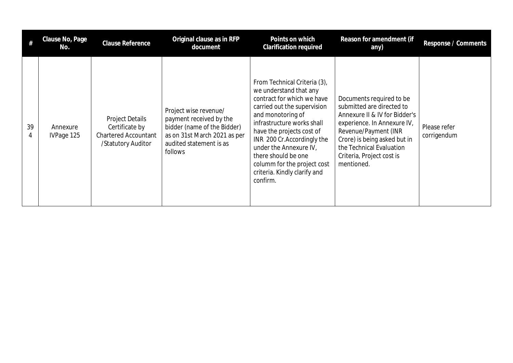|         | Clause No, Page<br>No. | Clause Reference                                                                              | Original clause as in RFP<br>document                                                                                                                 | Points on which<br><b>Clarification required</b>                                                                                                                                                                                                                                                                                                              | Reason for amendment (if<br>any)                                                                                                                                                                                                                     | Response / Comments         |
|---------|------------------------|-----------------------------------------------------------------------------------------------|-------------------------------------------------------------------------------------------------------------------------------------------------------|---------------------------------------------------------------------------------------------------------------------------------------------------------------------------------------------------------------------------------------------------------------------------------------------------------------------------------------------------------------|------------------------------------------------------------------------------------------------------------------------------------------------------------------------------------------------------------------------------------------------------|-----------------------------|
| 39<br>4 | Annexure<br>IVPage 125 | <b>Project Details</b><br>Certificate by<br><b>Chartered Accountant</b><br>/Statutory Auditor | Project wise revenue/<br>payment received by the<br>bidder (name of the Bidder)<br>as on 31st March 2021 as per<br>audited statement is as<br>follows | From Technical Criteria (3),<br>we understand that any<br>contract for which we have<br>carried out the supervision<br>and monotoring of<br>infrastructure works shall<br>have the projects cost of<br>INR 200 Cr.Accordingly the<br>under the Annexure IV,<br>there should be one<br>columm for the project cost<br>criteria. Kindly clarify and<br>confirm. | Documents required to be<br>submitted are directed to<br>Annexure II & IV for Bidder's<br>experience. In Annexure IV,<br>Revenue/Payment (INR<br>Crore) is being asked but in<br>the Technical Evaluation<br>Criteria, Project cost is<br>mentioned. | Please refer<br>corrigendum |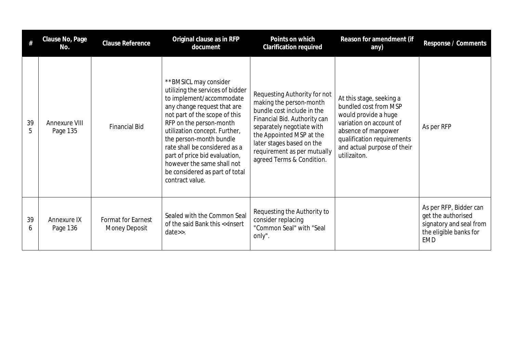|         | Clause No, Page<br>No.           | <b>Clause Reference</b>                    | Original clause as in RFP<br>document                                                                                                                                                                                                                                                                                                                                                             | Points on which<br>Clarification required                                                                                                                                                                                                                               | Reason for amendment (if<br>any)                                                                                                                                                                         | Response / Comments                                                                                             |
|---------|----------------------------------|--------------------------------------------|---------------------------------------------------------------------------------------------------------------------------------------------------------------------------------------------------------------------------------------------------------------------------------------------------------------------------------------------------------------------------------------------------|-------------------------------------------------------------------------------------------------------------------------------------------------------------------------------------------------------------------------------------------------------------------------|----------------------------------------------------------------------------------------------------------------------------------------------------------------------------------------------------------|-----------------------------------------------------------------------------------------------------------------|
| 39<br>5 | <b>Annexure VIII</b><br>Page 135 | <b>Financial Bid</b>                       | **BMSICL may consider<br>utilizing the services of bidder<br>to implement/accommodate<br>any change request that are<br>not part of the scope of this<br>RFP on the person-month<br>utilization concept. Further,<br>the person-month bundle<br>rate shall be considered as a<br>part of price bid evaluation,<br>however the same shall not<br>be considered as part of total<br>contract value. | Requesting Authority for not<br>making the person-month<br>bundle cost include in the<br>Financial Bid. Authority can<br>separately negotiate with<br>the Appointed MSP at the<br>later stages based on the<br>requirement as per mutually<br>agreed Terms & Condition. | At this stage, seeking a<br>bundled cost from MSP<br>would provide a huge<br>variation on account of<br>absence of manpower<br>qualification requirements<br>and actual purpose of their<br>utilizaiton. | As per RFP                                                                                                      |
| 39<br>b | Annexure IX<br>Page 136          | <b>Format for Earnest</b><br>Money Deposit | Sealed with the Common Seal<br>of the said Bank this < <insert<br><math>date\ge.</math></insert<br>                                                                                                                                                                                                                                                                                               | Requesting the Authority to<br>consider replacing<br>"Common Seal" with "Seal<br>only".                                                                                                                                                                                 |                                                                                                                                                                                                          | As per RFP, Bidder can<br>get the authorised<br>signatory and seal from<br>the eligible banks for<br><b>EMD</b> |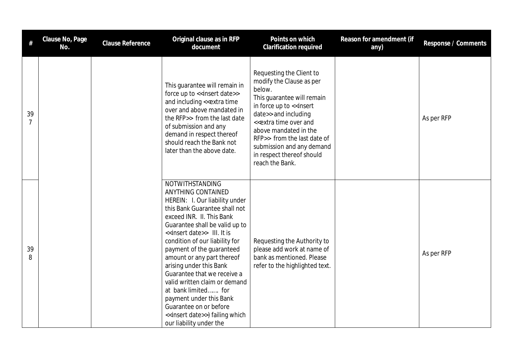| #                    | Clause No, Page<br>No. | Clause Reference | Original clause as in RFP<br>document                                                                                                                                                                                                                                                                                                                                                                                                                                                                                                                                               | Points on which<br>Clarification required                                                                                                                                                                                                                                                                                                  | Reason for amendment (if<br>any) | Response / Comments |
|----------------------|------------------------|------------------|-------------------------------------------------------------------------------------------------------------------------------------------------------------------------------------------------------------------------------------------------------------------------------------------------------------------------------------------------------------------------------------------------------------------------------------------------------------------------------------------------------------------------------------------------------------------------------------|--------------------------------------------------------------------------------------------------------------------------------------------------------------------------------------------------------------------------------------------------------------------------------------------------------------------------------------------|----------------------------------|---------------------|
| 39<br>$\overline{7}$ |                        |                  | This guarantee will remain in<br>force up to < <insert date="">&gt;<br/>and including &lt;&lt; extra time<br/>over and above mandated in<br/>the RFP&gt;&gt; from the last date<br/>of submission and any<br/>demand in respect thereof<br/>should reach the Bank not<br/>later than the above date.</insert>                                                                                                                                                                                                                                                                       | Requesting the Client to<br>modify the Clause as per<br>below.<br>This guarantee will remain<br>in force up to << insert<br>date>> and including<br>< <extra and<br="" over="" time="">above mandated in the<br/>RFP&gt;&gt; from the last date of<br/>submission and any demand<br/>in respect thereof should<br/>reach the Bank.</extra> |                                  | As per RFP          |
| 39<br>8              |                        |                  | NOTWITHSTANDING<br>ANYTHING CONTAINED<br>HEREIN: I. Our liability under<br>this Bank Guarantee shall not<br>exceed INR. II. This Bank<br>Guarantee shall be valid up to<br>< <insert date="">&gt; III. It is<br/>condition of our liability for<br/>payment of the guaranteed<br/>amount or any part thereof<br/>arising under this Bank<br/>Guarantee that we receive a<br/>valid written claim or demand<br/>at bank limited for<br/>payment under this Bank<br/>Guarantee on or before<br/>&lt;<insert date="">&gt;) failing which<br/>our liability under the</insert></insert> | Requesting the Authority to<br>please add work at name of<br>bank as mentioned. Please<br>refer to the highlighted text.                                                                                                                                                                                                                   |                                  | As per RFP          |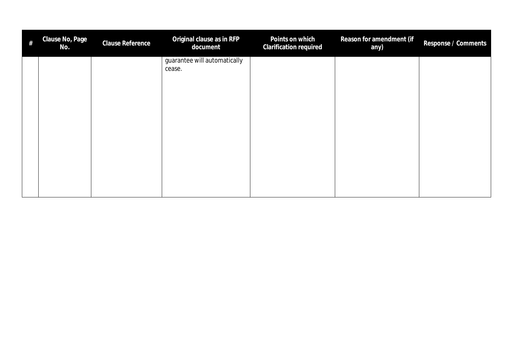| $\#$ | Clause No, Page<br>No. | Clause Reference | Original clause as in RFP<br>document  | Points on which<br>Clarification required | Reason for amendment (if<br>any) | Response / Comments |
|------|------------------------|------------------|----------------------------------------|-------------------------------------------|----------------------------------|---------------------|
|      |                        |                  | guarantee will automatically<br>cease. |                                           |                                  |                     |
|      |                        |                  |                                        |                                           |                                  |                     |
|      |                        |                  |                                        |                                           |                                  |                     |
|      |                        |                  |                                        |                                           |                                  |                     |
|      |                        |                  |                                        |                                           |                                  |                     |
|      |                        |                  |                                        |                                           |                                  |                     |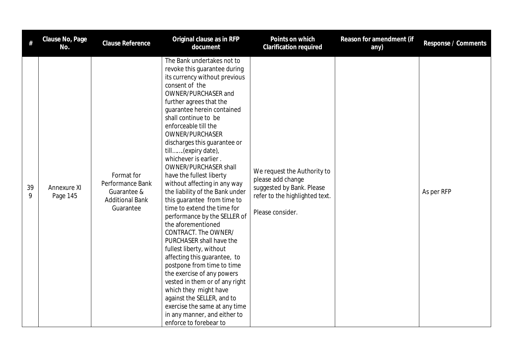| #       | Clause No, Page<br>No.  | Clause Reference                                                                     | Original clause as in RFP<br>document                                                                                                                                                                                                                                                                                                                                                                                                                                                                                                                                                                                                                                                                                                                                                                                                                                                                                                                              | Points on which<br><b>Clarification required</b>                                                                                    | Reason for amendment (if<br>any) | Response / Comments |
|---------|-------------------------|--------------------------------------------------------------------------------------|--------------------------------------------------------------------------------------------------------------------------------------------------------------------------------------------------------------------------------------------------------------------------------------------------------------------------------------------------------------------------------------------------------------------------------------------------------------------------------------------------------------------------------------------------------------------------------------------------------------------------------------------------------------------------------------------------------------------------------------------------------------------------------------------------------------------------------------------------------------------------------------------------------------------------------------------------------------------|-------------------------------------------------------------------------------------------------------------------------------------|----------------------------------|---------------------|
| 39<br>9 | Annexure XI<br>Page 145 | Format for<br>Performance Bank<br>Guarantee &<br><b>Additional Bank</b><br>Guarantee | The Bank undertakes not to<br>revoke this guarantee during<br>its currency without previous<br>consent of the<br>OWNER/PURCHASER and<br>further agrees that the<br>guarantee herein contained<br>shall continue to be<br>enforceable till the<br>OWNER/PURCHASER<br>discharges this guarantee or<br>till(expiry date),<br>whichever is earlier.<br><b>OWNER/PURCHASER shall</b><br>have the fullest liberty<br>without affecting in any way<br>the liability of the Bank under<br>this guarantee from time to<br>time to extend the time for<br>performance by the SELLER of<br>the aforementioned<br>CONTRACT. The OWNER/<br>PURCHASER shall have the<br>fullest liberty, without<br>affecting this guarantee, to<br>postpone from time to time<br>the exercise of any powers<br>vested in them or of any right<br>which they might have<br>against the SELLER, and to<br>exercise the same at any time<br>in any manner, and either to<br>enforce to forebear to | We request the Authority to<br>please add change<br>suggested by Bank. Please<br>refer to the highlighted text.<br>Please consider. |                                  | As per RFP          |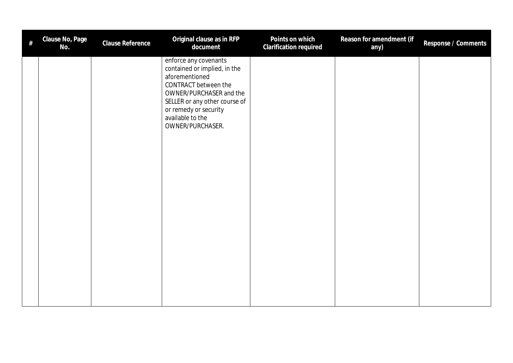| # | Clause No, Page<br>No. | Clause Reference | Original clause as in RFP<br>document                                                                                                                                                                                        | Points on which<br>Clarification required | Reason for amendment (if<br>any) | Response / Comments |
|---|------------------------|------------------|------------------------------------------------------------------------------------------------------------------------------------------------------------------------------------------------------------------------------|-------------------------------------------|----------------------------------|---------------------|
|   |                        |                  | enforce any covenants<br>contained or implied, in the<br>aforementioned<br>CONTRACT between the<br>OWNER/PURCHASER and the<br>SELLER or any other course of<br>or remedy or security<br>available to the<br>OWNER/PURCHASER. |                                           |                                  |                     |
|   |                        |                  |                                                                                                                                                                                                                              |                                           |                                  |                     |
|   |                        |                  |                                                                                                                                                                                                                              |                                           |                                  |                     |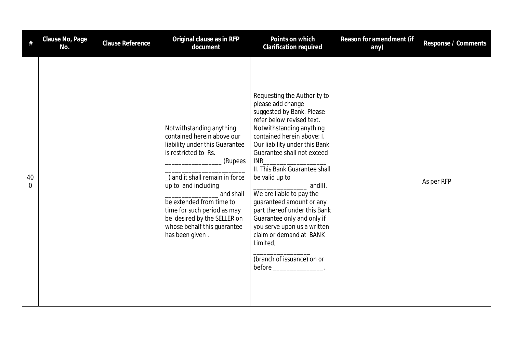|         | Clause No, Page<br>No. | Clause Reference | Original clause as in RFP<br>document                                                                                                                                                                                                                                                                                                         | Points on which<br>Clarification required                                                                                                                                                                                                                                                                                                                                                                                                                                                                                                                                    | Reason for amendment (if<br>any) | Response / Comments |
|---------|------------------------|------------------|-----------------------------------------------------------------------------------------------------------------------------------------------------------------------------------------------------------------------------------------------------------------------------------------------------------------------------------------------|------------------------------------------------------------------------------------------------------------------------------------------------------------------------------------------------------------------------------------------------------------------------------------------------------------------------------------------------------------------------------------------------------------------------------------------------------------------------------------------------------------------------------------------------------------------------------|----------------------------------|---------------------|
| 40<br>0 |                        |                  | Notwithstanding anything<br>contained herein above our<br>liability under this Guarantee<br>is restricted to Rs.<br>(Rupees<br>) and it shall remain in force<br>up to and including<br>and shall<br>be extended from time to<br>time for such period as may<br>be desired by the SELLER on<br>whose behalf this guarantee<br>has been given. | Requesting the Authority to<br>please add change<br>suggested by Bank. Please<br>refer below revised text.<br>Notwithstanding anything<br>contained herein above: I.<br>Our liability under this Bank<br>Guarantee shall not exceed<br><b>INR INR</b><br>II. This Bank Guarantee shall<br>be valid up to<br>andIII.<br>We are liable to pay the<br>guaranteed amount or any<br>part thereof under this Bank<br>Guarantee only and only if<br>you serve upon us a written<br>claim or demand at BANK<br>Limited,<br>(branch of issuance) on or<br>$before$ _________________. |                                  | As per RFP          |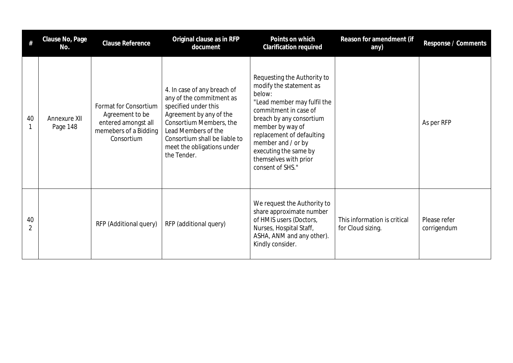| #                    | Clause No, Page<br>No.   | Clause Reference                                                                                       | Original clause as in RFP<br>document                                                                                                                                                                                                      | Points on which<br>Clarification required                                                                                                                                                                                                                                                         | Reason for amendment (if<br>any)                  | Response / Comments         |
|----------------------|--------------------------|--------------------------------------------------------------------------------------------------------|--------------------------------------------------------------------------------------------------------------------------------------------------------------------------------------------------------------------------------------------|---------------------------------------------------------------------------------------------------------------------------------------------------------------------------------------------------------------------------------------------------------------------------------------------------|---------------------------------------------------|-----------------------------|
| 40                   | Annexure XII<br>Page 148 | Format for Consortium<br>Agreement to be<br>entered amongst all<br>memebers of a Bidding<br>Consortium | 4. In case of any breach of<br>any of the commitment as<br>specified under this<br>Agreement by any of the<br>Consortium Members, the<br>Lead Members of the<br>Consortium shall be liable to<br>meet the obligations under<br>the Tender. | Requesting the Authority to<br>modify the statement as<br>below:<br>"Lead member may fulfil the<br>commitment in case of<br>breach by any consortium<br>member by way of<br>replacement of defaulting<br>member and / or by<br>executing the same by<br>themselves with prior<br>consent of SHS." |                                                   | As per RFP                  |
| 40<br>$\mathfrak{D}$ |                          | RFP (Additional query)                                                                                 | RFP (additional query)                                                                                                                                                                                                                     | We request the Authority to<br>share approximate number<br>of HMIS users (Doctors,<br>Nurses, Hospital Staff,<br>ASHA, ANM and any other).<br>Kindly consider.                                                                                                                                    | This information is critical<br>for Cloud sizing. | Please refer<br>corrigendum |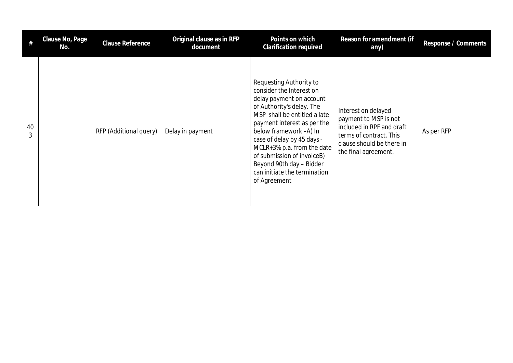|         | Clause No, Page<br>No. | Clause Reference       | Original clause as in RFP<br>document | Points on which<br>Clarification required                                                                                                                                                                                                                                                                                                                                   | Reason for amendment (if<br>any)                                                                                                                          | Response / Comments |
|---------|------------------------|------------------------|---------------------------------------|-----------------------------------------------------------------------------------------------------------------------------------------------------------------------------------------------------------------------------------------------------------------------------------------------------------------------------------------------------------------------------|-----------------------------------------------------------------------------------------------------------------------------------------------------------|---------------------|
| 40<br>3 |                        | RFP (Additional query) | Delay in payment                      | Requesting Authority to<br>consider the Interest on<br>delay payment on account<br>of Authority's delay. The<br>MSP shall be entitled a late<br>payment interest as per the<br>below framework -A) In<br>case of delay by 45 days -<br>MCLR+3% p.a. from the date<br>of submission of invoiceB)<br>Beyond 90th day - Bidder<br>can initiate the termination<br>of Agreement | Interest on delayed<br>payment to MSP is not<br>included in RPF and draft<br>terms of contract. This<br>clause should be there in<br>the final agreement. | As per RFP          |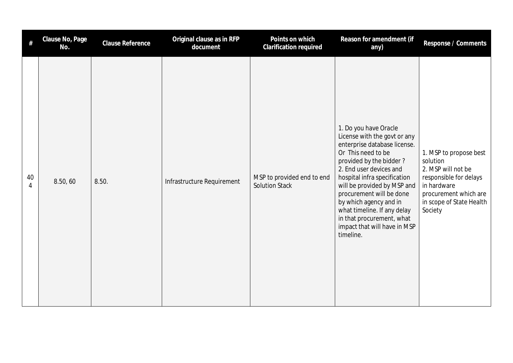| #       | Clause No, Page<br>No. | Clause Reference | Original clause as in RFP<br>document | Points on which<br>Clarification required           | Reason for amendment (if<br>any)                                                                                                                                                                                                                                                                                                                                                                | Response / Comments                                                                                                                                               |
|---------|------------------------|------------------|---------------------------------------|-----------------------------------------------------|-------------------------------------------------------------------------------------------------------------------------------------------------------------------------------------------------------------------------------------------------------------------------------------------------------------------------------------------------------------------------------------------------|-------------------------------------------------------------------------------------------------------------------------------------------------------------------|
| 40<br>4 | 8.50,60                | 8.50.            | Infrastructure Requirement            | MSP to provided end to end<br><b>Solution Stack</b> | 1. Do you have Oracle<br>License with the govt or any<br>enterprise database license.<br>Or This need to be<br>provided by the bidder?<br>2. End user devices and<br>hospital infra specification<br>will be provided by MSP and<br>procurement will be done<br>by which agency and in<br>what timeline. If any delay<br>in that procurement, what<br>impact that will have in MSP<br>timeline. | 1. MSP to propose best<br>solution<br>2. MSP will not be<br>responsible for delays<br>in hardware<br>procurement which are<br>in scope of State Health<br>Society |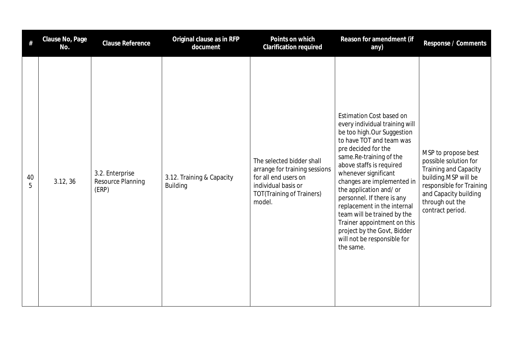|         | Clause No, Page<br>No. | Clause Reference                              | Original clause as in RFP<br>document        | Points on which<br>Clarification required                                                                                                               | Reason for amendment (if<br>any)                                                                                                                                                                                                                                                                                                                                                                                                                                                         | Response / Comments                                                                                                                                                                       |
|---------|------------------------|-----------------------------------------------|----------------------------------------------|---------------------------------------------------------------------------------------------------------------------------------------------------------|------------------------------------------------------------------------------------------------------------------------------------------------------------------------------------------------------------------------------------------------------------------------------------------------------------------------------------------------------------------------------------------------------------------------------------------------------------------------------------------|-------------------------------------------------------------------------------------------------------------------------------------------------------------------------------------------|
| 40<br>5 | 3.12, 36               | 3.2. Enterprise<br>Resource Planning<br>(ERP) | 3.12. Training & Capacity<br><b>Building</b> | The selected bidder shall<br>arrange for training sessions<br>for all end users on<br>individual basis or<br><b>TOT(Training of Trainers)</b><br>model. | Estimation Cost based on<br>every individual training will<br>be too high.Our Suggestion<br>to have TOT and team was<br>pre decided for the<br>same.Re-training of the<br>above staffs is required<br>whenever significant<br>changes are implemented in<br>the application and/or<br>personnel. If there is any<br>replacement in the internal<br>team will be trained by the<br>Trainer appointment on this<br>project by the Govt, Bidder<br>will not be responsible for<br>the same. | MSP to propose best<br>possible solution for<br>Training and Capacity<br>building.MSP will be<br>responsible for Training<br>and Capacity building<br>through out the<br>contract period. |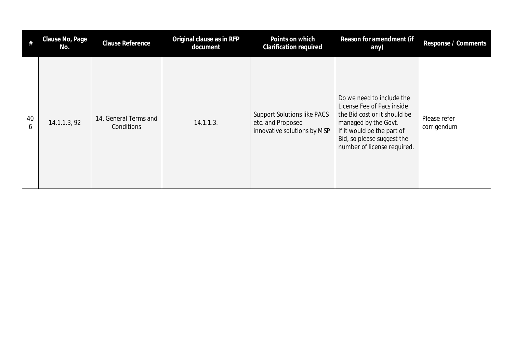| $^{\#}$ | Clause No, Page<br>No. | <b>Clause Reference</b>             | Original clause as in RFP<br>document | Points on which<br><b>Clarification required</b>                                       | Reason for amendment (if<br>any)                                                                                                                                                                           | Response / Comments         |
|---------|------------------------|-------------------------------------|---------------------------------------|----------------------------------------------------------------------------------------|------------------------------------------------------------------------------------------------------------------------------------------------------------------------------------------------------------|-----------------------------|
| 40<br>6 | 14.1.1.3, 92           | 14. General Terms and<br>Conditions | 14.1.1.3.                             | <b>Support Solutions like PACS</b><br>etc. and Proposed<br>innovative solutions by MSP | Do we need to include the<br>License Fee of Pacs inside<br>the Bid cost or it should be<br>managed by the Govt.<br>If it would be the part of<br>Bid, so please suggest the<br>number of license required. | Please refer<br>corrigendum |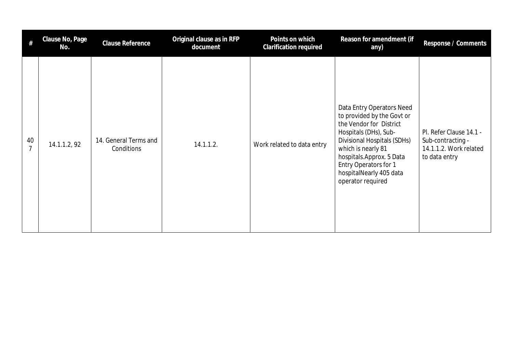| #                    | Clause No, Page<br>No. | <b>Clause Reference</b>             | Original clause as in RFP<br>document | Points on which<br><b>Clarification required</b> | Reason for amendment (if<br>any)                                                                                                                                                                                                                                      | Response / Comments                                                                     |
|----------------------|------------------------|-------------------------------------|---------------------------------------|--------------------------------------------------|-----------------------------------------------------------------------------------------------------------------------------------------------------------------------------------------------------------------------------------------------------------------------|-----------------------------------------------------------------------------------------|
| 40<br>$\overline{7}$ | 14.1.1.2, 92           | 14. General Terms and<br>Conditions | 14.1.1.2.                             | Work related to data entry                       | Data Entry Operators Need<br>to provided by the Govt or<br>the Vendor for District<br>Hospitals (DHs), Sub-<br>Divisional Hospitals (SDHs)<br>which is nearly 81<br>hospitals.Approx. 5 Data<br>Entry Operators for 1<br>hospitalNearly 405 data<br>operator required | Pl. Refer Clause 14.1 -<br>Sub-contracting -<br>14.1.1.2. Work related<br>to data entry |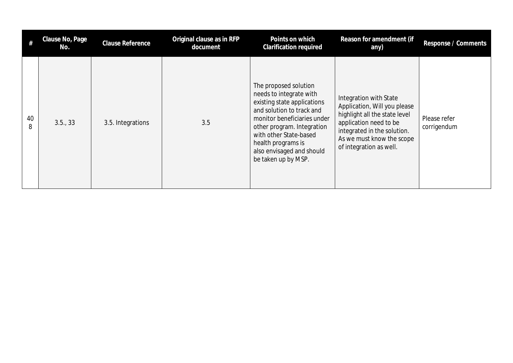| $^{\#}$ | Clause No, Page<br>No. | <b>Clause Reference</b> | Original clause as in RFP<br>document | Points on which<br><b>Clarification required</b>                                                                                                                                                                                                                              | Reason for amendment (if<br>any)                                                                                                                                                                         | Response / Comments         |
|---------|------------------------|-------------------------|---------------------------------------|-------------------------------------------------------------------------------------------------------------------------------------------------------------------------------------------------------------------------------------------------------------------------------|----------------------------------------------------------------------------------------------------------------------------------------------------------------------------------------------------------|-----------------------------|
| 40<br>8 | 3.5., 33               | 3.5. Integrations       | 3.5                                   | The proposed solution<br>needs to integrate with<br>existing state applications<br>and solution to track and<br>monitor beneficiaries under<br>other program. Integration<br>with other State-based<br>health programs is<br>also envisaged and should<br>be taken up by MSP. | Integration with State<br>Application, Will you please<br>highlight all the state level<br>application need to be<br>integrated in the solution.<br>As we must know the scope<br>of integration as well. | Please refer<br>corrigendum |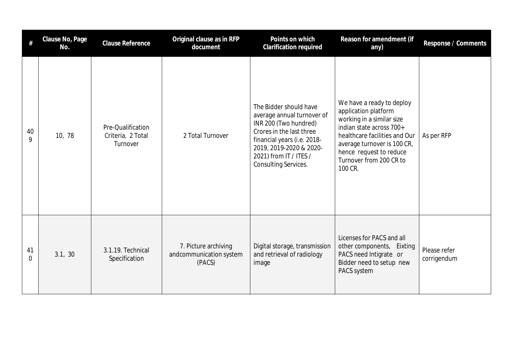| #       | Clause No, Page<br>No. | <b>Clause Reference</b>                            | Original clause as in RFP<br>document                     | Points on which<br>Clarification required                                                                                                                                                                             | Reason for amendment (if<br>any)                                                                                                                                                                                                            | Response / Comments         |
|---------|------------------------|----------------------------------------------------|-----------------------------------------------------------|-----------------------------------------------------------------------------------------------------------------------------------------------------------------------------------------------------------------------|---------------------------------------------------------------------------------------------------------------------------------------------------------------------------------------------------------------------------------------------|-----------------------------|
| 40<br>9 | 10, 78                 | Pre-Qualification<br>Criteria, 2 Total<br>Turnover | 2 Total Turnover                                          | The Bidder should have<br>average annual turnover of<br>INR 200 (Two hundred)<br>Crores in the last three<br>financial years (i.e. 2018-<br>2019, 2019-2020 & 2020-<br>2021) from IT / ITES /<br>Consulting Services. | We have a ready to deploy<br>application platform<br>working in a similar size<br>indian state across 700+<br>healthcare facilities and Our<br>average turnover is 100 CR,<br>hence request to reduce<br>Turnover from 200 CR to<br>100 CR. | As per RFP                  |
| 41<br>0 | 3.1, 30                | 3.1.19. Technical<br>Specification                 | 7. Picture archiving<br>andcommunication system<br>(PACS) | Digital storage, transmission<br>and retrieval of radiology<br>image                                                                                                                                                  | Licenses for PACS and all<br>other components, Eixting<br>PACS need Intigrate or<br>Bidder need to setup new<br>PACS system                                                                                                                 | Please refer<br>corrigendum |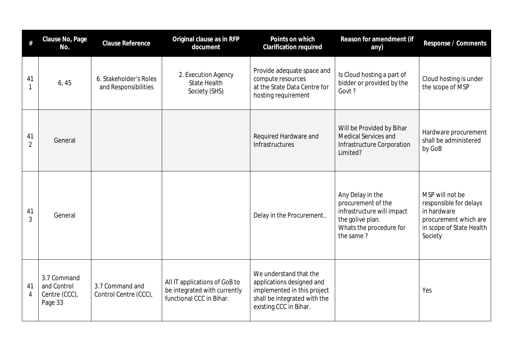| #                    | Clause No, Page<br>No.                                 | Clause Reference                               | Original clause as in RFP<br>document                                                     | Points on which<br><b>Clarification required</b>                                                                                             | Reason for amendment (if<br>any)                                                                                                 | Response / Comments                                                                                                      |
|----------------------|--------------------------------------------------------|------------------------------------------------|-------------------------------------------------------------------------------------------|----------------------------------------------------------------------------------------------------------------------------------------------|----------------------------------------------------------------------------------------------------------------------------------|--------------------------------------------------------------------------------------------------------------------------|
| 41                   | 6, 45                                                  | 6. Stakeholder's Roles<br>and Responsibilities | 2. Execution Agency<br><b>State Health</b><br>Society (SHS)                               | Provide adequate space and<br>compute resources<br>at the State Data Centre for<br>hosting requirement                                       | Is Cloud hosting a part of<br>bidder or provided by the<br>Govt?                                                                 | Cloud hosting is under<br>the scope of MSP                                                                               |
| 41<br>$\overline{2}$ | General                                                |                                                |                                                                                           | Required Hardware and<br>Infrastructures                                                                                                     | Will be Provided by Bihar<br>Medical Services and<br>Infrastructure Corporation<br>Limited?                                      | Hardware procurement<br>shall be administered<br>by GoB                                                                  |
| 41<br>$\overline{3}$ | General                                                |                                                |                                                                                           | Delay in the Procurement                                                                                                                     | Any Delay in the<br>procurement of the<br>infrastructure will impact<br>the golive plan.<br>Whats the procedure for<br>the same? | MSP will not be<br>responsible for delays<br>in hardware<br>procurement which are<br>in scope of State Health<br>Society |
| 41<br>4              | 3.7 Command<br>and Control<br>Centre (CCC),<br>Page 33 | 3.7 Command and<br>Control Centre (CCC),       | All IT applications of GoB to<br>be integrated with currently<br>functional CCC in Bihar. | We understand that the<br>applications designed and<br>implemented in this project<br>shall be integrated with the<br>existing CCC in Bihar. |                                                                                                                                  | Yes                                                                                                                      |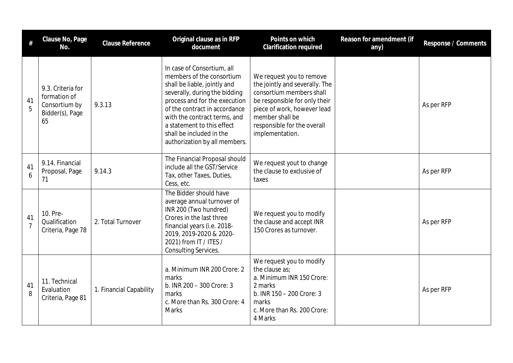| #                    | Clause No, Page<br>No.                                                      | <b>Clause Reference</b> | Original clause as in RFP<br>document                                                                                                                                                                                                                                                                                 | Points on which<br><b>Clarification required</b>                                                                                                                                                                            | Reason for amendment (if<br>any) | Response / Comments |
|----------------------|-----------------------------------------------------------------------------|-------------------------|-----------------------------------------------------------------------------------------------------------------------------------------------------------------------------------------------------------------------------------------------------------------------------------------------------------------------|-----------------------------------------------------------------------------------------------------------------------------------------------------------------------------------------------------------------------------|----------------------------------|---------------------|
| 41<br>5              | 9.3. Criteria for<br>formation of<br>Consortium by<br>Bidder(s), Page<br>65 | 9.3.13                  | In case of Consortium, all<br>members of the consortium<br>shall be liable, jointly and<br>severally, during the bidding<br>process and for the execution<br>of the contract in accordance<br>with the contract terms, and<br>a statement to this effect<br>shall be included in the<br>authorization by all members. | We request you to remove<br>the jointly and severally. The<br>consortium members shall<br>be responsible for only their<br>piece of work, however lead<br>member shall be<br>responsible for the overall<br>implementation. |                                  | As per RFP          |
| 41<br>6              | 9.14. Financial<br>Proposal, Page<br>71                                     | 9.14.3                  | The Financial Proposal should<br>include all the GST/Service<br>Tax, other Taxes, Duties,<br>Cess, etc.                                                                                                                                                                                                               | We request yout to change<br>the clause to exclusive of<br>taxes                                                                                                                                                            |                                  | As per RFP          |
| 41<br>$\overline{7}$ | 10. Pre-<br>Qualification<br>Criteria, Page 78                              | 2. Total Turnover       | The Bidder should have<br>average annual turnover of<br>INR 200 (Two hundred)<br>Crores in the last three<br>financial years (i.e. 2018-<br>2019, 2019-2020 & 2020-<br>2021) from IT / ITES /<br><b>Consulting Services.</b>                                                                                          | We request you to modify<br>the clause and accept INR<br>150 Crores as turnover.                                                                                                                                            |                                  | As per RFP          |
| 41<br>8              | 11. Technical<br>Evaluation<br>Criteria, Page 81                            | 1. Financial Capability | a. Minimum INR 200 Crore: 2<br>marks<br>b. INR 200 - 300 Crore: 3<br>marks<br>c. More than Rs. 300 Crore: 4<br><b>Marks</b>                                                                                                                                                                                           | We request you to modify<br>the clause as;<br>a. Minimum INR 150 Crore:<br>2 marks<br>b. INR 150 - 200 Crore: 3<br>marks<br>c. More than Rs. 200 Crore:<br>4 Marks                                                          |                                  | As per RFP          |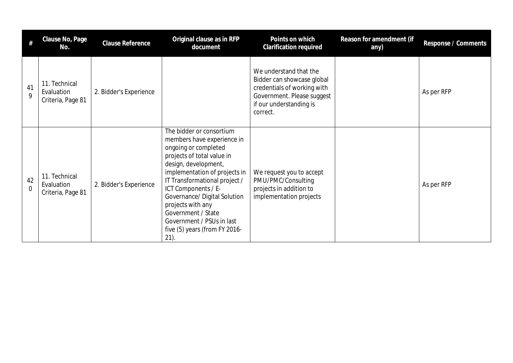| #                    | Clause No, Page<br>No.                           | <b>Clause Reference</b> | Original clause as in RFP<br>document                                                                                                                                                                                                                                                                                                                                          | Points on which<br><b>Clarification required</b>                                                                                                         | Reason for amendment (if<br>any) | Response / Comments |
|----------------------|--------------------------------------------------|-------------------------|--------------------------------------------------------------------------------------------------------------------------------------------------------------------------------------------------------------------------------------------------------------------------------------------------------------------------------------------------------------------------------|----------------------------------------------------------------------------------------------------------------------------------------------------------|----------------------------------|---------------------|
| 41<br>9              | 11. Technical<br>Evaluation<br>Criteria, Page 81 | 2. Bidder's Experience  |                                                                                                                                                                                                                                                                                                                                                                                | We understand that the<br>Bidder can showcase global<br>credentials of working with<br>Government. Please suggest<br>if our understanding is<br>correct. |                                  | As per RFP          |
| 42<br>$\overline{0}$ | 11. Technical<br>Evaluation<br>Criteria, Page 81 | 2. Bidder's Experience  | The bidder or consortium<br>members have experience in<br>ongoing or completed<br>projects of total value in<br>design, development,<br>implementation of projects in<br>IT Transformational project /<br>ICT Components / E-<br>Governance/ Digital Solution<br>projects with any<br>Government / State<br>Government / PSUs in last<br>five (5) years (from FY 2016-<br>21). | We request you to accept<br>PMU/PMC/Consulting<br>projects in addition to<br>implementation projects                                                     |                                  | As per RFP          |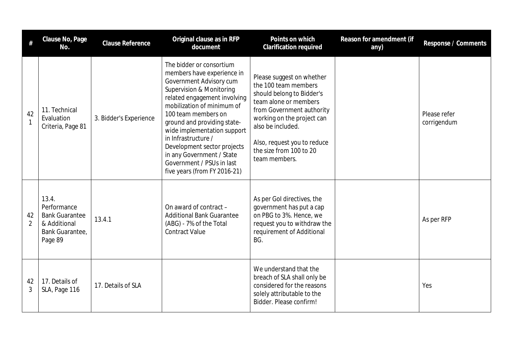|                      | Clause No, Page<br>No.                                                                      | <b>Clause Reference</b> | Original clause as in RFP<br>document                                                                                                                                                                                                                                                                                                                                                                            | Points on which<br><b>Clarification required</b>                                                                                                                                                                                                                   | Reason for amendment (if<br>any) | Response / Comments         |
|----------------------|---------------------------------------------------------------------------------------------|-------------------------|------------------------------------------------------------------------------------------------------------------------------------------------------------------------------------------------------------------------------------------------------------------------------------------------------------------------------------------------------------------------------------------------------------------|--------------------------------------------------------------------------------------------------------------------------------------------------------------------------------------------------------------------------------------------------------------------|----------------------------------|-----------------------------|
| 42<br>$\mathbf{1}$   | 11. Technical<br>Evaluation<br>Criteria, Page 81                                            | 3. Bidder's Experience  | The bidder or consortium<br>members have experience in<br>Government Advisory cum<br>Supervision & Monitoring<br>related engagement involving<br>mobilization of minimum of<br>100 team members on<br>ground and providing state-<br>wide implementation support<br>in Infrastructure /<br>Development sector projects<br>in any Government / State<br>Government / PSUs in last<br>five years (from FY 2016-21) | Please suggest on whether<br>the 100 team members<br>should belong to Bidder's<br>team alone or members<br>from Government authority<br>working on the project can<br>also be included.<br>Also, request you to reduce<br>the size from 100 to 20<br>team members. |                                  | Please refer<br>corrigendum |
| 42<br>$\overline{2}$ | 13.4.<br>Performance<br><b>Bank Guarantee</b><br>& Additional<br>Bank Guarantee,<br>Page 89 | 13.4.1                  | On award of contract -<br><b>Additional Bank Guarantee</b><br>(ABG) - 7% of the Total<br><b>Contract Value</b>                                                                                                                                                                                                                                                                                                   | As per Gol directives, the<br>government has put a cap<br>on PBG to 3%. Hence, we<br>request you to withdraw the<br>requirement of Additional<br>BG.                                                                                                               |                                  | As per RFP                  |
| 42<br>3              | 17. Details of<br>SLA, Page 116                                                             | 17. Details of SLA      |                                                                                                                                                                                                                                                                                                                                                                                                                  | We understand that the<br>breach of SLA shall only be<br>considered for the reasons<br>solely attributable to the<br>Bidder. Please confirm!                                                                                                                       |                                  | Yes                         |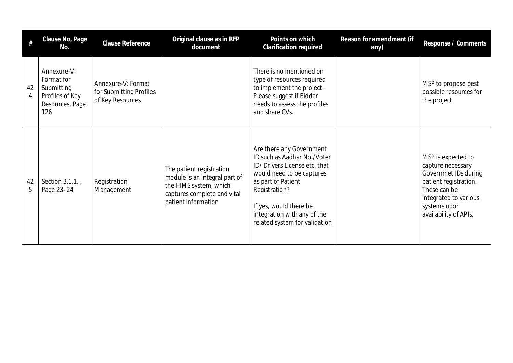| #       | Clause No, Page<br>No.                                                               | <b>Clause Reference</b>                                           | Original clause as in RFP<br>document                                                                                                     | Points on which<br><b>Clarification required</b>                                                                                                                                                                                                       | Reason for amendment (if<br>any) | Response / Comments                                                                                                                                                        |
|---------|--------------------------------------------------------------------------------------|-------------------------------------------------------------------|-------------------------------------------------------------------------------------------------------------------------------------------|--------------------------------------------------------------------------------------------------------------------------------------------------------------------------------------------------------------------------------------------------------|----------------------------------|----------------------------------------------------------------------------------------------------------------------------------------------------------------------------|
| 42<br>4 | Annexure-V:<br>Format for<br>Submitting<br>Profiles of Key<br>Resources, Page<br>126 | Annexure-V: Format<br>for Submitting Profiles<br>of Key Resources |                                                                                                                                           | There is no mentioned on<br>type of resources required<br>to implement the project.<br>Please suggest if Bidder<br>needs to assess the profiles<br>and share CVs.                                                                                      |                                  | MSP to propose best<br>possible resources for<br>the project                                                                                                               |
| 42<br>5 | Section 3.1.1.,<br>Page 23-24                                                        | Registration<br>Management                                        | The patient registration<br>module is an integral part of<br>the HIMS system, which<br>captures complete and vital<br>patient information | Are there any Government<br>ID such as Aadhar No./Voter<br>ID/ Drivers License etc. that<br>would need to be captures<br>as part of Patient<br>Registration?<br>If yes, would there be<br>integration with any of the<br>related system for validation |                                  | MSP is expected to<br>capture necessary<br>Governmet IDs during<br>patient registration.<br>These can be<br>integrated to various<br>systems upon<br>availability of APIs. |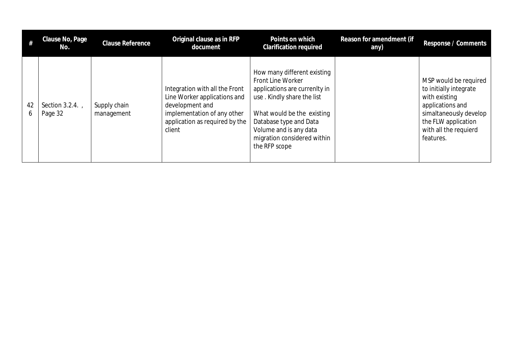|         | Clause No, Page<br>No.     | Clause Reference           | Original clause as in RFP<br>document                                                                                                                        | Points on which<br><b>Clarification required</b>                                                                                                                                                                                                  | Reason for amendment (if<br>any) | Response / Comments                                                                                                                                                         |
|---------|----------------------------|----------------------------|--------------------------------------------------------------------------------------------------------------------------------------------------------------|---------------------------------------------------------------------------------------------------------------------------------------------------------------------------------------------------------------------------------------------------|----------------------------------|-----------------------------------------------------------------------------------------------------------------------------------------------------------------------------|
| 42<br>6 | Section 3.2.4.,<br>Page 32 | Supply chain<br>management | Integration with all the Front<br>Line Worker applications and<br>development and<br>implementation of any other<br>application as required by the<br>client | How many different existing<br>Front Line Worker<br>applications are currenlty in<br>use. Kindly share the list<br>What would be the existing<br>Database type and Data<br>Volume and is any data<br>migration considered within<br>the RFP scope |                                  | MSP would be required<br>to initially integrate<br>with existing<br>applications and<br>simaltaneously develop<br>the FLW application<br>with all the requierd<br>features. |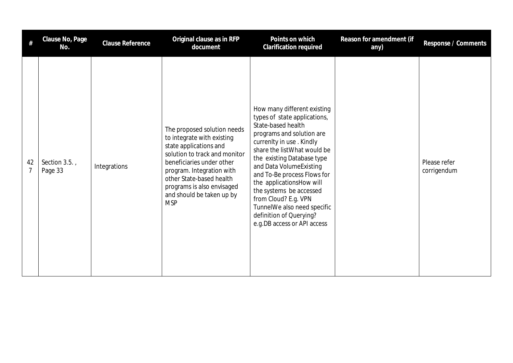| #                    | Clause No, Page<br>No.   | Clause Reference | Original clause as in RFP<br>document                                                                                                                                                                                                                                               | Points on which<br>Clarification required                                                                                                                                                                                                                                                                                                                                                                                                  | Reason for amendment (if<br>any) | Response / Comments         |
|----------------------|--------------------------|------------------|-------------------------------------------------------------------------------------------------------------------------------------------------------------------------------------------------------------------------------------------------------------------------------------|--------------------------------------------------------------------------------------------------------------------------------------------------------------------------------------------------------------------------------------------------------------------------------------------------------------------------------------------------------------------------------------------------------------------------------------------|----------------------------------|-----------------------------|
| 42<br>$\overline{7}$ | Section 3.5.,<br>Page 33 | Integrations     | The proposed solution needs<br>to integrate with existing<br>state applications and<br>solution to track and monitor<br>beneficiaries under other<br>program. Integration with<br>other State-based health<br>programs is also envisaged<br>and should be taken up by<br><b>MSP</b> | How many different existing<br>types of state applications,<br>State-based health<br>programs and solution are<br>currenlty in use. Kindly<br>share the list What would be<br>the existing Database type<br>and Data VolumeExisting<br>and To-Be process Flows for<br>the applicationsHow will<br>the systems be accessed<br>from Cloud? E.g. VPN<br>TunnelWe also need specific<br>definition of Querying?<br>e.g.DB access or API access |                                  | Please refer<br>corrigendum |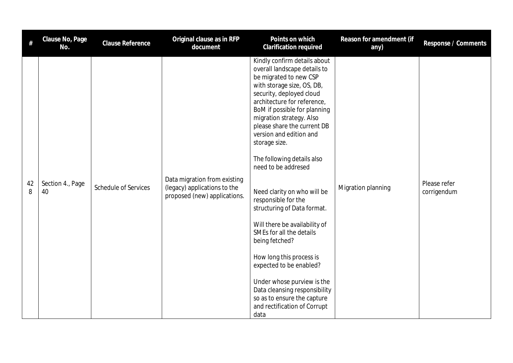| $\#$    | Clause No, Page<br>No. | Clause Reference            | Original clause as in RFP<br>document                                                        | Points on which<br><b>Clarification required</b>                                                                                                                                                                                                                                                                                                                                                                                                                                                                                                                                                                                                                                                                                             | Reason for amendment (if<br>any) | Response / Comments         |
|---------|------------------------|-----------------------------|----------------------------------------------------------------------------------------------|----------------------------------------------------------------------------------------------------------------------------------------------------------------------------------------------------------------------------------------------------------------------------------------------------------------------------------------------------------------------------------------------------------------------------------------------------------------------------------------------------------------------------------------------------------------------------------------------------------------------------------------------------------------------------------------------------------------------------------------------|----------------------------------|-----------------------------|
| 42<br>8 | Section 4., Page<br>40 | <b>Schedule of Services</b> | Data migration from existing<br>(legacy) applications to the<br>proposed (new) applications. | Kindly confirm details about<br>overall landscape details to<br>be migrated to new CSP<br>with storage size, OS, DB,<br>security, deployed cloud<br>architecture for reference,<br>BoM if possible for planning<br>migration strategy. Also<br>please share the current DB<br>version and edition and<br>storage size.<br>The following details also<br>need to be addresed<br>Need clarity on who will be<br>responsible for the<br>structuring of Data format.<br>Will there be availability of<br>SMEs for all the details<br>being fetched?<br>How long this process is<br>expected to be enabled?<br>Under whose purview is the<br>Data cleansing responsibility<br>so as to ensure the capture<br>and rectification of Corrupt<br>data | Migration planning               | Please refer<br>corrigendum |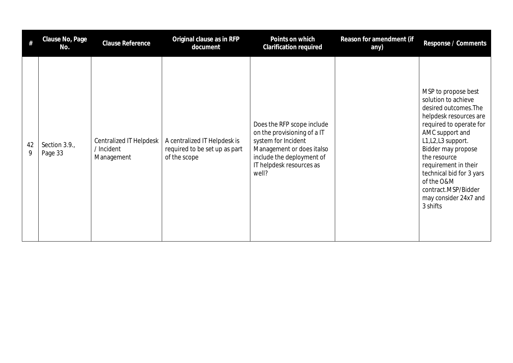| #       | Clause No, Page<br>No.  | <b>Clause Reference</b>                                    | Original clause as in RFP<br>document                                         | Points on which<br><b>Clarification required</b>                                                                                                                                | Reason for amendment (if<br>any) | Response / Comments                                                                                                                                                                                                                                                                                                                    |
|---------|-------------------------|------------------------------------------------------------|-------------------------------------------------------------------------------|---------------------------------------------------------------------------------------------------------------------------------------------------------------------------------|----------------------------------|----------------------------------------------------------------------------------------------------------------------------------------------------------------------------------------------------------------------------------------------------------------------------------------------------------------------------------------|
| 42<br>9 | Section 3.9.<br>Page 33 | <b>Centralized IT Helpdesk</b><br>/ Incident<br>Management | A centralized IT Helpdesk is<br>required to be set up as part<br>of the scope | Does the RFP scope include<br>on the provisioning of a IT<br>system for Incident<br>Management or does italso<br>include the deployment of<br>IT helpdesk resources as<br>well? |                                  | MSP to propose best<br>solution to achieve<br>desired outcomes. The<br>helpdesk resources are<br>required to operate for<br>AMC support and<br>L1, L2, L3 support.<br>Bidder may propose<br>the resource<br>requirement in their<br>technical bid for 3 yars<br>of the O&M<br>contract.MSP/Bidder<br>may consider 24x7 and<br>3 shifts |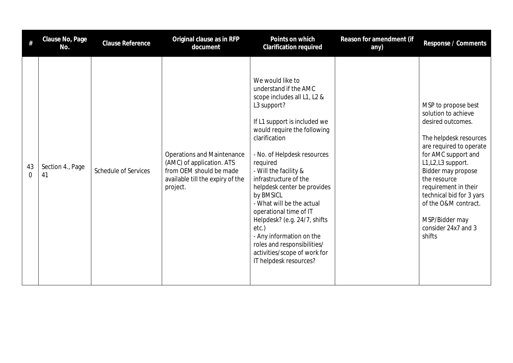| #              | Clause No, Page<br>No. | Clause Reference            | Original clause as in RFP<br>document                                                                                                     | Points on which<br>Clarification required                                                                                                                                                                                                                                                                                                                                                                                                                                                                                             | Reason for amendment (if<br>any) | Response / Comments                                                                                                                                                                                                                                                                                                                     |
|----------------|------------------------|-----------------------------|-------------------------------------------------------------------------------------------------------------------------------------------|---------------------------------------------------------------------------------------------------------------------------------------------------------------------------------------------------------------------------------------------------------------------------------------------------------------------------------------------------------------------------------------------------------------------------------------------------------------------------------------------------------------------------------------|----------------------------------|-----------------------------------------------------------------------------------------------------------------------------------------------------------------------------------------------------------------------------------------------------------------------------------------------------------------------------------------|
| 43<br>$\Omega$ | Section 4., Page<br>41 | <b>Schedule of Services</b> | <b>Operations and Maintenance</b><br>(AMC) of application. ATS<br>from OEM should be made<br>available till the expiry of the<br>project. | We would like to<br>understand if the AMC<br>scope includes all L1, L2 &<br>L3 support?<br>If L1 support is included we<br>would require the following<br>clarification<br>- No. of Helpdesk resources<br>required<br>- Will the facility &<br>infrastructure of the<br>helpdesk center be provides<br>by BMSICL<br>- What will be the actual<br>operational time of IT<br>Helpdesk? (e.g. 24/7, shifts<br>etc.)<br>- Any information on the<br>roles and responsibilities/<br>activities/scope of work for<br>IT helpdesk resources? |                                  | MSP to propose best<br>solution to achieve<br>desired outcomes.<br>The helpdesk resources<br>are required to operate<br>for AMC support and<br>L1, L2, L3 support.<br>Bidder may propose<br>the resource<br>requirement in their<br>technical bid for 3 yars<br>of the O&M contract.<br>MSP/Bidder may<br>consider 24x7 and 3<br>shifts |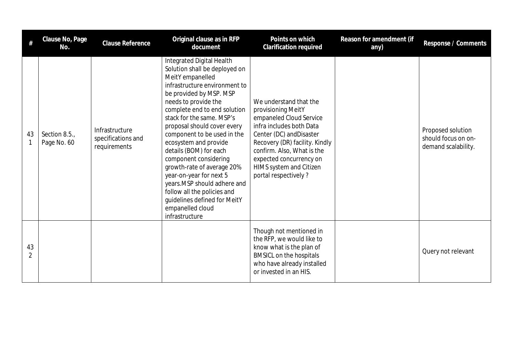|                      | Clause No, Page<br>No.       | <b>Clause Reference</b>                              | Original clause as in RFP<br>document                                                                                                                                                                                                                                                                                                                                                                                                                                                                                                                                  | Points on which<br><b>Clarification required</b>                                                                                                                                                                                                                              | Reason for amendment (if<br>any) | Response / Comments                                             |
|----------------------|------------------------------|------------------------------------------------------|------------------------------------------------------------------------------------------------------------------------------------------------------------------------------------------------------------------------------------------------------------------------------------------------------------------------------------------------------------------------------------------------------------------------------------------------------------------------------------------------------------------------------------------------------------------------|-------------------------------------------------------------------------------------------------------------------------------------------------------------------------------------------------------------------------------------------------------------------------------|----------------------------------|-----------------------------------------------------------------|
| 43                   | Section 8.5.,<br>Page No. 60 | Infrastructure<br>specifications and<br>requirements | Integrated Digital Health<br>Solution shall be deployed on<br>MeitY empanelled<br>infrastructure environment to<br>be provided by MSP. MSP<br>needs to provide the<br>complete end to end solution<br>stack for the same. MSP's<br>proposal should cover every<br>component to be used in the<br>ecosystem and provide<br>details (BOM) for each<br>component considering<br>growth-rate of average 20%<br>year-on-year for next 5<br>years.MSP should adhere and<br>follow all the policies and<br>guidelines defined for MeitY<br>empanelled cloud<br>infrastructure | We understand that the<br>provisioning MeitY<br>empaneled Cloud Service<br>infra includes both Data<br>Center (DC) and Disaster<br>Recovery (DR) facility. Kindly<br>confirm. Also, What is the<br>expected concurrency on<br>HIMS system and Citizen<br>portal respectively? |                                  | Proposed solution<br>should focus on on-<br>demand scalability. |
| 43<br>$\overline{2}$ |                              |                                                      |                                                                                                                                                                                                                                                                                                                                                                                                                                                                                                                                                                        | Though not mentioned in<br>the RFP, we would like to<br>know what is the plan of<br><b>BMSICL on the hospitals</b><br>who have already installed<br>or invested in an HIS.                                                                                                    |                                  | Query not relevant                                              |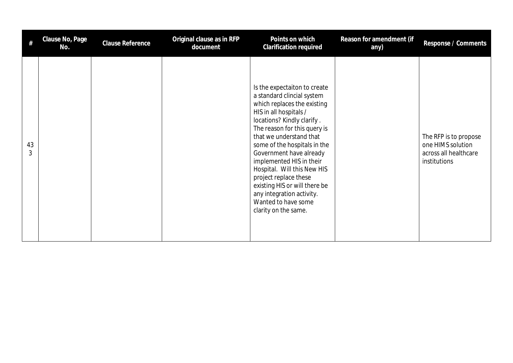| #       | Clause No, Page<br>No. | <b>Clause Reference</b> | Original clause as in RFP<br>document | Points on which<br><b>Clarification required</b>                                                                                                                                                                                                                                                                                                                                                                                                                         | Reason for amendment (if<br>any) | Response / Comments                                                                 |
|---------|------------------------|-------------------------|---------------------------------------|--------------------------------------------------------------------------------------------------------------------------------------------------------------------------------------------------------------------------------------------------------------------------------------------------------------------------------------------------------------------------------------------------------------------------------------------------------------------------|----------------------------------|-------------------------------------------------------------------------------------|
| 43<br>3 |                        |                         |                                       | Is the expectaiton to create<br>a standard clincial system<br>which replaces the existing<br>HIS in all hospitals /<br>locations? Kindly clarify.<br>The reason for this query is<br>that we understand that<br>some of the hospitals in the<br>Government have already<br>implemented HIS in their<br>Hospital. Will this New HIS<br>project replace these<br>existing HIS or will there be<br>any integration activity.<br>Wanted to have some<br>clarity on the same. |                                  | The RFP is to propose<br>one HIMS solution<br>across all healthcare<br>institutions |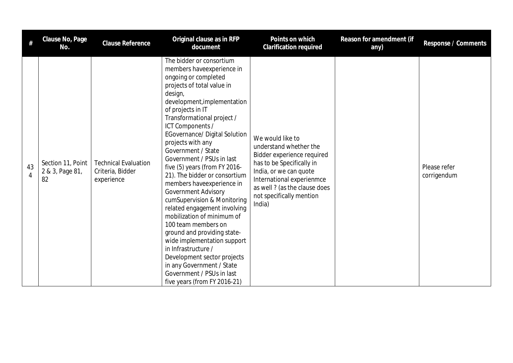| #       | Clause No, Page<br>No.                     | Clause Reference                                              | Original clause as in RFP<br>document                                                                                                                                                                                                                                                                                                                                                                                                                                                                                                                                                                                                                                                                                                                                                                 | Points on which<br>Clarification required                                                                                                                                                                                           | Reason for amendment (if<br>any) | Response / Comments         |
|---------|--------------------------------------------|---------------------------------------------------------------|-------------------------------------------------------------------------------------------------------------------------------------------------------------------------------------------------------------------------------------------------------------------------------------------------------------------------------------------------------------------------------------------------------------------------------------------------------------------------------------------------------------------------------------------------------------------------------------------------------------------------------------------------------------------------------------------------------------------------------------------------------------------------------------------------------|-------------------------------------------------------------------------------------------------------------------------------------------------------------------------------------------------------------------------------------|----------------------------------|-----------------------------|
| 43<br>4 | Section 11, Point<br>2 & 3, Page 81,<br>82 | <b>Technical Evaluation</b><br>Criteria, Bidder<br>experience | The bidder or consortium<br>members have experience in<br>ongoing or completed<br>projects of total value in<br>design,<br>development, implementation<br>of projects in IT<br>Transformational project /<br>ICT Components /<br><b>EGovernance/ Digital Solution</b><br>projects with any<br>Government / State<br>Government / PSUs in last<br>five (5) years (from FY 2016-<br>21). The bidder or consortium<br>members haveexperience in<br>Government Advisory<br>cumSupervision & Monitoring<br>related engagement involving<br>mobilization of minimum of<br>100 team members on<br>ground and providing state-<br>wide implementation support<br>in Infrastructure /<br>Development sector projects<br>in any Government / State<br>Government / PSUs in last<br>five years (from FY 2016-21) | We would like to<br>understand whether the<br>Bidder experience required<br>has to be Specifically in<br>India, or we can quote<br>International experienmce<br>as well ? (as the clause does<br>not specifically mention<br>India) |                                  | Please refer<br>corrigendum |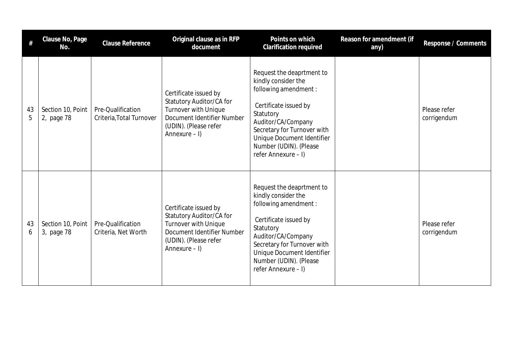| #       | Clause No, Page<br>No.          | <b>Clause Reference</b>                       | Original clause as in RFP<br>document                                                                                                               | Points on which<br>Clarification required                                                                                                                                                                                                           | Reason for amendment (if<br>any) | Response / Comments         |
|---------|---------------------------------|-----------------------------------------------|-----------------------------------------------------------------------------------------------------------------------------------------------------|-----------------------------------------------------------------------------------------------------------------------------------------------------------------------------------------------------------------------------------------------------|----------------------------------|-----------------------------|
| 43<br>5 | Section 10, Point<br>2, page 78 | Pre-Qualification<br>Criteria, Total Turnover | Certificate issued by<br>Statutory Auditor/CA for<br>Turnover with Unique<br>Document Identifier Number<br>(UDIN). (Please refer<br>Annexure $-1$ ) | Request the deaprtment to<br>kindly consider the<br>following amendment :<br>Certificate issued by<br>Statutory<br>Auditor/CA/Company<br>Secretary for Turnover with<br>Unique Document Identifier<br>Number (UDIN). (Please<br>refer Annexure - I) |                                  | Please refer<br>corrigendum |
| 43<br>6 | Section 10, Point<br>3, page 78 | Pre-Qualification<br>Criteria, Net Worth      | Certificate issued by<br>Statutory Auditor/CA for<br>Turnover with Unique<br>Document Identifier Number<br>(UDIN). (Please refer<br>Annexure $-1$ ) | Request the deaprtment to<br>kindly consider the<br>following amendment :<br>Certificate issued by<br>Statutory<br>Auditor/CA/Company<br>Secretary for Turnover with<br>Unique Document Identifier<br>Number (UDIN). (Please<br>refer Annexure - I) |                                  | Please refer<br>corrigendum |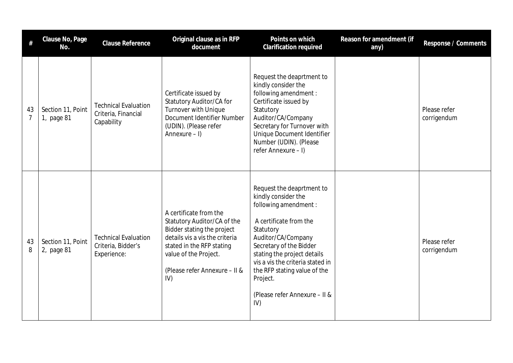| #                    | Clause No, Page<br>No.          | Clause Reference                                                 | Original clause as in RFP<br>document                                                                                                                                                                               | Points on which<br>Clarification required                                                                                                                                                                                                                                                                                | Reason for amendment (if<br>any) | Response / Comments         |
|----------------------|---------------------------------|------------------------------------------------------------------|---------------------------------------------------------------------------------------------------------------------------------------------------------------------------------------------------------------------|--------------------------------------------------------------------------------------------------------------------------------------------------------------------------------------------------------------------------------------------------------------------------------------------------------------------------|----------------------------------|-----------------------------|
| 43<br>$\overline{7}$ | Section 11, Point<br>1, page 81 | <b>Technical Evaluation</b><br>Criteria, Financial<br>Capability | Certificate issued by<br>Statutory Auditor/CA for<br>Turnover with Unique<br>Document Identifier Number<br>(UDIN). (Please refer<br>Annexure $-1$ )                                                                 | Request the deaprtment to<br>kindly consider the<br>following amendment :<br>Certificate issued by<br>Statutory<br>Auditor/CA/Company<br>Secretary for Turnover with<br>Unique Document Identifier<br>Number (UDIN). (Please<br>refer Annexure - I)                                                                      |                                  | Please refer<br>corrigendum |
| 43<br>8              | Section 11, Point<br>2, page 81 | <b>Technical Evaluation</b><br>Criteria, Bidder's<br>Experience: | A certificate from the<br>Statutory Auditor/CA of the<br>Bidder stating the project<br>details vis a vis the criteria<br>stated in the RFP stating<br>value of the Project.<br>(Please refer Annexure - II &<br>IV) | Request the deaprtment to<br>kindly consider the<br>following amendment :<br>A certificate from the<br>Statutory<br>Auditor/CA/Company<br>Secretary of the Bidder<br>stating the project details<br>vis a vis the criteria stated in<br>the RFP stating value of the<br>Project.<br>(Please refer Annexure - II &<br>IV) |                                  | Please refer<br>corrigendum |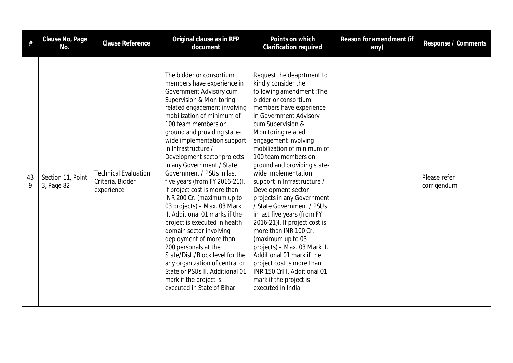|         | Clause No, Page<br>No.          | Clause Reference                                              | Original clause as in RFP<br>document                                                                                                                                                                                                                                                                                                                                                                                                                                                                                                                                                                                                                                                                                                                                                                                            | Points on which<br><b>Clarification required</b>                                                                                                                                                                                                                                                                                                                                                                                                                                                                                                                                                                                                                                                                                               | Reason for amendment (if<br>any) | Response / Comments         |
|---------|---------------------------------|---------------------------------------------------------------|----------------------------------------------------------------------------------------------------------------------------------------------------------------------------------------------------------------------------------------------------------------------------------------------------------------------------------------------------------------------------------------------------------------------------------------------------------------------------------------------------------------------------------------------------------------------------------------------------------------------------------------------------------------------------------------------------------------------------------------------------------------------------------------------------------------------------------|------------------------------------------------------------------------------------------------------------------------------------------------------------------------------------------------------------------------------------------------------------------------------------------------------------------------------------------------------------------------------------------------------------------------------------------------------------------------------------------------------------------------------------------------------------------------------------------------------------------------------------------------------------------------------------------------------------------------------------------------|----------------------------------|-----------------------------|
| 43<br>9 | Section 11, Point<br>3, Page 82 | <b>Technical Evaluation</b><br>Criteria, Bidder<br>experience | The bidder or consortium<br>members have experience in<br>Government Advisory cum<br>Supervision & Monitoring<br>related engagement involving<br>mobilization of minimum of<br>100 team members on<br>ground and providing state-<br>wide implementation support<br>in Infrastructure /<br>Development sector projects<br>in any Government / State<br>Government / PSUs in last<br>five years (from FY 2016-21)I.<br>If project cost is more than<br>INR 200 Cr. (maximum up to<br>03 projects) - Max. 03 Mark<br>II. Additional 01 marks if the<br>project is executed in health<br>domain sector involving<br>deployment of more than<br>200 personals at the<br>State/Dist./Block level for the<br>any organization of central or<br>State or PSUsIII. Additional 01<br>mark if the project is<br>executed in State of Bihar | Request the deaprtment to<br>kindly consider the<br>following amendment: The<br>bidder or consortium<br>members have experience<br>in Government Advisory<br>cum Supervision &<br>Monitoring related<br>engagement involving<br>mobilization of minimum of<br>100 team members on<br>ground and providing state-<br>wide implementation<br>support in Infrastructure /<br>Development sector<br>projects in any Government<br>/ State Government / PSUs<br>in last five years (from FY<br>2016-21)I. If project cost is<br>more than INR 100 Cr.<br>(maximum up to 03<br>projects) - Max. 03 Mark II.<br>Additional 01 mark if the<br>project cost is more than<br>INR 150 CrIII. Additional 01<br>mark if the project is<br>executed in India |                                  | Please refer<br>corrigendum |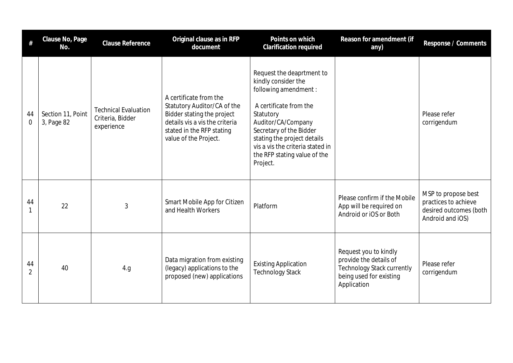|                      | Clause No, Page<br>No.          | <b>Clause Reference</b>                                       | Original clause as in RFP<br>document                                                                                                                                       | Points on which<br>Clarification required                                                                                                                                                                                                                                        | Reason for amendment (if<br>any)                                                                                               | Response / Comments                                                                       |
|----------------------|---------------------------------|---------------------------------------------------------------|-----------------------------------------------------------------------------------------------------------------------------------------------------------------------------|----------------------------------------------------------------------------------------------------------------------------------------------------------------------------------------------------------------------------------------------------------------------------------|--------------------------------------------------------------------------------------------------------------------------------|-------------------------------------------------------------------------------------------|
| 44<br>$\Omega$       | Section 11, Point<br>3, Page 82 | <b>Technical Evaluation</b><br>Criteria, Bidder<br>experience | A certificate from the<br>Statutory Auditor/CA of the<br>Bidder stating the project<br>details vis a vis the criteria<br>stated in the RFP stating<br>value of the Project. | Request the deaprtment to<br>kindly consider the<br>following amendment :<br>A certificate from the<br>Statutory<br>Auditor/CA/Company<br>Secretary of the Bidder<br>stating the project details<br>vis a vis the criteria stated in<br>the RFP stating value of the<br>Project. |                                                                                                                                | Please refer<br>corrigendum                                                               |
| 44<br>1              | 22                              | 3                                                             | Smart Mobile App for Citizen<br>and Health Workers                                                                                                                          | Platform                                                                                                                                                                                                                                                                         | Please confirm if the Mobile<br>App will be required on<br>Android or iOS or Both                                              | MSP to propose best<br>practices to achieve<br>desired outcomes (both<br>Android and iOS) |
| 44<br>$\overline{2}$ | 40                              | 4.g                                                           | Data migration from existing<br>(legacy) applications to the<br>proposed (new) applications                                                                                 | <b>Existing Application</b><br><b>Technology Stack</b>                                                                                                                                                                                                                           | Request you to kindly<br>provide the details of<br><b>Technology Stack currently</b><br>being used for existing<br>Application | Please refer<br>corrigendum                                                               |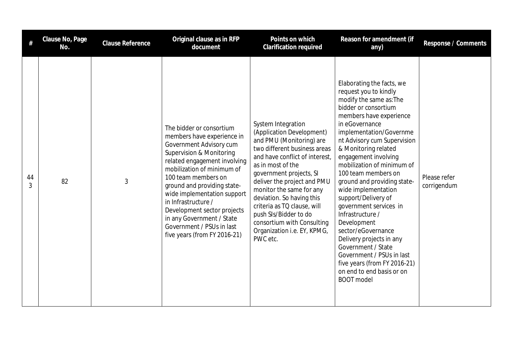|         | Clause No, Page<br>No. | <b>Clause Reference</b> | Original clause as in RFP<br>document                                                                                                                                                                                                                                                                                                                                                                            | Points on which<br><b>Clarification required</b>                                                                                                                                                                                                                                                                                                                                                                       | Reason for amendment (if<br>any)                                                                                                                                                                                                                                                                                                                                                                                                                                                                                                                                                                                                                   | Response / Comments         |
|---------|------------------------|-------------------------|------------------------------------------------------------------------------------------------------------------------------------------------------------------------------------------------------------------------------------------------------------------------------------------------------------------------------------------------------------------------------------------------------------------|------------------------------------------------------------------------------------------------------------------------------------------------------------------------------------------------------------------------------------------------------------------------------------------------------------------------------------------------------------------------------------------------------------------------|----------------------------------------------------------------------------------------------------------------------------------------------------------------------------------------------------------------------------------------------------------------------------------------------------------------------------------------------------------------------------------------------------------------------------------------------------------------------------------------------------------------------------------------------------------------------------------------------------------------------------------------------------|-----------------------------|
| 44<br>3 | 82                     | $\mathfrak{Z}$          | The bidder or consortium<br>members have experience in<br>Government Advisory cum<br>Supervision & Monitoring<br>related engagement involving<br>mobilization of minimum of<br>100 team members on<br>ground and providing state-<br>wide implementation support<br>in Infrastructure /<br>Development sector projects<br>in any Government / State<br>Government / PSUs in last<br>five years (from FY 2016-21) | System Integration<br>(Application Development)<br>and PMU (Monitoring) are<br>two different business areas<br>and have conflict of interest,<br>as in most of the<br>government projects, SI<br>deliver the project and PMU<br>monitor the same for any<br>deviation. So having this<br>criteria as TQ clause, will<br>push SIs/Bidder to do<br>consortium with Consulting<br>Organization i.e. EY, KPMG,<br>PWC etc. | Elaborating the facts, we<br>request you to kindly<br>modify the same as: The<br>bidder or consortium<br>members have experience<br>in eGovernance<br>implementation/Governme<br>nt Advisory cum Supervision<br>& Monitoring related<br>engagement involving<br>mobilization of minimum of<br>100 team members on<br>ground and providing state-<br>wide implementation<br>support/Delivery of<br>government services in<br>Infrastructure /<br>Development<br>sector/eGovernance<br>Delivery projects in any<br>Government / State<br>Government / PSUs in last<br>five years (from FY 2016-21)<br>on end to end basis or on<br><b>BOOT</b> model | Please refer<br>corrigendum |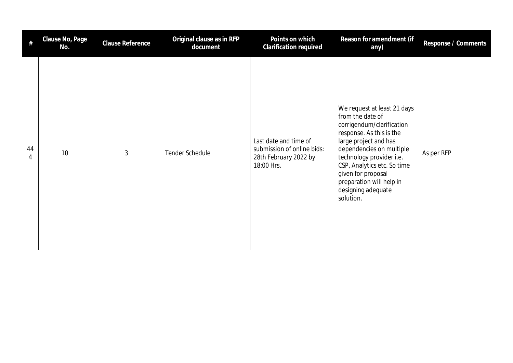| #       | Clause No, Page<br>No. | <b>Clause Reference</b> | Original clause as in RFP<br>document | Points on which<br>Clarification required                                                  | Reason for amendment (if<br>any)                                                                                                                                                                                                                                                                              | Response / Comments |
|---------|------------------------|-------------------------|---------------------------------------|--------------------------------------------------------------------------------------------|---------------------------------------------------------------------------------------------------------------------------------------------------------------------------------------------------------------------------------------------------------------------------------------------------------------|---------------------|
| 44<br>4 | 10                     | $\mathfrak{Z}$          | Tender Schedule                       | Last date and time of<br>submission of online bids:<br>28th February 2022 by<br>18:00 Hrs. | We request at least 21 days<br>from the date of<br>corrigendum/clarification<br>response. As this is the<br>large project and has<br>dependencies on multiple<br>technology provider i.e.<br>CSP, Analytics etc. So time<br>given for proposal<br>preparation will help in<br>designing adequate<br>solution. | As per RFP          |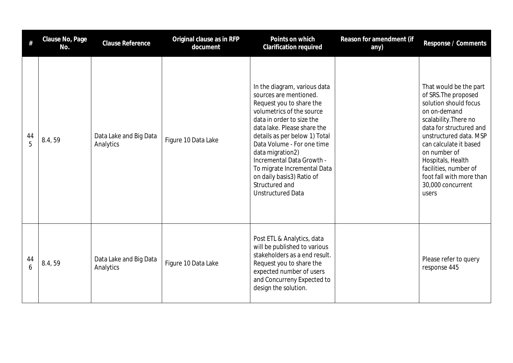| #       | Clause No, Page<br>No. | <b>Clause Reference</b>             | Original clause as in RFP<br>document | Points on which<br>Clarification required                                                                                                                                                                                                                                                                                                                                                             | Reason for amendment (if<br>any) | Response / Comments                                                                                                                                                                                                                                                                                                     |
|---------|------------------------|-------------------------------------|---------------------------------------|-------------------------------------------------------------------------------------------------------------------------------------------------------------------------------------------------------------------------------------------------------------------------------------------------------------------------------------------------------------------------------------------------------|----------------------------------|-------------------------------------------------------------------------------------------------------------------------------------------------------------------------------------------------------------------------------------------------------------------------------------------------------------------------|
| 44<br>5 | 8.4,59                 | Data Lake and Big Data<br>Analytics | Figure 10 Data Lake                   | In the diagram, various data<br>sources are mentioned.<br>Request you to share the<br>volumetrics of the source<br>data in order to size the<br>data lake. Please share the<br>details as per below 1) Total<br>Data Volume - For one time<br>data migration2)<br>Incremental Data Growth -<br>To migrate Incremental Data<br>on daily basis3) Ratio of<br>Structured and<br><b>Unstructured Data</b> |                                  | That would be the part<br>of SRS. The proposed<br>solution should focus<br>on on-demand<br>scalability. There no<br>data for structured and<br>unstructured data. MSP<br>can calculate it based<br>on number of<br>Hospitals, Health<br>facilities, number of<br>foot fall with more than<br>30,000 concurrent<br>users |
| 44<br>6 | 8.4, 59                | Data Lake and Big Data<br>Analytics | Figure 10 Data Lake                   | Post ETL & Analytics, data<br>will be published to various<br>stakeholders as a end result.<br>Request you to share the<br>expected number of users<br>and Concurreny Expected to<br>design the solution.                                                                                                                                                                                             |                                  | Please refer to query<br>response 445                                                                                                                                                                                                                                                                                   |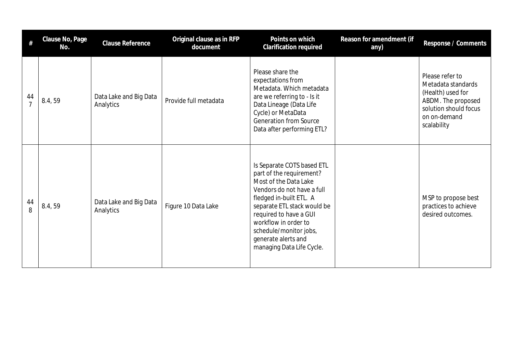| #                    | Clause No, Page<br>No. | <b>Clause Reference</b>             | Original clause as in RFP<br>document | Points on which<br>Clarification required                                                                                                                                                                                                                                                               | Reason for amendment (if<br>any) | Response / Comments                                                                                                                      |
|----------------------|------------------------|-------------------------------------|---------------------------------------|---------------------------------------------------------------------------------------------------------------------------------------------------------------------------------------------------------------------------------------------------------------------------------------------------------|----------------------------------|------------------------------------------------------------------------------------------------------------------------------------------|
| 44<br>$\overline{7}$ | 8.4,59                 | Data Lake and Big Data<br>Analytics | Provide full metadata                 | Please share the<br>expectations from<br>Metadata. Which metadata<br>are we referring to - Is it<br>Data Lineage (Data Life<br>Cycle) or MetaData<br><b>Generation from Source</b><br>Data after performing ETL?                                                                                        |                                  | Please refer to<br>Metadata standards<br>(Health) used for<br>ABDM. The proposed<br>solution should focus<br>on on-demand<br>scalability |
| 44<br>8              | 8.4,59                 | Data Lake and Big Data<br>Analytics | Figure 10 Data Lake                   | Is Separate COTS based ETL<br>part of the requirement?<br>Most of the Data Lake<br>Vendors do not have a full<br>fledged in-built ETL. A<br>separate ETL stack would be<br>required to have a GUI<br>workflow in order to<br>schedule/monitor jobs,<br>generate alerts and<br>managing Data Life Cycle. |                                  | MSP to propose best<br>practices to achieve<br>desired outcomes.                                                                         |